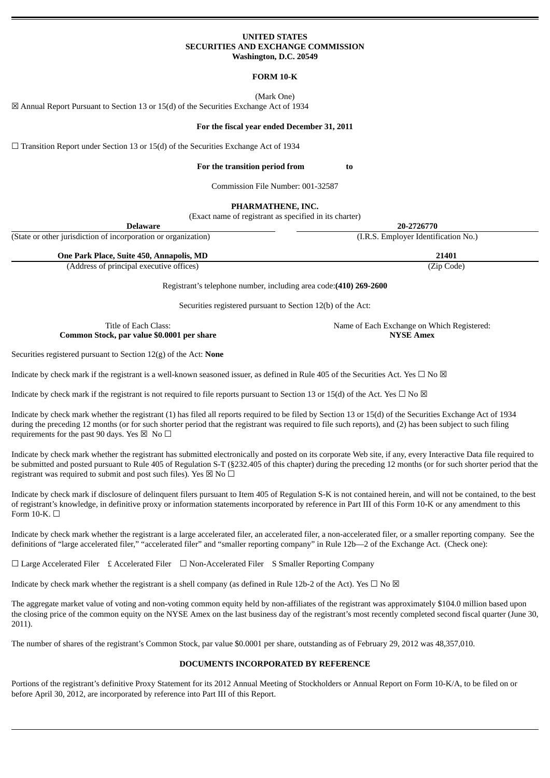#### **UNITED STATES SECURITIES AND EXCHANGE COMMISSION Washington, D.C. 20549**

## **FORM 10-K**

(Mark One)

 $\boxtimes$  Annual Report Pursuant to Section 13 or 15(d) of the Securities Exchange Act of 1934

#### **For the fiscal year ended December 31, 2011**

 $\Box$  Transition Report under Section 13 or 15(d) of the Securities Exchange Act of 1934

**For the transition period from to**

Commission File Number: 001-32587

# **PHARMATHENE, INC.**

(Exact name of registrant as specified in its charter)

| <b>Delaware</b>                                                                                                                                            | 20-2726770                                                         |  |  |
|------------------------------------------------------------------------------------------------------------------------------------------------------------|--------------------------------------------------------------------|--|--|
| (State or other jurisdiction of incorporation or organization)                                                                                             | (I.R.S. Employer Identification No.)                               |  |  |
| One Park Place, Suite 450, Annapolis, MD                                                                                                                   | 21401                                                              |  |  |
| (Address of principal executive offices)                                                                                                                   | (Zip Code)                                                         |  |  |
|                                                                                                                                                            | Registrant's telephone number, including area code: (410) 269-2600 |  |  |
|                                                                                                                                                            | Securities registered pursuant to Section 12(b) of the Act:        |  |  |
| Title of Each Class:<br>Common Stock, par value \$0.0001 per share                                                                                         | Name of Each Exchange on Which Registered:<br><b>NYSE Amex</b>     |  |  |
| Securities registered pursuant to Section $12(g)$ of the Act: <b>None</b>                                                                                  |                                                                    |  |  |
| Indicate by check mark if the registrant is a well-known seasoned issuer, as defined in Rule 405 of the Securities Act. Yes $\Box$ No $\boxtimes$          |                                                                    |  |  |
| Indicate by check mark if the registrant is not required to file reports pursuant to Section 13 or 15(d) of the Act. Yes $\Box$ No $\boxtimes$             |                                                                    |  |  |
| Indicate by check mark whether the registrant (1) has filed all reports required to be filed by Section 13 or 15(d) of the Securities Exchange Act of 1934 |                                                                    |  |  |

Indicate by check mark whether the registrant (1) has filed all reports required to be filed by Section 13 or 15(d) of the Securities Exchange Act of 1934 during the preceding 12 months (or for such shorter period that the registrant was required to file such reports), and (2) has been subject to such filing requirements for the past 90 days. Yes  $\boxtimes$  No  $\Box$ 

Indicate by check mark whether the registrant has submitted electronically and posted on its corporate Web site, if any, every Interactive Data file required to be submitted and posted pursuant to Rule 405 of Regulation S-T (§232.405 of this chapter) during the preceding 12 months (or for such shorter period that the registrant was required to submit and post such files). Yes  $\boxtimes$  No  $\Box$ 

Indicate by check mark if disclosure of delinquent filers pursuant to Item 405 of Regulation S-K is not contained herein, and will not be contained, to the best of registrant's knowledge, in definitive proxy or information statements incorporated by reference in Part III of this Form 10-K or any amendment to this Form 10-K.  $\Box$ 

Indicate by check mark whether the registrant is a large accelerated filer, an accelerated filer, a non-accelerated filer, or a smaller reporting company. See the definitions of "large accelerated filer," "accelerated filer" and "smaller reporting company" in Rule 12b—2 of the Exchange Act. (Check one):

☐ Large Accelerated Filer £ Accelerated Filer ☐ Non-Accelerated Filer S Smaller Reporting Company

Indicate by check mark whether the registrant is a shell company (as defined in Rule 12b-2 of the Act). Yes  $\Box$  No  $\boxtimes$ 

The aggregate market value of voting and non-voting common equity held by non-affiliates of the registrant was approximately \$104.0 million based upon the closing price of the common equity on the NYSE Amex on the last business day of the registrant's most recently completed second fiscal quarter (June 30, 2011).

The number of shares of the registrant's Common Stock, par value \$0.0001 per share, outstanding as of February 29, 2012 was 48,357,010.

# **DOCUMENTS INCORPORATED BY REFERENCE**

Portions of the registrant's definitive Proxy Statement for its 2012 Annual Meeting of Stockholders or Annual Report on Form 10-K/A, to be filed on or before April 30, 2012, are incorporated by reference into Part III of this Report.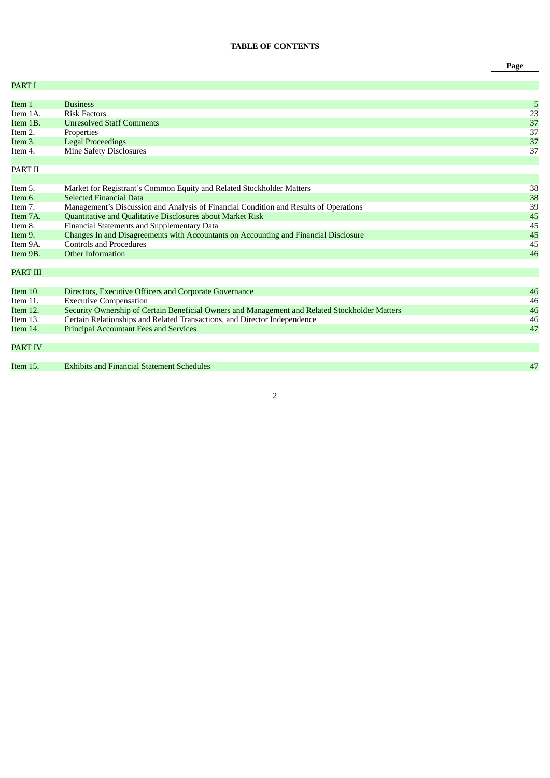# **TABLE OF CONTENTS**

**Page**

| PART I          |                                                                                                |    |
|-----------------|------------------------------------------------------------------------------------------------|----|
|                 |                                                                                                |    |
| Item 1          | <b>Business</b>                                                                                | 5  |
| Item 1A.        | <b>Risk Factors</b>                                                                            | 23 |
| Item 1B.        | <b>Unresolved Staff Comments</b>                                                               | 37 |
| Item 2.         | Properties                                                                                     | 37 |
| Item 3.         | <b>Legal Proceedings</b>                                                                       | 37 |
| Item 4.         | <b>Mine Safety Disclosures</b>                                                                 | 37 |
| <b>PART II</b>  |                                                                                                |    |
| Item 5.         | Market for Registrant's Common Equity and Related Stockholder Matters                          | 38 |
| Item 6.         | <b>Selected Financial Data</b>                                                                 | 38 |
| Item 7.         | Management's Discussion and Analysis of Financial Condition and Results of Operations          | 39 |
| Item 7A.        | Quantitative and Qualitative Disclosures about Market Risk                                     | 45 |
| Item 8.         | Financial Statements and Supplementary Data                                                    | 45 |
| Item 9.         | Changes In and Disagreements with Accountants on Accounting and Financial Disclosure           | 45 |
| Item 9A.        | <b>Controls and Procedures</b>                                                                 | 45 |
| Item 9B.        | Other Information                                                                              | 46 |
| <b>PART III</b> |                                                                                                |    |
| Item 10.        | Directors, Executive Officers and Corporate Governance                                         | 46 |
| Item 11.        | <b>Executive Compensation</b>                                                                  | 46 |
| Item 12.        | Security Ownership of Certain Beneficial Owners and Management and Related Stockholder Matters | 46 |
| Item $13.$      | Certain Relationships and Related Transactions, and Director Independence                      | 46 |
| Item 14.        | <b>Principal Accountant Fees and Services</b>                                                  | 47 |
| <b>PART IV</b>  |                                                                                                |    |
| Item 15.        | <b>Exhibits and Financial Statement Schedules</b>                                              | 47 |
|                 |                                                                                                |    |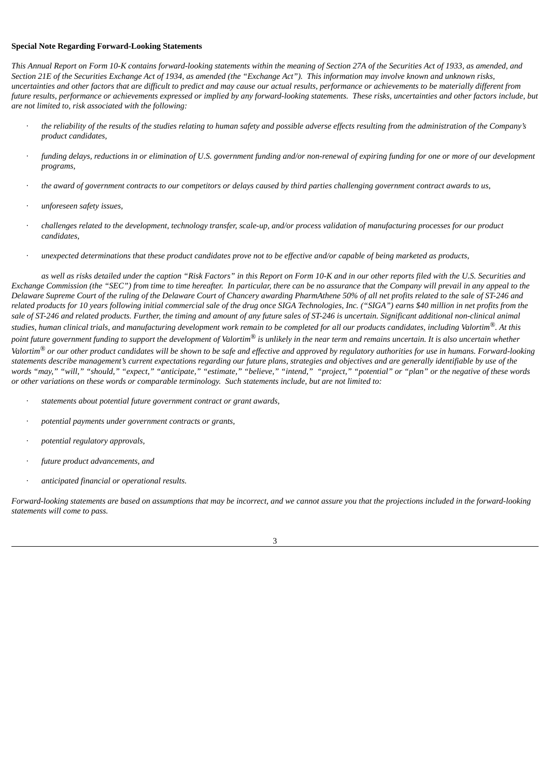# **Special Note Regarding Forward-Looking Statements**

This Annual Report on Form 10-K contains forward-looking statements within the meaning of Section 27A of the Securities Act of 1933, as amended, and Section 21E of the Securities Exchange Act of 1934, as amended (the "Exchange Act"). This information may involve known and unknown risks, uncertainties and other factors that are difficult to predict and may cause our actual results, performance or achievements to be materially different from future results, performance or achievements expressed or implied by any forward-looking statements. These risks, uncertainties and other factors include, but *are not limited to, risk associated with the following:*

- the reliability of the results of the studies relating to human safety and possible adverse effects resulting from the administration of the Company's *product candidates,*
- funding delays, reductions in or elimination of U.S. government funding and/or non-renewal of expiring funding for one or more of our development *programs,*
- the award of government contracts to our competitors or delays caused by third parties challenging government contract awards to us,
- · *unforeseen safety issues,*
- challenges related to the development, technology transfer, scale-up, and/or process validation of manufacturing processes for our product *candidates,*
- unexpected determinations that these product candidates prove not to be effective and/or capable of being marketed as products,

as well as risks detailed under the caption "Risk Factors" in this Report on Form 10-K and in our other reports filed with the U.S. Securities and Exchange Commission (the "SEC") from time to time hereafter. In particular, there can be no assurance that the Company will prevail in any appeal to the Delaware Supreme Court of the ruling of the Delaware Court of Chancery awarding PharmAthene 50% of all net profits related to the sale of ST-246 and related products for 10 years following initial commercial sale of the drug once SIGA Technologies, Inc. ("SIGA") earns \$40 million in net profits from the sale of ST-246 and related products. Further, the timing and amount of any future sales of ST-246 is uncertain. Significant additional non-clinical animal studies, human clinical trials, and manufacturing development work remain to be completed for all our products candidates, including Valortim $^\circledR$ . At this point future government funding to support the development of Valortim $^\circledR$  is unlikely in the near term and remains uncertain. It is also uncertain whether Valortim $^\circledR$  or our other product candidates will be shown to be safe and effective and approved by regulatory authorities for use in humans. Forward-looking statements describe management's current expectations regarding our future plans, strategies and objectives and are generally identifiable by use of the words "may," "will," "should," "expect," "anticipate," "estimate," "believe," "intend," "project," "potential" or "plan" or the negative of these words or other variations on these words or comparable terminology. Such statements include, but are not limited to:

- · *statements about potential future government contract or grant awards,*
- · *potential payments under government contracts or grants,*
- · *potential regulatory approvals,*
- · *future product advancements, and*
- · *anticipated financial or operational results.*

Forward-looking statements are based on assumptions that may be incorrect, and we cannot assure you that the projections included in the forward-looking *statements will come to pass.*

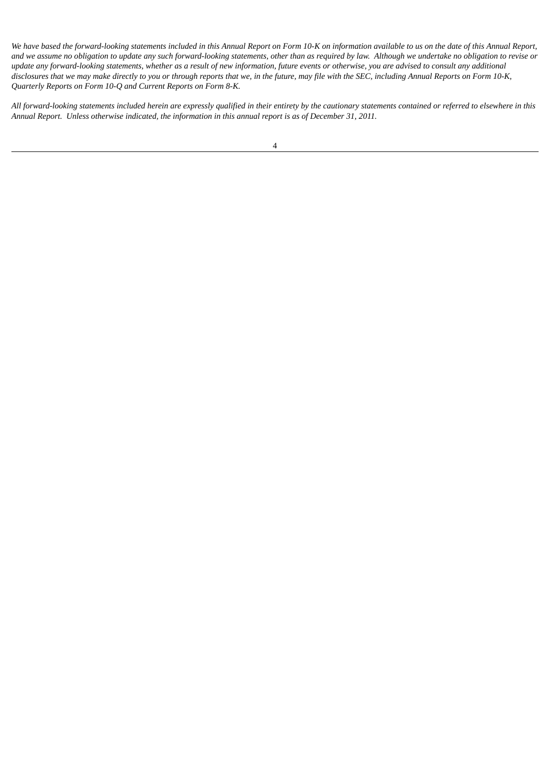We have based the forward-looking statements included in this Annual Report on Form 10-K on information available to us on the date of this Annual Report, and we assume no obligation to update any such forward-looking statements, other than as required by law. Although we undertake no obligation to revise or update any forward-looking statements, whether as a result of new information, future events or otherwise, you are advised to consult any additional disclosures that we may make directly to you or through reports that we, in the future, may file with the SEC, including Annual Reports on Form 10-K, *Quarterly Reports on Form 10-Q and Current Reports on Form 8-K.*

All forward-looking statements included herein are expressly qualified in their entirety by the cautionary statements contained or referred to elsewhere in this Annual Report. Unless otherwise indicated, the information in this annual report is as of December 31, 2011.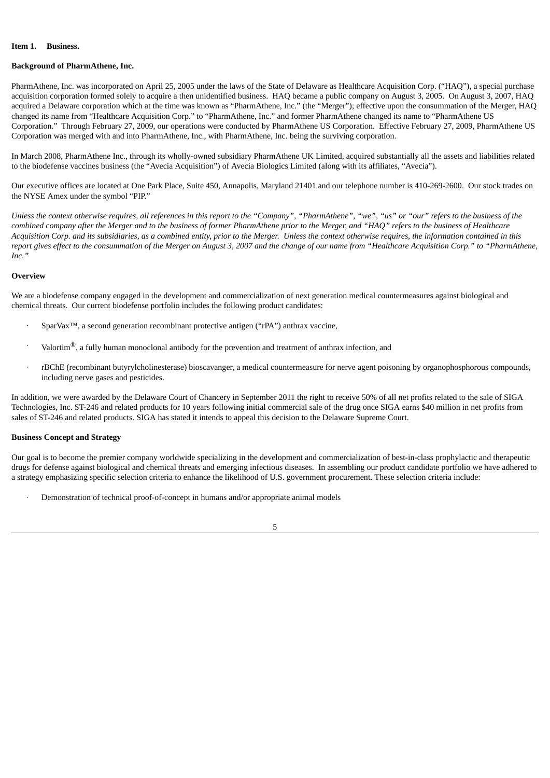## **Item 1. Business.**

### **Background of PharmAthene, Inc.**

PharmAthene, Inc. was incorporated on April 25, 2005 under the laws of the State of Delaware as Healthcare Acquisition Corp. ("HAQ"), a special purchase acquisition corporation formed solely to acquire a then unidentified business. HAQ became a public company on August 3, 2005. On August 3, 2007, HAQ acquired a Delaware corporation which at the time was known as "PharmAthene, Inc." (the "Merger"); effective upon the consummation of the Merger, HAQ changed its name from "Healthcare Acquisition Corp." to "PharmAthene, Inc." and former PharmAthene changed its name to "PharmAthene US Corporation." Through February 27, 2009, our operations were conducted by PharmAthene US Corporation. Effective February 27, 2009, PharmAthene US Corporation was merged with and into PharmAthene, Inc., with PharmAthene, Inc. being the surviving corporation.

In March 2008, PharmAthene Inc., through its wholly-owned subsidiary PharmAthene UK Limited, acquired substantially all the assets and liabilities related to the biodefense vaccines business (the "Avecia Acquisition") of Avecia Biologics Limited (along with its affiliates, "Avecia").

Our executive offices are located at One Park Place, Suite 450, Annapolis, Maryland 21401 and our telephone number is 410-269-2600. Our stock trades on the NYSE Amex under the symbol "PIP."

Unless the context otherwise requires, all references in this report to the "Company", "PharmAthene", "we", "us" or "our" refers to the business of the combined company after the Merger and to the business of former PharmAthene prior to the Merger, and "HAO" refers to the business of Healthcare Acquisition Corp. and its subsidiaries, as a combined entity, prior to the Merger. Unless the context otherwise requires, the information contained in this report gives effect to the consummation of the Merger on August 3, 2007 and the change of our name from "Healthcare Acquisition Corp." to "PharmAthene, *Inc."*

#### **Overview**

We are a biodefense company engaged in the development and commercialization of next generation medical countermeasures against biological and chemical threats. Our current biodefense portfolio includes the following product candidates:

- SparVax<sup>™</sup>, a second generation recombinant protective antigen ("rPA") anthrax vaccine,
- Valortim<sup>®</sup>, a fully human monoclonal antibody for the prevention and treatment of anthrax infection, and
- · rBChE (recombinant butyrylcholinesterase) bioscavanger, a medical countermeasure for nerve agent poisoning by organophosphorous compounds, including nerve gases and pesticides.

In addition, we were awarded by the Delaware Court of Chancery in September 2011 the right to receive 50% of all net profits related to the sale of SIGA Technologies, Inc. ST-246 and related products for 10 years following initial commercial sale of the drug once SIGA earns \$40 million in net profits from sales of ST-246 and related products. SIGA has stated it intends to appeal this decision to the Delaware Supreme Court.

# **Business Concept and Strategy**

Our goal is to become the premier company worldwide specializing in the development and commercialization of best-in-class prophylactic and therapeutic drugs for defense against biological and chemical threats and emerging infectious diseases. In assembling our product candidate portfolio we have adhered to a strategy emphasizing specific selection criteria to enhance the likelihood of U.S. government procurement. These selection criteria include:

Demonstration of technical proof-of-concept in humans and/or appropriate animal models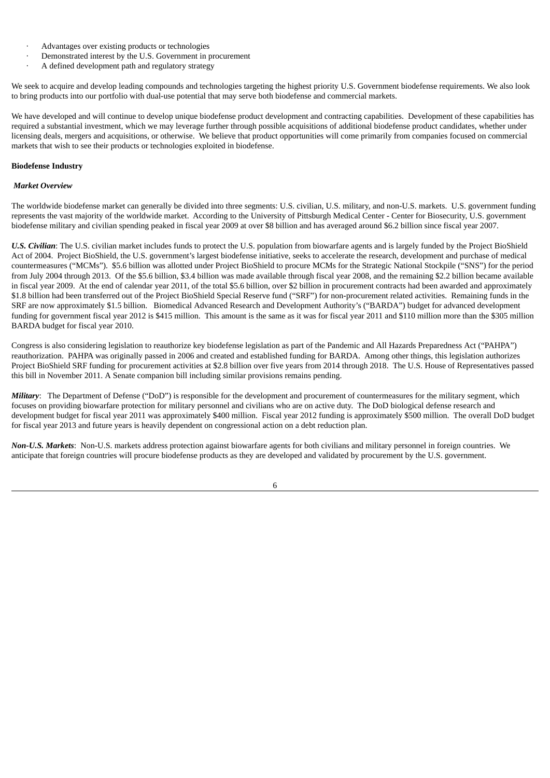- Advantages over existing products or technologies
- Demonstrated interest by the U.S. Government in procurement
- A defined development path and regulatory strategy

We seek to acquire and develop leading compounds and technologies targeting the highest priority U.S. Government biodefense requirements. We also look to bring products into our portfolio with dual-use potential that may serve both biodefense and commercial markets.

We have developed and will continue to develop unique biodefense product development and contracting capabilities. Development of these capabilities has required a substantial investment, which we may leverage further through possible acquisitions of additional biodefense product candidates, whether under licensing deals, mergers and acquisitions, or otherwise. We believe that product opportunities will come primarily from companies focused on commercial markets that wish to see their products or technologies exploited in biodefense.

# **Biodefense Industry**

#### *Market Overview*

The worldwide biodefense market can generally be divided into three segments: U.S. civilian, U.S. military, and non-U.S. markets. U.S. government funding represents the vast majority of the worldwide market. According to the University of Pittsburgh Medical Center - Center for Biosecurity, U.S. government biodefense military and civilian spending peaked in fiscal year 2009 at over \$8 billion and has averaged around \$6.2 billion since fiscal year 2007.

*U.S. Civilian*: The U.S. civilian market includes funds to protect the U.S. population from biowarfare agents and is largely funded by the Project BioShield Act of 2004. Project BioShield, the U.S. government's largest biodefense initiative, seeks to accelerate the research, development and purchase of medical countermeasures ("MCMs"). \$5.6 billion was allotted under Project BioShield to procure MCMs for the Strategic National Stockpile ("SNS") for the period from July 2004 through 2013. Of the \$5.6 billion, \$3.4 billion was made available through fiscal year 2008, and the remaining \$2.2 billion became available in fiscal year 2009. At the end of calendar year 2011, of the total \$5.6 billion, over \$2 billion in procurement contracts had been awarded and approximately \$1.8 billion had been transferred out of the Project BioShield Special Reserve fund ("SRF") for non-procurement related activities. Remaining funds in the SRF are now approximately \$1.5 billion. Biomedical Advanced Research and Development Authority's ("BARDA") budget for advanced development funding for government fiscal year 2012 is \$415 million. This amount is the same as it was for fiscal year 2011 and \$110 million more than the \$305 million BARDA budget for fiscal year 2010.

Congress is also considering legislation to reauthorize key biodefense legislation as part of the Pandemic and All Hazards Preparedness Act ("PAHPA") reauthorization. PAHPA was originally passed in 2006 and created and established funding for BARDA. Among other things, this legislation authorizes Project BioShield SRF funding for procurement activities at \$2.8 billion over five years from 2014 through 2018. The U.S. House of Representatives passed this bill in November 2011. A Senate companion bill including similar provisions remains pending.

*Military*: The Department of Defense ("DoD") is responsible for the development and procurement of countermeasures for the military segment, which focuses on providing biowarfare protection for military personnel and civilians who are on active duty. The DoD biological defense research and development budget for fiscal year 2011 was approximately \$400 million. Fiscal year 2012 funding is approximately \$500 million. The overall DoD budget for fiscal year 2013 and future years is heavily dependent on congressional action on a debt reduction plan.

*Non-U.S. Markets*: Non-U.S. markets address protection against biowarfare agents for both civilians and military personnel in foreign countries. We anticipate that foreign countries will procure biodefense products as they are developed and validated by procurement by the U.S. government.

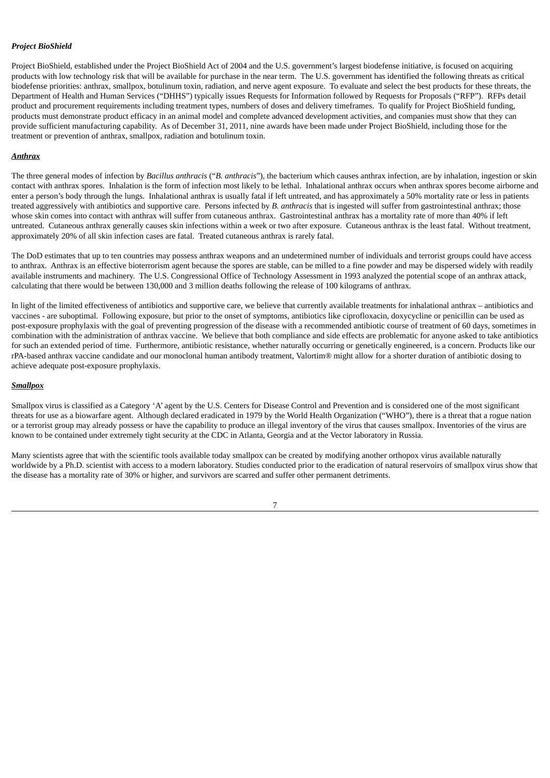## *Project BioShield*

Project BioShield, established under the Project BioShield Act of 2004 and the U.S. government's largest biodefense initiative, is focused on acquiring products with low technology risk that will be available for purchase in the near term. The U.S. government has identified the following threats as critical biodefense priorities: anthrax, smallpox, botulinum toxin, radiation, and nerve agent exposure. To evaluate and select the best products for these threats, the Department of Health and Human Services ("DHHS") typically issues Requests for Information followed by Requests for Proposals ("RFP"). RFPs detail product and procurement requirements including treatment types, numbers of doses and delivery timeframes. To qualify for Project BioShield funding, products must demonstrate product efficacy in an animal model and complete advanced development activities, and companies must show that they can provide sufficient manufacturing capability. As of December 31, 2011, nine awards have been made under Project BioShield, including those for the treatment or prevention of anthrax, smallpox, radiation and botulinum toxin.

## *Anthrax*

The three general modes of infection by *Bacillus anthracis* ("*B. anthracis*"), the bacterium which causes anthrax infection, are by inhalation, ingestion or skin contact with anthrax spores. Inhalation is the form of infection most likely to be lethal. Inhalational anthrax occurs when anthrax spores become airborne and enter a person's body through the lungs. Inhalational anthrax is usually fatal if left untreated, and has approximately a 50% mortality rate or less in patients treated aggressively with antibiotics and supportive care. Persons infected by *B. anthracis* that is ingested will suffer from gastrointestinal anthrax; those whose skin comes into contact with anthrax will suffer from cutaneous anthrax. Gastrointestinal anthrax has a mortality rate of more than 40% if left untreated. Cutaneous anthrax generally causes skin infections within a week or two after exposure. Cutaneous anthrax is the least fatal. Without treatment, approximately 20% of all skin infection cases are fatal. Treated cutaneous anthrax is rarely fatal.

The DoD estimates that up to ten countries may possess anthrax weapons and an undetermined number of individuals and terrorist groups could have access to anthrax. Anthrax is an effective bioterrorism agent because the spores are stable, can be milled to a fine powder and may be dispersed widely with readily available instruments and machinery. The U.S. Congressional Office of Technology Assessment in 1993 analyzed the potential scope of an anthrax attack, calculating that there would be between 130,000 and 3 million deaths following the release of 100 kilograms of anthrax.

In light of the limited effectiveness of antibiotics and supportive care, we believe that currently available treatments for inhalational anthrax – antibiotics and vaccines - are suboptimal. Following exposure, but prior to the onset of symptoms, antibiotics like ciprofloxacin, doxycycline or penicillin can be used as post-exposure prophylaxis with the goal of preventing progression of the disease with a recommended antibiotic course of treatment of 60 days, sometimes in combination with the administration of anthrax vaccine. We believe that both compliance and side effects are problematic for anyone asked to take antibiotics for such an extended period of time. Furthermore, antibiotic resistance, whether naturally occurring or genetically engineered, is a concern. Products like our rPA-based anthrax vaccine candidate and our monoclonal human antibody treatment, Valortim® might allow for a shorter duration of antibiotic dosing to achieve adequate post-exposure prophylaxis.

#### *Smallpox*

Smallpox virus is classified as a Category 'A' agent by the U.S. Centers for Disease Control and Prevention and is considered one of the most significant threats for use as a biowarfare agent. Although declared eradicated in 1979 by the World Health Organization ("WHO"), there is a threat that a rogue nation or a terrorist group may already possess or have the capability to produce an illegal inventory of the virus that causes smallpox. Inventories of the virus are known to be contained under extremely tight security at the CDC in Atlanta, Georgia and at the Vector laboratory in Russia.

Many scientists agree that with the scientific tools available today smallpox can be created by modifying another orthopox virus available naturally worldwide by a Ph.D. scientist with access to a modern laboratory. Studies conducted prior to the eradication of natural reservoirs of smallpox virus show that the disease has a mortality rate of 30% or higher, and survivors are scarred and suffer other permanent detriments.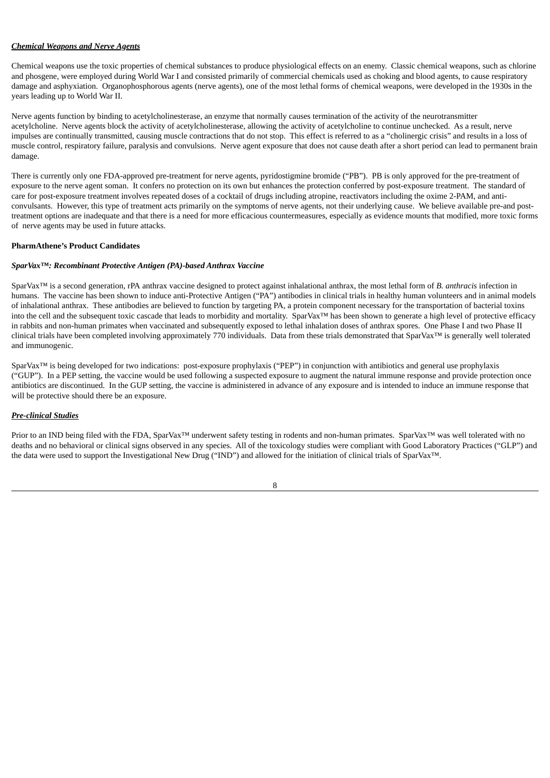# *Chemical Weapons and Nerve Agents*

Chemical weapons use the toxic properties of chemical substances to produce physiological effects on an enemy. Classic chemical weapons, such as chlorine and phosgene, were employed during World War I and consisted primarily of commercial chemicals used as choking and blood agents, to cause respiratory damage and asphyxiation. Organophosphorous agents (nerve agents), one of the most lethal forms of chemical weapons, were developed in the 1930s in the years leading up to World War II.

Nerve agents function by binding to acetylcholinesterase, an enzyme that normally causes termination of the activity of the neurotransmitter acetylcholine. Nerve agents block the activity of acetylcholinesterase, allowing the activity of acetylcholine to continue unchecked. As a result, nerve impulses are continually transmitted, causing muscle contractions that do not stop. This effect is referred to as a "cholinergic crisis" and results in a loss of muscle control, respiratory failure, paralysis and convulsions. Nerve agent exposure that does not cause death after a short period can lead to permanent brain damage.

There is currently only one FDA-approved pre-treatment for nerve agents, pyridostigmine bromide ("PB"). PB is only approved for the pre-treatment of exposure to the nerve agent soman. It confers no protection on its own but enhances the protection conferred by post-exposure treatment. The standard of care for post-exposure treatment involves repeated doses of a cocktail of drugs including atropine, reactivators including the oxime 2-PAM, and anticonvulsants. However, this type of treatment acts primarily on the symptoms of nerve agents, not their underlying cause. We believe available pre-and posttreatment options are inadequate and that there is a need for more efficacious countermeasures, especially as evidence mounts that modified, more toxic forms of nerve agents may be used in future attacks.

#### **PharmAthene's Product Candidates**

#### *SparVax™: Recombinant Protective Antigen (PA)-based Anthrax Vaccine*

SparVax™ is a second generation, rPA anthrax vaccine designed to protect against inhalational anthrax, the most lethal form of *B. anthracis* infection in humans. The vaccine has been shown to induce anti-Protective Antigen ("PA") antibodies in clinical trials in healthy human volunteers and in animal models of inhalational anthrax. These antibodies are believed to function by targeting PA, a protein component necessary for the transportation of bacterial toxins into the cell and the subsequent toxic cascade that leads to morbidity and mortality. SparVax™ has been shown to generate a high level of protective efficacy in rabbits and non-human primates when vaccinated and subsequently exposed to lethal inhalation doses of anthrax spores. One Phase I and two Phase II clinical trials have been completed involving approximately 770 individuals. Data from these trials demonstrated that SparVax™ is generally well tolerated and immunogenic.

SparVax™ is being developed for two indications: post-exposure prophylaxis ("PEP") in conjunction with antibiotics and general use prophylaxis ("GUP"). In a PEP setting, the vaccine would be used following a suspected exposure to augment the natural immune response and provide protection once antibiotics are discontinued. In the GUP setting, the vaccine is administered in advance of any exposure and is intended to induce an immune response that will be protective should there be an exposure.

# *Pre-clinical Studies*

Prior to an IND being filed with the FDA, SparVax™ underwent safety testing in rodents and non-human primates. SparVax™ was well tolerated with no deaths and no behavioral or clinical signs observed in any species. All of the toxicology studies were compliant with Good Laboratory Practices ("GLP") and the data were used to support the Investigational New Drug ("IND") and allowed for the initiation of clinical trials of SparVax™.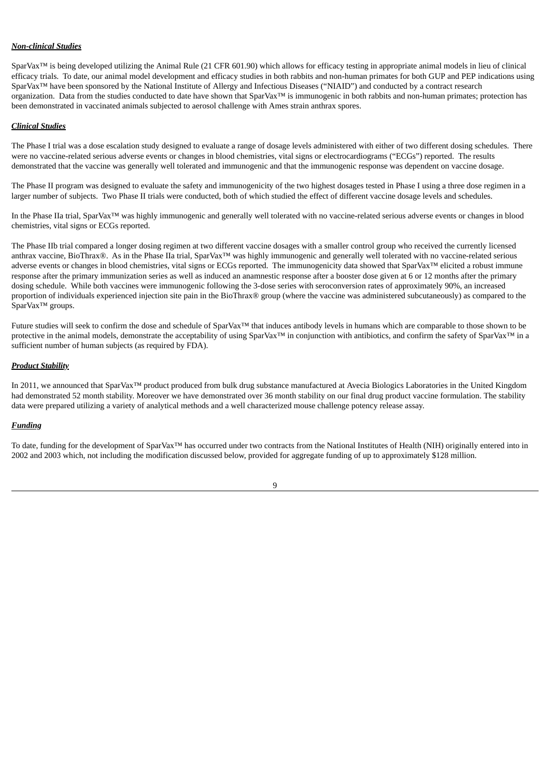## *Non-clinical Studies*

SparVax™ is being developed utilizing the Animal Rule (21 CFR 601.90) which allows for efficacy testing in appropriate animal models in lieu of clinical efficacy trials. To date, our animal model development and efficacy studies in both rabbits and non-human primates for both GUP and PEP indications using SparVax™ have been sponsored by the National Institute of Allergy and Infectious Diseases ("NIAID") and conducted by a contract research organization. Data from the studies conducted to date have shown that SparVax™ is immunogenic in both rabbits and non-human primates; protection has been demonstrated in vaccinated animals subjected to aerosol challenge with Ames strain anthrax spores.

#### *Clinical Studies*

The Phase I trial was a dose escalation study designed to evaluate a range of dosage levels administered with either of two different dosing schedules. There were no vaccine-related serious adverse events or changes in blood chemistries, vital signs or electrocardiograms ("ECGs") reported. The results demonstrated that the vaccine was generally well tolerated and immunogenic and that the immunogenic response was dependent on vaccine dosage.

The Phase II program was designed to evaluate the safety and immunogenicity of the two highest dosages tested in Phase I using a three dose regimen in a larger number of subjects. Two Phase II trials were conducted, both of which studied the effect of different vaccine dosage levels and schedules.

In the Phase IIa trial, SparVax™ was highly immunogenic and generally well tolerated with no vaccine-related serious adverse events or changes in blood chemistries, vital signs or ECGs reported.

The Phase IIb trial compared a longer dosing regimen at two different vaccine dosages with a smaller control group who received the currently licensed anthrax vaccine, BioThrax®. As in the Phase IIa trial, SparVax™ was highly immunogenic and generally well tolerated with no vaccine-related serious adverse events or changes in blood chemistries, vital signs or ECGs reported. The immunogenicity data showed that SparVax™ elicited a robust immune response after the primary immunization series as well as induced an anamnestic response after a booster dose given at 6 or 12 months after the primary dosing schedule. While both vaccines were immunogenic following the 3-dose series with seroconversion rates of approximately 90%, an increased proportion of individuals experienced injection site pain in the BioThrax® group (where the vaccine was administered subcutaneously) as compared to the SparVax<sup>™</sup> groups.

Future studies will seek to confirm the dose and schedule of SparVax™ that induces antibody levels in humans which are comparable to those shown to be protective in the animal models, demonstrate the acceptability of using SparVax™ in conjunction with antibiotics, and confirm the safety of SparVax™ in a sufficient number of human subjects (as required by FDA).

#### *Product Stability*

In 2011, we announced that SparVax™ product produced from bulk drug substance manufactured at Avecia Biologics Laboratories in the United Kingdom had demonstrated 52 month stability. Moreover we have demonstrated over 36 month stability on our final drug product vaccine formulation. The stability data were prepared utilizing a variety of analytical methods and a well characterized mouse challenge potency release assay.

#### *Funding*

To date, funding for the development of SparVax™ has occurred under two contracts from the National Institutes of Health (NIH) originally entered into in 2002 and 2003 which, not including the modification discussed below, provided for aggregate funding of up to approximately \$128 million.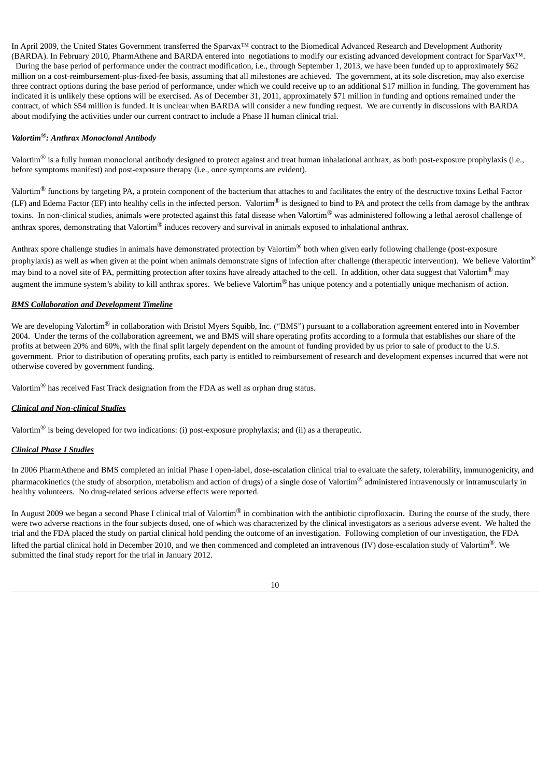In April 2009, the United States Government transferred the Sparvax™ contract to the Biomedical Advanced Research and Development Authority (BARDA). In February 2010, PharmAthene and BARDA entered into negotiations to modify our existing advanced development contract for SparVax™. During the base period of performance under the contract modification, i.e., through September 1, 2013, we have been funded up to approximately \$62 million on a cost-reimbursement-plus-fixed-fee basis, assuming that all milestones are achieved. The government, at its sole discretion, may also exercise three contract options during the base period of performance, under which we could receive up to an additional \$17 million in funding. The government has indicated it is unlikely these options will be exercised. As of December 31, 2011, approximately \$71 million in funding and options remained under the contract, of which \$54 million is funded. It is unclear when BARDA will consider a new funding request. We are currently in discussions with BARDA about modifying the activities under our current contract to include a Phase II human clinical trial.

# *Valortim®: Anthrax Monoclonal Antibody*

Valortim<sup>®</sup> is a fully human monoclonal antibody designed to protect against and treat human inhalational anthrax, as both post-exposure prophylaxis (i.e., before symptoms manifest) and post-exposure therapy (i.e., once symptoms are evident).

Valortim® functions by targeting PA, a protein component of the bacterium that attaches to and facilitates the entry of the destructive toxins Lethal Factor (LF) and Edema Factor (EF) into healthy cells in the infected person. Valortim<sup>®</sup> is designed to bind to PA and protect the cells from damage by the anthrax toxins. In non-clinical studies, animals were protected against this fatal disease when Valortim<sup>®</sup> was administered following a lethal aerosol challenge of anthrax spores, demonstrating that Valortim® induces recovery and survival in animals exposed to inhalational anthrax.

Anthrax spore challenge studies in animals have demonstrated protection by Valortim® both when given early following challenge (post-exposure prophylaxis) as well as when given at the point when animals demonstrate signs of infection after challenge (therapeutic intervention). We believe Valortim<sup>®</sup> may bind to a novel site of PA, permitting protection after toxins have already attached to the cell. In addition, other data suggest that Valortim<sup>®</sup> may augment the immune system's ability to kill anthrax spores. We believe Valortim<sup>®</sup> has unique potency and a potentially unique mechanism of action.

## *BMS Collaboration and Development Timeline*

We are developing Valortim<sup>®</sup> in collaboration with Bristol Myers Squibb, Inc. ("BMS") pursuant to a collaboration agreement entered into in November 2004. Under the terms of the collaboration agreement, we and BMS will share operating profits according to a formula that establishes our share of the profits at between 20% and 60%, with the final split largely dependent on the amount of funding provided by us prior to sale of product to the U.S. government. Prior to distribution of operating profits, each party is entitled to reimbursement of research and development expenses incurred that were not otherwise covered by government funding.

Valortim<sup>®</sup> has received Fast Track designation from the FDA as well as orphan drug status.

# *Clinical and Non-clinical Studies*

Valortim® is being developed for two indications: (i) post-exposure prophylaxis; and (ii) as a therapeutic.

# *Clinical Phase I Studies*

In 2006 PharmAthene and BMS completed an initial Phase I open-label, dose-escalation clinical trial to evaluate the safety, tolerability, immunogenicity, and pharmacokinetics (the study of absorption, metabolism and action of drugs) of a single dose of Valortim® administered intravenously or intramuscularly in healthy volunteers. No drug-related serious adverse effects were reported.

In August 2009 we began a second Phase I clinical trial of Valortim<sup>®</sup> in combination with the antibiotic ciprofloxacin. During the course of the study, there were two adverse reactions in the four subjects dosed, one of which was characterized by the clinical investigators as a serious adverse event. We halted the trial and the FDA placed the study on partial clinical hold pending the outcome of an investigation. Following completion of our investigation, the FDA lifted the partial clinical hold in December 2010, and we then commenced and completed an intravenous (IV) dose-escalation study of Valortim<sup>®</sup>. We submitted the final study report for the trial in January 2012.

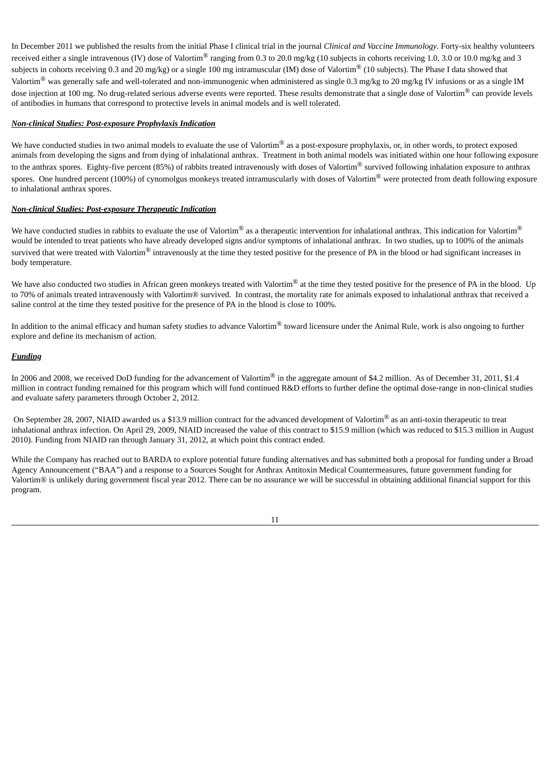In December 2011 we published the results from the initial Phase I clinical trial in the journal *Clinical and Vaccine Immunology*. Forty-six healthy volunteers received either a single intravenous (IV) dose of Valortim<sup>®</sup> ranging from 0.3 to 20.0 mg/kg (10 subjects in cohorts receiving 1.0, 3.0 or 10.0 mg/kg and 3 subjects in cohorts receiving 0.3 and 20 mg/kg) or a single 100 mg intramuscular (IM) dose of Valortim® (10 subjects). The Phase I data showed that Valortim<sup>®</sup> was generally safe and well-tolerated and non-immunogenic when administered as single 0.3 mg/kg to 20 mg/kg IV infusions or as a single IM dose injection at 100 mg. No drug-related serious adverse events were reported. These results demonstrate that a single dose of Valortim<sup>®</sup> can provide levels of antibodies in humans that correspond to protective levels in animal models and is well tolerated.

# *Non-clinical Studies: Post-exposure Prophylaxis Indication*

We have conducted studies in two animal models to evaluate the use of Valortim® as a post-exposure prophylaxis, or, in other words, to protect exposed animals from developing the signs and from dying of inhalational anthrax. Treatment in both animal models was initiated within one hour following exposure to the anthrax spores. Eighty-five percent (85%) of rabbits treated intravenously with doses of Valortim<sup>®</sup> survived following inhalation exposure to anthrax spores. One hundred percent (100%) of cynomolgus monkeys treated intramuscularly with doses of Valortim® were protected from death following exposure to inhalational anthrax spores.

#### *Non-clinical Studies: Post-exposure Therapeutic Indication*

We have conducted studies in rabbits to evaluate the use of Valortim<sup>®</sup> as a therapeutic intervention for inhalational anthrax. This indication for Valortim<sup>®</sup> would be intended to treat patients who have already developed signs and/or symptoms of inhalational anthrax. In two studies, up to 100% of the animals survived that were treated with Valortim<sup>®</sup> intravenously at the time they tested positive for the presence of PA in the blood or had significant increases in body temperature.

We have also conducted two studies in African green monkeys treated with Valortim<sup>®</sup> at the time they tested positive for the presence of PA in the blood. Up to 70% of animals treated intravenously with Valortim® survived. In contrast, the mortality rate for animals exposed to inhalational anthrax that received a saline control at the time they tested positive for the presence of PA in the blood is close to 100%.

In addition to the animal efficacy and human safety studies to advance Valortim<sup>®</sup> toward licensure under the Animal Rule, work is also ongoing to further explore and define its mechanism of action.

#### *Funding*

In 2006 and 2008, we received DoD funding for the advancement of Valortim® in the aggregate amount of \$4.2 million. As of December 31, 2011, \$1.4 million in contract funding remained for this program which will fund continued R&D efforts to further define the optimal dose-range in non-clinical studies and evaluate safety parameters through October 2, 2012.

On September 28, 2007, NIAID awarded us a \$13.9 million contract for the advanced development of Valortim® as an anti-toxin therapeutic to treat inhalational anthrax infection. On April 29, 2009, NIAID increased the value of this contract to \$15.9 million (which was reduced to \$15.3 million in August 2010). Funding from NIAID ran through January 31, 2012, at which point this contract ended.

While the Company has reached out to BARDA to explore potential future funding alternatives and has submitted both a proposal for funding under a Broad Agency Announcement ("BAA") and a response to a Sources Sought for Anthrax Antitoxin Medical Countermeasures, future government funding for Valortim® is unlikely during government fiscal year 2012. There can be no assurance we will be successful in obtaining additional financial support for this program.

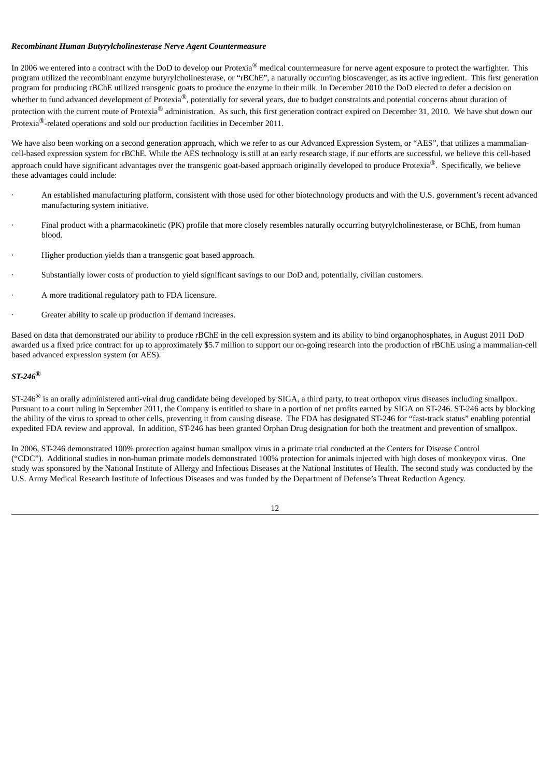# *Recombinant Human Butyrylcholinesterase Nerve Agent Countermeasure*

In 2006 we entered into a contract with the DoD to develop our Protexia<sup>®</sup> medical countermeasure for nerve agent exposure to protect the warfighter. This program utilized the recombinant enzyme butyrylcholinesterase, or "rBChE", a naturally occurring bioscavenger, as its active ingredient. This first generation program for producing rBChE utilized transgenic goats to produce the enzyme in their milk. In December 2010 the DoD elected to defer a decision on whether to fund advanced development of Protexia®, potentially for several years, due to budget constraints and potential concerns about duration of protection with the current route of Protexia® administration. As such, this first generation contract expired on December 31, 2010. We have shut down our Protexia®-related operations and sold our production facilities in December 2011.

We have also been working on a second generation approach, which we refer to as our Advanced Expression System, or "AES", that utilizes a mammaliancell-based expression system for rBChE. While the AES technology is still at an early research stage, if our efforts are successful, we believe this cell-based approach could have significant advantages over the transgenic goat-based approach originally developed to produce Protexia®. Specifically, we believe these advantages could include:

- · An established manufacturing platform, consistent with those used for other biotechnology products and with the U.S. government's recent advanced manufacturing system initiative.
- · Final product with a pharmacokinetic (PK) profile that more closely resembles naturally occurring butyrylcholinesterase, or BChE, from human blood.
- Higher production yields than a transgenic goat based approach.
- Substantially lower costs of production to yield significant savings to our DoD and, potentially, civilian customers.
- · A more traditional regulatory path to FDA licensure.
- Greater ability to scale up production if demand increases.

Based on data that demonstrated our ability to produce rBChE in the cell expression system and its ability to bind organophosphates, in August 2011 DoD awarded us a fixed price contract for up to approximately \$5.7 million to support our on-going research into the production of rBChE using a mammalian-cell based advanced expression system (or AES).

# *ST-246®*

 $ST-246^{\circ}$  is an orally administered anti-viral drug candidate being developed by SIGA, a third party, to treat orthopox virus diseases including smallpox. Pursuant to a court ruling in September 2011, the Company is entitled to share in a portion of net profits earned by SIGA on ST-246. ST-246 acts by blocking the ability of the virus to spread to other cells, preventing it from causing disease. The FDA has designated ST-246 for "fast-track status" enabling potential expedited FDA review and approval. In addition, ST-246 has been granted Orphan Drug designation for both the treatment and prevention of smallpox.

In 2006, ST-246 demonstrated 100% protection against human smallpox virus in a primate trial conducted at the Centers for Disease Control ("CDC"). Additional studies in non-human primate models demonstrated 100% protection for animals injected with high doses of monkeypox virus. One study was sponsored by the National Institute of Allergy and Infectious Diseases at the National Institutes of Health. The second study was conducted by the U.S. Army Medical Research Institute of Infectious Diseases and was funded by the Department of Defense's Threat Reduction Agency.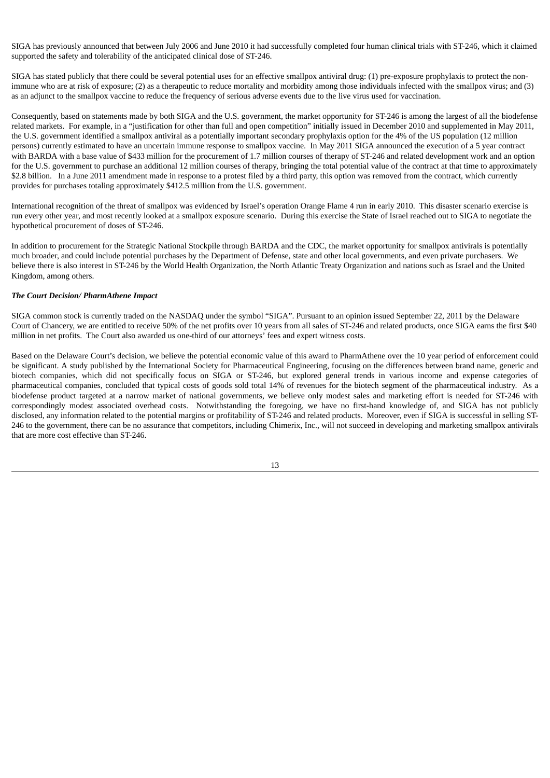SIGA has previously announced that between July 2006 and June 2010 it had successfully completed four human clinical trials with ST-246, which it claimed supported the safety and tolerability of the anticipated clinical dose of ST-246.

SIGA has stated publicly that there could be several potential uses for an effective smallpox antiviral drug: (1) pre-exposure prophylaxis to protect the nonimmune who are at risk of exposure; (2) as a therapeutic to reduce mortality and morbidity among those individuals infected with the smallpox virus; and (3) as an adjunct to the smallpox vaccine to reduce the frequency of serious adverse events due to the live virus used for vaccination.

Consequently, based on statements made by both SIGA and the U.S. government, the market opportunity for ST-246 is among the largest of all the biodefense related markets. For example, in a "justification for other than full and open competition" initially issued in December 2010 and supplemented in May 2011, the U.S. government identified a smallpox antiviral as a potentially important secondary prophylaxis option for the 4% of the US population (12 million persons) currently estimated to have an uncertain immune response to smallpox vaccine. In May 2011 SIGA announced the execution of a 5 year contract with BARDA with a base value of \$433 million for the procurement of 1.7 million courses of therapy of ST-246 and related development work and an option for the U.S. government to purchase an additional 12 million courses of therapy, bringing the total potential value of the contract at that time to approximately \$2.8 billion. In a June 2011 amendment made in response to a protest filed by a third party, this option was removed from the contract, which currently provides for purchases totaling approximately \$412.5 million from the U.S. government.

International recognition of the threat of smallpox was evidenced by Israel's operation Orange Flame 4 run in early 2010. This disaster scenario exercise is run every other year, and most recently looked at a smallpox exposure scenario. During this exercise the State of Israel reached out to SIGA to negotiate the hypothetical procurement of doses of ST-246.

In addition to procurement for the Strategic National Stockpile through BARDA and the CDC, the market opportunity for smallpox antivirals is potentially much broader, and could include potential purchases by the Department of Defense, state and other local governments, and even private purchasers. We believe there is also interest in ST-246 by the World Health Organization, the North Atlantic Treaty Organization and nations such as Israel and the United Kingdom, among others.

#### *The Court Decision/ PharmAthene Impact*

SIGA common stock is currently traded on the NASDAQ under the symbol "SIGA". Pursuant to an opinion issued September 22, 2011 by the Delaware Court of Chancery, we are entitled to receive 50% of the net profits over 10 years from all sales of ST-246 and related products, once SIGA earns the first \$40 million in net profits. The Court also awarded us one-third of our attorneys' fees and expert witness costs.

Based on the Delaware Court's decision, we believe the potential economic value of this award to PharmAthene over the 10 year period of enforcement could be significant. A study published by the International Society for Pharmaceutical Engineering, focusing on the differences between brand name, generic and biotech companies, which did not specifically focus on SIGA or ST-246, but explored general trends in various income and expense categories of pharmaceutical companies, concluded that typical costs of goods sold total 14% of revenues for the biotech segment of the pharmaceutical industry. As a biodefense product targeted at a narrow market of national governments, we believe only modest sales and marketing effort is needed for ST-246 with correspondingly modest associated overhead costs. Notwithstanding the foregoing, we have no first-hand knowledge of, and SIGA has not publicly disclosed, any information related to the potential margins or profitability of ST-246 and related products. Moreover, even if SIGA is successful in selling ST-246 to the government, there can be no assurance that competitors, including Chimerix, Inc., will not succeed in developing and marketing smallpox antivirals that are more cost effective than ST-246.

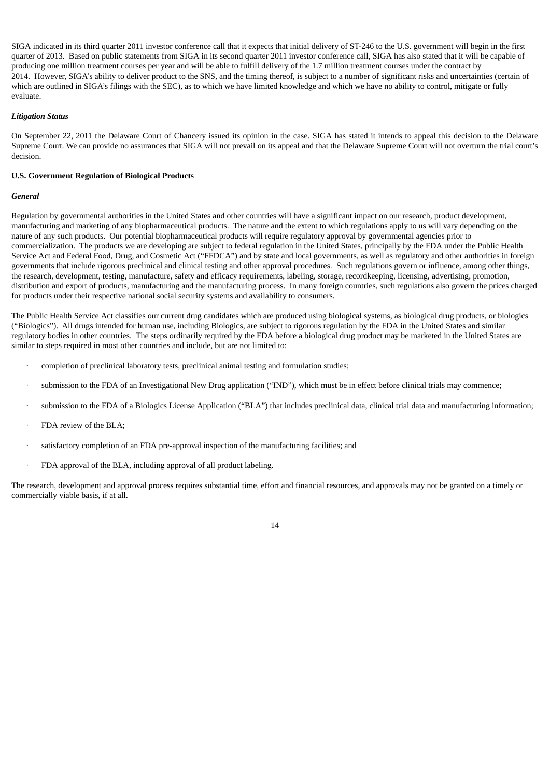SIGA indicated in its third quarter 2011 investor conference call that it expects that initial delivery of ST-246 to the U.S. government will begin in the first quarter of 2013. Based on public statements from SIGA in its second quarter 2011 investor conference call, SIGA has also stated that it will be capable of producing one million treatment courses per year and will be able to fulfill delivery of the 1.7 million treatment courses under the contract by 2014. However, SIGA's ability to deliver product to the SNS, and the timing thereof, is subject to a number of significant risks and uncertainties (certain of which are outlined in SIGA's filings with the SEC), as to which we have limited knowledge and which we have no ability to control, mitigate or fully evaluate.

## *Litigation Status*

On September 22, 2011 the Delaware Court of Chancery issued its opinion in the case. SIGA has stated it intends to appeal this decision to the Delaware Supreme Court. We can provide no assurances that SIGA will not prevail on its appeal and that the Delaware Supreme Court will not overturn the trial court's decision.

## **U.S. Government Regulation of Biological Products**

#### *General*

Regulation by governmental authorities in the United States and other countries will have a significant impact on our research, product development, manufacturing and marketing of any biopharmaceutical products. The nature and the extent to which regulations apply to us will vary depending on the nature of any such products. Our potential biopharmaceutical products will require regulatory approval by governmental agencies prior to commercialization. The products we are developing are subject to federal regulation in the United States, principally by the FDA under the Public Health Service Act and Federal Food, Drug, and Cosmetic Act ("FFDCA") and by state and local governments, as well as regulatory and other authorities in foreign governments that include rigorous preclinical and clinical testing and other approval procedures. Such regulations govern or influence, among other things, the research, development, testing, manufacture, safety and efficacy requirements, labeling, storage, recordkeeping, licensing, advertising, promotion, distribution and export of products, manufacturing and the manufacturing process. In many foreign countries, such regulations also govern the prices charged for products under their respective national social security systems and availability to consumers.

The Public Health Service Act classifies our current drug candidates which are produced using biological systems, as biological drug products, or biologics ("Biologics"). All drugs intended for human use, including Biologics, are subject to rigorous regulation by the FDA in the United States and similar regulatory bodies in other countries. The steps ordinarily required by the FDA before a biological drug product may be marketed in the United States are similar to steps required in most other countries and include, but are not limited to:

- · completion of preclinical laboratory tests, preclinical animal testing and formulation studies;
- · submission to the FDA of an Investigational New Drug application ("IND"), which must be in effect before clinical trials may commence;
- submission to the FDA of a Biologics License Application ("BLA") that includes preclinical data, clinical trial data and manufacturing information;
- FDA review of the BLA;
- satisfactory completion of an FDA pre-approval inspection of the manufacturing facilities; and
- · FDA approval of the BLA, including approval of all product labeling.

The research, development and approval process requires substantial time, effort and financial resources, and approvals may not be granted on a timely or commercially viable basis, if at all.

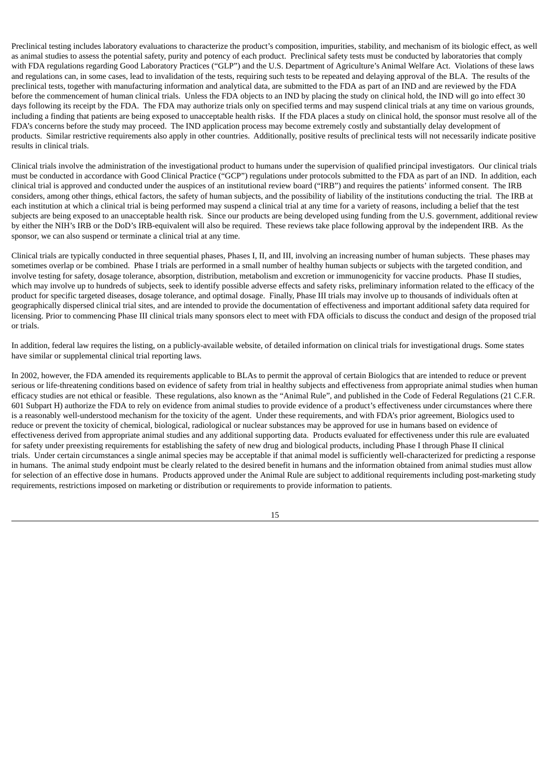Preclinical testing includes laboratory evaluations to characterize the product's composition, impurities, stability, and mechanism of its biologic effect, as well as animal studies to assess the potential safety, purity and potency of each product. Preclinical safety tests must be conducted by laboratories that comply with FDA regulations regarding Good Laboratory Practices ("GLP") and the U.S. Department of Agriculture's Animal Welfare Act. Violations of these laws and regulations can, in some cases, lead to invalidation of the tests, requiring such tests to be repeated and delaying approval of the BLA. The results of the preclinical tests, together with manufacturing information and analytical data, are submitted to the FDA as part of an IND and are reviewed by the FDA before the commencement of human clinical trials. Unless the FDA objects to an IND by placing the study on clinical hold, the IND will go into effect 30 days following its receipt by the FDA. The FDA may authorize trials only on specified terms and may suspend clinical trials at any time on various grounds, including a finding that patients are being exposed to unacceptable health risks. If the FDA places a study on clinical hold, the sponsor must resolve all of the FDA's concerns before the study may proceed. The IND application process may become extremely costly and substantially delay development of products. Similar restrictive requirements also apply in other countries. Additionally, positive results of preclinical tests will not necessarily indicate positive results in clinical trials.

Clinical trials involve the administration of the investigational product to humans under the supervision of qualified principal investigators. Our clinical trials must be conducted in accordance with Good Clinical Practice ("GCP") regulations under protocols submitted to the FDA as part of an IND. In addition, each clinical trial is approved and conducted under the auspices of an institutional review board ("IRB") and requires the patients' informed consent. The IRB considers, among other things, ethical factors, the safety of human subjects, and the possibility of liability of the institutions conducting the trial. The IRB at each institution at which a clinical trial is being performed may suspend a clinical trial at any time for a variety of reasons, including a belief that the test subjects are being exposed to an unacceptable health risk. Since our products are being developed using funding from the U.S. government, additional review by either the NIH's IRB or the DoD's IRB-equivalent will also be required. These reviews take place following approval by the independent IRB. As the sponsor, we can also suspend or terminate a clinical trial at any time.

Clinical trials are typically conducted in three sequential phases, Phases I, II, and III, involving an increasing number of human subjects. These phases may sometimes overlap or be combined. Phase I trials are performed in a small number of healthy human subjects or subjects with the targeted condition, and involve testing for safety, dosage tolerance, absorption, distribution, metabolism and excretion or immunogenicity for vaccine products. Phase II studies, which may involve up to hundreds of subjects, seek to identify possible adverse effects and safety risks, preliminary information related to the efficacy of the product for specific targeted diseases, dosage tolerance, and optimal dosage. Finally, Phase III trials may involve up to thousands of individuals often at geographically dispersed clinical trial sites, and are intended to provide the documentation of effectiveness and important additional safety data required for licensing. Prior to commencing Phase III clinical trials many sponsors elect to meet with FDA officials to discuss the conduct and design of the proposed trial or trials.

In addition, federal law requires the listing, on a publicly-available website, of detailed information on clinical trials for investigational drugs. Some states have similar or supplemental clinical trial reporting laws.

In 2002, however, the FDA amended its requirements applicable to BLAs to permit the approval of certain Biologics that are intended to reduce or prevent serious or life-threatening conditions based on evidence of safety from trial in healthy subjects and effectiveness from appropriate animal studies when human efficacy studies are not ethical or feasible. These regulations, also known as the "Animal Rule", and published in the Code of Federal Regulations (21 C.F.R. 601 Subpart H) authorize the FDA to rely on evidence from animal studies to provide evidence of a product's effectiveness under circumstances where there is a reasonably well-understood mechanism for the toxicity of the agent. Under these requirements, and with FDA's prior agreement, Biologics used to reduce or prevent the toxicity of chemical, biological, radiological or nuclear substances may be approved for use in humans based on evidence of effectiveness derived from appropriate animal studies and any additional supporting data. Products evaluated for effectiveness under this rule are evaluated for safety under preexisting requirements for establishing the safety of new drug and biological products, including Phase I through Phase II clinical trials. Under certain circumstances a single animal species may be acceptable if that animal model is sufficiently well-characterized for predicting a response in humans. The animal study endpoint must be clearly related to the desired benefit in humans and the information obtained from animal studies must allow for selection of an effective dose in humans. Products approved under the Animal Rule are subject to additional requirements including post-marketing study requirements, restrictions imposed on marketing or distribution or requirements to provide information to patients.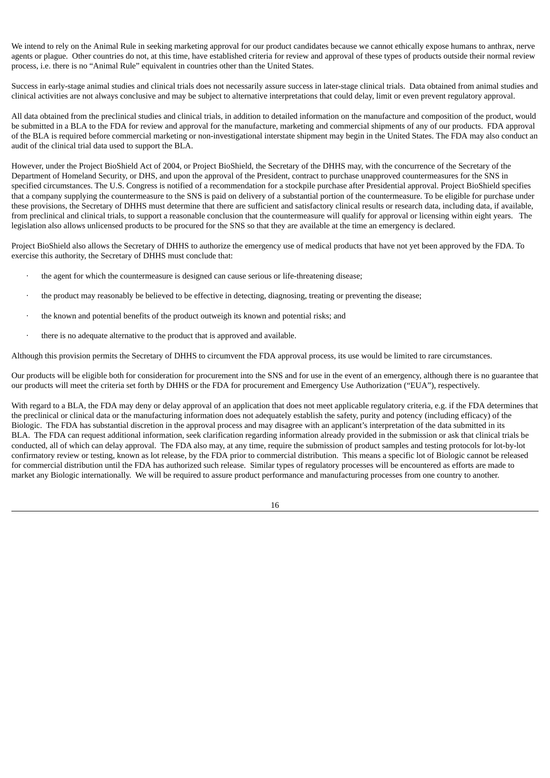We intend to rely on the Animal Rule in seeking marketing approval for our product candidates because we cannot ethically expose humans to anthrax, nerve agents or plague. Other countries do not, at this time, have established criteria for review and approval of these types of products outside their normal review process, i.e. there is no "Animal Rule" equivalent in countries other than the United States.

Success in early-stage animal studies and clinical trials does not necessarily assure success in later-stage clinical trials. Data obtained from animal studies and clinical activities are not always conclusive and may be subject to alternative interpretations that could delay, limit or even prevent regulatory approval.

All data obtained from the preclinical studies and clinical trials, in addition to detailed information on the manufacture and composition of the product, would be submitted in a BLA to the FDA for review and approval for the manufacture, marketing and commercial shipments of any of our products. FDA approval of the BLA is required before commercial marketing or non-investigational interstate shipment may begin in the United States. The FDA may also conduct an audit of the clinical trial data used to support the BLA.

However, under the Project BioShield Act of 2004, or Project BioShield, the Secretary of the DHHS may, with the concurrence of the Secretary of the Department of Homeland Security, or DHS, and upon the approval of the President, contract to purchase unapproved countermeasures for the SNS in specified circumstances. The U.S. Congress is notified of a recommendation for a stockpile purchase after Presidential approval. Project BioShield specifies that a company supplying the countermeasure to the SNS is paid on delivery of a substantial portion of the countermeasure. To be eligible for purchase under these provisions, the Secretary of DHHS must determine that there are sufficient and satisfactory clinical results or research data, including data, if available, from preclinical and clinical trials, to support a reasonable conclusion that the countermeasure will qualify for approval or licensing within eight years. The legislation also allows unlicensed products to be procured for the SNS so that they are available at the time an emergency is declared.

Project BioShield also allows the Secretary of DHHS to authorize the emergency use of medical products that have not yet been approved by the FDA. To exercise this authority, the Secretary of DHHS must conclude that:

- · the agent for which the countermeasure is designed can cause serious or life-threatening disease;
- · the product may reasonably be believed to be effective in detecting, diagnosing, treating or preventing the disease;
- the known and potential benefits of the product outweigh its known and potential risks; and
- · there is no adequate alternative to the product that is approved and available.

Although this provision permits the Secretary of DHHS to circumvent the FDA approval process, its use would be limited to rare circumstances.

Our products will be eligible both for consideration for procurement into the SNS and for use in the event of an emergency, although there is no guarantee that our products will meet the criteria set forth by DHHS or the FDA for procurement and Emergency Use Authorization ("EUA"), respectively.

With regard to a BLA, the FDA may deny or delay approval of an application that does not meet applicable regulatory criteria, e.g. if the FDA determines that the preclinical or clinical data or the manufacturing information does not adequately establish the safety, purity and potency (including efficacy) of the Biologic. The FDA has substantial discretion in the approval process and may disagree with an applicant's interpretation of the data submitted in its BLA. The FDA can request additional information, seek clarification regarding information already provided in the submission or ask that clinical trials be conducted, all of which can delay approval. The FDA also may, at any time, require the submission of product samples and testing protocols for lot-by-lot confirmatory review or testing, known as lot release, by the FDA prior to commercial distribution. This means a specific lot of Biologic cannot be released for commercial distribution until the FDA has authorized such release. Similar types of regulatory processes will be encountered as efforts are made to market any Biologic internationally. We will be required to assure product performance and manufacturing processes from one country to another.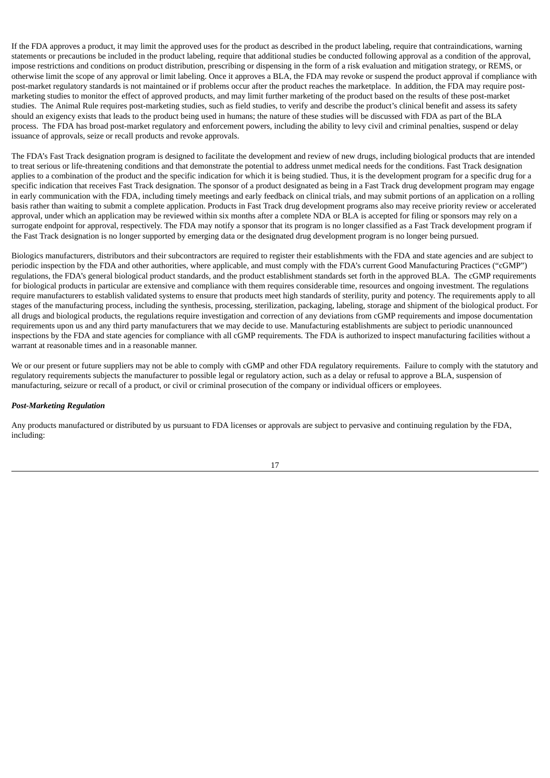If the FDA approves a product, it may limit the approved uses for the product as described in the product labeling, require that contraindications, warning statements or precautions be included in the product labeling, require that additional studies be conducted following approval as a condition of the approval, impose restrictions and conditions on product distribution, prescribing or dispensing in the form of a risk evaluation and mitigation strategy, or REMS, or otherwise limit the scope of any approval or limit labeling. Once it approves a BLA, the FDA may revoke or suspend the product approval if compliance with post-market regulatory standards is not maintained or if problems occur after the product reaches the marketplace. In addition, the FDA may require postmarketing studies to monitor the effect of approved products, and may limit further marketing of the product based on the results of these post-market studies. The Animal Rule requires post-marketing studies, such as field studies, to verify and describe the product's clinical benefit and assess its safety should an exigency exists that leads to the product being used in humans; the nature of these studies will be discussed with FDA as part of the BLA process. The FDA has broad post-market regulatory and enforcement powers, including the ability to levy civil and criminal penalties, suspend or delay issuance of approvals, seize or recall products and revoke approvals.

The FDA's Fast Track designation program is designed to facilitate the development and review of new drugs, including biological products that are intended to treat serious or life-threatening conditions and that demonstrate the potential to address unmet medical needs for the conditions. Fast Track designation applies to a combination of the product and the specific indication for which it is being studied. Thus, it is the development program for a specific drug for a specific indication that receives Fast Track designation. The sponsor of a product designated as being in a Fast Track drug development program may engage in early communication with the FDA, including timely meetings and early feedback on clinical trials, and may submit portions of an application on a rolling basis rather than waiting to submit a complete application. Products in Fast Track drug development programs also may receive priority review or accelerated approval, under which an application may be reviewed within six months after a complete NDA or BLA is accepted for filing or sponsors may rely on a surrogate endpoint for approval, respectively. The FDA may notify a sponsor that its program is no longer classified as a Fast Track development program if the Fast Track designation is no longer supported by emerging data or the designated drug development program is no longer being pursued.

Biologics manufacturers, distributors and their subcontractors are required to register their establishments with the FDA and state agencies and are subject to periodic inspection by the FDA and other authorities, where applicable, and must comply with the FDA's current Good Manufacturing Practices ("cGMP") regulations, the FDA's general biological product standards, and the product establishment standards set forth in the approved BLA. The cGMP requirements for biological products in particular are extensive and compliance with them requires considerable time, resources and ongoing investment. The regulations require manufacturers to establish validated systems to ensure that products meet high standards of sterility, purity and potency. The requirements apply to all stages of the manufacturing process, including the synthesis, processing, sterilization, packaging, labeling, storage and shipment of the biological product. For all drugs and biological products, the regulations require investigation and correction of any deviations from cGMP requirements and impose documentation requirements upon us and any third party manufacturers that we may decide to use. Manufacturing establishments are subject to periodic unannounced inspections by the FDA and state agencies for compliance with all cGMP requirements. The FDA is authorized to inspect manufacturing facilities without a warrant at reasonable times and in a reasonable manner.

We or our present or future suppliers may not be able to comply with cGMP and other FDA regulatory requirements. Failure to comply with the statutory and regulatory requirements subjects the manufacturer to possible legal or regulatory action, such as a delay or refusal to approve a BLA, suspension of manufacturing, seizure or recall of a product, or civil or criminal prosecution of the company or individual officers or employees.

#### *Post-Marketing Regulation*

Any products manufactured or distributed by us pursuant to FDA licenses or approvals are subject to pervasive and continuing regulation by the FDA, including: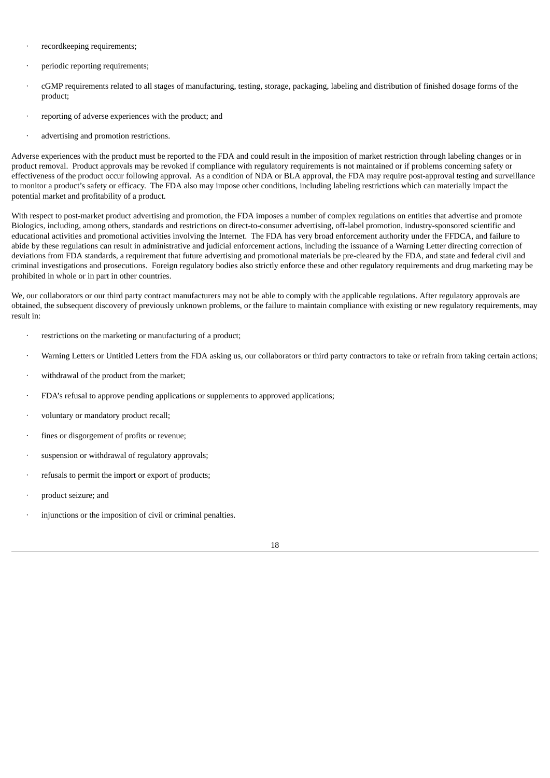- recordkeeping requirements;
- periodic reporting requirements;
- · cGMP requirements related to all stages of manufacturing, testing, storage, packaging, labeling and distribution of finished dosage forms of the product;
- reporting of adverse experiences with the product; and
- advertising and promotion restrictions.

Adverse experiences with the product must be reported to the FDA and could result in the imposition of market restriction through labeling changes or in product removal. Product approvals may be revoked if compliance with regulatory requirements is not maintained or if problems concerning safety or effectiveness of the product occur following approval. As a condition of NDA or BLA approval, the FDA may require post-approval testing and surveillance to monitor a product's safety or efficacy. The FDA also may impose other conditions, including labeling restrictions which can materially impact the potential market and profitability of a product.

With respect to post-market product advertising and promotion, the FDA imposes a number of complex regulations on entities that advertise and promote Biologics, including, among others, standards and restrictions on direct-to-consumer advertising, off-label promotion, industry-sponsored scientific and educational activities and promotional activities involving the Internet. The FDA has very broad enforcement authority under the FFDCA, and failure to abide by these regulations can result in administrative and judicial enforcement actions, including the issuance of a Warning Letter directing correction of deviations from FDA standards, a requirement that future advertising and promotional materials be pre-cleared by the FDA, and state and federal civil and criminal investigations and prosecutions. Foreign regulatory bodies also strictly enforce these and other regulatory requirements and drug marketing may be prohibited in whole or in part in other countries.

We, our collaborators or our third party contract manufacturers may not be able to comply with the applicable regulations. After regulatory approvals are obtained, the subsequent discovery of previously unknown problems, or the failure to maintain compliance with existing or new regulatory requirements, may result in:

- restrictions on the marketing or manufacturing of a product;
- Warning Letters or Untitled Letters from the FDA asking us, our collaborators or third party contractors to take or refrain from taking certain actions;
- withdrawal of the product from the market;
- · FDA's refusal to approve pending applications or supplements to approved applications;
- voluntary or mandatory product recall;
- fines or disgorgement of profits or revenue;
- suspension or withdrawal of regulatory approvals;
- refusals to permit the import or export of products;
- · product seizure; and
- injunctions or the imposition of civil or criminal penalties.

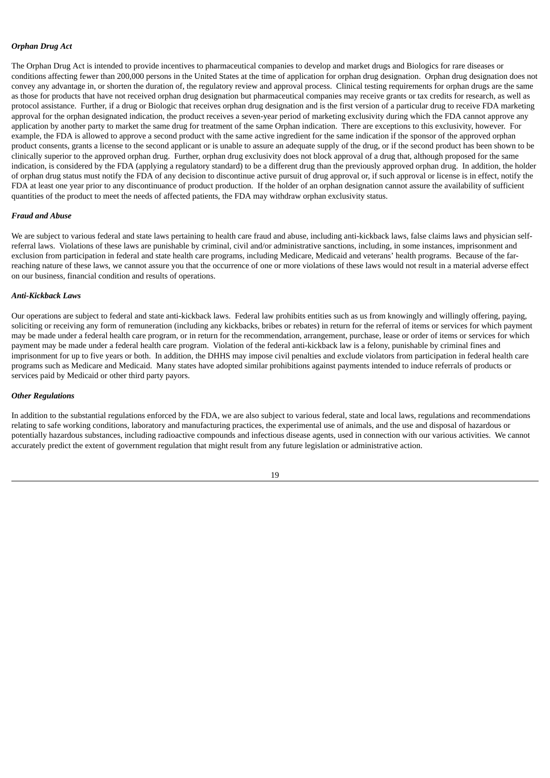# *Orphan Drug Act*

The Orphan Drug Act is intended to provide incentives to pharmaceutical companies to develop and market drugs and Biologics for rare diseases or conditions affecting fewer than 200,000 persons in the United States at the time of application for orphan drug designation. Orphan drug designation does not convey any advantage in, or shorten the duration of, the regulatory review and approval process. Clinical testing requirements for orphan drugs are the same as those for products that have not received orphan drug designation but pharmaceutical companies may receive grants or tax credits for research, as well as protocol assistance. Further, if a drug or Biologic that receives orphan drug designation and is the first version of a particular drug to receive FDA marketing approval for the orphan designated indication, the product receives a seven-year period of marketing exclusivity during which the FDA cannot approve any application by another party to market the same drug for treatment of the same Orphan indication. There are exceptions to this exclusivity, however. For example, the FDA is allowed to approve a second product with the same active ingredient for the same indication if the sponsor of the approved orphan product consents, grants a license to the second applicant or is unable to assure an adequate supply of the drug, or if the second product has been shown to be clinically superior to the approved orphan drug. Further, orphan drug exclusivity does not block approval of a drug that, although proposed for the same indication, is considered by the FDA (applying a regulatory standard) to be a different drug than the previously approved orphan drug. In addition, the holder of orphan drug status must notify the FDA of any decision to discontinue active pursuit of drug approval or, if such approval or license is in effect, notify the FDA at least one year prior to any discontinuance of product production. If the holder of an orphan designation cannot assure the availability of sufficient quantities of the product to meet the needs of affected patients, the FDA may withdraw orphan exclusivity status.

#### *Fraud and Abuse*

We are subject to various federal and state laws pertaining to health care fraud and abuse, including anti-kickback laws, false claims laws and physician selfreferral laws. Violations of these laws are punishable by criminal, civil and/or administrative sanctions, including, in some instances, imprisonment and exclusion from participation in federal and state health care programs, including Medicare, Medicaid and veterans' health programs. Because of the farreaching nature of these laws, we cannot assure you that the occurrence of one or more violations of these laws would not result in a material adverse effect on our business, financial condition and results of operations.

#### *Anti-Kickback Laws*

Our operations are subject to federal and state anti-kickback laws. Federal law prohibits entities such as us from knowingly and willingly offering, paying, soliciting or receiving any form of remuneration (including any kickbacks, bribes or rebates) in return for the referral of items or services for which payment may be made under a federal health care program, or in return for the recommendation, arrangement, purchase, lease or order of items or services for which payment may be made under a federal health care program. Violation of the federal anti-kickback law is a felony, punishable by criminal fines and imprisonment for up to five years or both. In addition, the DHHS may impose civil penalties and exclude violators from participation in federal health care programs such as Medicare and Medicaid. Many states have adopted similar prohibitions against payments intended to induce referrals of products or services paid by Medicaid or other third party payors.

#### *Other Regulations*

In addition to the substantial regulations enforced by the FDA, we are also subject to various federal, state and local laws, regulations and recommendations relating to safe working conditions, laboratory and manufacturing practices, the experimental use of animals, and the use and disposal of hazardous or potentially hazardous substances, including radioactive compounds and infectious disease agents, used in connection with our various activities. We cannot accurately predict the extent of government regulation that might result from any future legislation or administrative action.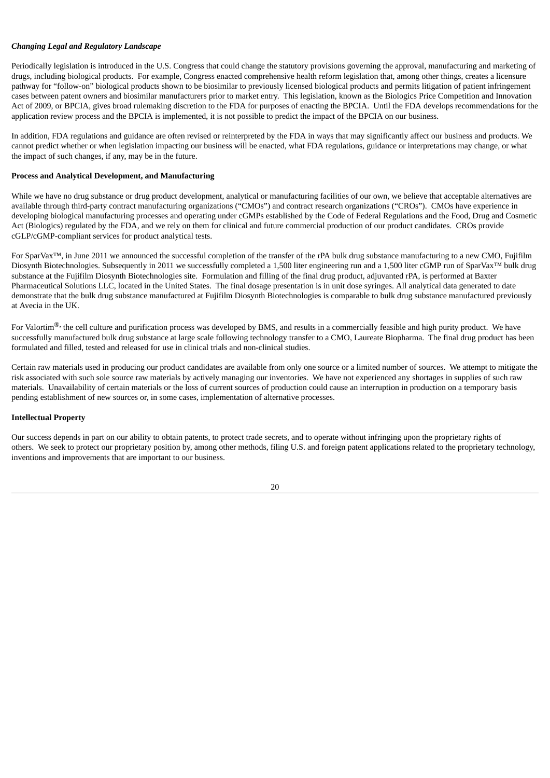# *Changing Legal and Regulatory Landscape*

Periodically legislation is introduced in the U.S. Congress that could change the statutory provisions governing the approval, manufacturing and marketing of drugs, including biological products. For example, Congress enacted comprehensive health reform legislation that, among other things, creates a licensure pathway for "follow-on" biological products shown to be biosimilar to previously licensed biological products and permits litigation of patient infringement cases between patent owners and biosimilar manufacturers prior to market entry. This legislation, known as the Biologics Price Competition and Innovation Act of 2009, or BPCIA, gives broad rulemaking discretion to the FDA for purposes of enacting the BPCIA. Until the FDA develops recommendations for the application review process and the BPCIA is implemented, it is not possible to predict the impact of the BPCIA on our business.

In addition, FDA regulations and guidance are often revised or reinterpreted by the FDA in ways that may significantly affect our business and products. We cannot predict whether or when legislation impacting our business will be enacted, what FDA regulations, guidance or interpretations may change, or what the impact of such changes, if any, may be in the future.

# **Process and Analytical Development, and Manufacturing**

While we have no drug substance or drug product development, analytical or manufacturing facilities of our own, we believe that acceptable alternatives are available through third-party contract manufacturing organizations ("CMOs") and contract research organizations ("CROs"). CMOs have experience in developing biological manufacturing processes and operating under cGMPs established by the Code of Federal Regulations and the Food, Drug and Cosmetic Act (Biologics) regulated by the FDA, and we rely on them for clinical and future commercial production of our product candidates. CROs provide cGLP/cGMP-compliant services for product analytical tests.

For SparVax™, in June 2011 we announced the successful completion of the transfer of the rPA bulk drug substance manufacturing to a new CMO, Fujifilm Diosynth Biotechnologies. Subsequently in 2011 we successfully completed a 1,500 liter engineering run and a 1,500 liter cGMP run of SparVax™ bulk drug substance at the Fujifilm Diosynth Biotechnologies site. Formulation and filling of the final drug product, adjuvanted rPA, is performed at Baxter Pharmaceutical Solutions LLC, located in the United States. The final dosage presentation is in unit dose syringes. All analytical data generated to date demonstrate that the bulk drug substance manufactured at Fujifilm Diosynth Biotechnologies is comparable to bulk drug substance manufactured previously at Avecia in the UK.

For Valortim<sup>®,</sup> the cell culture and purification process was developed by BMS, and results in a commercially feasible and high purity product. We have successfully manufactured bulk drug substance at large scale following technology transfer to a CMO, Laureate Biopharma. The final drug product has been formulated and filled, tested and released for use in clinical trials and non-clinical studies.

Certain raw materials used in producing our product candidates are available from only one source or a limited number of sources. We attempt to mitigate the risk associated with such sole source raw materials by actively managing our inventories. We have not experienced any shortages in supplies of such raw materials. Unavailability of certain materials or the loss of current sources of production could cause an interruption in production on a temporary basis pending establishment of new sources or, in some cases, implementation of alternative processes.

# **Intellectual Property**

Our success depends in part on our ability to obtain patents, to protect trade secrets, and to operate without infringing upon the proprietary rights of others. We seek to protect our proprietary position by, among other methods, filing U.S. and foreign patent applications related to the proprietary technology, inventions and improvements that are important to our business.

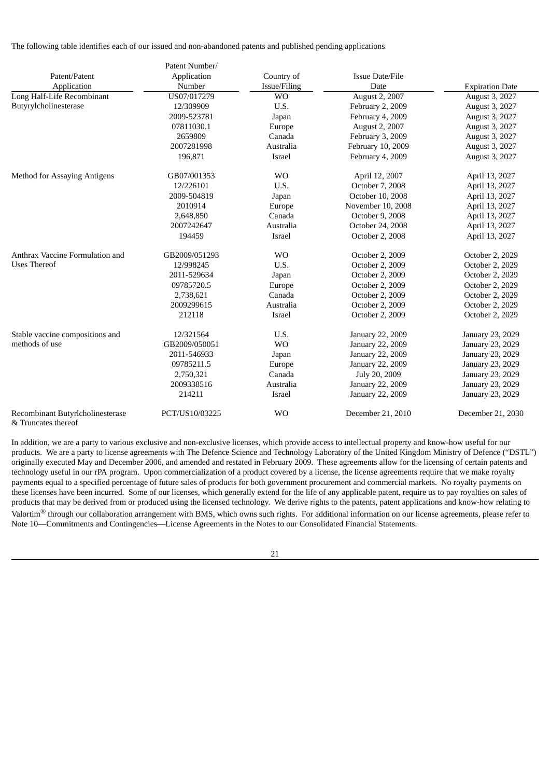The following table identifies each of our issued and non-abandoned patents and published pending applications

|                                                         | Patent Number/ |               |                       |                        |
|---------------------------------------------------------|----------------|---------------|-----------------------|------------------------|
| Patent/Patent                                           | Application    | Country of    | Issue Date/File       |                        |
| Application                                             | Number         | Issue/Filing  | Date                  | <b>Expiration Date</b> |
| Long Half-Life Recombinant                              | US07/017279    | <b>WO</b>     | <b>August 2, 2007</b> | August 3, 2027         |
| Butyrylcholinesterase                                   | 12/309909      | U.S.          | February 2, 2009      | August 3, 2027         |
|                                                         | 2009-523781    | Japan         | February 4, 2009      | August 3, 2027         |
|                                                         | 07811030.1     | Europe        | August 2, 2007        | August 3, 2027         |
|                                                         | 2659809        | Canada        | February 3, 2009      | August 3, 2027         |
|                                                         | 2007281998     | Australia     | February 10, 2009     | August 3, 2027         |
|                                                         | 196,871        | <b>Israel</b> | February 4, 2009      | August 3, 2027         |
| Method for Assaying Antigens                            | GB07/001353    | <b>WO</b>     | April 12, 2007        | April 13, 2027         |
|                                                         | 12/226101      | U.S.          | October 7, 2008       | April 13, 2027         |
|                                                         | 2009-504819    | Japan         | October 10, 2008      | April 13, 2027         |
|                                                         | 2010914        | Europe        | November 10, 2008     | April 13, 2027         |
|                                                         | 2,648,850      | Canada        | October 9, 2008       | April 13, 2027         |
|                                                         | 2007242647     | Australia     | October 24, 2008      | April 13, 2027         |
|                                                         | 194459         | Israel        | October 2, 2008       | April 13, 2027         |
| Anthrax Vaccine Formulation and                         | GB2009/051293  | <b>WO</b>     | October 2, 2009       | October 2, 2029        |
| <b>Uses Thereof</b>                                     | 12/998245      | U.S.          | October 2, 2009       | October 2, 2029        |
|                                                         | 2011-529634    | Japan         | October 2, 2009       | October 2, 2029        |
|                                                         | 09785720.5     | Europe        | October 2, 2009       | October 2, 2029        |
|                                                         | 2,738,621      | Canada        | October 2, 2009       | October 2, 2029        |
|                                                         | 2009299615     | Australia     | October 2, 2009       | October 2, 2029        |
|                                                         | 212118         | Israel        | October 2, 2009       | October 2, 2029        |
| Stable vaccine compositions and                         | 12/321564      | U.S.          | January 22, 2009      | January 23, 2029       |
| methods of use                                          | GB2009/050051  | <b>WO</b>     | January 22, 2009      | January 23, 2029       |
|                                                         | 2011-546933    | Japan         | January 22, 2009      | January 23, 2029       |
|                                                         | 09785211.5     | Europe        | January 22, 2009      | January 23, 2029       |
|                                                         | 2,750,321      | Canada        | July 20, 2009         | January 23, 2029       |
|                                                         | 2009338516     | Australia     | January 22, 2009      | January 23, 2029       |
|                                                         | 214211         | Israel        | January 22, 2009      | January 23, 2029       |
| Recombinant Butyrlcholinesterase<br>& Truncates thereof | PCT/US10/03225 | <b>WO</b>     | December 21, 2010     | December 21, 2030      |

In addition, we are a party to various exclusive and non-exclusive licenses, which provide access to intellectual property and know-how useful for our products. We are a party to license agreements with The Defence Science and Technology Laboratory of the United Kingdom Ministry of Defence ("DSTL") originally executed May and December 2006, and amended and restated in February 2009. These agreements allow for the licensing of certain patents and technology useful in our rPA program. Upon commercialization of a product covered by a license, the license agreements require that we make royalty payments equal to a specified percentage of future sales of products for both government procurement and commercial markets. No royalty payments on these licenses have been incurred. Some of our licenses, which generally extend for the life of any applicable patent, require us to pay royalties on sales of products that may be derived from or produced using the licensed technology. We derive rights to the patents, patent applications and know-how relating to Valortim<sup>®</sup> through our collaboration arrangement with BMS, which owns such rights. For additional information on our license agreements, please refer to Note 10—Commitments and Contingencies—License Agreements in the Notes to our Consolidated Financial Statements.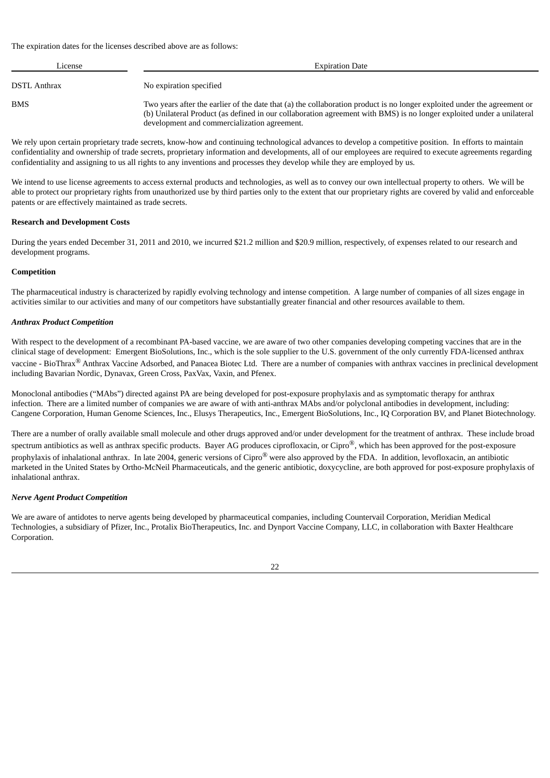The expiration dates for the licenses described above are as follows:

| License             | <b>Expiration Date</b>                                                                                                                                                                                                                                                                            |
|---------------------|---------------------------------------------------------------------------------------------------------------------------------------------------------------------------------------------------------------------------------------------------------------------------------------------------|
| <b>DSTL Anthrax</b> | No expiration specified                                                                                                                                                                                                                                                                           |
| <b>BMS</b>          | Two years after the earlier of the date that (a) the collaboration product is no longer exploited under the agreement or<br>(b) Unilateral Product (as defined in our collaboration agreement with BMS) is no longer exploited under a unilateral<br>development and commercialization agreement. |

We rely upon certain proprietary trade secrets, know-how and continuing technological advances to develop a competitive position. In efforts to maintain confidentiality and ownership of trade secrets, proprietary information and developments, all of our employees are required to execute agreements regarding confidentiality and assigning to us all rights to any inventions and processes they develop while they are employed by us.

We intend to use license agreements to access external products and technologies, as well as to convey our own intellectual property to others. We will be able to protect our proprietary rights from unauthorized use by third parties only to the extent that our proprietary rights are covered by valid and enforceable patents or are effectively maintained as trade secrets.

# **Research and Development Costs**

During the years ended December 31, 2011 and 2010, we incurred \$21.2 million and \$20.9 million, respectively, of expenses related to our research and development programs.

# **Competition**

The pharmaceutical industry is characterized by rapidly evolving technology and intense competition. A large number of companies of all sizes engage in activities similar to our activities and many of our competitors have substantially greater financial and other resources available to them.

# *Anthrax Product Competition*

With respect to the development of a recombinant PA-based vaccine, we are aware of two other companies developing competing vaccines that are in the clinical stage of development: Emergent BioSolutions, Inc., which is the sole supplier to the U.S. government of the only currently FDA-licensed anthrax vaccine - BioThrax<sup>®</sup> Anthrax Vaccine Adsorbed, and Panacea Biotec Ltd. There are a number of companies with anthrax vaccines in preclinical development including Bavarian Nordic, Dynavax, Green Cross, PaxVax, Vaxin, and Pfenex.

Monoclonal antibodies ("MAbs") directed against PA are being developed for post-exposure prophylaxis and as symptomatic therapy for anthrax infection. There are a limited number of companies we are aware of with anti-anthrax MAbs and/or polyclonal antibodies in development, including: Cangene Corporation, Human Genome Sciences, Inc., Elusys Therapeutics, Inc., Emergent BioSolutions, Inc., IQ Corporation BV, and Planet Biotechnology.

There are a number of orally available small molecule and other drugs approved and/or under development for the treatment of anthrax. These include broad spectrum antibiotics as well as anthrax specific products. Bayer AG produces ciprofloxacin, or Cipro®, which has been approved for the post-exposure prophylaxis of inhalational anthrax. In late 2004, generic versions of Cipro® were also approved by the FDA. In addition, levofloxacin, an antibiotic marketed in the United States by Ortho-McNeil Pharmaceuticals, and the generic antibiotic, doxycycline, are both approved for post-exposure prophylaxis of inhalational anthrax.

# *Nerve Agent Product Competition*

We are aware of antidotes to nerve agents being developed by pharmaceutical companies, including Countervail Corporation, Meridian Medical Technologies, a subsidiary of Pfizer, Inc., Protalix BioTherapeutics, Inc. and Dynport Vaccine Company, LLC, in collaboration with Baxter Healthcare Corporation.

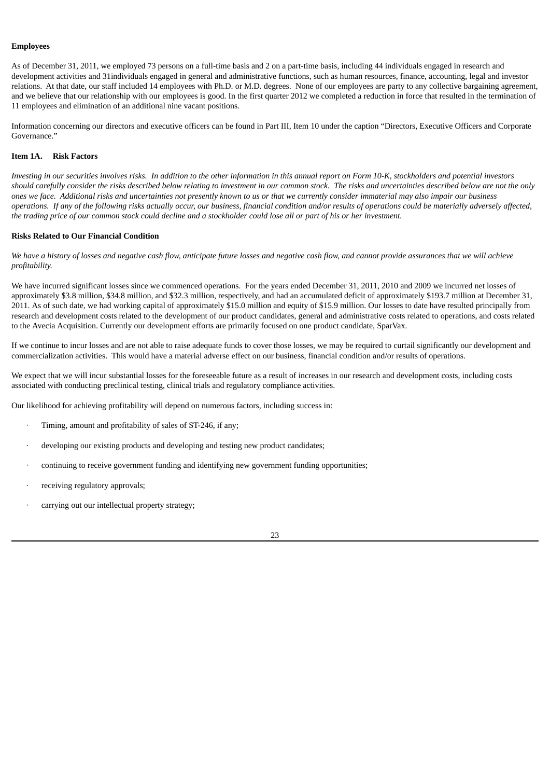# **Employees**

As of December 31, 2011, we employed 73 persons on a full-time basis and 2 on a part-time basis, including 44 individuals engaged in research and development activities and 31individuals engaged in general and administrative functions, such as human resources, finance, accounting, legal and investor relations. At that date, our staff included 14 employees with Ph.D. or M.D. degrees. None of our employees are party to any collective bargaining agreement, and we believe that our relationship with our employees is good. In the first quarter 2012 we completed a reduction in force that resulted in the termination of 11 employees and elimination of an additional nine vacant positions.

Information concerning our directors and executive officers can be found in Part III, Item 10 under the caption "Directors, Executive Officers and Corporate Governance."

#### **Item 1A. Risk Factors**

Investing in our securities involves risks. In addition to the other information in this annual report on Form 10-K, stockholders and potential investors should carefully consider the risks described below relating to investment in our common stock. The risks and uncertainties described below are not the only ones we face. Additional risks and uncertainties not presently known to us or that we currently consider immaterial may also impair our business operations. If any of the following risks actually occur, our business, financial condition and/or results of operations could be materially adversely affected, the trading price of our common stock could decline and a stockholder could lose all or part of his or her investment.

#### **Risks Related to Our Financial Condition**

We have a history of losses and negative cash flow, anticipate future losses and negative cash flow, and cannot provide assurances that we will achieve *profitability.*

We have incurred significant losses since we commenced operations. For the years ended December 31, 2011, 2010 and 2009 we incurred net losses of approximately \$3.8 million, \$34.8 million, and \$32.3 million, respectively, and had an accumulated deficit of approximately \$193.7 million at December 31, 2011. As of such date, we had working capital of approximately \$15.0 million and equity of \$15.9 million. Our losses to date have resulted principally from research and development costs related to the development of our product candidates, general and administrative costs related to operations, and costs related to the Avecia Acquisition. Currently our development efforts are primarily focused on one product candidate, SparVax.

If we continue to incur losses and are not able to raise adequate funds to cover those losses, we may be required to curtail significantly our development and commercialization activities. This would have a material adverse effect on our business, financial condition and/or results of operations.

We expect that we will incur substantial losses for the foreseeable future as a result of increases in our research and development costs, including costs associated with conducting preclinical testing, clinical trials and regulatory compliance activities.

Our likelihood for achieving profitability will depend on numerous factors, including success in:

- Timing, amount and profitability of sales of ST-246, if any;
- developing our existing products and developing and testing new product candidates;
- · continuing to receive government funding and identifying new government funding opportunities;
- receiving regulatory approvals;
- carrying out our intellectual property strategy;

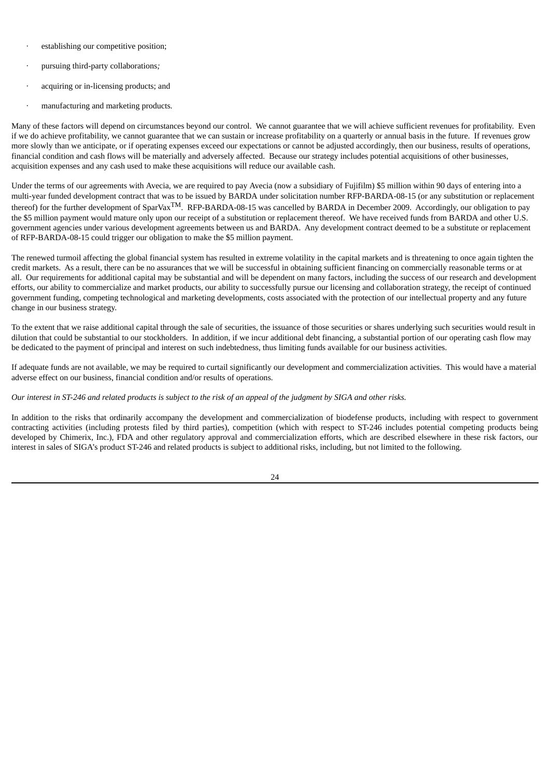- establishing our competitive position;
- · pursuing third-party collaborations*;*
- acquiring or in-licensing products; and
- manufacturing and marketing products.

Many of these factors will depend on circumstances beyond our control. We cannot guarantee that we will achieve sufficient revenues for profitability. Even if we do achieve profitability, we cannot guarantee that we can sustain or increase profitability on a quarterly or annual basis in the future. If revenues grow more slowly than we anticipate, or if operating expenses exceed our expectations or cannot be adjusted accordingly, then our business, results of operations, financial condition and cash flows will be materially and adversely affected. Because our strategy includes potential acquisitions of other businesses, acquisition expenses and any cash used to make these acquisitions will reduce our available cash.

Under the terms of our agreements with Avecia, we are required to pay Avecia (now a subsidiary of Fujifilm) \$5 million within 90 days of entering into a multi-year funded development contract that was to be issued by BARDA under solicitation number RFP-BARDA-08-15 (or any substitution or replacement thereof) for the further development of SparVax<sup>TM</sup>. RFP-BARDA-08-15 was cancelled by BARDA in December 2009. Accordingly, our obligation to pay the \$5 million payment would mature only upon our receipt of a substitution or replacement thereof. We have received funds from BARDA and other U.S. government agencies under various development agreements between us and BARDA. Any development contract deemed to be a substitute or replacement of RFP-BARDA-08-15 could trigger our obligation to make the \$5 million payment.

The renewed turmoil affecting the global financial system has resulted in extreme volatility in the capital markets and is threatening to once again tighten the credit markets. As a result, there can be no assurances that we will be successful in obtaining sufficient financing on commercially reasonable terms or at all. Our requirements for additional capital may be substantial and will be dependent on many factors, including the success of our research and development efforts, our ability to commercialize and market products, our ability to successfully pursue our licensing and collaboration strategy, the receipt of continued government funding, competing technological and marketing developments, costs associated with the protection of our intellectual property and any future change in our business strategy.

To the extent that we raise additional capital through the sale of securities, the issuance of those securities or shares underlying such securities would result in dilution that could be substantial to our stockholders. In addition, if we incur additional debt financing, a substantial portion of our operating cash flow may be dedicated to the payment of principal and interest on such indebtedness, thus limiting funds available for our business activities.

If adequate funds are not available, we may be required to curtail significantly our development and commercialization activities. This would have a material adverse effect on our business, financial condition and/or results of operations.

Our interest in ST-246 and related products is subject to the risk of an appeal of the judgment by SIGA and other risks.

In addition to the risks that ordinarily accompany the development and commercialization of biodefense products, including with respect to government contracting activities (including protests filed by third parties), competition (which with respect to ST-246 includes potential competing products being developed by Chimerix, Inc.), FDA and other regulatory approval and commercialization efforts, which are described elsewhere in these risk factors, our interest in sales of SIGA's product ST-246 and related products is subject to additional risks, including, but not limited to the following.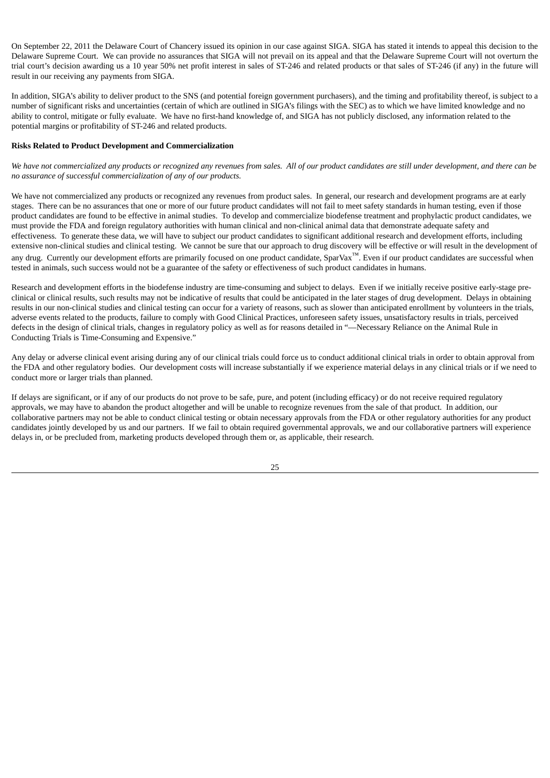On September 22, 2011 the Delaware Court of Chancery issued its opinion in our case against SIGA. SIGA has stated it intends to appeal this decision to the Delaware Supreme Court. We can provide no assurances that SIGA will not prevail on its appeal and that the Delaware Supreme Court will not overturn the trial court's decision awarding us a 10 year 50% net profit interest in sales of ST-246 and related products or that sales of ST-246 (if any) in the future will result in our receiving any payments from SIGA.

In addition, SIGA's ability to deliver product to the SNS (and potential foreign government purchasers), and the timing and profitability thereof, is subject to a number of significant risks and uncertainties (certain of which are outlined in SIGA's filings with the SEC) as to which we have limited knowledge and no ability to control, mitigate or fully evaluate. We have no first-hand knowledge of, and SIGA has not publicly disclosed, any information related to the potential margins or profitability of ST-246 and related products.

## **Risks Related to Product Development and Commercialization**

We have not commercialized any products or recognized any revenues from sales. All of our product candidates are still under development, and there can be *no assurance of successful commercialization of any of our products.*

We have not commercialized any products or recognized any revenues from product sales. In general, our research and development programs are at early stages. There can be no assurances that one or more of our future product candidates will not fail to meet safety standards in human testing, even if those product candidates are found to be effective in animal studies. To develop and commercialize biodefense treatment and prophylactic product candidates, we must provide the FDA and foreign regulatory authorities with human clinical and non-clinical animal data that demonstrate adequate safety and effectiveness. To generate these data, we will have to subject our product candidates to significant additional research and development efforts, including extensive non-clinical studies and clinical testing. We cannot be sure that our approach to drug discovery will be effective or will result in the development of any drug. Currently our development efforts are primarily focused on one product candidate, SparVax<sup>™</sup>. Even if our product candidates are successful when tested in animals, such success would not be a guarantee of the safety or effectiveness of such product candidates in humans.

Research and development efforts in the biodefense industry are time-consuming and subject to delays. Even if we initially receive positive early-stage preclinical or clinical results, such results may not be indicative of results that could be anticipated in the later stages of drug development. Delays in obtaining results in our non-clinical studies and clinical testing can occur for a variety of reasons, such as slower than anticipated enrollment by volunteers in the trials, adverse events related to the products, failure to comply with Good Clinical Practices, unforeseen safety issues, unsatisfactory results in trials, perceived defects in the design of clinical trials, changes in regulatory policy as well as for reasons detailed in "—Necessary Reliance on the Animal Rule in Conducting Trials is Time-Consuming and Expensive."

Any delay or adverse clinical event arising during any of our clinical trials could force us to conduct additional clinical trials in order to obtain approval from the FDA and other regulatory bodies. Our development costs will increase substantially if we experience material delays in any clinical trials or if we need to conduct more or larger trials than planned.

If delays are significant, or if any of our products do not prove to be safe, pure, and potent (including efficacy) or do not receive required regulatory approvals, we may have to abandon the product altogether and will be unable to recognize revenues from the sale of that product. In addition, our collaborative partners may not be able to conduct clinical testing or obtain necessary approvals from the FDA or other regulatory authorities for any product candidates jointly developed by us and our partners. If we fail to obtain required governmental approvals, we and our collaborative partners will experience delays in, or be precluded from, marketing products developed through them or, as applicable, their research.

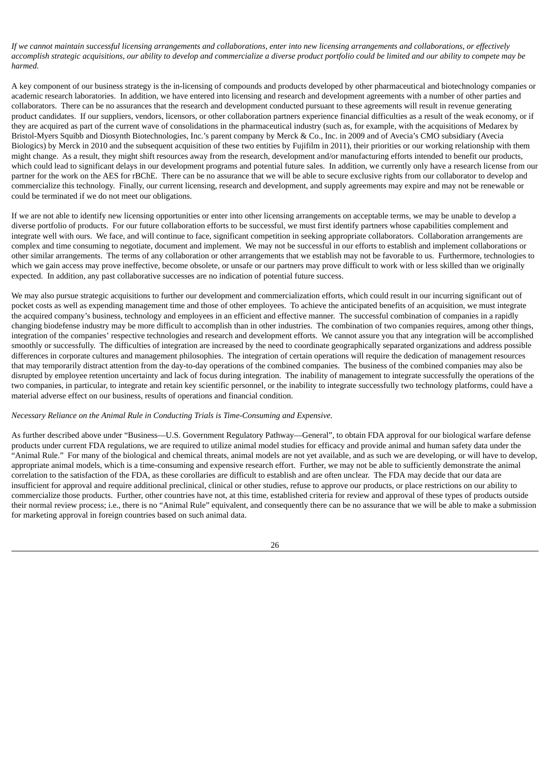If we cannot maintain successful licensing arrangements and collaborations, enter into new licensing arrangements and collaborations, or effectively accomplish strategic acquisitions, our ability to develop and commercialize a diverse product portfolio could be limited and our ability to compete may be *harmed.*

A key component of our business strategy is the in-licensing of compounds and products developed by other pharmaceutical and biotechnology companies or academic research laboratories. In addition, we have entered into licensing and research and development agreements with a number of other parties and collaborators. There can be no assurances that the research and development conducted pursuant to these agreements will result in revenue generating product candidates. If our suppliers, vendors, licensors, or other collaboration partners experience financial difficulties as a result of the weak economy, or if they are acquired as part of the current wave of consolidations in the pharmaceutical industry (such as, for example, with the acquisitions of Medarex by Bristol-Myers Squibb and Diosynth Biotechnologies, Inc.'s parent company by Merck & Co., Inc. in 2009 and of Avecia's CMO subsidiary (Avecia Biologics) by Merck in 2010 and the subsequent acquisition of these two entities by Fujifilm in 2011), their priorities or our working relationship with them might change. As a result, they might shift resources away from the research, development and/or manufacturing efforts intended to benefit our products, which could lead to significant delays in our development programs and potential future sales. In addition, we currently only have a research license from our partner for the work on the AES for rBChE. There can be no assurance that we will be able to secure exclusive rights from our collaborator to develop and commercialize this technology. Finally, our current licensing, research and development, and supply agreements may expire and may not be renewable or could be terminated if we do not meet our obligations.

If we are not able to identify new licensing opportunities or enter into other licensing arrangements on acceptable terms, we may be unable to develop a diverse portfolio of products. For our future collaboration efforts to be successful, we must first identify partners whose capabilities complement and integrate well with ours. We face, and will continue to face, significant competition in seeking appropriate collaborators. Collaboration arrangements are complex and time consuming to negotiate, document and implement. We may not be successful in our efforts to establish and implement collaborations or other similar arrangements. The terms of any collaboration or other arrangements that we establish may not be favorable to us. Furthermore, technologies to which we gain access may prove ineffective, become obsolete, or unsafe or our partners may prove difficult to work with or less skilled than we originally expected. In addition, any past collaborative successes are no indication of potential future success.

We may also pursue strategic acquisitions to further our development and commercialization efforts, which could result in our incurring significant out of pocket costs as well as expending management time and those of other employees. To achieve the anticipated benefits of an acquisition, we must integrate the acquired company's business, technology and employees in an efficient and effective manner. The successful combination of companies in a rapidly changing biodefense industry may be more difficult to accomplish than in other industries. The combination of two companies requires, among other things, integration of the companies' respective technologies and research and development efforts. We cannot assure you that any integration will be accomplished smoothly or successfully. The difficulties of integration are increased by the need to coordinate geographically separated organizations and address possible differences in corporate cultures and management philosophies. The integration of certain operations will require the dedication of management resources that may temporarily distract attention from the day-to-day operations of the combined companies. The business of the combined companies may also be disrupted by employee retention uncertainty and lack of focus during integration. The inability of management to integrate successfully the operations of the two companies, in particular, to integrate and retain key scientific personnel, or the inability to integrate successfully two technology platforms, could have a material adverse effect on our business, results of operations and financial condition.

#### *Necessary Reliance on the Animal Rule in Conducting Trials is Time-Consuming and Expensive.*

As further described above under "Business—U.S. Government Regulatory Pathway—General", to obtain FDA approval for our biological warfare defense products under current FDA regulations, we are required to utilize animal model studies for efficacy and provide animal and human safety data under the "Animal Rule." For many of the biological and chemical threats, animal models are not yet available, and as such we are developing, or will have to develop, appropriate animal models, which is a time-consuming and expensive research effort. Further, we may not be able to sufficiently demonstrate the animal correlation to the satisfaction of the FDA, as these corollaries are difficult to establish and are often unclear. The FDA may decide that our data are insufficient for approval and require additional preclinical, clinical or other studies, refuse to approve our products, or place restrictions on our ability to commercialize those products. Further, other countries have not, at this time, established criteria for review and approval of these types of products outside their normal review process; i.e., there is no "Animal Rule" equivalent, and consequently there can be no assurance that we will be able to make a submission for marketing approval in foreign countries based on such animal data.

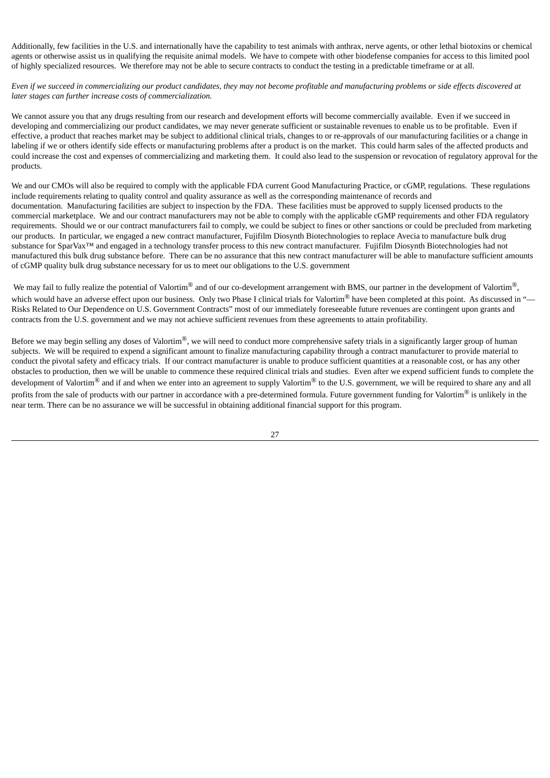Additionally, few facilities in the U.S. and internationally have the capability to test animals with anthrax, nerve agents, or other lethal biotoxins or chemical agents or otherwise assist us in qualifying the requisite animal models. We have to compete with other biodefense companies for access to this limited pool of highly specialized resources. We therefore may not be able to secure contracts to conduct the testing in a predictable timeframe or at all.

Even if we succeed in commercializing our product candidates, they may not become profitable and manufacturing problems or side effects discovered at *later stages can further increase costs of commercialization.*

We cannot assure you that any drugs resulting from our research and development efforts will become commercially available. Even if we succeed in developing and commercializing our product candidates, we may never generate sufficient or sustainable revenues to enable us to be profitable. Even if effective, a product that reaches market may be subject to additional clinical trials, changes to or re-approvals of our manufacturing facilities or a change in labeling if we or others identify side effects or manufacturing problems after a product is on the market. This could harm sales of the affected products and could increase the cost and expenses of commercializing and marketing them. It could also lead to the suspension or revocation of regulatory approval for the products.

We and our CMOs will also be required to comply with the applicable FDA current Good Manufacturing Practice, or cGMP, regulations. These regulations include requirements relating to quality control and quality assurance as well as the corresponding maintenance of records and documentation. Manufacturing facilities are subject to inspection by the FDA. These facilities must be approved to supply licensed products to the commercial marketplace. We and our contract manufacturers may not be able to comply with the applicable cGMP requirements and other FDA regulatory requirements. Should we or our contract manufacturers fail to comply, we could be subject to fines or other sanctions or could be precluded from marketing our products. In particular, we engaged a new contract manufacturer, Fujifilm Diosynth Biotechnologies to replace Avecia to manufacture bulk drug substance for SparVax™ and engaged in a technology transfer process to this new contract manufacturer. Fujifilm Diosynth Biotechnologies had not manufactured this bulk drug substance before. There can be no assurance that this new contract manufacturer will be able to manufacture sufficient amounts of cGMP quality bulk drug substance necessary for us to meet our obligations to the U.S. government

We may fail to fully realize the potential of Valortim<sup>®</sup> and of our co-development arrangement with BMS, our partner in the development of Valortim<sup>®</sup>, which would have an adverse effect upon our business. Only two Phase I clinical trials for Valortim® have been completed at this point. As discussed in "— Risks Related to Our Dependence on U.S. Government Contracts" most of our immediately foreseeable future revenues are contingent upon grants and contracts from the U.S. government and we may not achieve sufficient revenues from these agreements to attain profitability.

Before we may begin selling any doses of Valortim<sup>®</sup>, we will need to conduct more comprehensive safety trials in a significantly larger group of human subjects. We will be required to expend a significant amount to finalize manufacturing capability through a contract manufacturer to provide material to conduct the pivotal safety and efficacy trials. If our contract manufacturer is unable to produce sufficient quantities at a reasonable cost, or has any other obstacles to production, then we will be unable to commence these required clinical trials and studies. Even after we expend sufficient funds to complete the development of Valortim<sup>®</sup> and if and when we enter into an agreement to supply Valortim<sup>®</sup> to the U.S. government, we will be required to share any and all profits from the sale of products with our partner in accordance with a pre-determined formula. Future government funding for Valortim<sup>®</sup> is unlikely in the near term. There can be no assurance we will be successful in obtaining additional financial support for this program.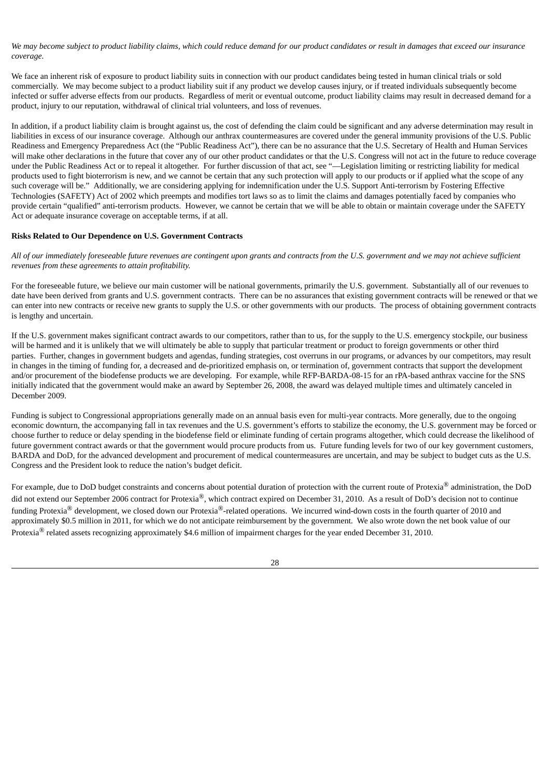We may become subject to product liability claims, which could reduce demand for our product candidates or result in damages that exceed our insurance *coverage.*

We face an inherent risk of exposure to product liability suits in connection with our product candidates being tested in human clinical trials or sold commercially. We may become subject to a product liability suit if any product we develop causes injury, or if treated individuals subsequently become infected or suffer adverse effects from our products. Regardless of merit or eventual outcome, product liability claims may result in decreased demand for a product, injury to our reputation, withdrawal of clinical trial volunteers, and loss of revenues.

In addition, if a product liability claim is brought against us, the cost of defending the claim could be significant and any adverse determination may result in liabilities in excess of our insurance coverage. Although our anthrax countermeasures are covered under the general immunity provisions of the U.S. Public Readiness and Emergency Preparedness Act (the "Public Readiness Act"), there can be no assurance that the U.S. Secretary of Health and Human Services will make other declarations in the future that cover any of our other product candidates or that the U.S. Congress will not act in the future to reduce coverage under the Public Readiness Act or to repeal it altogether. For further discussion of that act, see "—Legislation limiting or restricting liability for medical products used to fight bioterrorism is new, and we cannot be certain that any such protection will apply to our products or if applied what the scope of any such coverage will be." Additionally, we are considering applying for indemnification under the U.S. Support Anti-terrorism by Fostering Effective Technologies (SAFETY) Act of 2002 which preempts and modifies tort laws so as to limit the claims and damages potentially faced by companies who provide certain "qualified" anti-terrorism products. However, we cannot be certain that we will be able to obtain or maintain coverage under the SAFETY Act or adequate insurance coverage on acceptable terms, if at all.

#### **Risks Related to Our Dependence on U.S. Government Contracts**

All of our immediately foreseeable future revenues are contingent upon grants and contracts from the U.S. government and we may not achieve sufficient *revenues from these agreements to attain profitability.*

For the foreseeable future, we believe our main customer will be national governments, primarily the U.S. government. Substantially all of our revenues to date have been derived from grants and U.S. government contracts. There can be no assurances that existing government contracts will be renewed or that we can enter into new contracts or receive new grants to supply the U.S. or other governments with our products. The process of obtaining government contracts is lengthy and uncertain.

If the U.S. government makes significant contract awards to our competitors, rather than to us, for the supply to the U.S. emergency stockpile, our business will be harmed and it is unlikely that we will ultimately be able to supply that particular treatment or product to foreign governments or other third parties. Further, changes in government budgets and agendas, funding strategies, cost overruns in our programs, or advances by our competitors, may result in changes in the timing of funding for, a decreased and de-prioritized emphasis on, or termination of, government contracts that support the development and/or procurement of the biodefense products we are developing. For example, while RFP-BARDA-08-15 for an rPA-based anthrax vaccine for the SNS initially indicated that the government would make an award by September 26, 2008, the award was delayed multiple times and ultimately canceled in December 2009.

Funding is subject to Congressional appropriations generally made on an annual basis even for multi-year contracts. More generally, due to the ongoing economic downturn, the accompanying fall in tax revenues and the U.S. government's efforts to stabilize the economy, the U.S. government may be forced or choose further to reduce or delay spending in the biodefense field or eliminate funding of certain programs altogether, which could decrease the likelihood of future government contract awards or that the government would procure products from us. Future funding levels for two of our key government customers, BARDA and DoD, for the advanced development and procurement of medical countermeasures are uncertain, and may be subject to budget cuts as the U.S. Congress and the President look to reduce the nation's budget deficit.

For example, due to DoD budget constraints and concerns about potential duration of protection with the current route of Protexia<sup>®</sup> administration, the DoD did not extend our September 2006 contract for Protexia®, which contract expired on December 31, 2010. As a result of DoD's decision not to continue funding Protexia<sup>®</sup> development, we closed down our Protexia<sup>®</sup>-related operations. We incurred wind-down costs in the fourth quarter of 2010 and approximately \$0.5 million in 2011, for which we do not anticipate reimbursement by the government. We also wrote down the net book value of our Protexia® related assets recognizing approximately \$4.6 million of impairment charges for the year ended December 31, 2010.

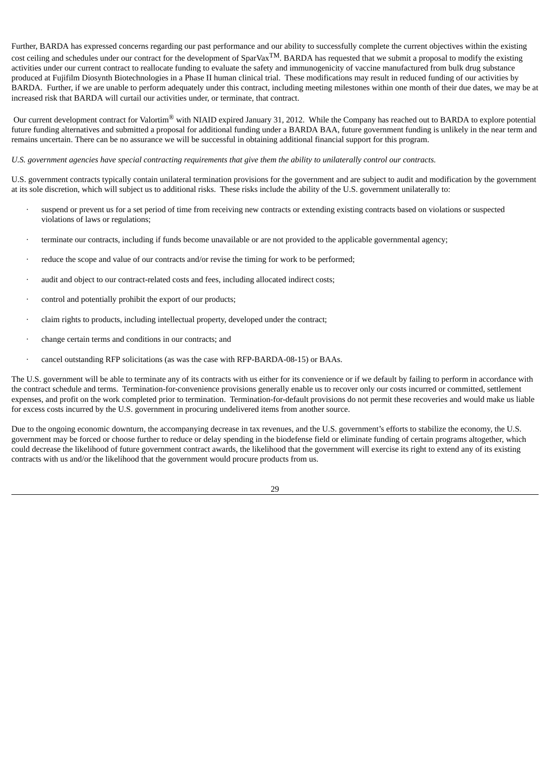Further, BARDA has expressed concerns regarding our past performance and our ability to successfully complete the current objectives within the existing cost ceiling and schedules under our contract for the development of SparVaxTM. BARDA has requested that we submit a proposal to modify the existing activities under our current contract to reallocate funding to evaluate the safety and immunogenicity of vaccine manufactured from bulk drug substance produced at Fujifilm Diosynth Biotechnologies in a Phase II human clinical trial. These modifications may result in reduced funding of our activities by BARDA. Further, if we are unable to perform adequately under this contract, including meeting milestones within one month of their due dates, we may be at increased risk that BARDA will curtail our activities under, or terminate, that contract.

Our current development contract for Valortim<sup>®</sup> with NIAID expired January 31, 2012. While the Company has reached out to BARDA to explore potential future funding alternatives and submitted a proposal for additional funding under a BARDA BAA, future government funding is unlikely in the near term and remains uncertain. There can be no assurance we will be successful in obtaining additional financial support for this program.

U.S. government agencies have special contracting requirements that give them the ability to unilaterally control our contracts.

U.S. government contracts typically contain unilateral termination provisions for the government and are subject to audit and modification by the government at its sole discretion, which will subject us to additional risks. These risks include the ability of the U.S. government unilaterally to:

- suspend or prevent us for a set period of time from receiving new contracts or extending existing contracts based on violations or suspected violations of laws or regulations;
- · terminate our contracts, including if funds become unavailable or are not provided to the applicable governmental agency;
- reduce the scope and value of our contracts and/or revise the timing for work to be performed;
- · audit and object to our contract-related costs and fees, including allocated indirect costs;
- control and potentially prohibit the export of our products;
- · claim rights to products, including intellectual property, developed under the contract;
- · change certain terms and conditions in our contracts; and
- cancel outstanding RFP solicitations (as was the case with RFP-BARDA-08-15) or BAAs.

The U.S. government will be able to terminate any of its contracts with us either for its convenience or if we default by failing to perform in accordance with the contract schedule and terms. Termination-for-convenience provisions generally enable us to recover only our costs incurred or committed, settlement expenses, and profit on the work completed prior to termination. Termination-for-default provisions do not permit these recoveries and would make us liable for excess costs incurred by the U.S. government in procuring undelivered items from another source.

Due to the ongoing economic downturn, the accompanying decrease in tax revenues, and the U.S. government's efforts to stabilize the economy, the U.S. government may be forced or choose further to reduce or delay spending in the biodefense field or eliminate funding of certain programs altogether, which could decrease the likelihood of future government contract awards, the likelihood that the government will exercise its right to extend any of its existing contracts with us and/or the likelihood that the government would procure products from us.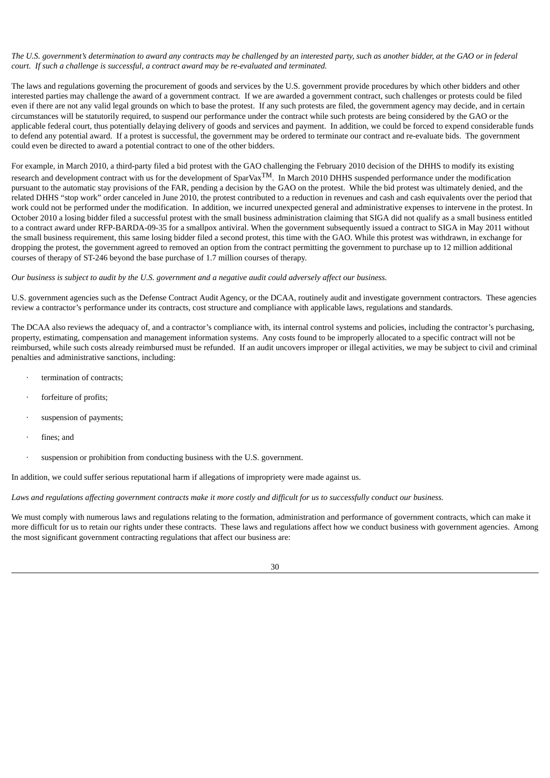The U.S. government's determination to award any contracts may be challenged by an interested party, such as another bidder, at the GAO or in federal *court. If such a challenge is successful, a contract award may be re-evaluated and terminated.*

The laws and regulations governing the procurement of goods and services by the U.S. government provide procedures by which other bidders and other interested parties may challenge the award of a government contract. If we are awarded a government contract, such challenges or protests could be filed even if there are not any valid legal grounds on which to base the protest. If any such protests are filed, the government agency may decide, and in certain circumstances will be statutorily required, to suspend our performance under the contract while such protests are being considered by the GAO or the applicable federal court, thus potentially delaying delivery of goods and services and payment. In addition, we could be forced to expend considerable funds to defend any potential award. If a protest is successful, the government may be ordered to terminate our contract and re-evaluate bids. The government could even be directed to award a potential contract to one of the other bidders.

For example, in March 2010, a third-party filed a bid protest with the GAO challenging the February 2010 decision of the DHHS to modify its existing research and development contract with us for the development of SparVax<sup>TM</sup>. In March 2010 DHHS suspended performance under the modification pursuant to the automatic stay provisions of the FAR, pending a decision by the GAO on the protest. While the bid protest was ultimately denied, and the related DHHS "stop work" order canceled in June 2010, the protest contributed to a reduction in revenues and cash and cash equivalents over the period that work could not be performed under the modification. In addition, we incurred unexpected general and administrative expenses to intervene in the protest. In October 2010 a losing bidder filed a successful protest with the small business administration claiming that SIGA did not qualify as a small business entitled to a contract award under RFP-BARDA-09-35 for a smallpox antiviral. When the government subsequently issued a contract to SIGA in May 2011 without the small business requirement, this same losing bidder filed a second protest, this time with the GAO. While this protest was withdrawn, in exchange for dropping the protest, the government agreed to removed an option from the contract permitting the government to purchase up to 12 million additional courses of therapy of ST-246 beyond the base purchase of 1.7 million courses of therapy.

Our business is subject to audit by the U.S. government and a negative audit could adversely affect our business.

U.S. government agencies such as the Defense Contract Audit Agency, or the DCAA, routinely audit and investigate government contractors. These agencies review a contractor's performance under its contracts, cost structure and compliance with applicable laws, regulations and standards.

The DCAA also reviews the adequacy of, and a contractor's compliance with, its internal control systems and policies, including the contractor's purchasing, property, estimating, compensation and management information systems. Any costs found to be improperly allocated to a specific contract will not be reimbursed, while such costs already reimbursed must be refunded. If an audit uncovers improper or illegal activities, we may be subject to civil and criminal penalties and administrative sanctions, including:

- termination of contracts:
- forfeiture of profits;
- suspension of payments;
- fines: and
- suspension or prohibition from conducting business with the U.S. government.

In addition, we could suffer serious reputational harm if allegations of impropriety were made against us.

Laws and regulations affecting government contracts make it more costly and difficult for us to successfully conduct our business.

We must comply with numerous laws and regulations relating to the formation, administration and performance of government contracts, which can make it more difficult for us to retain our rights under these contracts. These laws and regulations affect how we conduct business with government agencies. Among the most significant government contracting regulations that affect our business are: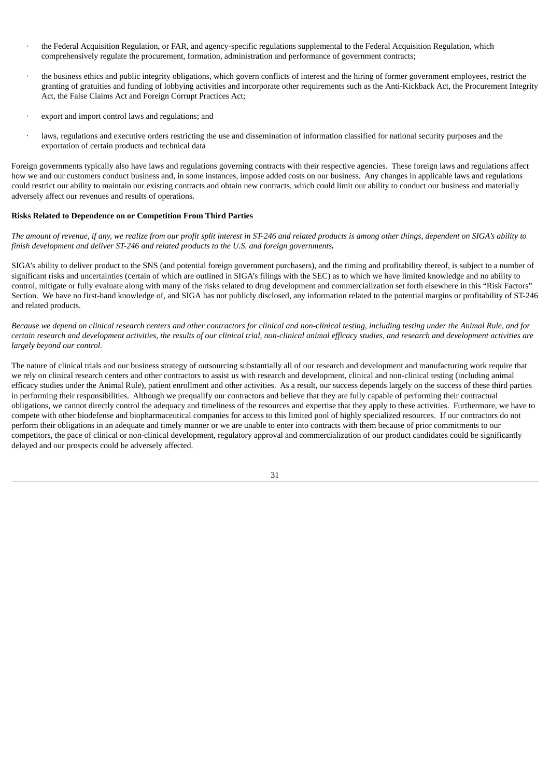- the Federal Acquisition Regulation, or FAR, and agency-specific regulations supplemental to the Federal Acquisition Regulation, which comprehensively regulate the procurement, formation, administration and performance of government contracts;
- the business ethics and public integrity obligations, which govern conflicts of interest and the hiring of former government employees, restrict the granting of gratuities and funding of lobbying activities and incorporate other requirements such as the Anti-Kickback Act, the Procurement Integrity Act, the False Claims Act and Foreign Corrupt Practices Act;
- export and import control laws and regulations; and
- laws, regulations and executive orders restricting the use and dissemination of information classified for national security purposes and the exportation of certain products and technical data

Foreign governments typically also have laws and regulations governing contracts with their respective agencies. These foreign laws and regulations affect how we and our customers conduct business and, in some instances, impose added costs on our business. Any changes in applicable laws and regulations could restrict our ability to maintain our existing contracts and obtain new contracts, which could limit our ability to conduct our business and materially adversely affect our revenues and results of operations.

### **Risks Related to Dependence on or Competition From Third Parties**

The amount of revenue, if any, we realize from our profit split interest in ST-246 and related products is among other things, dependent on SIGA's ability to *finish development and deliver ST-246 and related products to the U.S. and foreign governments.*

SIGA's ability to deliver product to the SNS (and potential foreign government purchasers), and the timing and profitability thereof, is subject to a number of significant risks and uncertainties (certain of which are outlined in SIGA's filings with the SEC) as to which we have limited knowledge and no ability to control, mitigate or fully evaluate along with many of the risks related to drug development and commercialization set forth elsewhere in this "Risk Factors" Section. We have no first-hand knowledge of, and SIGA has not publicly disclosed, any information related to the potential margins or profitability of ST-246 and related products.

Because we depend on clinical research centers and other contractors for clinical and non-clinical testing, including testing under the Animal Rule, and for certain research and development activities, the results of our clinical trial, non-clinical animal efficacy studies, and research and development activities are *largely beyond our control.*

The nature of clinical trials and our business strategy of outsourcing substantially all of our research and development and manufacturing work require that we rely on clinical research centers and other contractors to assist us with research and development, clinical and non-clinical testing (including animal efficacy studies under the Animal Rule), patient enrollment and other activities. As a result, our success depends largely on the success of these third parties in performing their responsibilities. Although we prequalify our contractors and believe that they are fully capable of performing their contractual obligations, we cannot directly control the adequacy and timeliness of the resources and expertise that they apply to these activities. Furthermore, we have to compete with other biodefense and biopharmaceutical companies for access to this limited pool of highly specialized resources. If our contractors do not perform their obligations in an adequate and timely manner or we are unable to enter into contracts with them because of prior commitments to our competitors, the pace of clinical or non-clinical development, regulatory approval and commercialization of our product candidates could be significantly delayed and our prospects could be adversely affected.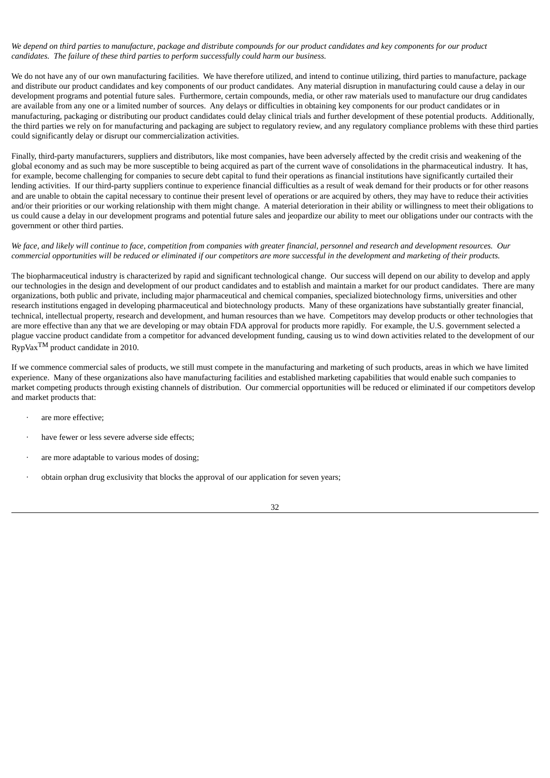We depend on third parties to manufacture, package and distribute compounds for our product candidates and key components for our product *candidates. The failure of these third parties to perform successfully could harm our business.*

We do not have any of our own manufacturing facilities. We have therefore utilized, and intend to continue utilizing, third parties to manufacture, package and distribute our product candidates and key components of our product candidates. Any material disruption in manufacturing could cause a delay in our development programs and potential future sales. Furthermore, certain compounds, media, or other raw materials used to manufacture our drug candidates are available from any one or a limited number of sources. Any delays or difficulties in obtaining key components for our product candidates or in manufacturing, packaging or distributing our product candidates could delay clinical trials and further development of these potential products. Additionally, the third parties we rely on for manufacturing and packaging are subject to regulatory review, and any regulatory compliance problems with these third parties could significantly delay or disrupt our commercialization activities.

Finally, third-party manufacturers, suppliers and distributors, like most companies, have been adversely affected by the credit crisis and weakening of the global economy and as such may be more susceptible to being acquired as part of the current wave of consolidations in the pharmaceutical industry. It has, for example, become challenging for companies to secure debt capital to fund their operations as financial institutions have significantly curtailed their lending activities. If our third-party suppliers continue to experience financial difficulties as a result of weak demand for their products or for other reasons and are unable to obtain the capital necessary to continue their present level of operations or are acquired by others, they may have to reduce their activities and/or their priorities or our working relationship with them might change. A material deterioration in their ability or willingness to meet their obligations to us could cause a delay in our development programs and potential future sales and jeopardize our ability to meet our obligations under our contracts with the government or other third parties.

We face, and likely will continue to face, competition from companies with greater financial, personnel and research and development resources. Our commercial opportunities will be reduced or eliminated if our competitors are more successful in the development and marketing of their products.

The biopharmaceutical industry is characterized by rapid and significant technological change. Our success will depend on our ability to develop and apply our technologies in the design and development of our product candidates and to establish and maintain a market for our product candidates. There are many organizations, both public and private, including major pharmaceutical and chemical companies, specialized biotechnology firms, universities and other research institutions engaged in developing pharmaceutical and biotechnology products. Many of these organizations have substantially greater financial, technical, intellectual property, research and development, and human resources than we have. Competitors may develop products or other technologies that are more effective than any that we are developing or may obtain FDA approval for products more rapidly. For example, the U.S. government selected a plague vaccine product candidate from a competitor for advanced development funding, causing us to wind down activities related to the development of our RypVaxTM product candidate in 2010.

If we commence commercial sales of products, we still must compete in the manufacturing and marketing of such products, areas in which we have limited experience. Many of these organizations also have manufacturing facilities and established marketing capabilities that would enable such companies to market competing products through existing channels of distribution. Our commercial opportunities will be reduced or eliminated if our competitors develop and market products that:

- are more effective;
- have fewer or less severe adverse side effects;
- are more adaptable to various modes of dosing;
- · obtain orphan drug exclusivity that blocks the approval of our application for seven years;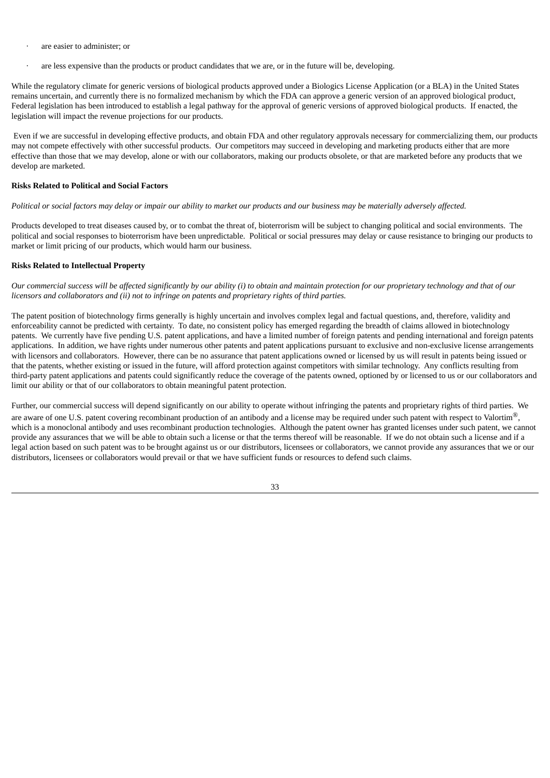- are easier to administer; or
- are less expensive than the products or product candidates that we are, or in the future will be, developing.

While the regulatory climate for generic versions of biological products approved under a Biologics License Application (or a BLA) in the United States remains uncertain, and currently there is no formalized mechanism by which the FDA can approve a generic version of an approved biological product, Federal legislation has been introduced to establish a legal pathway for the approval of generic versions of approved biological products. If enacted, the legislation will impact the revenue projections for our products.

Even if we are successful in developing effective products, and obtain FDA and other regulatory approvals necessary for commercializing them, our products may not compete effectively with other successful products. Our competitors may succeed in developing and marketing products either that are more effective than those that we may develop, alone or with our collaborators, making our products obsolete, or that are marketed before any products that we develop are marketed.

#### **Risks Related to Political and Social Factors**

Political or social factors may delay or impair our ability to market our products and our business may be materially adversely affected.

Products developed to treat diseases caused by, or to combat the threat of, bioterrorism will be subject to changing political and social environments. The political and social responses to bioterrorism have been unpredictable. Political or social pressures may delay or cause resistance to bringing our products to market or limit pricing of our products, which would harm our business.

# **Risks Related to Intellectual Property**

Our commercial success will be affected significantly by our ability (i) to obtain and maintain protection for our proprietary technology and that of our *licensors and collaborators and (ii) not to infringe on patents and proprietary rights of third parties.*

The patent position of biotechnology firms generally is highly uncertain and involves complex legal and factual questions, and, therefore, validity and enforceability cannot be predicted with certainty. To date, no consistent policy has emerged regarding the breadth of claims allowed in biotechnology patents. We currently have five pending U.S. patent applications, and have a limited number of foreign patents and pending international and foreign patents applications. In addition, we have rights under numerous other patents and patent applications pursuant to exclusive and non-exclusive license arrangements with licensors and collaborators. However, there can be no assurance that patent applications owned or licensed by us will result in patents being issued or that the patents, whether existing or issued in the future, will afford protection against competitors with similar technology. Any conflicts resulting from third-party patent applications and patents could significantly reduce the coverage of the patents owned, optioned by or licensed to us or our collaborators and limit our ability or that of our collaborators to obtain meaningful patent protection.

Further, our commercial success will depend significantly on our ability to operate without infringing the patents and proprietary rights of third parties. We

are aware of one U.S. patent covering recombinant production of an antibody and a license may be required under such patent with respect to Valortim<sup>®</sup>, which is a monoclonal antibody and uses recombinant production technologies. Although the patent owner has granted licenses under such patent, we cannot provide any assurances that we will be able to obtain such a license or that the terms thereof will be reasonable. If we do not obtain such a license and if a legal action based on such patent was to be brought against us or our distributors, licensees or collaborators, we cannot provide any assurances that we or our distributors, licensees or collaborators would prevail or that we have sufficient funds or resources to defend such claims.

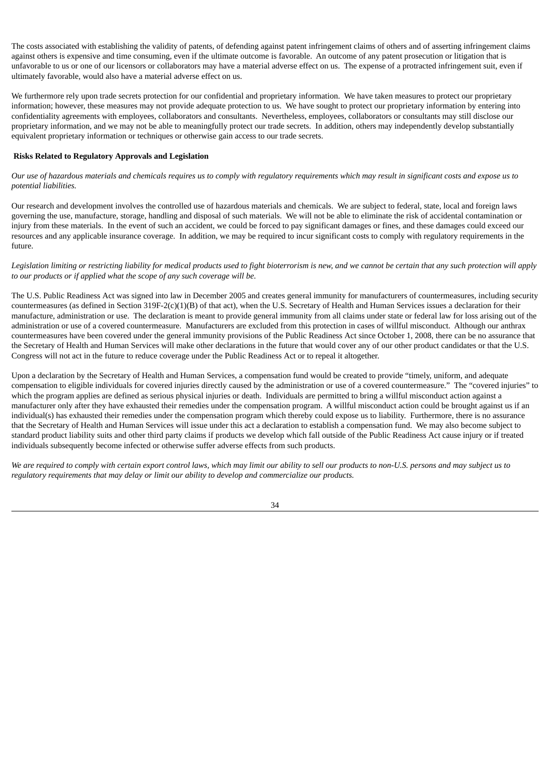The costs associated with establishing the validity of patents, of defending against patent infringement claims of others and of asserting infringement claims against others is expensive and time consuming, even if the ultimate outcome is favorable. An outcome of any patent prosecution or litigation that is unfavorable to us or one of our licensors or collaborators may have a material adverse effect on us. The expense of a protracted infringement suit, even if ultimately favorable, would also have a material adverse effect on us.

We furthermore rely upon trade secrets protection for our confidential and proprietary information. We have taken measures to protect our proprietary information; however, these measures may not provide adequate protection to us. We have sought to protect our proprietary information by entering into confidentiality agreements with employees, collaborators and consultants. Nevertheless, employees, collaborators or consultants may still disclose our proprietary information, and we may not be able to meaningfully protect our trade secrets. In addition, others may independently develop substantially equivalent proprietary information or techniques or otherwise gain access to our trade secrets.

## **Risks Related to Regulatory Approvals and Legislation**

Our use of hazardous materials and chemicals requires us to comply with regulatory requirements which may result in significant costs and expose us to *potential liabilities.*

Our research and development involves the controlled use of hazardous materials and chemicals. We are subject to federal, state, local and foreign laws governing the use, manufacture, storage, handling and disposal of such materials. We will not be able to eliminate the risk of accidental contamination or injury from these materials. In the event of such an accident, we could be forced to pay significant damages or fines, and these damages could exceed our resources and any applicable insurance coverage. In addition, we may be required to incur significant costs to comply with regulatory requirements in the future.

Legislation limiting or restricting liability for medical products used to fight bioterrorism is new, and we cannot be certain that any such protection will apply *to our products or if applied what the scope of any such coverage will be.*

The U.S. Public Readiness Act was signed into law in December 2005 and creates general immunity for manufacturers of countermeasures, including security countermeasures (as defined in Section 319F-2(c)(1)(B) of that act), when the U.S. Secretary of Health and Human Services issues a declaration for their manufacture, administration or use. The declaration is meant to provide general immunity from all claims under state or federal law for loss arising out of the administration or use of a covered countermeasure. Manufacturers are excluded from this protection in cases of willful misconduct. Although our anthrax countermeasures have been covered under the general immunity provisions of the Public Readiness Act since October 1, 2008, there can be no assurance that the Secretary of Health and Human Services will make other declarations in the future that would cover any of our other product candidates or that the U.S. Congress will not act in the future to reduce coverage under the Public Readiness Act or to repeal it altogether.

Upon a declaration by the Secretary of Health and Human Services, a compensation fund would be created to provide "timely, uniform, and adequate compensation to eligible individuals for covered injuries directly caused by the administration or use of a covered countermeasure." The "covered injuries" to which the program applies are defined as serious physical injuries or death. Individuals are permitted to bring a willful misconduct action against a manufacturer only after they have exhausted their remedies under the compensation program. A willful misconduct action could be brought against us if an individual(s) has exhausted their remedies under the compensation program which thereby could expose us to liability. Furthermore, there is no assurance that the Secretary of Health and Human Services will issue under this act a declaration to establish a compensation fund. We may also become subject to standard product liability suits and other third party claims if products we develop which fall outside of the Public Readiness Act cause injury or if treated individuals subsequently become infected or otherwise suffer adverse effects from such products.

We are required to comply with certain export control laws, which may limit our ability to sell our products to non-U.S. persons and may subject us to *regulatory requirements that may delay or limit our ability to develop and commercialize our products.*

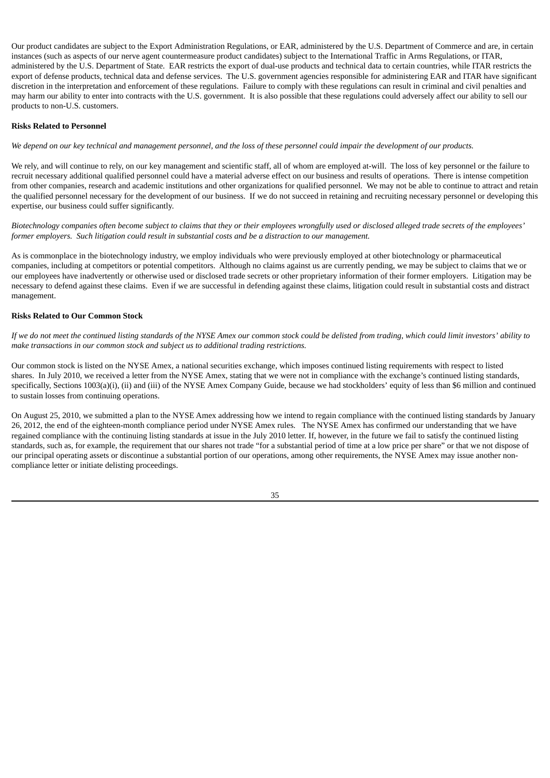Our product candidates are subject to the Export Administration Regulations, or EAR, administered by the U.S. Department of Commerce and are, in certain instances (such as aspects of our nerve agent countermeasure product candidates) subject to the International Traffic in Arms Regulations, or ITAR, administered by the U.S. Department of State. EAR restricts the export of dual-use products and technical data to certain countries, while ITAR restricts the export of defense products, technical data and defense services. The U.S. government agencies responsible for administering EAR and ITAR have significant discretion in the interpretation and enforcement of these regulations. Failure to comply with these regulations can result in criminal and civil penalties and may harm our ability to enter into contracts with the U.S. government. It is also possible that these regulations could adversely affect our ability to sell our products to non-U.S. customers.

## **Risks Related to Personnel**

We depend on our key technical and management personnel, and the loss of these personnel could impair the development of our products.

We rely, and will continue to rely, on our key management and scientific staff, all of whom are employed at-will. The loss of key personnel or the failure to recruit necessary additional qualified personnel could have a material adverse effect on our business and results of operations. There is intense competition from other companies, research and academic institutions and other organizations for qualified personnel. We may not be able to continue to attract and retain the qualified personnel necessary for the development of our business. If we do not succeed in retaining and recruiting necessary personnel or developing this expertise, our business could suffer significantly.

Biotechnology companies often become subject to claims that they or their employees wrongfully used or disclosed alleged trade secrets of the employees' *former employers. Such litigation could result in substantial costs and be a distraction to our management.*

As is commonplace in the biotechnology industry, we employ individuals who were previously employed at other biotechnology or pharmaceutical companies, including at competitors or potential competitors. Although no claims against us are currently pending, we may be subject to claims that we or our employees have inadvertently or otherwise used or disclosed trade secrets or other proprietary information of their former employers. Litigation may be necessary to defend against these claims. Even if we are successful in defending against these claims, litigation could result in substantial costs and distract management.

#### **Risks Related to Our Common Stock**

If we do not meet the continued listing standards of the NYSE Amex our common stock could be delisted from trading, which could limit investors' ability to *make transactions in our common stock and subject us to additional trading restrictions.*

Our common stock is listed on the NYSE Amex, a national securities exchange, which imposes continued listing requirements with respect to listed shares. In July 2010, we received a letter from the NYSE Amex, stating that we were not in compliance with the exchange's continued listing standards, specifically, Sections 1003(a)(i), (ii) and (iii) of the NYSE Amex Company Guide, because we had stockholders' equity of less than \$6 million and continued to sustain losses from continuing operations.

On August 25, 2010, we submitted a plan to the NYSE Amex addressing how we intend to regain compliance with the continued listing standards by January 26, 2012, the end of the eighteen-month compliance period under NYSE Amex rules. The NYSE Amex has confirmed our understanding that we have regained compliance with the continuing listing standards at issue in the July 2010 letter. If, however, in the future we fail to satisfy the continued listing standards, such as, for example, the requirement that our shares not trade "for a substantial period of time at a low price per share" or that we not dispose of our principal operating assets or discontinue a substantial portion of our operations, among other requirements, the NYSE Amex may issue another noncompliance letter or initiate delisting proceedings.

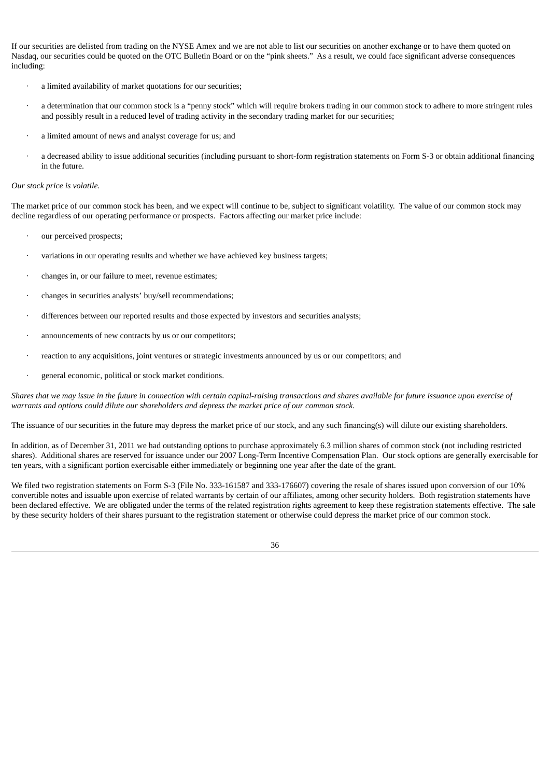If our securities are delisted from trading on the NYSE Amex and we are not able to list our securities on another exchange or to have them quoted on Nasdaq, our securities could be quoted on the OTC Bulletin Board or on the "pink sheets." As a result, we could face significant adverse consequences including:

- a limited availability of market quotations for our securities;
- a determination that our common stock is a "penny stock" which will require brokers trading in our common stock to adhere to more stringent rules and possibly result in a reduced level of trading activity in the secondary trading market for our securities;
- a limited amount of news and analyst coverage for us; and
- a decreased ability to issue additional securities (including pursuant to short-form registration statements on Form S-3 or obtain additional financing in the future.

#### *Our stock price is volatile.*

The market price of our common stock has been, and we expect will continue to be, subject to significant volatility. The value of our common stock may decline regardless of our operating performance or prospects. Factors affecting our market price include:

- our perceived prospects;
- variations in our operating results and whether we have achieved key business targets;
- · changes in, or our failure to meet, revenue estimates;
- · changes in securities analysts' buy/sell recommendations;
- · differences between our reported results and those expected by investors and securities analysts;
- announcements of new contracts by us or our competitors;
- reaction to any acquisitions, joint ventures or strategic investments announced by us or our competitors; and
- general economic, political or stock market conditions.

Shares that we may issue in the future in connection with certain capital-raising transactions and shares available for future issuance upon exercise of *warrants and options could dilute our shareholders and depress the market price of our common stock.*

The issuance of our securities in the future may depress the market price of our stock, and any such financing(s) will dilute our existing shareholders.

In addition, as of December 31, 2011 we had outstanding options to purchase approximately 6.3 million shares of common stock (not including restricted shares). Additional shares are reserved for issuance under our 2007 Long-Term Incentive Compensation Plan. Our stock options are generally exercisable for ten years, with a significant portion exercisable either immediately or beginning one year after the date of the grant.

We filed two registration statements on Form S-3 (File No. 333-161587 and 333-176607) covering the resale of shares issued upon conversion of our 10% convertible notes and issuable upon exercise of related warrants by certain of our affiliates, among other security holders. Both registration statements have been declared effective. We are obligated under the terms of the related registration rights agreement to keep these registration statements effective. The sale by these security holders of their shares pursuant to the registration statement or otherwise could depress the market price of our common stock.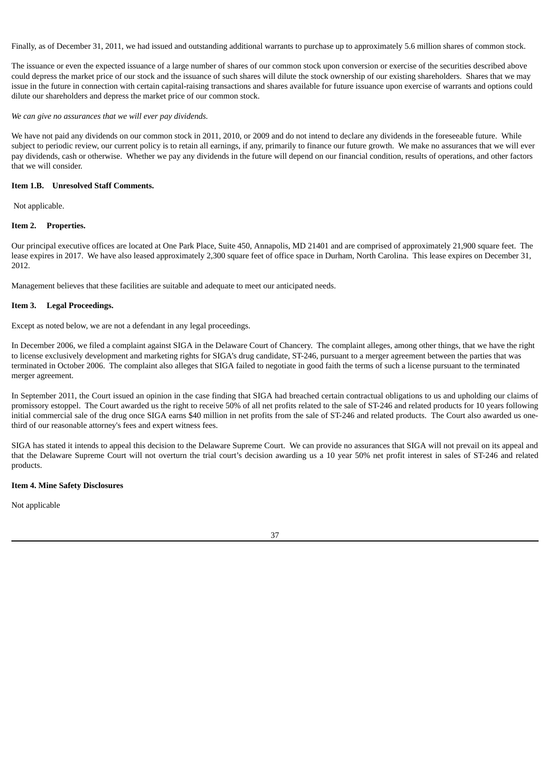Finally, as of December 31, 2011, we had issued and outstanding additional warrants to purchase up to approximately 5.6 million shares of common stock.

The issuance or even the expected issuance of a large number of shares of our common stock upon conversion or exercise of the securities described above could depress the market price of our stock and the issuance of such shares will dilute the stock ownership of our existing shareholders. Shares that we may issue in the future in connection with certain capital-raising transactions and shares available for future issuance upon exercise of warrants and options could dilute our shareholders and depress the market price of our common stock.

*We can give no assurances that we will ever pay dividends.*

We have not paid any dividends on our common stock in 2011, 2010, or 2009 and do not intend to declare any dividends in the foreseeable future. While subject to periodic review, our current policy is to retain all earnings, if any, primarily to finance our future growth. We make no assurances that we will ever pay dividends, cash or otherwise. Whether we pay any dividends in the future will depend on our financial condition, results of operations, and other factors that we will consider.

#### **Item 1.B. Unresolved Staff Comments.**

Not applicable.

## **Item 2. Properties.**

Our principal executive offices are located at One Park Place, Suite 450, Annapolis, MD 21401 and are comprised of approximately 21,900 square feet. The lease expires in 2017. We have also leased approximately 2,300 square feet of office space in Durham, North Carolina. This lease expires on December 31, 2012.

Management believes that these facilities are suitable and adequate to meet our anticipated needs.

#### **Item 3. Legal Proceedings.**

Except as noted below, we are not a defendant in any legal proceedings.

In December 2006, we filed a complaint against SIGA in the Delaware Court of Chancery. The complaint alleges, among other things, that we have the right to license exclusively development and marketing rights for SIGA's drug candidate, ST-246, pursuant to a merger agreement between the parties that was terminated in October 2006. The complaint also alleges that SIGA failed to negotiate in good faith the terms of such a license pursuant to the terminated merger agreement.

In September 2011, the Court issued an opinion in the case finding that SIGA had breached certain contractual obligations to us and upholding our claims of promissory estoppel. The Court awarded us the right to receive 50% of all net profits related to the sale of ST-246 and related products for 10 years following initial commercial sale of the drug once SIGA earns \$40 million in net profits from the sale of ST-246 and related products. The Court also awarded us onethird of our reasonable attorney's fees and expert witness fees.

SIGA has stated it intends to appeal this decision to the Delaware Supreme Court. We can provide no assurances that SIGA will not prevail on its appeal and that the Delaware Supreme Court will not overturn the trial court's decision awarding us a 10 year 50% net profit interest in sales of ST-246 and related products.

#### **Item 4. Mine Safety Disclosures**

Not applicable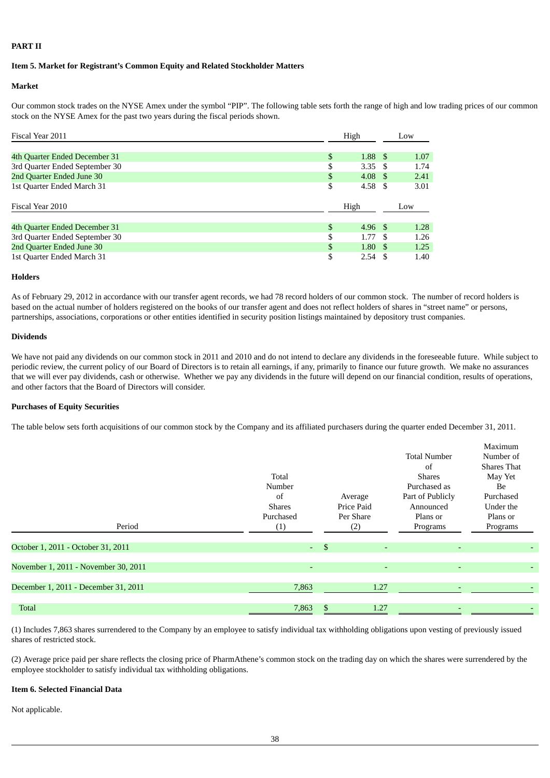## **PART II**

## **Item 5. Market for Registrant's Common Equity and Related Stockholder Matters**

# **Market**

Our common stock trades on the NYSE Amex under the symbol "PIP". The following table sets forth the range of high and low trading prices of our common stock on the NYSE Amex for the past two years during the fiscal periods shown.

| Fiscal Year 2011               | High |                   |    | Low  |
|--------------------------------|------|-------------------|----|------|
| 4th Quarter Ended December 31  | \$   | $1.88 \quad $$    |    | 1.07 |
| 3rd Quarter Ended September 30 | S    | $3.35 \quad $$    |    | 1.74 |
| 2nd Quarter Ended June 30      | \$   | $4.08 \quad $$    |    | 2.41 |
| 1st Quarter Ended March 31     | \$   | 4.58 \$           |    | 3.01 |
| Fiscal Year 2010               |      | High              |    | Low  |
| 4th Quarter Ended December 31  | \$   | 4.96 <sup>5</sup> |    | 1.28 |
| 3rd Quarter Ended September 30 | \$   | 1.77S             |    | 1.26 |
| 2nd Quarter Ended June 30      | \$   | 1.80 <sup>5</sup> |    | 1.25 |
| 1st Quarter Ended March 31     | \$   | 2.54              | -S | 1.40 |

#### **Holders**

As of February 29, 2012 in accordance with our transfer agent records, we had 78 record holders of our common stock. The number of record holders is based on the actual number of holders registered on the books of our transfer agent and does not reflect holders of shares in "street name" or persons, partnerships, associations, corporations or other entities identified in security position listings maintained by depository trust companies.

## **Dividends**

We have not paid any dividends on our common stock in 2011 and 2010 and do not intend to declare any dividends in the foreseeable future. While subject to periodic review, the current policy of our Board of Directors is to retain all earnings, if any, primarily to finance our future growth. We make no assurances that we will ever pay dividends, cash or otherwise. Whether we pay any dividends in the future will depend on our financial condition, results of operations, and other factors that the Board of Directors will consider.

## **Purchases of Equity Securities**

The table below sets forth acquisitions of our common stock by the Company and its affiliated purchasers during the quarter ended December 31, 2011.

|                                      |                          |      |                          |                     | Maximum                  |
|--------------------------------------|--------------------------|------|--------------------------|---------------------|--------------------------|
|                                      |                          |      |                          | <b>Total Number</b> | Number of                |
|                                      |                          |      |                          | of                  | Shares That              |
|                                      | Total                    |      |                          | <b>Shares</b>       | May Yet                  |
|                                      | Number                   |      |                          | Purchased as        | Be                       |
|                                      | of                       |      | Average                  | Part of Publicly    | Purchased                |
|                                      | <b>Shares</b>            |      | Price Paid               | Announced           | Under the                |
|                                      | Purchased                |      | Per Share                | Plans or            | Plans or                 |
| Period                               | (1)                      |      | (2)                      | Programs            | Programs                 |
|                                      |                          |      |                          |                     |                          |
| October 1, 2011 - October 31, 2011   |                          | $-5$ | $\overline{\phantom{0}}$ | ۰                   |                          |
|                                      |                          |      |                          |                     |                          |
| November 1, 2011 - November 30, 2011 | $\overline{\phantom{0}}$ |      | $\overline{\phantom{0}}$ |                     | $\overline{\phantom{0}}$ |
|                                      |                          |      |                          |                     |                          |
| December 1, 2011 - December 31, 2011 | 7,863                    |      | 1.27                     |                     |                          |
|                                      |                          |      |                          |                     |                          |
| Total                                | 7,863                    | \$   | 1.27                     |                     |                          |

(1) Includes 7,863 shares surrendered to the Company by an employee to satisfy individual tax withholding obligations upon vesting of previously issued shares of restricted stock.

(2) Average price paid per share reflects the closing price of PharmAthene's common stock on the trading day on which the shares were surrendered by the employee stockholder to satisfy individual tax withholding obligations.

## **Item 6. Selected Financial Data**

Not applicable.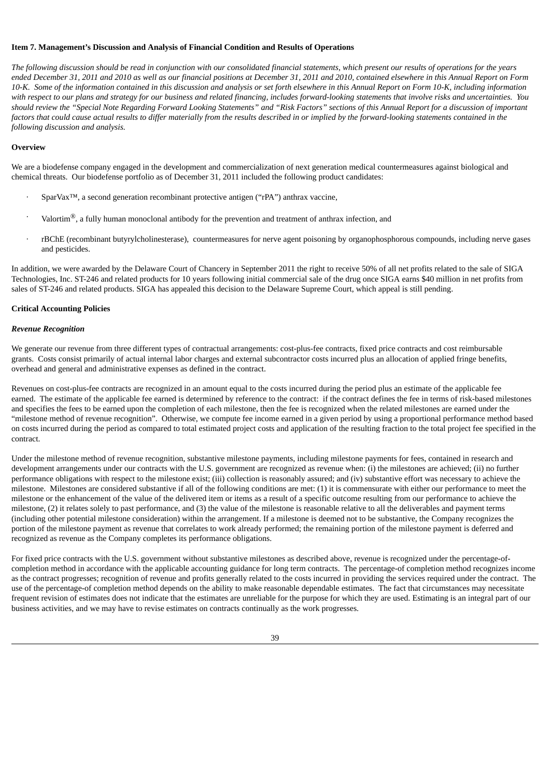#### **Item 7. Management's Discussion and Analysis of Financial Condition and Results of Operations**

The following discussion should be read in conjunction with our consolidated financial statements, which present our results of operations for the years ended December 31, 2011 and 2010 as well as our financial positions at December 31, 2011 and 2010, contained elsewhere in this Annual Report on Form 10-K. Some of the information contained in this discussion and analysis or set forth elsewhere in this Annual Report on Form 10-K, including information with respect to our plans and strategy for our business and related financing, includes forward-looking statements that involve risks and uncertainties. You should review the "Special Note Regarding Forward Looking Statements" and "Risk Factors" sections of this Annual Report for a discussion of important factors that could cause actual results to differ materially from the results described in or implied by the forward-looking statements contained in the *following discussion and analysis.*

#### **Overview**

We are a biodefense company engaged in the development and commercialization of next generation medical countermeasures against biological and chemical threats. Our biodefense portfolio as of December 31, 2011 included the following product candidates:

- SparVax<sup>™</sup>, a second generation recombinant protective antigen ("rPA") anthrax vaccine,
- Valortim<sup>®</sup>, a fully human monoclonal antibody for the prevention and treatment of anthrax infection, and
- · rBChE (recombinant butyrylcholinesterase), countermeasures for nerve agent poisoning by organophosphorous compounds, including nerve gases and pesticides.

In addition, we were awarded by the Delaware Court of Chancery in September 2011 the right to receive 50% of all net profits related to the sale of SIGA Technologies, Inc. ST-246 and related products for 10 years following initial commercial sale of the drug once SIGA earns \$40 million in net profits from sales of ST-246 and related products. SIGA has appealed this decision to the Delaware Supreme Court, which appeal is still pending.

#### **Critical Accounting Policies**

#### *Revenue Recognition*

We generate our revenue from three different types of contractual arrangements: cost-plus-fee contracts, fixed price contracts and cost reimbursable grants. Costs consist primarily of actual internal labor charges and external subcontractor costs incurred plus an allocation of applied fringe benefits, overhead and general and administrative expenses as defined in the contract.

Revenues on cost-plus-fee contracts are recognized in an amount equal to the costs incurred during the period plus an estimate of the applicable fee earned. The estimate of the applicable fee earned is determined by reference to the contract: if the contract defines the fee in terms of risk-based milestones and specifies the fees to be earned upon the completion of each milestone, then the fee is recognized when the related milestones are earned under the "milestone method of revenue recognition". Otherwise, we compute fee income earned in a given period by using a proportional performance method based on costs incurred during the period as compared to total estimated project costs and application of the resulting fraction to the total project fee specified in the contract.

Under the milestone method of revenue recognition, substantive milestone payments, including milestone payments for fees, contained in research and development arrangements under our contracts with the U.S. government are recognized as revenue when: (i) the milestones are achieved; (ii) no further performance obligations with respect to the milestone exist; (iii) collection is reasonably assured; and (iv) substantive effort was necessary to achieve the milestone. Milestones are considered substantive if all of the following conditions are met: (1) it is commensurate with either our performance to meet the milestone or the enhancement of the value of the delivered item or items as a result of a specific outcome resulting from our performance to achieve the milestone, (2) it relates solely to past performance, and (3) the value of the milestone is reasonable relative to all the deliverables and payment terms (including other potential milestone consideration) within the arrangement. If a milestone is deemed not to be substantive, the Company recognizes the portion of the milestone payment as revenue that correlates to work already performed; the remaining portion of the milestone payment is deferred and recognized as revenue as the Company completes its performance obligations.

For fixed price contracts with the U.S. government without substantive milestones as described above, revenue is recognized under the percentage-ofcompletion method in accordance with the applicable accounting guidance for long term contracts. The percentage-of completion method recognizes income as the contract progresses; recognition of revenue and profits generally related to the costs incurred in providing the services required under the contract. The use of the percentage-of completion method depends on the ability to make reasonable dependable estimates. The fact that circumstances may necessitate frequent revision of estimates does not indicate that the estimates are unreliable for the purpose for which they are used. Estimating is an integral part of our business activities, and we may have to revise estimates on contracts continually as the work progresses.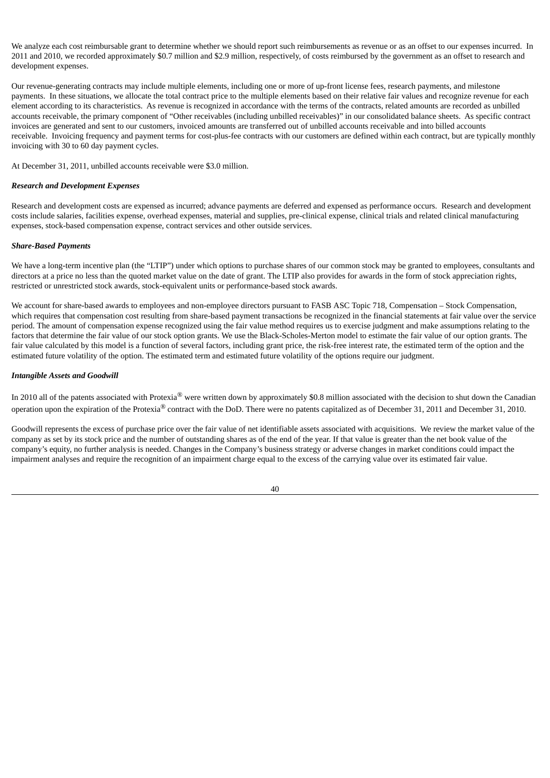We analyze each cost reimbursable grant to determine whether we should report such reimbursements as revenue or as an offset to our expenses incurred. In 2011 and 2010, we recorded approximately \$0.7 million and \$2.9 million, respectively, of costs reimbursed by the government as an offset to research and development expenses.

Our revenue-generating contracts may include multiple elements, including one or more of up-front license fees, research payments, and milestone payments. In these situations, we allocate the total contract price to the multiple elements based on their relative fair values and recognize revenue for each element according to its characteristics. As revenue is recognized in accordance with the terms of the contracts, related amounts are recorded as unbilled accounts receivable, the primary component of "Other receivables (including unbilled receivables)" in our consolidated balance sheets. As specific contract invoices are generated and sent to our customers, invoiced amounts are transferred out of unbilled accounts receivable and into billed accounts receivable. Invoicing frequency and payment terms for cost-plus-fee contracts with our customers are defined within each contract, but are typically monthly invoicing with 30 to 60 day payment cycles.

At December 31, 2011, unbilled accounts receivable were \$3.0 million.

#### *Research and Development Expenses*

Research and development costs are expensed as incurred; advance payments are deferred and expensed as performance occurs. Research and development costs include salaries, facilities expense, overhead expenses, material and supplies, pre-clinical expense, clinical trials and related clinical manufacturing expenses, stock-based compensation expense, contract services and other outside services.

#### *Share-Based Payments*

We have a long-term incentive plan (the "LTIP") under which options to purchase shares of our common stock may be granted to employees, consultants and directors at a price no less than the quoted market value on the date of grant. The LTIP also provides for awards in the form of stock appreciation rights, restricted or unrestricted stock awards, stock-equivalent units or performance-based stock awards.

We account for share-based awards to employees and non-employee directors pursuant to FASB ASC Topic 718, Compensation – Stock Compensation, which requires that compensation cost resulting from share-based payment transactions be recognized in the financial statements at fair value over the service period. The amount of compensation expense recognized using the fair value method requires us to exercise judgment and make assumptions relating to the factors that determine the fair value of our stock option grants. We use the Black-Scholes-Merton model to estimate the fair value of our option grants. The fair value calculated by this model is a function of several factors, including grant price, the risk-free interest rate, the estimated term of the option and the estimated future volatility of the option. The estimated term and estimated future volatility of the options require our judgment.

#### *Intangible Assets and Goodwill*

In 2010 all of the patents associated with Protexia® were written down by approximately \$0.8 million associated with the decision to shut down the Canadian operation upon the expiration of the Protexia® contract with the DoD. There were no patents capitalized as of December 31, 2011 and December 31, 2010.

Goodwill represents the excess of purchase price over the fair value of net identifiable assets associated with acquisitions. We review the market value of the company as set by its stock price and the number of outstanding shares as of the end of the year. If that value is greater than the net book value of the company's equity, no further analysis is needed. Changes in the Company's business strategy or adverse changes in market conditions could impact the impairment analyses and require the recognition of an impairment charge equal to the excess of the carrying value over its estimated fair value.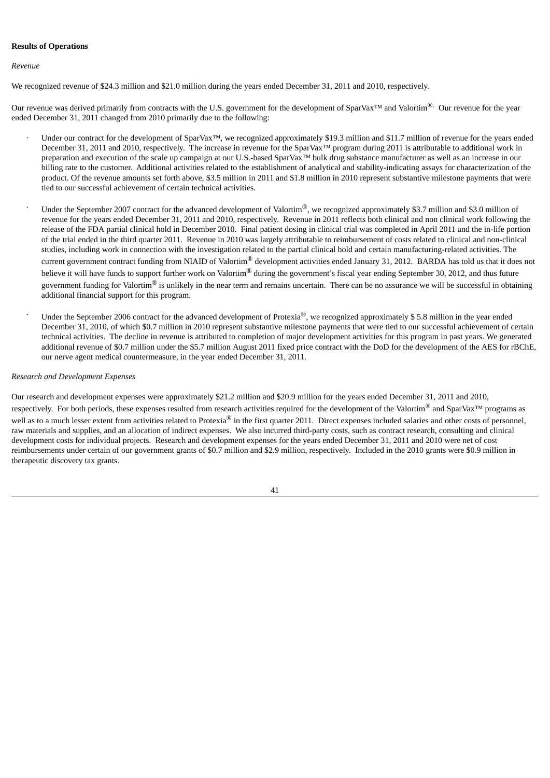## **Results of Operations**

*Revenue*

We recognized revenue of \$24.3 million and \$21.0 million during the years ended December 31, 2011 and 2010, respectively.

Our revenue was derived primarily from contracts with the U.S. government for the development of SparVax<sup>™</sup> and Valortim®. Our revenue for the year ended December 31, 2011 changed from 2010 primarily due to the following:

- · Under our contract for the development of SparVax™, we recognized approximately \$19.3 million and \$11.7 million of revenue for the years ended December 31, 2011 and 2010, respectively. The increase in revenue for the SparVax™ program during 2011 is attributable to additional work in preparation and execution of the scale up campaign at our U.S.-based SparVax™ bulk drug substance manufacturer as well as an increase in our billing rate to the customer. Additional activities related to the establishment of analytical and stability-indicating assays for characterization of the product. Of the revenue amounts set forth above, \$3.5 million in 2011 and \$1.8 million in 2010 represent substantive milestone payments that were tied to our successful achievement of certain technical activities.
- Under the September 2007 contract for the advanced development of Valortim®, we recognized approximately \$3.7 million and \$3.0 million of revenue for the years ended December 31, 2011 and 2010, respectively. Revenue in 2011 reflects both clinical and non clinical work following the release of the FDA partial clinical hold in December 2010. Final patient dosing in clinical trial was completed in April 2011 and the in-life portion of the trial ended in the third quarter 2011. Revenue in 2010 was largely attributable to reimbursement of costs related to clinical and non-clinical studies, including work in connection with the investigation related to the partial clinical hold and certain manufacturing-related activities. The current government contract funding from NIAID of Valortim® development activities ended January 31, 2012. BARDA has told us that it does not believe it will have funds to support further work on Valortim<sup>®</sup> during the government's fiscal year ending September 30, 2012, and thus future government funding for Valortim<sup>®</sup> is unlikely in the near term and remains uncertain. There can be no assurance we will be successful in obtaining additional financial support for this program.
- Under the September 2006 contract for the advanced development of Protexia<sup>®</sup>, we recognized approximately \$5.8 million in the year ended December 31, 2010, of which \$0.7 million in 2010 represent substantive milestone payments that were tied to our successful achievement of certain technical activities. The decline in revenue is attributed to completion of major development activities for this program in past years. We generated additional revenue of \$0.7 million under the \$5.7 million August 2011 fixed price contract with the DoD for the development of the AES for rBChE, our nerve agent medical countermeasure, in the year ended December 31, 2011.

## *Research and Development Expenses*

Our research and development expenses were approximately \$21.2 million and \$20.9 million for the years ended December 31, 2011 and 2010, respectively. For both periods, these expenses resulted from research activities required for the development of the Valortim® and SparVax™ programs as well as to a much lesser extent from activities related to Protexia<sup>®</sup> in the first quarter 2011. Direct expenses included salaries and other costs of personnel, raw materials and supplies, and an allocation of indirect expenses. We also incurred third-party costs, such as contract research, consulting and clinical development costs for individual projects. Research and development expenses for the years ended December 31, 2011 and 2010 were net of cost reimbursements under certain of our government grants of \$0.7 million and \$2.9 million, respectively. Included in the 2010 grants were \$0.9 million in therapeutic discovery tax grants.

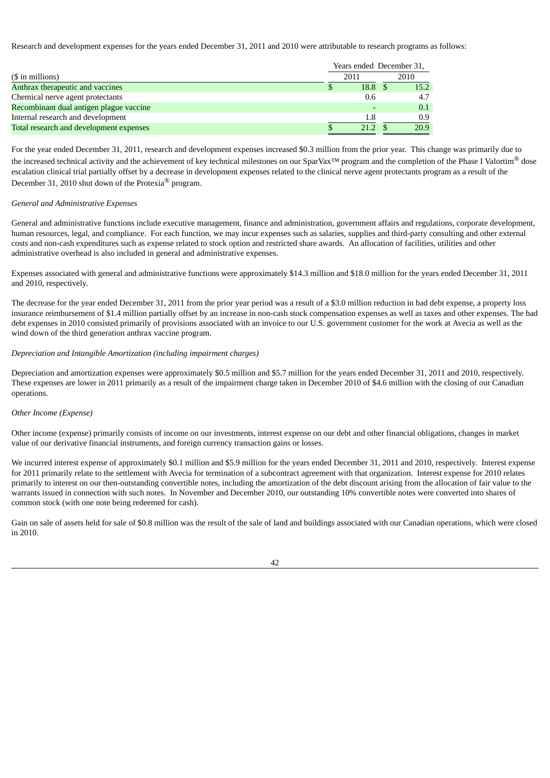Research and development expenses for the years ended December 31, 2011 and 2010 were attributable to research programs as follows:

|                                         | Years ended December 31, |         |  |      |
|-----------------------------------------|--------------------------|---------|--|------|
| $(S \in \mathbb{R})$ in millions)       |                          | 2011    |  | 2010 |
| Anthrax therapeutic and vaccines        | ۰D                       | 18.8 \$ |  | 15.2 |
| Chemical nerve agent protectants        |                          | 0.6     |  | 4.7  |
| Recombinant dual antigen plague vaccine |                          |         |  | 0.1  |
| Internal research and development       |                          | 1.8     |  | 0.9  |
| Total research and development expenses |                          | 21.2    |  | 20.9 |

For the year ended December 31, 2011, research and development expenses increased \$0.3 million from the prior year. This change was primarily due to the increased technical activity and the achievement of key technical milestones on our SparVax<sup>™</sup> program and the completion of the Phase I Valortim<sup>®</sup> dose escalation clinical trial partially offset by a decrease in development expenses related to the clinical nerve agent protectants program as a result of the December 31, 2010 shut down of the Protexia® program.

## *General and Administrative Expenses*

General and administrative functions include executive management, finance and administration, government affairs and regulations, corporate development, human resources, legal, and compliance. For each function, we may incur expenses such as salaries, supplies and third-party consulting and other external costs and non-cash expenditures such as expense related to stock option and restricted share awards. An allocation of facilities, utilities and other administrative overhead is also included in general and administrative expenses.

Expenses associated with general and administrative functions were approximately \$14.3 million and \$18.0 million for the years ended December 31, 2011 and 2010, respectively.

The decrease for the year ended December 31, 2011 from the prior year period was a result of a \$3.0 million reduction in bad debt expense, a property loss insurance reimbursement of \$1.4 million partially offset by an increase in non-cash stock compensation expenses as well as taxes and other expenses. The bad debt expenses in 2010 consisted primarily of provisions associated with an invoice to our U.S. government customer for the work at Avecia as well as the wind down of the third generation anthrax vaccine program.

## *Depreciation and Intangible Amortization (including impairment charges)*

Depreciation and amortization expenses were approximately \$0.5 million and \$5.7 million for the years ended December 31, 2011 and 2010, respectively. These expenses are lower in 2011 primarily as a result of the impairment charge taken in December 2010 of \$4.6 million with the closing of our Canadian operations.

## *Other Income (Expense)*

Other income (expense) primarily consists of income on our investments, interest expense on our debt and other financial obligations, changes in market value of our derivative financial instruments, and foreign currency transaction gains or losses.

We incurred interest expense of approximately \$0.1 million and \$5.9 million for the years ended December 31, 2011 and 2010, respectively. Interest expense for 2011 primarily relate to the settlement with Avecia for termination of a subcontract agreement with that organization. Interest expense for 2010 relates primarily to interest on our then-outstanding convertible notes, including the amortization of the debt discount arising from the allocation of fair value to the warrants issued in connection with such notes. In November and December 2010, our outstanding 10% convertible notes were converted into shares of common stock (with one note being redeemed for cash).

Gain on sale of assets held for sale of \$0.8 million was the result of the sale of land and buildings associated with our Canadian operations, which were closed in 2010.

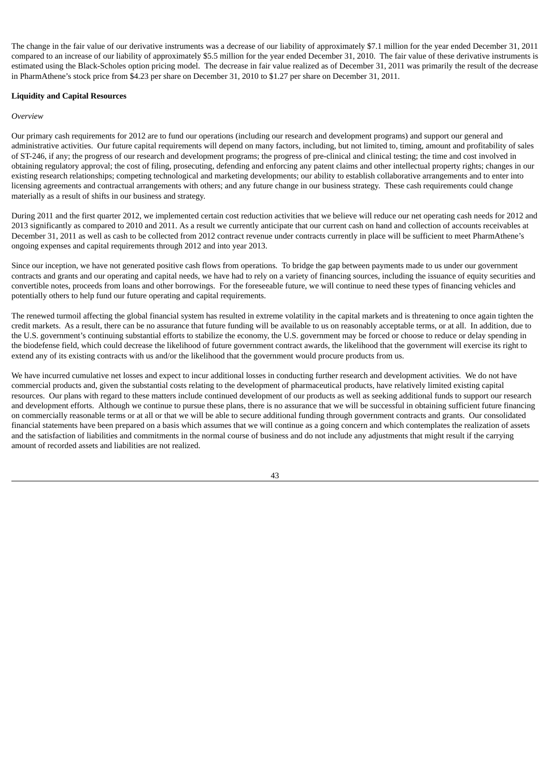The change in the fair value of our derivative instruments was a decrease of our liability of approximately \$7.1 million for the year ended December 31, 2011 compared to an increase of our liability of approximately \$5.5 million for the year ended December 31, 2010. The fair value of these derivative instruments is estimated using the Black-Scholes option pricing model. The decrease in fair value realized as of December 31, 2011 was primarily the result of the decrease in PharmAthene's stock price from \$4.23 per share on December 31, 2010 to \$1.27 per share on December 31, 2011.

## **Liquidity and Capital Resources**

## *Overview*

Our primary cash requirements for 2012 are to fund our operations (including our research and development programs) and support our general and administrative activities. Our future capital requirements will depend on many factors, including, but not limited to, timing, amount and profitability of sales of ST-246, if any; the progress of our research and development programs; the progress of pre-clinical and clinical testing; the time and cost involved in obtaining regulatory approval; the cost of filing, prosecuting, defending and enforcing any patent claims and other intellectual property rights; changes in our existing research relationships; competing technological and marketing developments; our ability to establish collaborative arrangements and to enter into licensing agreements and contractual arrangements with others; and any future change in our business strategy. These cash requirements could change materially as a result of shifts in our business and strategy.

During 2011 and the first quarter 2012, we implemented certain cost reduction activities that we believe will reduce our net operating cash needs for 2012 and 2013 significantly as compared to 2010 and 2011. As a result we currently anticipate that our current cash on hand and collection of accounts receivables at December 31, 2011 as well as cash to be collected from 2012 contract revenue under contracts currently in place will be sufficient to meet PharmAthene's ongoing expenses and capital requirements through 2012 and into year 2013.

Since our inception, we have not generated positive cash flows from operations. To bridge the gap between payments made to us under our government contracts and grants and our operating and capital needs, we have had to rely on a variety of financing sources, including the issuance of equity securities and convertible notes, proceeds from loans and other borrowings. For the foreseeable future, we will continue to need these types of financing vehicles and potentially others to help fund our future operating and capital requirements.

The renewed turmoil affecting the global financial system has resulted in extreme volatility in the capital markets and is threatening to once again tighten the credit markets. As a result, there can be no assurance that future funding will be available to us on reasonably acceptable terms, or at all. In addition, due to the U.S. government's continuing substantial efforts to stabilize the economy, the U.S. government may be forced or choose to reduce or delay spending in the biodefense field, which could decrease the likelihood of future government contract awards, the likelihood that the government will exercise its right to extend any of its existing contracts with us and/or the likelihood that the government would procure products from us.

We have incurred cumulative net losses and expect to incur additional losses in conducting further research and development activities. We do not have commercial products and, given the substantial costs relating to the development of pharmaceutical products, have relatively limited existing capital resources. Our plans with regard to these matters include continued development of our products as well as seeking additional funds to support our research and development efforts. Although we continue to pursue these plans, there is no assurance that we will be successful in obtaining sufficient future financing on commercially reasonable terms or at all or that we will be able to secure additional funding through government contracts and grants. Our consolidated financial statements have been prepared on a basis which assumes that we will continue as a going concern and which contemplates the realization of assets and the satisfaction of liabilities and commitments in the normal course of business and do not include any adjustments that might result if the carrying amount of recorded assets and liabilities are not realized.

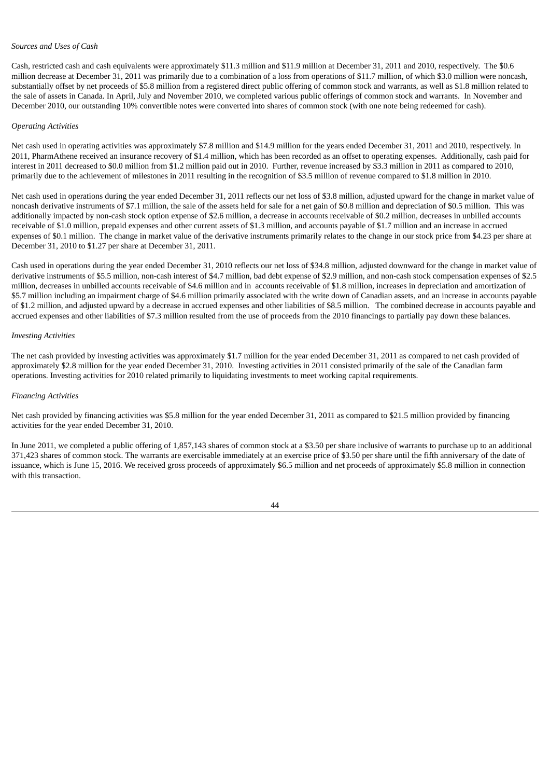## *Sources and Uses of Cash*

Cash, restricted cash and cash equivalents were approximately \$11.3 million and \$11.9 million at December 31, 2011 and 2010, respectively. The \$0.6 million decrease at December 31, 2011 was primarily due to a combination of a loss from operations of \$11.7 million, of which \$3.0 million were noncash, substantially offset by net proceeds of \$5.8 million from a registered direct public offering of common stock and warrants, as well as \$1.8 million related to the sale of assets in Canada. In April, July and November 2010, we completed various public offerings of common stock and warrants. In November and December 2010, our outstanding 10% convertible notes were converted into shares of common stock (with one note being redeemed for cash).

#### *Operating Activities*

Net cash used in operating activities was approximately \$7.8 million and \$14.9 million for the years ended December 31, 2011 and 2010, respectively. In 2011, PharmAthene received an insurance recovery of \$1.4 million, which has been recorded as an offset to operating expenses. Additionally, cash paid for interest in 2011 decreased to \$0.0 million from \$1.2 million paid out in 2010. Further, revenue increased by \$3.3 million in 2011 as compared to 2010, primarily due to the achievement of milestones in 2011 resulting in the recognition of \$3.5 million of revenue compared to \$1.8 million in 2010.

Net cash used in operations during the year ended December 31, 2011 reflects our net loss of \$3.8 million, adjusted upward for the change in market value of noncash derivative instruments of \$7.1 million, the sale of the assets held for sale for a net gain of \$0.8 million and depreciation of \$0.5 million. This was additionally impacted by non-cash stock option expense of \$2.6 million, a decrease in accounts receivable of \$0.2 million, decreases in unbilled accounts receivable of \$1.0 million, prepaid expenses and other current assets of \$1.3 million, and accounts payable of \$1.7 million and an increase in accrued expenses of \$0.1 million. The change in market value of the derivative instruments primarily relates to the change in our stock price from \$4.23 per share at December 31, 2010 to \$1.27 per share at December 31, 2011.

Cash used in operations during the year ended December 31, 2010 reflects our net loss of \$34.8 million, adjusted downward for the change in market value of derivative instruments of \$5.5 million, non-cash interest of \$4.7 million, bad debt expense of \$2.9 million, and non-cash stock compensation expenses of \$2.5 million, decreases in unbilled accounts receivable of \$4.6 million and in accounts receivable of \$1.8 million, increases in depreciation and amortization of \$5.7 million including an impairment charge of \$4.6 million primarily associated with the write down of Canadian assets, and an increase in accounts payable of \$1.2 million, and adjusted upward by a decrease in accrued expenses and other liabilities of \$8.5 million. The combined decrease in accounts payable and accrued expenses and other liabilities of \$7.3 million resulted from the use of proceeds from the 2010 financings to partially pay down these balances.

#### *Investing Activities*

The net cash provided by investing activities was approximately \$1.7 million for the year ended December 31, 2011 as compared to net cash provided of approximately \$2.8 million for the year ended December 31, 2010. Investing activities in 2011 consisted primarily of the sale of the Canadian farm operations. Investing activities for 2010 related primarily to liquidating investments to meet working capital requirements.

## *Financing Activities*

Net cash provided by financing activities was \$5.8 million for the year ended December 31, 2011 as compared to \$21.5 million provided by financing activities for the year ended December 31, 2010.

In June 2011, we completed a public offering of 1,857,143 shares of common stock at a \$3.50 per share inclusive of warrants to purchase up to an additional 371,423 shares of common stock. The warrants are exercisable immediately at an exercise price of \$3.50 per share until the fifth anniversary of the date of issuance, which is June 15, 2016. We received gross proceeds of approximately \$6.5 million and net proceeds of approximately \$5.8 million in connection with this transaction.

#### 44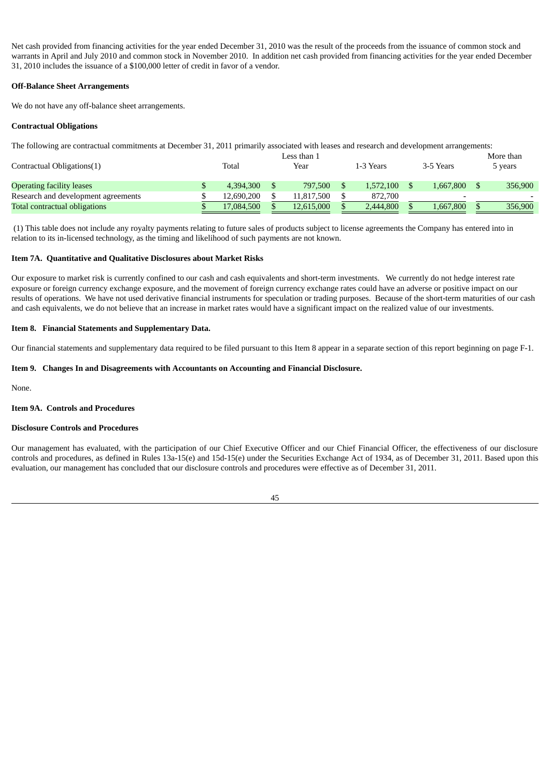Net cash provided from financing activities for the year ended December 31, 2010 was the result of the proceeds from the issuance of common stock and warrants in April and July 2010 and common stock in November 2010. In addition net cash provided from financing activities for the year ended December 31, 2010 includes the issuance of a \$100,000 letter of credit in favor of a vendor.

## **Off-Balance Sheet Arrangements**

We do not have any off-balance sheet arrangements.

## **Contractual Obligations**

The following are contractual commitments at December 31, 2011 primarily associated with leases and research and development arrangements:

|                                      | Less than 1 |  |            |           |           |           |                          |         | More than |  |  |  |
|--------------------------------------|-------------|--|------------|-----------|-----------|-----------|--------------------------|---------|-----------|--|--|--|
| Contractual Obligations(1)           | Total       |  | Year       | 1-3 Years |           | 3-5 Years |                          | 5 years |           |  |  |  |
|                                      |             |  |            |           |           |           |                          |         |           |  |  |  |
| <b>Operating facility leases</b>     | 4.394.300   |  | 797,500    |           | 1.572.100 |           | 1.667.800                |         | 356,900   |  |  |  |
| Research and development agreements  | 12.690.200  |  | 11.817.500 |           | 872.700   |           | $\overline{\phantom{0}}$ |         |           |  |  |  |
| <b>Total contractual obligations</b> | 17.084.500  |  | 12.615.000 |           | 2,444,800 |           | 1.667.800                |         | 356,900   |  |  |  |

(1) This table does not include any royalty payments relating to future sales of products subject to license agreements the Company has entered into in relation to its in-licensed technology, as the timing and likelihood of such payments are not known.

## **Item 7A. Quantitative and Qualitative Disclosures about Market Risks**

Our exposure to market risk is currently confined to our cash and cash equivalents and short-term investments. We currently do not hedge interest rate exposure or foreign currency exchange exposure, and the movement of foreign currency exchange rates could have an adverse or positive impact on our results of operations. We have not used derivative financial instruments for speculation or trading purposes. Because of the short-term maturities of our cash and cash equivalents, we do not believe that an increase in market rates would have a significant impact on the realized value of our investments.

## **Item 8. Financial Statements and Supplementary Data.**

Our financial statements and supplementary data required to be filed pursuant to this Item 8 appear in a separate section of this report beginning on page F-1.

## **Item 9. Changes In and Disagreements with Accountants on Accounting and Financial Disclosure.**

None.

## **Item 9A. Controls and Procedures**

## **Disclosure Controls and Procedures**

Our management has evaluated, with the participation of our Chief Executive Officer and our Chief Financial Officer, the effectiveness of our disclosure controls and procedures, as defined in Rules 13a-15(e) and 15d-15(e) under the Securities Exchange Act of 1934, as of December 31, 2011. Based upon this evaluation, our management has concluded that our disclosure controls and procedures were effective as of December 31, 2011.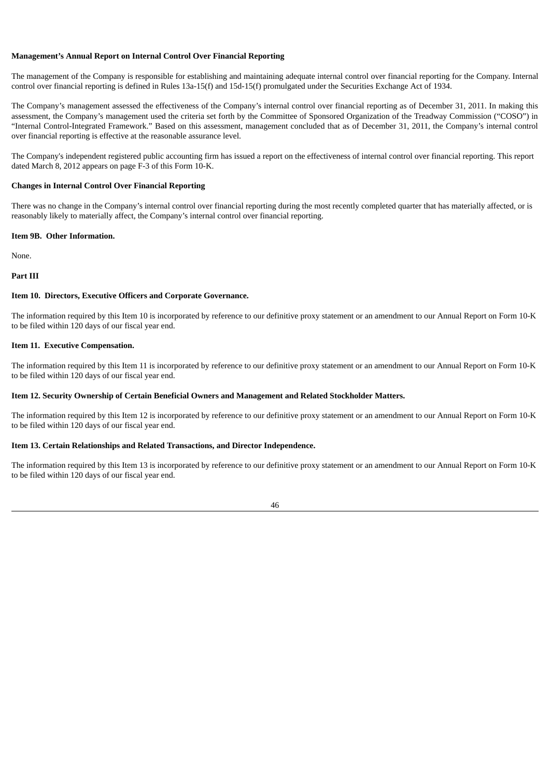#### **Management's Annual Report on Internal Control Over Financial Reporting**

The management of the Company is responsible for establishing and maintaining adequate internal control over financial reporting for the Company. Internal control over financial reporting is defined in Rules 13a-15(f) and 15d-15(f) promulgated under the Securities Exchange Act of 1934.

The Company's management assessed the effectiveness of the Company's internal control over financial reporting as of December 31, 2011. In making this assessment, the Company's management used the criteria set forth by the Committee of Sponsored Organization of the Treadway Commission ("COSO") in "Internal Control-Integrated Framework." Based on this assessment, management concluded that as of December 31, 2011, the Company's internal control over financial reporting is effective at the reasonable assurance level.

The Company's independent registered public accounting firm has issued a report on the effectiveness of internal control over financial reporting. This report dated March 8, 2012 appears on page F-3 of this Form 10-K.

#### **Changes in Internal Control Over Financial Reporting**

There was no change in the Company's internal control over financial reporting during the most recently completed quarter that has materially affected, or is reasonably likely to materially affect, the Company's internal control over financial reporting.

#### **Item 9B. Other Information.**

None.

#### **Part III**

#### **Item 10. Directors, Executive Officers and Corporate Governance.**

The information required by this Item 10 is incorporated by reference to our definitive proxy statement or an amendment to our Annual Report on Form 10-K to be filed within 120 days of our fiscal year end.

#### **Item 11. Executive Compensation.**

The information required by this Item 11 is incorporated by reference to our definitive proxy statement or an amendment to our Annual Report on Form 10-K to be filed within 120 days of our fiscal year end.

#### **Item 12. Security Ownership of Certain Beneficial Owners and Management and Related Stockholder Matters.**

The information required by this Item 12 is incorporated by reference to our definitive proxy statement or an amendment to our Annual Report on Form 10-K to be filed within 120 days of our fiscal year end.

#### **Item 13. Certain Relationships and Related Transactions, and Director Independence.**

The information required by this Item 13 is incorporated by reference to our definitive proxy statement or an amendment to our Annual Report on Form 10-K to be filed within 120 days of our fiscal year end.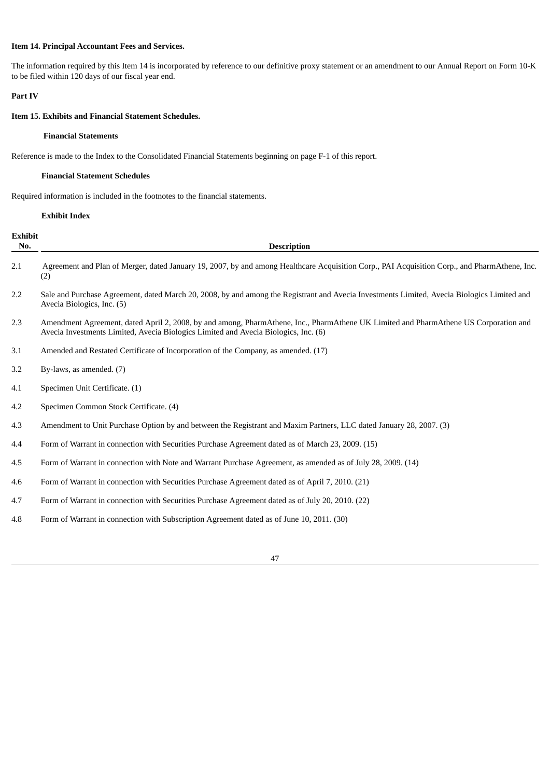# **Item 14. Principal Accountant Fees and Services.**

The information required by this Item 14 is incorporated by reference to our definitive proxy statement or an amendment to our Annual Report on Form 10-K to be filed within 120 days of our fiscal year end.

# **Part IV**

# **Item 15. Exhibits and Financial Statement Schedules.**

# **Financial Statements**

Reference is made to the Index to the Consolidated Financial Statements beginning on page F-1 of this report.

# **Financial Statement Schedules**

Required information is included in the footnotes to the financial statements.

# **Exhibit Index**

| <b>Exhibit</b><br>No. | <b>Description</b>                                                                                                                                                                                                          |
|-----------------------|-----------------------------------------------------------------------------------------------------------------------------------------------------------------------------------------------------------------------------|
| 2.1                   | Agreement and Plan of Merger, dated January 19, 2007, by and among Healthcare Acquisition Corp., PAI Acquisition Corp., and PharmAthene, Inc.<br>(2)                                                                        |
| 2.2                   | Sale and Purchase Agreement, dated March 20, 2008, by and among the Registrant and Avecia Investments Limited, Avecia Biologics Limited and<br>Avecia Biologics, Inc. (5)                                                   |
| 2.3                   | Amendment Agreement, dated April 2, 2008, by and among, PharmAthene, Inc., PharmAthene UK Limited and PharmAthene US Corporation and<br>Avecia Investments Limited, Avecia Biologics Limited and Avecia Biologics, Inc. (6) |
| 3.1                   | Amended and Restated Certificate of Incorporation of the Company, as amended. (17)                                                                                                                                          |
| 3.2                   | By-laws, as amended. (7)                                                                                                                                                                                                    |
| 4.1                   | Specimen Unit Certificate. (1)                                                                                                                                                                                              |
| 4.2                   | Specimen Common Stock Certificate. (4)                                                                                                                                                                                      |
| 4.3                   | Amendment to Unit Purchase Option by and between the Registrant and Maxim Partners, LLC dated January 28, 2007. (3)                                                                                                         |
| 4.4                   | Form of Warrant in connection with Securities Purchase Agreement dated as of March 23, 2009. (15)                                                                                                                           |
| 4.5                   | Form of Warrant in connection with Note and Warrant Purchase Agreement, as amended as of July 28, 2009. (14)                                                                                                                |
| 4.6                   | Form of Warrant in connection with Securities Purchase Agreement dated as of April 7, 2010. (21)                                                                                                                            |
| 4.7                   | Form of Warrant in connection with Securities Purchase Agreement dated as of July 20, 2010. (22)                                                                                                                            |
| 4.8                   | Form of Warrant in connection with Subscription Agreement dated as of June 10, 2011. (30)                                                                                                                                   |

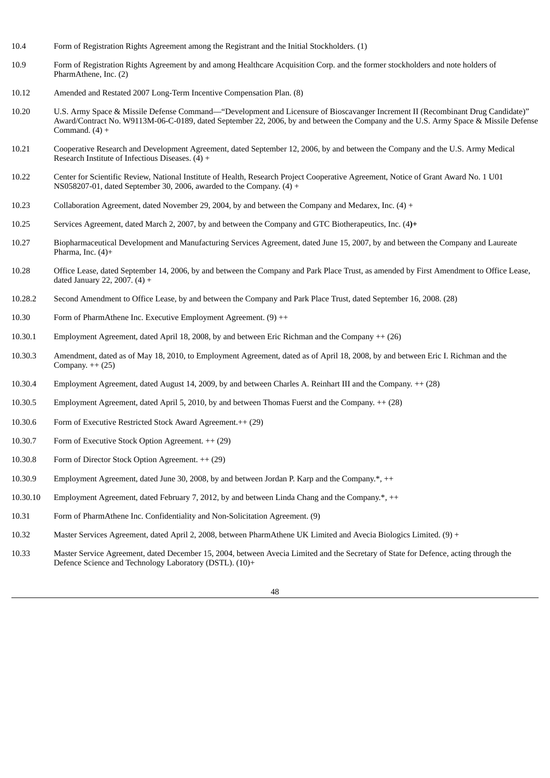- 10.4 Form of Registration Rights Agreement among the Registrant and the Initial Stockholders. (1)
- 10.9 Form of Registration Rights Agreement by and among Healthcare Acquisition Corp. and the former stockholders and note holders of PharmAthene, Inc. (2)
- 10.12 Amended and Restated 2007 Long-Term Incentive Compensation Plan. (8)
- 10.20 U.S. Army Space & Missile Defense Command—"Development and Licensure of Bioscavanger Increment II (Recombinant Drug Candidate)" Award/Contract No. W9113M-06-C-0189, dated September 22, 2006, by and between the Company and the U.S. Army Space & Missile Defense Command.  $(4) +$
- 10.21 Cooperative Research and Development Agreement, dated September 12, 2006, by and between the Company and the U.S. Army Medical Research Institute of Infectious Diseases.  $(4) +$
- 10.22 Center for Scientific Review, National Institute of Health, Research Project Cooperative Agreement, Notice of Grant Award No. 1 U01 NS058207-01, dated September 30, 2006, awarded to the Company. (4) +
- 10.23 Collaboration Agreement, dated November 29, 2004, by and between the Company and Medarex, Inc. (4) +
- 10.25 Services Agreement, dated March 2, 2007, by and between the Company and GTC Biotherapeutics, Inc. (4**)+**
- 10.27 Biopharmaceutical Development and Manufacturing Services Agreement, dated June 15, 2007, by and between the Company and Laureate Pharma, Inc.  $(4)$ +
- 10.28 Office Lease, dated September 14, 2006, by and between the Company and Park Place Trust, as amended by First Amendment to Office Lease, dated January 22, 2007.  $(4) +$
- 10.28.2 Second Amendment to Office Lease, by and between the Company and Park Place Trust, dated September 16, 2008. (28)
- 10.30 Form of PharmAthene Inc. Executive Employment Agreement. (9) ++
- 10.30.1 Employment Agreement, dated April 18, 2008, by and between Eric Richman and the Company ++ (26)
- 10.30.3 Amendment, dated as of May 18, 2010, to Employment Agreement, dated as of April 18, 2008, by and between Eric I. Richman and the Company.  $++(25)$
- 10.30.4 Employment Agreement, dated August 14, 2009, by and between Charles A. Reinhart III and the Company. ++ (28)
- 10.30.5 Employment Agreement, dated April 5, 2010, by and between Thomas Fuerst and the Company. ++ (28)
- 10.30.6 Form of Executive Restricted Stock Award Agreement.++ (29)
- 10.30.7 Form of Executive Stock Option Agreement. ++ (29)
- 10.30.8 Form of Director Stock Option Agreement. ++ (29)
- 10.30.9 Employment Agreement, dated June 30, 2008, by and between Jordan P. Karp and the Company.\*, ++
- 10.30.10 Employment Agreement, dated February 7, 2012, by and between Linda Chang and the Company.\*, ++
- 10.31 Form of PharmAthene Inc. Confidentiality and Non-Solicitation Agreement. (9)
- 10.32 Master Services Agreement, dated April 2, 2008, between PharmAthene UK Limited and Avecia Biologics Limited. (9) +
- 10.33 Master Service Agreement, dated December 15, 2004, between Avecia Limited and the Secretary of State for Defence, acting through the Defence Science and Technology Laboratory (DSTL). (10)+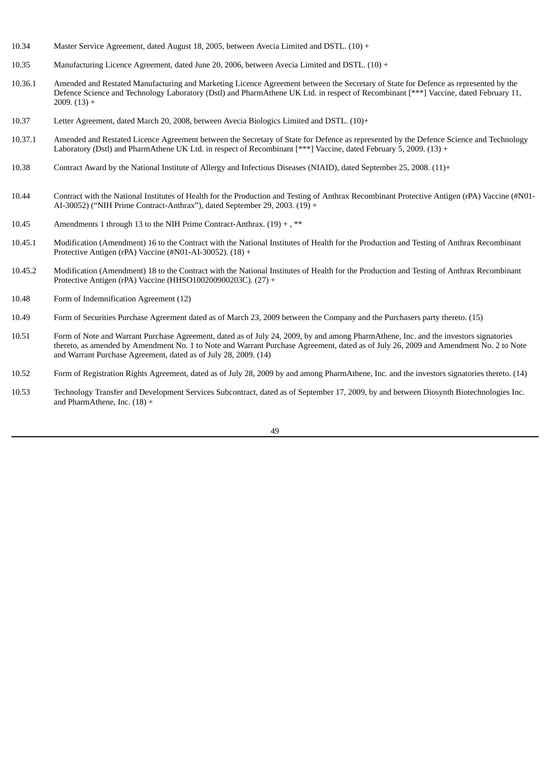- 10.34 Master Service Agreement, dated August 18, 2005, between Avecia Limited and DSTL. (10) +
- 10.35 Manufacturing Licence Agreement, dated June 20, 2006, between Avecia Limited and DSTL. (10) +
- 10.36.1 Amended and Restated Manufacturing and Marketing Licence Agreement between the Secretary of State for Defence as represented by the Defence Science and Technology Laboratory (Dstl) and PharmAthene UK Ltd. in respect of Recombinant [\*\*\*] Vaccine, dated February 11,  $2009. (13) +$
- 10.37 Letter Agreement, dated March 20, 2008, between Avecia Biologics Limited and DSTL. (10)+
- 10.37.1 Amended and Restated Licence Agreement between the Secretary of State for Defence as represented by the Defence Science and Technology Laboratory (Dstl) and PharmAthene UK Ltd. in respect of Recombinant [\*\*\*] Vaccine, dated February 5, 2009. (13) +
- 10.38 Contract Award by the National Institute of Allergy and Infectious Diseases (NIAID), dated September 25, 2008. (11)+
- 10.44 Contract with the National Institutes of Health for the Production and Testing of Anthrax Recombinant Protective Antigen (rPA) Vaccine (#N01- AI-30052) ("NIH Prime Contract-Anthrax"), dated September 29, 2003. (19) +
- 10.45 Amendments 1 through 13 to the NIH Prime Contract-Anthrax. (19) + , \*\*
- 10.45.1 Modification (Amendment) 16 to the Contract with the National Institutes of Health for the Production and Testing of Anthrax Recombinant Protective Antigen (rPA) Vaccine (#N01-AI-30052). (18) +
- 10.45.2 Modification (Amendment) 18 to the Contract with the National Institutes of Health for the Production and Testing of Anthrax Recombinant Protective Antigen (rPA) Vaccine (HHSO100200900203C). (27) +
- 10.48 Form of Indemnification Agreement (12)
- 10.49 Form of Securities Purchase Agreement dated as of March 23, 2009 between the Company and the Purchasers party thereto. (15)
- 10.51 Form of Note and Warrant Purchase Agreement, dated as of July 24, 2009, by and among PharmAthene, Inc. and the investors signatories thereto, as amended by Amendment No. 1 to Note and Warrant Purchase Agreement, dated as of July 26, 2009 and Amendment No. 2 to Note and Warrant Purchase Agreement, dated as of July 28, 2009. (14)
- 10.52 Form of Registration Rights Agreement, dated as of July 28, 2009 by and among PharmAthene, Inc. and the investors signatories thereto. (14)
- 10.53 Technology Transfer and Development Services Subcontract, dated as of September 17, 2009, by and between Diosynth Biotechnologies Inc. and PharmAthene, Inc. (18) +

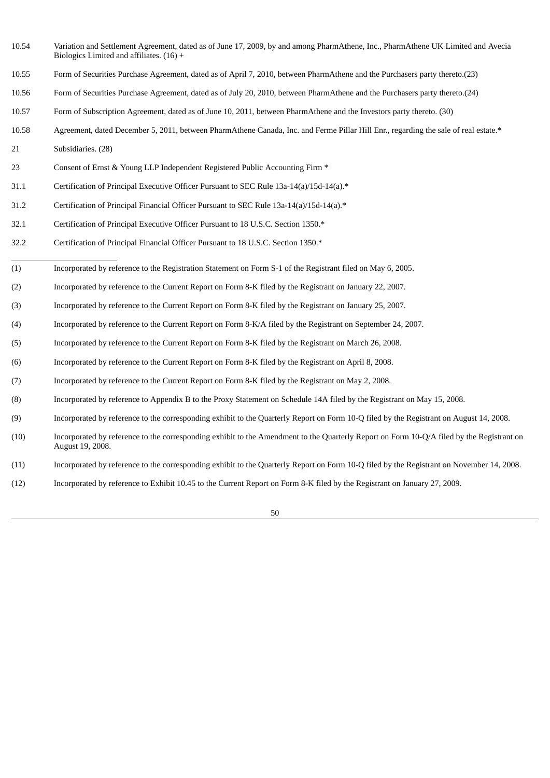- 10.54 Variation and Settlement Agreement, dated as of June 17, 2009, by and among PharmAthene, Inc., PharmAthene UK Limited and Avecia Biologics Limited and affiliates. (16) +
- 10.55 Form of Securities Purchase Agreement, dated as of April 7, 2010, between PharmAthene and the Purchasers party thereto.(23)
- 10.56 Form of Securities Purchase Agreement, dated as of July 20, 2010, between PharmAthene and the Purchasers party thereto.(24)
- 10.57 Form of Subscription Agreement, dated as of June 10, 2011, between PharmAthene and the Investors party thereto. (30)
- 10.58 Agreement, dated December 5, 2011, between PharmAthene Canada, Inc. and Ferme Pillar Hill Enr., regarding the sale of real estate.\*
- 21 Subsidiaries. (28)
- 23 Consent of Ernst & Young LLP Independent Registered Public Accounting Firm \*
- 31.1 Certification of Principal Executive Officer Pursuant to SEC Rule 13a-14(a)/15d-14(a).\*
- 31.2 Certification of Principal Financial Officer Pursuant to SEC Rule 13a-14(a)/15d-14(a).\*
- 32.1 Certification of Principal Executive Officer Pursuant to 18 U.S.C. Section 1350.\*
- 32.2 Certification of Principal Financial Officer Pursuant to 18 U.S.C. Section 1350.\*
- (1) Incorporated by reference to the Registration Statement on Form S-1 of the Registrant filed on May 6, 2005.
- (2) Incorporated by reference to the Current Report on Form 8-K filed by the Registrant on January 22, 2007.
- (3) Incorporated by reference to the Current Report on Form 8-K filed by the Registrant on January 25, 2007.
- (4) Incorporated by reference to the Current Report on Form 8-K/A filed by the Registrant on September 24, 2007.
- (5) Incorporated by reference to the Current Report on Form 8-K filed by the Registrant on March 26, 2008.
- (6) Incorporated by reference to the Current Report on Form 8-K filed by the Registrant on April 8, 2008.
- (7) Incorporated by reference to the Current Report on Form 8-K filed by the Registrant on May 2, 2008.
- (8) Incorporated by reference to Appendix B to the Proxy Statement on Schedule 14A filed by the Registrant on May 15, 2008.
- (9) Incorporated by reference to the corresponding exhibit to the Quarterly Report on Form 10-Q filed by the Registrant on August 14, 2008.
- (10) Incorporated by reference to the corresponding exhibit to the Amendment to the Quarterly Report on Form 10-Q/A filed by the Registrant on August 19, 2008.
- (11) Incorporated by reference to the corresponding exhibit to the Quarterly Report on Form 10-Q filed by the Registrant on November 14, 2008.
- (12) Incorporated by reference to Exhibit 10.45 to the Current Report on Form 8-K filed by the Registrant on January 27, 2009.

50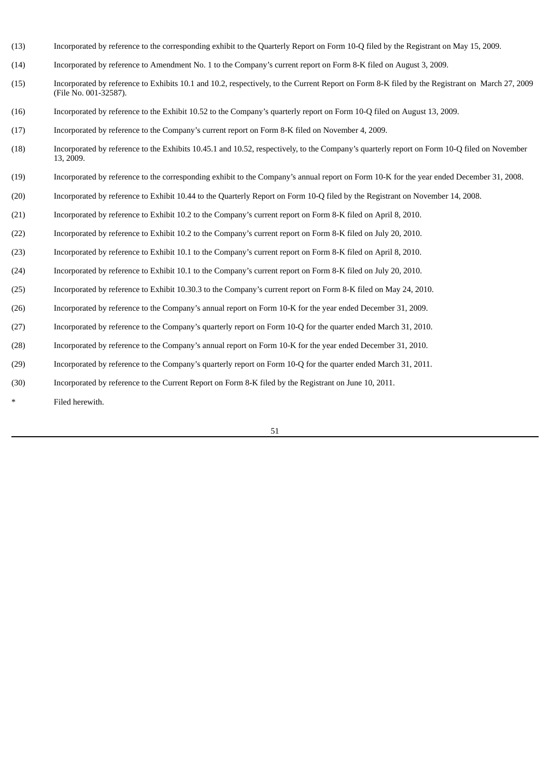- (13) Incorporated by reference to the corresponding exhibit to the Quarterly Report on Form 10-Q filed by the Registrant on May 15, 2009.
- (14) Incorporated by reference to Amendment No. 1 to the Company's current report on Form 8-K filed on August 3, 2009.
- (15) Incorporated by reference to Exhibits 10.1 and 10.2, respectively, to the Current Report on Form 8-K filed by the Registrant on March 27, 2009 (File No. 001-32587).
- (16) Incorporated by reference to the Exhibit 10.52 to the Company's quarterly report on Form 10-Q filed on August 13, 2009.
- (17) Incorporated by reference to the Company's current report on Form 8-K filed on November 4, 2009.
- (18) Incorporated by reference to the Exhibits 10.45.1 and 10.52, respectively, to the Company's quarterly report on Form 10-Q filed on November 13, 2009.
- (19) Incorporated by reference to the corresponding exhibit to the Company's annual report on Form 10-K for the year ended December 31, 2008.
- (20) Incorporated by reference to Exhibit 10.44 to the Quarterly Report on Form 10-Q filed by the Registrant on November 14, 2008.
- (21) Incorporated by reference to Exhibit 10.2 to the Company's current report on Form 8-K filed on April 8, 2010.
- (22) Incorporated by reference to Exhibit 10.2 to the Company's current report on Form 8-K filed on July 20, 2010.
- (23) Incorporated by reference to Exhibit 10.1 to the Company's current report on Form 8-K filed on April 8, 2010.
- (24) Incorporated by reference to Exhibit 10.1 to the Company's current report on Form 8-K filed on July 20, 2010.
- (25) Incorporated by reference to Exhibit 10.30.3 to the Company's current report on Form 8-K filed on May 24, 2010.
- (26) Incorporated by reference to the Company's annual report on Form 10-K for the year ended December 31, 2009.
- (27) Incorporated by reference to the Company's quarterly report on Form 10-Q for the quarter ended March 31, 2010.
- (28) Incorporated by reference to the Company's annual report on Form 10-K for the year ended December 31, 2010.
- (29) Incorporated by reference to the Company's quarterly report on Form 10-Q for the quarter ended March 31, 2011.
- (30) Incorporated by reference to the Current Report on Form 8-K filed by the Registrant on June 10, 2011.
- Filed herewith.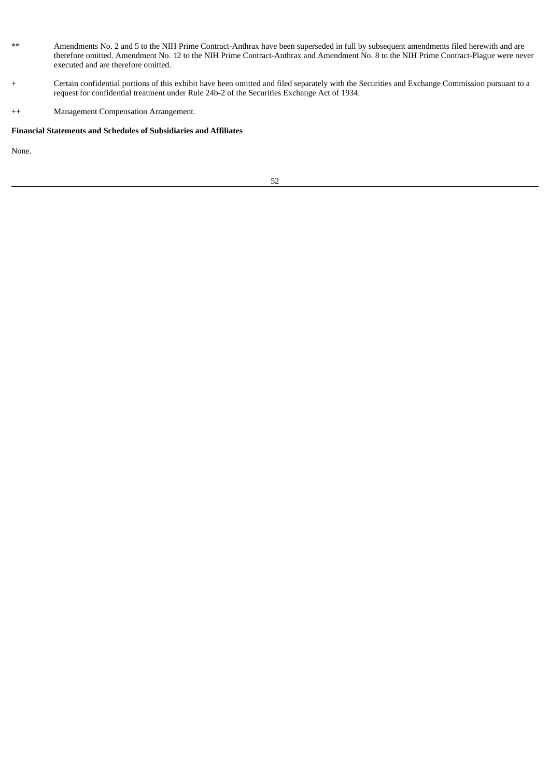- \*\* Amendments No. 2 and 5 to the NIH Prime Contract-Anthrax have been superseded in full by subsequent amendments filed herewith and are therefore omitted. Amendment No. 12 to the NIH Prime Contract-Anthrax and Amendment No. 8 to the NIH Prime Contract-Plague were never executed and are therefore omitted.
- + Certain confidential portions of this exhibit have been omitted and filed separately with the Securities and Exchange Commission pursuant to a request for confidential treatment under Rule 24b-2 of the Securities Exchange Act of 1934.
- ++ Management Compensation Arrangement.

## **Financial Statements and Schedules of Subsidiaries and Affiliates**

None.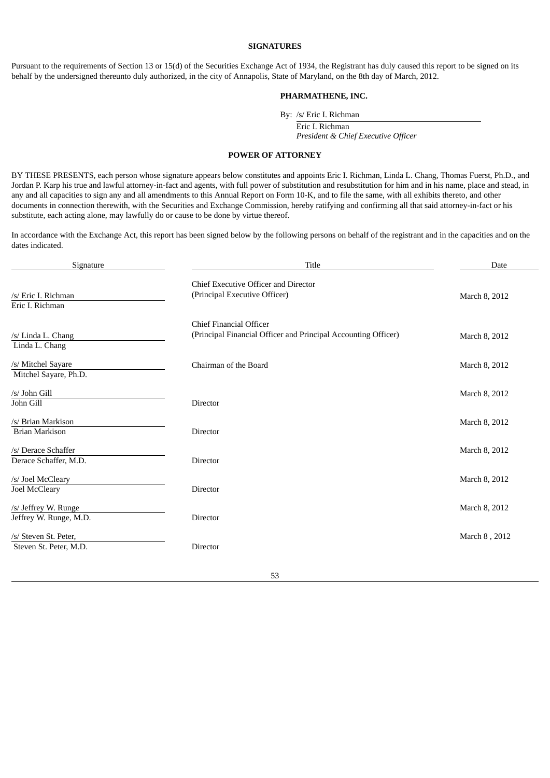## **SIGNATURES**

Pursuant to the requirements of Section 13 or 15(d) of the Securities Exchange Act of 1934, the Registrant has duly caused this report to be signed on its behalf by the undersigned thereunto duly authorized, in the city of Annapolis, State of Maryland, on the 8th day of March, 2012.

# **PHARMATHENE, INC.**

By: /s/ Eric I. Richman

Eric I. Richman *President & Chief Executive Officer*

#### **POWER OF ATTORNEY**

BY THESE PRESENTS, each person whose signature appears below constitutes and appoints Eric I. Richman, Linda L. Chang, Thomas Fuerst, Ph.D., and Jordan P. Karp his true and lawful attorney-in-fact and agents, with full power of substitution and resubstitution for him and in his name, place and stead, in any and all capacities to sign any and all amendments to this Annual Report on Form 10-K, and to file the same, with all exhibits thereto, and other documents in connection therewith, with the Securities and Exchange Commission, hereby ratifying and confirming all that said attorney-in-fact or his substitute, each acting alone, may lawfully do or cause to be done by virtue thereof.

In accordance with the Exchange Act, this report has been signed below by the following persons on behalf of the registrant and in the capacities and on the dates indicated.

| Signature                                           | <b>Title</b>                                                                              | Date          |
|-----------------------------------------------------|-------------------------------------------------------------------------------------------|---------------|
| /s/ Eric I. Richman<br>Eric I. Richman              | <b>Chief Executive Officer and Director</b><br>(Principal Executive Officer)              | March 8, 2012 |
| /s/ Linda L. Chang<br>Linda L. Chang                | Chief Financial Officer<br>(Principal Financial Officer and Principal Accounting Officer) | March 8, 2012 |
| /s/ Mitchel Sayare                                  | Chairman of the Board                                                                     | March 8, 2012 |
| Mitchel Sayare, Ph.D.<br>/s/ John Gill<br>John Gill | Director                                                                                  | March 8, 2012 |
| /s/ Brian Markison<br><b>Brian Markison</b>         | Director                                                                                  | March 8, 2012 |
| /s/ Derace Schaffer<br>Derace Schaffer, M.D.        | Director                                                                                  | March 8, 2012 |
| /s/ Joel McCleary<br><b>Joel McCleary</b>           | <b>Director</b>                                                                           | March 8, 2012 |
| /s/ Jeffrey W. Runge<br>Jeffrey W. Runge, M.D.      | Director                                                                                  | March 8, 2012 |
| /s/ Steven St. Peter,<br>Steven St. Peter, M.D.     | Director                                                                                  | March 8, 2012 |

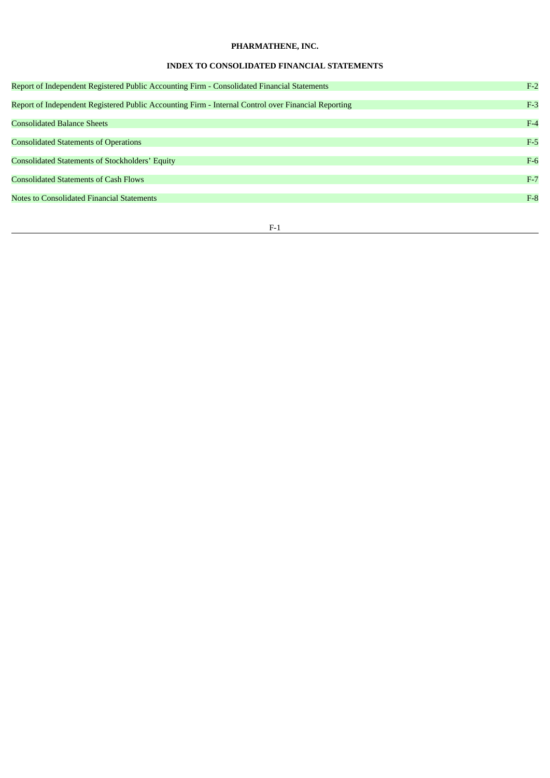# **INDEX TO CONSOLIDATED FINANCIAL STATEMENTS**

| Report of Independent Registered Public Accounting Firm - Consolidated Financial Statements         | $F-2$ |
|-----------------------------------------------------------------------------------------------------|-------|
| Report of Independent Registered Public Accounting Firm - Internal Control over Financial Reporting | $F-3$ |
| <b>Consolidated Balance Sheets</b>                                                                  | $F-4$ |
| <b>Consolidated Statements of Operations</b>                                                        | $F-5$ |
| <b>Consolidated Statements of Stockholders' Equity</b>                                              | $F-6$ |
| <b>Consolidated Statements of Cash Flows</b>                                                        | $F-7$ |
| Notes to Consolidated Financial Statements                                                          | $F-8$ |
|                                                                                                     |       |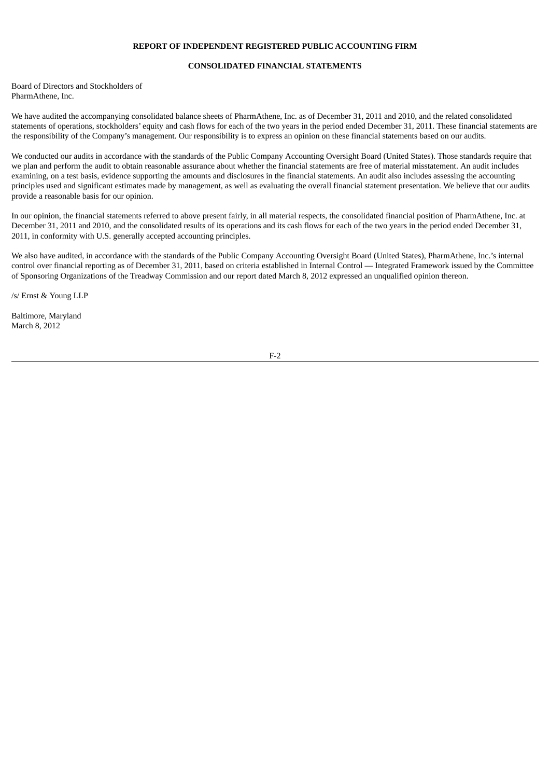#### **REPORT OF INDEPENDENT REGISTERED PUBLIC ACCOUNTING FIRM**

# **CONSOLIDATED FINANCIAL STATEMENTS**

Board of Directors and Stockholders of PharmAthene, Inc.

We have audited the accompanying consolidated balance sheets of PharmAthene, Inc. as of December 31, 2011 and 2010, and the related consolidated statements of operations, stockholders' equity and cash flows for each of the two years in the period ended December 31, 2011. These financial statements are the responsibility of the Company's management. Our responsibility is to express an opinion on these financial statements based on our audits.

We conducted our audits in accordance with the standards of the Public Company Accounting Oversight Board (United States). Those standards require that we plan and perform the audit to obtain reasonable assurance about whether the financial statements are free of material misstatement. An audit includes examining, on a test basis, evidence supporting the amounts and disclosures in the financial statements. An audit also includes assessing the accounting principles used and significant estimates made by management, as well as evaluating the overall financial statement presentation. We believe that our audits provide a reasonable basis for our opinion.

In our opinion, the financial statements referred to above present fairly, in all material respects, the consolidated financial position of PharmAthene, Inc. at December 31, 2011 and 2010, and the consolidated results of its operations and its cash flows for each of the two years in the period ended December 31, 2011, in conformity with U.S. generally accepted accounting principles.

We also have audited, in accordance with the standards of the Public Company Accounting Oversight Board (United States), PharmAthene, Inc.'s internal control over financial reporting as of December 31, 2011, based on criteria established in Internal Control — Integrated Framework issued by the Committee of Sponsoring Organizations of the Treadway Commission and our report dated March 8, 2012 expressed an unqualified opinion thereon.

/s/ Ernst & Young LLP

Baltimore, Maryland March 8, 2012

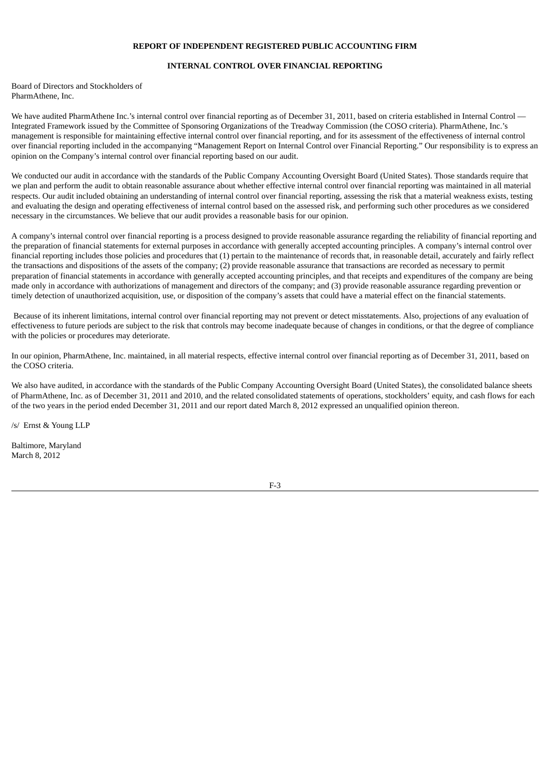#### **REPORT OF INDEPENDENT REGISTERED PUBLIC ACCOUNTING FIRM**

# **INTERNAL CONTROL OVER FINANCIAL REPORTING**

Board of Directors and Stockholders of PharmAthene, Inc.

We have audited PharmAthene Inc.'s internal control over financial reporting as of December 31, 2011, based on criteria established in Internal Control — Integrated Framework issued by the Committee of Sponsoring Organizations of the Treadway Commission (the COSO criteria). PharmAthene, Inc.'s management is responsible for maintaining effective internal control over financial reporting, and for its assessment of the effectiveness of internal control over financial reporting included in the accompanying "Management Report on Internal Control over Financial Reporting." Our responsibility is to express an opinion on the Company's internal control over financial reporting based on our audit.

We conducted our audit in accordance with the standards of the Public Company Accounting Oversight Board (United States). Those standards require that we plan and perform the audit to obtain reasonable assurance about whether effective internal control over financial reporting was maintained in all material respects. Our audit included obtaining an understanding of internal control over financial reporting, assessing the risk that a material weakness exists, testing and evaluating the design and operating effectiveness of internal control based on the assessed risk, and performing such other procedures as we considered necessary in the circumstances. We believe that our audit provides a reasonable basis for our opinion.

A company's internal control over financial reporting is a process designed to provide reasonable assurance regarding the reliability of financial reporting and the preparation of financial statements for external purposes in accordance with generally accepted accounting principles. A company's internal control over financial reporting includes those policies and procedures that (1) pertain to the maintenance of records that, in reasonable detail, accurately and fairly reflect the transactions and dispositions of the assets of the company; (2) provide reasonable assurance that transactions are recorded as necessary to permit preparation of financial statements in accordance with generally accepted accounting principles, and that receipts and expenditures of the company are being made only in accordance with authorizations of management and directors of the company; and (3) provide reasonable assurance regarding prevention or timely detection of unauthorized acquisition, use, or disposition of the company's assets that could have a material effect on the financial statements.

Because of its inherent limitations, internal control over financial reporting may not prevent or detect misstatements. Also, projections of any evaluation of effectiveness to future periods are subject to the risk that controls may become inadequate because of changes in conditions, or that the degree of compliance with the policies or procedures may deteriorate.

In our opinion, PharmAthene, Inc. maintained, in all material respects, effective internal control over financial reporting as of December 31, 2011, based on the COSO criteria.

We also have audited, in accordance with the standards of the Public Company Accounting Oversight Board (United States), the consolidated balance sheets of PharmAthene, Inc. as of December 31, 2011 and 2010, and the related consolidated statements of operations, stockholders' equity, and cash flows for each of the two years in the period ended December 31, 2011 and our report dated March 8, 2012 expressed an unqualified opinion thereon.

/s/ Ernst & Young LLP

Baltimore, Maryland March 8, 2012

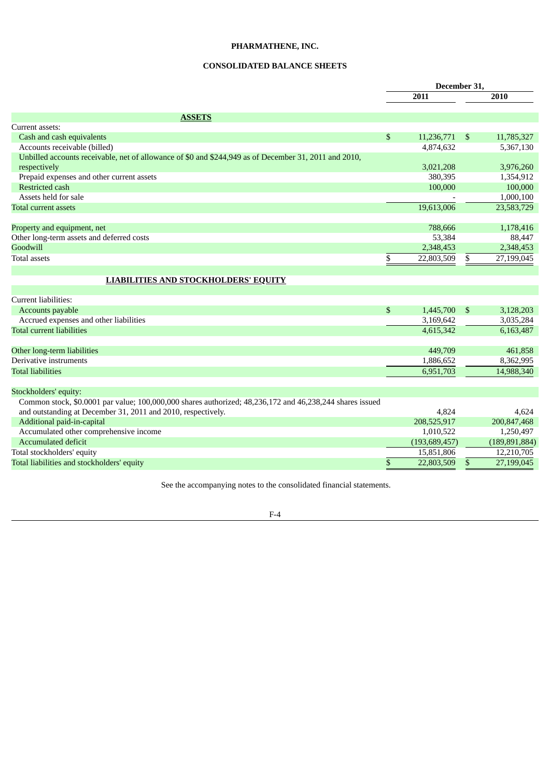# **CONSOLIDATED BALANCE SHEETS**

|                                                                                                          |    | December 31,    |               |                 |
|----------------------------------------------------------------------------------------------------------|----|-----------------|---------------|-----------------|
|                                                                                                          |    | 2011            |               | 2010            |
| <b>ASSETS</b>                                                                                            |    |                 |               |                 |
| Current assets:                                                                                          |    |                 |               |                 |
| Cash and cash equivalents                                                                                | \$ | 11,236,771      | $\mathcal{S}$ | 11,785,327      |
| Accounts receivable (billed)                                                                             |    | 4,874,632       |               | 5,367,130       |
| Unbilled accounts receivable, net of allowance of \$0 and \$244,949 as of December 31, 2011 and 2010,    |    |                 |               |                 |
| respectively                                                                                             |    | 3,021,208       |               | 3,976,260       |
| Prepaid expenses and other current assets                                                                |    | 380,395         |               | 1,354,912       |
| Restricted cash                                                                                          |    | 100,000         |               | 100,000         |
| Assets held for sale                                                                                     |    |                 |               | 1,000,100       |
| <b>Total current assets</b>                                                                              |    | 19,613,006      |               | 23,583,729      |
| Property and equipment, net                                                                              |    | 788,666         |               | 1,178,416       |
| Other long-term assets and deferred costs                                                                |    | 53,384          |               | 88,447          |
| Goodwill                                                                                                 |    | 2,348,453       |               | 2,348,453       |
| <b>Total assets</b>                                                                                      | \$ | 22,803,509      | \$            | 27,199,045      |
|                                                                                                          |    |                 |               |                 |
| <b>LIABILITIES AND STOCKHOLDERS' EQUITY</b>                                                              |    |                 |               |                 |
| Current liabilities:                                                                                     |    |                 |               |                 |
| Accounts payable                                                                                         | \$ | 1,445,700       | <b>S</b>      | 3,128,203       |
| Accrued expenses and other liabilities                                                                   |    | 3,169,642       |               | 3,035,284       |
| <b>Total current liabilities</b>                                                                         |    | 4,615,342       |               | 6,163,487       |
| Other long-term liabilities                                                                              |    | 449,709         |               | 461,858         |
| Derivative instruments                                                                                   |    | 1,886,652       |               | 8,362,995       |
| <b>Total liabilities</b>                                                                                 |    | 6,951,703       |               | 14,988,340      |
| Stockholders' equity:                                                                                    |    |                 |               |                 |
| Common stock, \$0.0001 par value; 100,000,000 shares authorized; 48,236,172 and 46,238,244 shares issued |    |                 |               |                 |
| and outstanding at December 31, 2011 and 2010, respectively.                                             |    | 4,824           |               | 4,624           |
| Additional paid-in-capital                                                                               |    | 208,525,917     |               | 200,847,468     |
| Accumulated other comprehensive income                                                                   |    | 1,010,522       |               | 1,250,497       |
| <b>Accumulated deficit</b>                                                                               |    | (193, 689, 457) |               | (189, 891, 884) |
| Total stockholders' equity                                                                               |    | 15,851,806      |               | 12,210,705      |
| Total liabilities and stockholders' equity                                                               | \$ | 22,803,509      | \$            | 27,199,045      |
|                                                                                                          |    |                 |               |                 |

See the accompanying notes to the consolidated financial statements.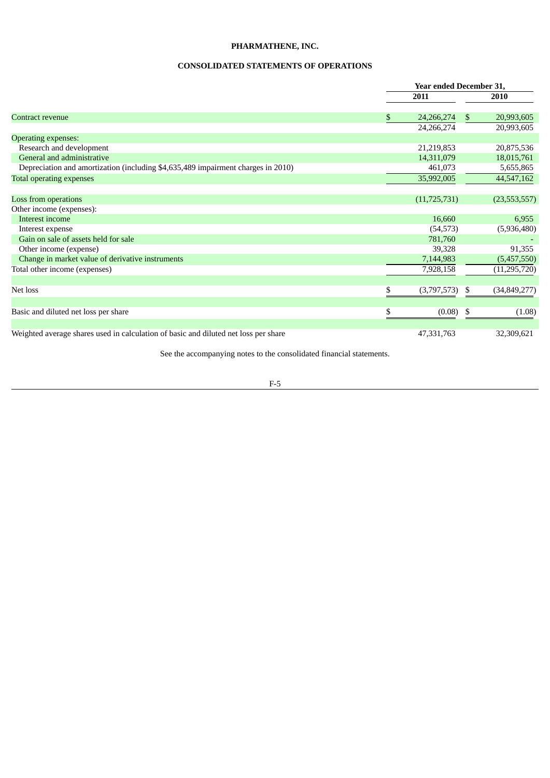# **CONSOLIDATED STATEMENTS OF OPERATIONS**

|                                                                                     |     | Year ended December 31, |    |                |  |  |
|-------------------------------------------------------------------------------------|-----|-------------------------|----|----------------|--|--|
|                                                                                     |     | 2011                    |    | 2010           |  |  |
|                                                                                     |     |                         |    |                |  |  |
| Contract revenue                                                                    | \$  | 24,266,274              | \$ | 20,993,605     |  |  |
|                                                                                     |     | 24,266,274              |    | 20,993,605     |  |  |
| <b>Operating expenses:</b>                                                          |     |                         |    |                |  |  |
| Research and development                                                            |     | 21,219,853              |    | 20,875,536     |  |  |
| General and administrative                                                          |     | 14,311,079              |    | 18,015,761     |  |  |
| Depreciation and amortization (including \$4,635,489 impairment charges in 2010)    |     | 461,073                 |    | 5,655,865      |  |  |
| <b>Total operating expenses</b>                                                     |     | 35,992,005              |    | 44,547,162     |  |  |
|                                                                                     |     |                         |    |                |  |  |
| Loss from operations                                                                |     | (11, 725, 731)          |    | (23,553,557)   |  |  |
| Other income (expenses):                                                            |     |                         |    |                |  |  |
| Interest income                                                                     |     | 16,660                  |    | 6,955          |  |  |
| Interest expense                                                                    |     | (54, 573)               |    | (5,936,480)    |  |  |
| Gain on sale of assets held for sale                                                |     | 781,760                 |    |                |  |  |
| Other income (expense)                                                              |     | 39,328                  |    | 91,355         |  |  |
| Change in market value of derivative instruments                                    |     | 7,144,983               |    | (5,457,550)    |  |  |
| Total other income (expenses)                                                       |     | 7,928,158               |    | (11, 295, 720) |  |  |
|                                                                                     |     |                         |    |                |  |  |
| Net loss                                                                            | \$. | (3,797,573)             | S  | (34, 849, 277) |  |  |
|                                                                                     |     |                         |    |                |  |  |
| Basic and diluted net loss per share                                                | \$. | (0.08)                  | \$ | (1.08)         |  |  |
|                                                                                     |     |                         |    |                |  |  |
| Weighted average shares used in calculation of basic and diluted net loss per share |     | 47,331,763              |    | 32,309,621     |  |  |

See the accompanying notes to the consolidated financial statements.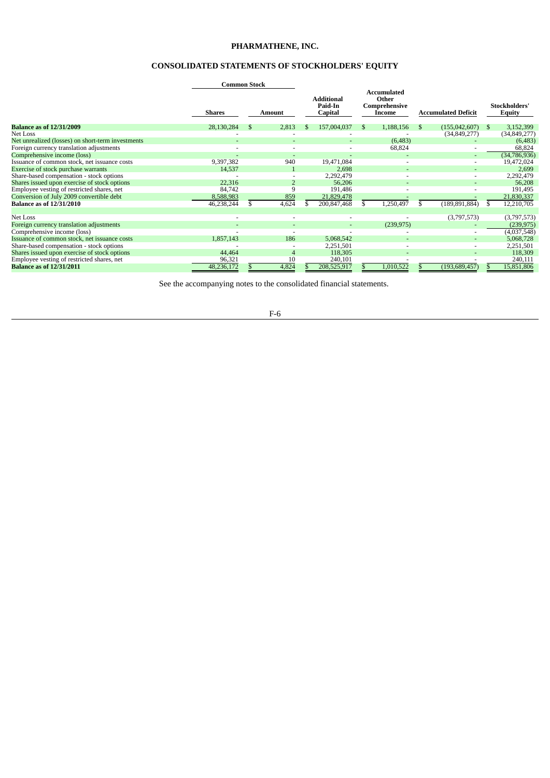# **CONSOLIDATED STATEMENTS OF STOCKHOLDERS' EQUITY**

|                                                   | <b>Common Stock</b>      |                |                                  |                                                        |                     |                          |    |                                |
|---------------------------------------------------|--------------------------|----------------|----------------------------------|--------------------------------------------------------|---------------------|--------------------------|----|--------------------------------|
|                                                   | <b>Shares</b>            | Amount         | Additional<br>Paid-In<br>Capital | <b>Accumulated</b><br>Other<br>Comprehensive<br>Income | Accumulated Deficit |                          |    | Stockholders'<br><b>Equity</b> |
| <b>Balance as of 12/31/2009</b>                   | 28,130,284               | 2,813          | 157,004,037                      | 1,188,156                                              | ĴЪ.                 | $(155,042,607)$ \$       |    | 3,152,399                      |
| Net Loss                                          |                          |                |                                  |                                                        |                     | (34, 849, 277)           |    | (34, 849, 277)                 |
| Net unrealized (losses) on short-term investments |                          |                | $\overline{\phantom{0}}$         | (6, 483)                                               |                     |                          |    | (6,483)                        |
| Foreign currency translation adjustments          |                          |                |                                  | 68,824                                                 |                     |                          |    | 68,824                         |
| Comprehensive income (loss)                       | $\overline{\phantom{0}}$ |                |                                  | $\overline{\phantom{a}}$                               |                     | $\overline{\phantom{0}}$ |    | (34, 786, 936)                 |
| Issuance of common stock, net issuance costs      | 9,397,382                | 940            | 19,471,084                       | $\overline{\phantom{a}}$                               |                     |                          |    | 19,472,024                     |
| Exercise of stock purchase warrants               | 14,537                   |                | 2,698                            | $\overline{\phantom{a}}$                               |                     |                          |    | 2,699                          |
| Share-based compensation - stock options          |                          |                | 2,292,479                        | $\overline{\phantom{a}}$                               |                     | $\overline{\phantom{0}}$ |    | 2,292,479                      |
| Shares issued upon exercise of stock options      | 22,316                   | $\overline{2}$ | 56,206                           |                                                        |                     |                          |    | 56,208                         |
| Employee vesting of restricted shares, net        | 84,742                   | 9              | 191,486                          |                                                        |                     |                          |    | 191,495                        |
| Conversion of July 2009 convertible debt          | 8,588,983                | 859            | 21,829,478                       |                                                        |                     |                          |    | 21,830,337                     |
| <b>Balance as of 12/31/2010</b>                   | 46,238,244               | 4,624          | 200,847,468                      | \$<br>1,250,497                                        | S.                  | (189, 891, 884)          | S. | 12,210,705                     |
|                                                   |                          |                |                                  |                                                        |                     |                          |    |                                |
| Net Loss                                          |                          |                |                                  |                                                        |                     | (3,797,573)              |    | (3,797,573)                    |
| Foreign currency translation adjustments          |                          |                |                                  | (239, 975)                                             |                     |                          |    | (239, 975)                     |
| Comprehensive income (loss)                       |                          |                |                                  | $\overline{\phantom{0}}$                               |                     |                          |    | (4,037,548)                    |
| Issuance of common stock, net issuance costs      | 1,857,143                | 186            | 5,068,542                        |                                                        |                     |                          |    | 5,068,728                      |
| Share-based compensation - stock options          |                          |                | 2,251,501                        | $\overline{\phantom{a}}$                               |                     |                          |    | 2,251,501                      |
| Shares issued upon exercise of stock options      | 44,464                   | 4              | 118,305                          |                                                        |                     | $\overline{\phantom{a}}$ |    | 118,309                        |
| Employee vesting of restricted shares, net        | 96,321                   | 10             | 240,101                          |                                                        |                     |                          |    | 240,111                        |
| <b>Balance as of 12/31/2011</b>                   | 48,236,172               | 4,824          | 208,525,917                      | 1,010,522                                              |                     | (193, 689, 457)          |    | 15,851,806                     |

See the accompanying notes to the consolidated financial statements.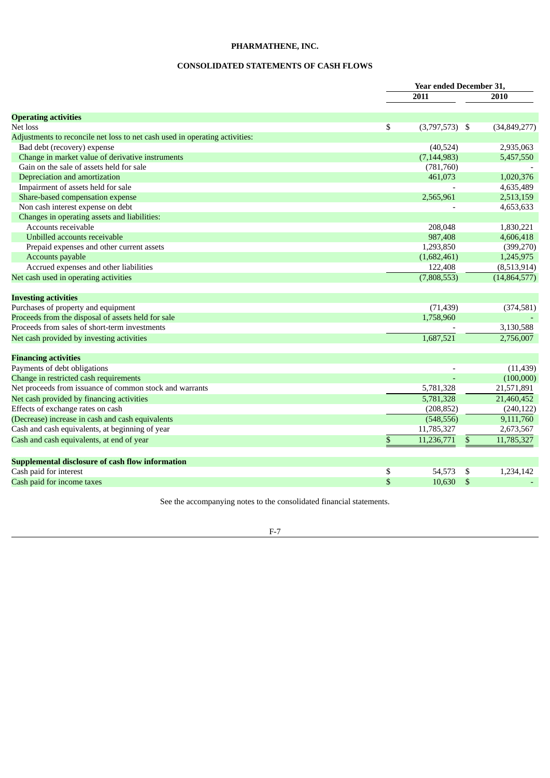# **CONSOLIDATED STATEMENTS OF CASH FLOWS**

|                                                                             | Year ended December 31, |               |                |  |  |
|-----------------------------------------------------------------------------|-------------------------|---------------|----------------|--|--|
|                                                                             | 2011                    |               | 2010           |  |  |
| <b>Operating activities</b>                                                 |                         |               |                |  |  |
| Net loss                                                                    | \$<br>$(3,797,573)$ \$  |               | (34, 849, 277) |  |  |
| Adjustments to reconcile net loss to net cash used in operating activities: |                         |               |                |  |  |
| Bad debt (recovery) expense                                                 | (40,524)                |               | 2,935,063      |  |  |
| Change in market value of derivative instruments                            | (7, 144, 983)           |               | 5,457,550      |  |  |
| Gain on the sale of assets held for sale                                    | (781, 760)              |               |                |  |  |
| Depreciation and amortization                                               | 461,073                 |               | 1,020,376      |  |  |
| Impairment of assets held for sale                                          |                         |               | 4,635,489      |  |  |
| Share-based compensation expense                                            | 2,565,961               |               | 2,513,159      |  |  |
| Non cash interest expense on debt                                           |                         |               | 4,653,633      |  |  |
| Changes in operating assets and liabilities:                                |                         |               |                |  |  |
| Accounts receivable                                                         | 208,048                 |               | 1,830,221      |  |  |
| Unbilled accounts receivable                                                | 987,408                 |               | 4,606,418      |  |  |
| Prepaid expenses and other current assets                                   | 1,293,850               |               | (399, 270)     |  |  |
| Accounts payable                                                            | (1,682,461)             |               | 1,245,975      |  |  |
| Accrued expenses and other liabilities                                      | 122,408                 |               | (8,513,914)    |  |  |
| Net cash used in operating activities                                       | (7,808,553)             |               | (14, 864, 577) |  |  |
| <b>Investing activities</b>                                                 |                         |               |                |  |  |
| Purchases of property and equipment                                         | (71, 439)               |               | (374, 581)     |  |  |
| Proceeds from the disposal of assets held for sale                          | 1,758,960               |               |                |  |  |
| Proceeds from sales of short-term investments                               |                         |               | 3,130,588      |  |  |
| Net cash provided by investing activities                                   | 1,687,521               |               | 2,756,007      |  |  |
| <b>Financing activities</b>                                                 |                         |               |                |  |  |
| Payments of debt obligations                                                |                         |               | (11, 439)      |  |  |
| Change in restricted cash requirements                                      |                         |               | (100,000)      |  |  |
| Net proceeds from issuance of common stock and warrants                     | 5,781,328               |               | 21,571,891     |  |  |
| Net cash provided by financing activities                                   | 5,781,328               |               | 21,460,452     |  |  |
| Effects of exchange rates on cash                                           | (208, 852)              |               | (240, 122)     |  |  |
| (Decrease) increase in cash and cash equivalents                            | (548, 556)              |               | 9,111,760      |  |  |
| Cash and cash equivalents, at beginning of year                             | 11,785,327              |               | 2,673,567      |  |  |
| Cash and cash equivalents, at end of year                                   | \$<br>11,236,771        | \$            | 11,785,327     |  |  |
| <b>Supplemental disclosure of cash flow information</b>                     |                         |               |                |  |  |
| Cash paid for interest                                                      | \$<br>54,573            | -S            | 1,234,142      |  |  |
| Cash paid for income taxes                                                  | \$<br>10,630            | $\mathcal{S}$ |                |  |  |
|                                                                             |                         |               |                |  |  |

See the accompanying notes to the consolidated financial statements.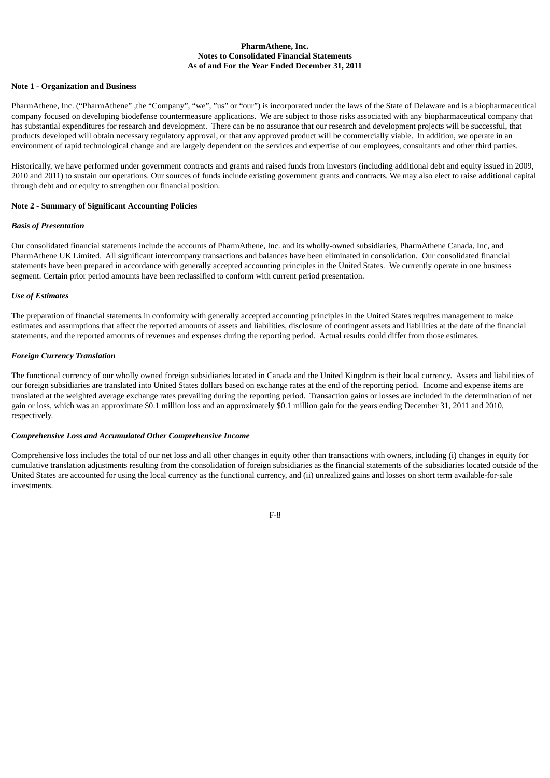## **PharmAthene, Inc. Notes to Consolidated Financial Statements As of and For the Year Ended December 31, 2011**

#### **Note 1 - Organization and Business**

PharmAthene, Inc. ("PharmAthene" ,the "Company", "we", "us" or "our") is incorporated under the laws of the State of Delaware and is a biopharmaceutical company focused on developing biodefense countermeasure applications. We are subject to those risks associated with any biopharmaceutical company that has substantial expenditures for research and development. There can be no assurance that our research and development projects will be successful, that products developed will obtain necessary regulatory approval, or that any approved product will be commercially viable. In addition, we operate in an environment of rapid technological change and are largely dependent on the services and expertise of our employees, consultants and other third parties.

Historically, we have performed under government contracts and grants and raised funds from investors (including additional debt and equity issued in 2009, 2010 and 2011) to sustain our operations. Our sources of funds include existing government grants and contracts. We may also elect to raise additional capital through debt and or equity to strengthen our financial position.

#### **Note 2 - Summary of Significant Accounting Policies**

#### *Basis of Presentation*

Our consolidated financial statements include the accounts of PharmAthene, Inc. and its wholly-owned subsidiaries, PharmAthene Canada, Inc, and PharmAthene UK Limited. All significant intercompany transactions and balances have been eliminated in consolidation. Our consolidated financial statements have been prepared in accordance with generally accepted accounting principles in the United States. We currently operate in one business segment. Certain prior period amounts have been reclassified to conform with current period presentation.

#### *Use of Estimates*

The preparation of financial statements in conformity with generally accepted accounting principles in the United States requires management to make estimates and assumptions that affect the reported amounts of assets and liabilities, disclosure of contingent assets and liabilities at the date of the financial statements, and the reported amounts of revenues and expenses during the reporting period. Actual results could differ from those estimates.

#### *Foreign Currency Translation*

The functional currency of our wholly owned foreign subsidiaries located in Canada and the United Kingdom is their local currency. Assets and liabilities of our foreign subsidiaries are translated into United States dollars based on exchange rates at the end of the reporting period. Income and expense items are translated at the weighted average exchange rates prevailing during the reporting period. Transaction gains or losses are included in the determination of net gain or loss, which was an approximate \$0.1 million loss and an approximately \$0.1 million gain for the years ending December 31, 2011 and 2010, respectively.

## *Comprehensive Loss and Accumulated Other Comprehensive Income*

Comprehensive loss includes the total of our net loss and all other changes in equity other than transactions with owners, including (i) changes in equity for cumulative translation adjustments resulting from the consolidation of foreign subsidiaries as the financial statements of the subsidiaries located outside of the United States are accounted for using the local currency as the functional currency, and (ii) unrealized gains and losses on short term available-for-sale investments.

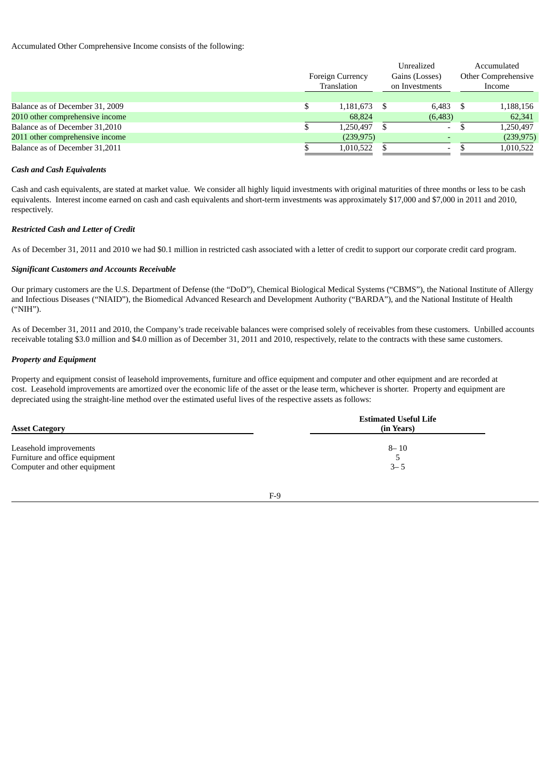|                                 |                         |  | Unrealized               | Accumulated                |
|---------------------------------|-------------------------|--|--------------------------|----------------------------|
|                                 | <b>Foreign Currency</b> |  | Gains (Losses)           | <b>Other Comprehensive</b> |
|                                 | Translation             |  | on Investments           | Income                     |
|                                 |                         |  |                          |                            |
| Balance as of December 31, 2009 | 1,181,673<br>S          |  | 6,483                    | 1,188,156                  |
| 2010 other comprehensive income | 68,824                  |  | (6,483)                  | 62,341                     |
| Balance as of December 31,2010  | 1.250.497               |  | $\overline{\phantom{a}}$ | 1,250,497                  |
| 2011 other comprehensive income | (239, 975)              |  |                          | (239, 975)                 |
| Balance as of December 31,2011  | 1,010,522               |  | $\overline{\phantom{a}}$ | 1,010,522                  |
|                                 |                         |  |                          |                            |

#### *Cash and Cash Equivalents*

Cash and cash equivalents, are stated at market value. We consider all highly liquid investments with original maturities of three months or less to be cash equivalents. Interest income earned on cash and cash equivalents and short-term investments was approximately \$17,000 and \$7,000 in 2011 and 2010, respectively.

#### *Restricted Cash and Letter of Credit*

As of December 31, 2011 and 2010 we had \$0.1 million in restricted cash associated with a letter of credit to support our corporate credit card program.

#### *Significant Customers and Accounts Receivable*

Our primary customers are the U.S. Department of Defense (the "DoD"), Chemical Biological Medical Systems ("CBMS"), the National Institute of Allergy and Infectious Diseases ("NIAID"), the Biomedical Advanced Research and Development Authority ("BARDA"), and the National Institute of Health ("NIH").

As of December 31, 2011 and 2010, the Company's trade receivable balances were comprised solely of receivables from these customers. Unbilled accounts receivable totaling \$3.0 million and \$4.0 million as of December 31, 2011 and 2010, respectively, relate to the contracts with these same customers.

#### *Property and Equipment*

Property and equipment consist of leasehold improvements, furniture and office equipment and computer and other equipment and are recorded at cost. Leasehold improvements are amortized over the economic life of the asset or the lease term, whichever is shorter. Property and equipment are depreciated using the straight-line method over the estimated useful lives of the respective assets as follows:

| <b>Asset Category</b>                                                                    | <b>Estimated Useful Life</b><br>(in Years) |
|------------------------------------------------------------------------------------------|--------------------------------------------|
| Leasehold improvements<br>Furniture and office equipment<br>Computer and other equipment | $8 - 10$<br>$3 - 5$                        |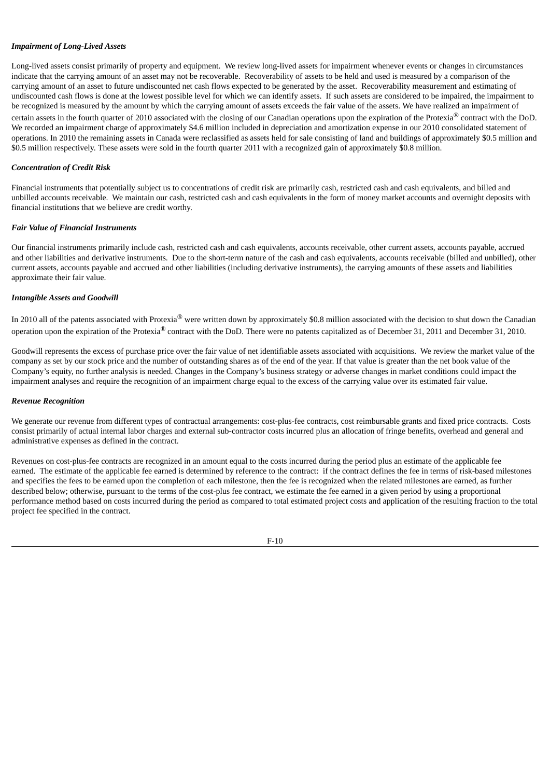## *Impairment of Long-Lived Assets*

Long-lived assets consist primarily of property and equipment. We review long-lived assets for impairment whenever events or changes in circumstances indicate that the carrying amount of an asset may not be recoverable. Recoverability of assets to be held and used is measured by a comparison of the carrying amount of an asset to future undiscounted net cash flows expected to be generated by the asset. Recoverability measurement and estimating of undiscounted cash flows is done at the lowest possible level for which we can identify assets. If such assets are considered to be impaired, the impairment to be recognized is measured by the amount by which the carrying amount of assets exceeds the fair value of the assets. We have realized an impairment of certain assets in the fourth quarter of 2010 associated with the closing of our Canadian operations upon the expiration of the Protexia® contract with the DoD. We recorded an impairment charge of approximately \$4.6 million included in depreciation and amortization expense in our 2010 consolidated statement of operations. In 2010 the remaining assets in Canada were reclassified as assets held for sale consisting of land and buildings of approximately \$0.5 million and \$0.5 million respectively. These assets were sold in the fourth quarter 2011 with a recognized gain of approximately \$0.8 million.

# *Concentration of Credit Risk*

Financial instruments that potentially subject us to concentrations of credit risk are primarily cash, restricted cash and cash equivalents, and billed and unbilled accounts receivable. We maintain our cash, restricted cash and cash equivalents in the form of money market accounts and overnight deposits with financial institutions that we believe are credit worthy.

# *Fair Value of Financial Instruments*

Our financial instruments primarily include cash, restricted cash and cash equivalents, accounts receivable, other current assets, accounts payable, accrued and other liabilities and derivative instruments. Due to the short-term nature of the cash and cash equivalents, accounts receivable (billed and unbilled), other current assets, accounts payable and accrued and other liabilities (including derivative instruments), the carrying amounts of these assets and liabilities approximate their fair value.

# *Intangible Assets and Goodwill*

In 2010 all of the patents associated with Protexia<sup>®</sup> were written down by approximately \$0.8 million associated with the decision to shut down the Canadian operation upon the expiration of the Protexia<sup>®</sup> contract with the DoD. There were no patents capitalized as of December 31, 2011 and December 31, 2010.

Goodwill represents the excess of purchase price over the fair value of net identifiable assets associated with acquisitions. We review the market value of the company as set by our stock price and the number of outstanding shares as of the end of the year. If that value is greater than the net book value of the Company's equity, no further analysis is needed. Changes in the Company's business strategy or adverse changes in market conditions could impact the impairment analyses and require the recognition of an impairment charge equal to the excess of the carrying value over its estimated fair value.

## *Revenue Recognition*

We generate our revenue from different types of contractual arrangements: cost-plus-fee contracts, cost reimbursable grants and fixed price contracts. Costs consist primarily of actual internal labor charges and external sub-contractor costs incurred plus an allocation of fringe benefits, overhead and general and administrative expenses as defined in the contract.

Revenues on cost-plus-fee contracts are recognized in an amount equal to the costs incurred during the period plus an estimate of the applicable fee earned. The estimate of the applicable fee earned is determined by reference to the contract: if the contract defines the fee in terms of risk-based milestones and specifies the fees to be earned upon the completion of each milestone, then the fee is recognized when the related milestones are earned, as further described below; otherwise, pursuant to the terms of the cost-plus fee contract, we estimate the fee earned in a given period by using a proportional performance method based on costs incurred during the period as compared to total estimated project costs and application of the resulting fraction to the total project fee specified in the contract.

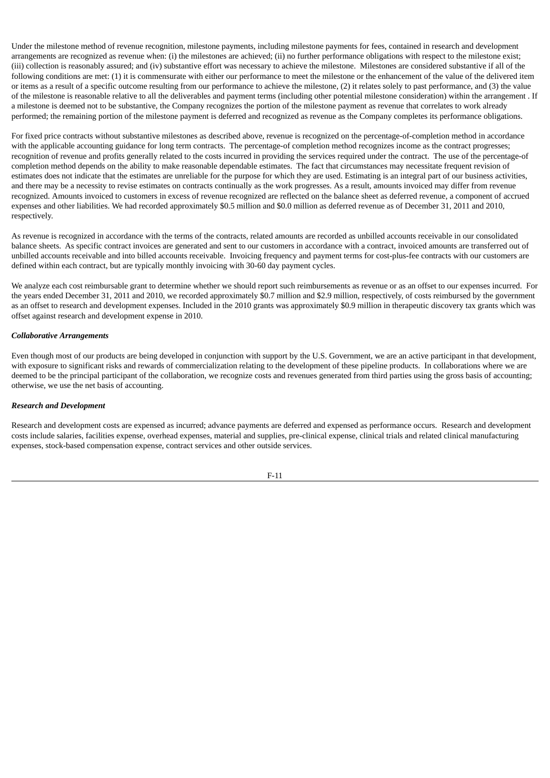Under the milestone method of revenue recognition, milestone payments, including milestone payments for fees, contained in research and development arrangements are recognized as revenue when: (i) the milestones are achieved; (ii) no further performance obligations with respect to the milestone exist; (iii) collection is reasonably assured; and (iv) substantive effort was necessary to achieve the milestone. Milestones are considered substantive if all of the following conditions are met: (1) it is commensurate with either our performance to meet the milestone or the enhancement of the value of the delivered item or items as a result of a specific outcome resulting from our performance to achieve the milestone, (2) it relates solely to past performance, and (3) the value of the milestone is reasonable relative to all the deliverables and payment terms (including other potential milestone consideration) within the arrangement . If a milestone is deemed not to be substantive, the Company recognizes the portion of the milestone payment as revenue that correlates to work already performed; the remaining portion of the milestone payment is deferred and recognized as revenue as the Company completes its performance obligations.

For fixed price contracts without substantive milestones as described above, revenue is recognized on the percentage-of-completion method in accordance with the applicable accounting guidance for long term contracts. The percentage-of completion method recognizes income as the contract progresses; recognition of revenue and profits generally related to the costs incurred in providing the services required under the contract. The use of the percentage-of completion method depends on the ability to make reasonable dependable estimates. The fact that circumstances may necessitate frequent revision of estimates does not indicate that the estimates are unreliable for the purpose for which they are used. Estimating is an integral part of our business activities, and there may be a necessity to revise estimates on contracts continually as the work progresses. As a result, amounts invoiced may differ from revenue recognized. Amounts invoiced to customers in excess of revenue recognized are reflected on the balance sheet as deferred revenue, a component of accrued expenses and other liabilities. We had recorded approximately \$0.5 million and \$0.0 million as deferred revenue as of December 31, 2011 and 2010, respectively.

As revenue is recognized in accordance with the terms of the contracts, related amounts are recorded as unbilled accounts receivable in our consolidated balance sheets. As specific contract invoices are generated and sent to our customers in accordance with a contract, invoiced amounts are transferred out of unbilled accounts receivable and into billed accounts receivable. Invoicing frequency and payment terms for cost-plus-fee contracts with our customers are defined within each contract, but are typically monthly invoicing with 30-60 day payment cycles.

We analyze each cost reimbursable grant to determine whether we should report such reimbursements as revenue or as an offset to our expenses incurred. For the years ended December 31, 2011 and 2010, we recorded approximately \$0.7 million and \$2.9 million, respectively, of costs reimbursed by the government as an offset to research and development expenses. Included in the 2010 grants was approximately \$0.9 million in therapeutic discovery tax grants which was offset against research and development expense in 2010.

## *Collaborative Arrangements*

Even though most of our products are being developed in conjunction with support by the U.S. Government, we are an active participant in that development, with exposure to significant risks and rewards of commercialization relating to the development of these pipeline products. In collaborations where we are deemed to be the principal participant of the collaboration, we recognize costs and revenues generated from third parties using the gross basis of accounting; otherwise, we use the net basis of accounting.

#### *Research and Development*

Research and development costs are expensed as incurred; advance payments are deferred and expensed as performance occurs. Research and development costs include salaries, facilities expense, overhead expenses, material and supplies, pre-clinical expense, clinical trials and related clinical manufacturing expenses, stock-based compensation expense, contract services and other outside services.

$$
F-11
$$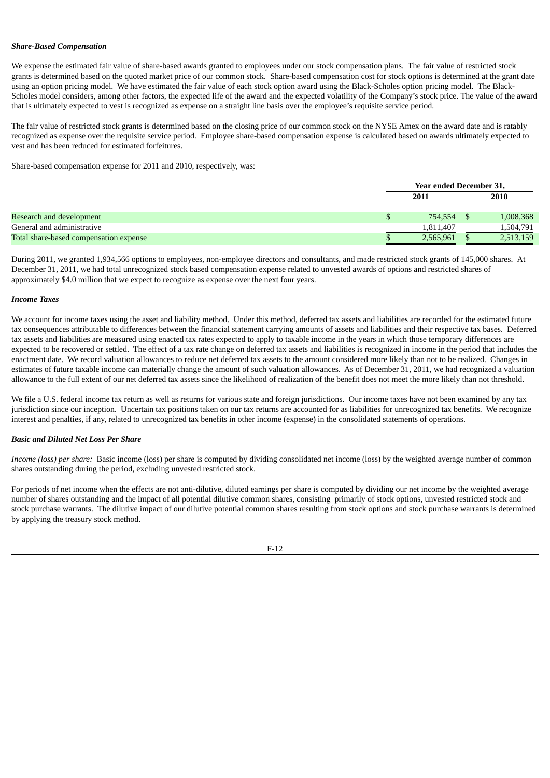#### *Share-Based Compensation*

We expense the estimated fair value of share-based awards granted to employees under our stock compensation plans. The fair value of restricted stock grants is determined based on the quoted market price of our common stock. Share-based compensation cost for stock options is determined at the grant date using an option pricing model. We have estimated the fair value of each stock option award using the Black-Scholes option pricing model. The Black-Scholes model considers, among other factors, the expected life of the award and the expected volatility of the Company's stock price. The value of the award that is ultimately expected to vest is recognized as expense on a straight line basis over the employee's requisite service period.

The fair value of restricted stock grants is determined based on the closing price of our common stock on the NYSE Amex on the award date and is ratably recognized as expense over the requisite service period. Employee share-based compensation expense is calculated based on awards ultimately expected to vest and has been reduced for estimated forfeitures.

Share-based compensation expense for 2011 and 2010, respectively, was:

|                                        | Year ended December 31, |      |           |  |
|----------------------------------------|-------------------------|------|-----------|--|
|                                        | 2011                    | 2010 |           |  |
| Research and development               | 754.554                 |      | 1,008,368 |  |
| General and administrative             | 1.811.407               |      | 1,504,791 |  |
| Total share-based compensation expense | 2,565,961               |      | 2,513,159 |  |

During 2011, we granted 1,934,566 options to employees, non-employee directors and consultants, and made restricted stock grants of 145,000 shares. At December 31, 2011, we had total unrecognized stock based compensation expense related to unvested awards of options and restricted shares of approximately \$4.0 million that we expect to recognize as expense over the next four years.

#### *Income Taxes*

We account for income taxes using the asset and liability method. Under this method, deferred tax assets and liabilities are recorded for the estimated future tax consequences attributable to differences between the financial statement carrying amounts of assets and liabilities and their respective tax bases. Deferred tax assets and liabilities are measured using enacted tax rates expected to apply to taxable income in the years in which those temporary differences are expected to be recovered or settled. The effect of a tax rate change on deferred tax assets and liabilities is recognized in income in the period that includes the enactment date. We record valuation allowances to reduce net deferred tax assets to the amount considered more likely than not to be realized. Changes in estimates of future taxable income can materially change the amount of such valuation allowances. As of December 31, 2011, we had recognized a valuation allowance to the full extent of our net deferred tax assets since the likelihood of realization of the benefit does not meet the more likely than not threshold.

We file a U.S. federal income tax return as well as returns for various state and foreign jurisdictions. Our income taxes have not been examined by any tax jurisdiction since our inception. Uncertain tax positions taken on our tax returns are accounted for as liabilities for unrecognized tax benefits. We recognize interest and penalties, if any, related to unrecognized tax benefits in other income (expense) in the consolidated statements of operations.

# *Basic and Diluted Net Loss Per Share*

*Income (loss) per share:* Basic income (loss) per share is computed by dividing consolidated net income (loss) by the weighted average number of common shares outstanding during the period, excluding unvested restricted stock.

For periods of net income when the effects are not anti-dilutive, diluted earnings per share is computed by dividing our net income by the weighted average number of shares outstanding and the impact of all potential dilutive common shares, consisting primarily of stock options, unvested restricted stock and stock purchase warrants. The dilutive impact of our dilutive potential common shares resulting from stock options and stock purchase warrants is determined by applying the treasury stock method.

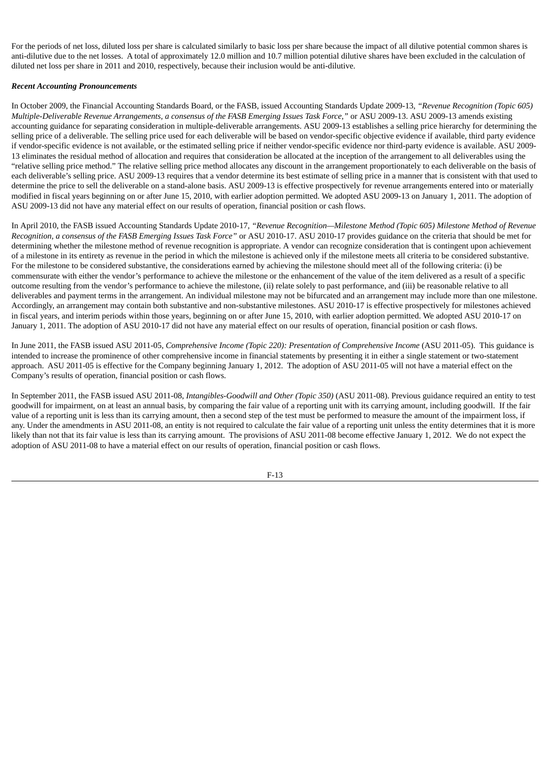For the periods of net loss, diluted loss per share is calculated similarly to basic loss per share because the impact of all dilutive potential common shares is anti-dilutive due to the net losses. A total of approximately 12.0 million and 10.7 million potential dilutive shares have been excluded in the calculation of diluted net loss per share in 2011 and 2010, respectively, because their inclusion would be anti-dilutive.

## *Recent Accounting Pronouncements*

In October 2009, the Financial Accounting Standards Board, or the FASB, issued Accounting Standards Update 2009-13, *"Revenue Recognition (Topic 605) Multiple-Deliverable Revenue Arrangements, a consensus of the FASB Emerging Issues Task Force,"* or ASU 2009-13. ASU 2009-13 amends existing accounting guidance for separating consideration in multiple-deliverable arrangements. ASU 2009-13 establishes a selling price hierarchy for determining the selling price of a deliverable. The selling price used for each deliverable will be based on vendor-specific objective evidence if available, third party evidence if vendor-specific evidence is not available, or the estimated selling price if neither vendor-specific evidence nor third-party evidence is available. ASU 2009- 13 eliminates the residual method of allocation and requires that consideration be allocated at the inception of the arrangement to all deliverables using the "relative selling price method." The relative selling price method allocates any discount in the arrangement proportionately to each deliverable on the basis of each deliverable's selling price. ASU 2009-13 requires that a vendor determine its best estimate of selling price in a manner that is consistent with that used to determine the price to sell the deliverable on a stand-alone basis. ASU 2009-13 is effective prospectively for revenue arrangements entered into or materially modified in fiscal years beginning on or after June 15, 2010, with earlier adoption permitted. We adopted ASU 2009-13 on January 1, 2011. The adoption of ASU 2009-13 did not have any material effect on our results of operation, financial position or cash flows.

In April 2010, the FASB issued Accounting Standards Update 2010-17, *"Revenue Recognition—Milestone Method (Topic 605) Milestone Method of Revenue Recognition, a consensus of the FASB Emerging Issues Task Force"* or ASU 2010-17. ASU 2010-17 provides guidance on the criteria that should be met for determining whether the milestone method of revenue recognition is appropriate. A vendor can recognize consideration that is contingent upon achievement of a milestone in its entirety as revenue in the period in which the milestone is achieved only if the milestone meets all criteria to be considered substantive. For the milestone to be considered substantive, the considerations earned by achieving the milestone should meet all of the following criteria: (i) be commensurate with either the vendor's performance to achieve the milestone or the enhancement of the value of the item delivered as a result of a specific outcome resulting from the vendor's performance to achieve the milestone, (ii) relate solely to past performance, and (iii) be reasonable relative to all deliverables and payment terms in the arrangement. An individual milestone may not be bifurcated and an arrangement may include more than one milestone. Accordingly, an arrangement may contain both substantive and non-substantive milestones. ASU 2010-17 is effective prospectively for milestones achieved in fiscal years, and interim periods within those years, beginning on or after June 15, 2010, with earlier adoption permitted. We adopted ASU 2010-17 on January 1, 2011. The adoption of ASU 2010-17 did not have any material effect on our results of operation, financial position or cash flows.

In June 2011, the FASB issued ASU 2011-05, *Comprehensive Income (Topic 220): Presentation of Comprehensive Income* (ASU 2011-05). This guidance is intended to increase the prominence of other comprehensive income in financial statements by presenting it in either a single statement or two-statement approach. ASU 2011-05 is effective for the Company beginning January 1, 2012. The adoption of ASU 2011-05 will not have a material effect on the Company's results of operation, financial position or cash flows.

In September 2011, the FASB issued ASU 2011-08, *Intangibles-Goodwill and Other (Topic 350)* (ASU 2011-08). Previous guidance required an entity to test goodwill for impairment, on at least an annual basis, by comparing the fair value of a reporting unit with its carrying amount, including goodwill. If the fair value of a reporting unit is less than its carrying amount, then a second step of the test must be performed to measure the amount of the impairment loss, if any. Under the amendments in ASU 2011-08, an entity is not required to calculate the fair value of a reporting unit unless the entity determines that it is more likely than not that its fair value is less than its carrying amount. The provisions of ASU 2011-08 become effective January 1, 2012. We do not expect the adoption of ASU 2011-08 to have a material effect on our results of operation, financial position or cash flows.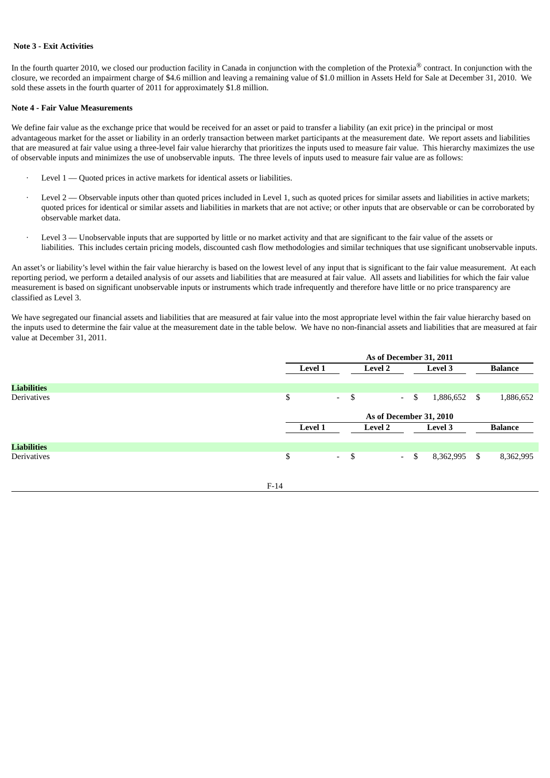## **Note 3 - Exit Activities**

In the fourth quarter 2010, we closed our production facility in Canada in conjunction with the completion of the Protexia<sup>®</sup> contract. In conjunction with the closure, we recorded an impairment charge of \$4.6 million and leaving a remaining value of \$1.0 million in Assets Held for Sale at December 31, 2010. We sold these assets in the fourth quarter of 2011 for approximately \$1.8 million.

#### **Note 4 - Fair Value Measurements**

We define fair value as the exchange price that would be received for an asset or paid to transfer a liability (an exit price) in the principal or most advantageous market for the asset or liability in an orderly transaction between market participants at the measurement date. We report assets and liabilities that are measured at fair value using a three-level fair value hierarchy that prioritizes the inputs used to measure fair value. This hierarchy maximizes the use of observable inputs and minimizes the use of unobservable inputs. The three levels of inputs used to measure fair value are as follows:

- Level  $1$  Quoted prices in active markets for identical assets or liabilities.
- Level 2 Observable inputs other than quoted prices included in Level 1, such as quoted prices for similar assets and liabilities in active markets; quoted prices for identical or similar assets and liabilities in markets that are not active; or other inputs that are observable or can be corroborated by observable market data.
- Level 3 Unobservable inputs that are supported by little or no market activity and that are significant to the fair value of the assets or liabilities. This includes certain pricing models, discounted cash flow methodologies and similar techniques that use significant unobservable inputs.

An asset's or liability's level within the fair value hierarchy is based on the lowest level of any input that is significant to the fair value measurement. At each reporting period, we perform a detailed analysis of our assets and liabilities that are measured at fair value. All assets and liabilities for which the fair value measurement is based on significant unobservable inputs or instruments which trade infrequently and therefore have little or no price transparency are classified as Level 3.

We have segregated our financial assets and liabilities that are measured at fair value into the most appropriate level within the fair value hierarchy based on the inputs used to determine the fair value at the measurement date in the table below. We have no non-financial assets and liabilities that are measured at fair value at December 31, 2011.

|                    |        | As of December 31, 2011 |        |    |                |    |                |     |                |
|--------------------|--------|-------------------------|--------|----|----------------|----|----------------|-----|----------------|
|                    |        | Level 1                 |        |    | <b>Level 2</b> |    | <b>Level 3</b> |     | <b>Balance</b> |
| <b>Liabilities</b> |        |                         |        |    |                |    |                |     |                |
| Derivatives        | \$     |                         | $\sim$ | \$ | $\sim$         | \$ | 1,886,652      | -\$ | 1,886,652      |
|                    |        | As of December 31, 2010 |        |    |                |    |                |     |                |
|                    |        | Level 1                 |        |    | <b>Level 2</b> |    | <b>Level 3</b> |     | <b>Balance</b> |
| <b>Liabilities</b> |        |                         |        |    |                |    |                |     |                |
| <b>Derivatives</b> | \$     |                         | $\sim$ | \$ | $\sim$         | \$ | 8,362,995      | \$  | 8,362,995      |
|                    |        |                         |        |    |                |    |                |     |                |
|                    | $F-14$ |                         |        |    |                |    |                |     |                |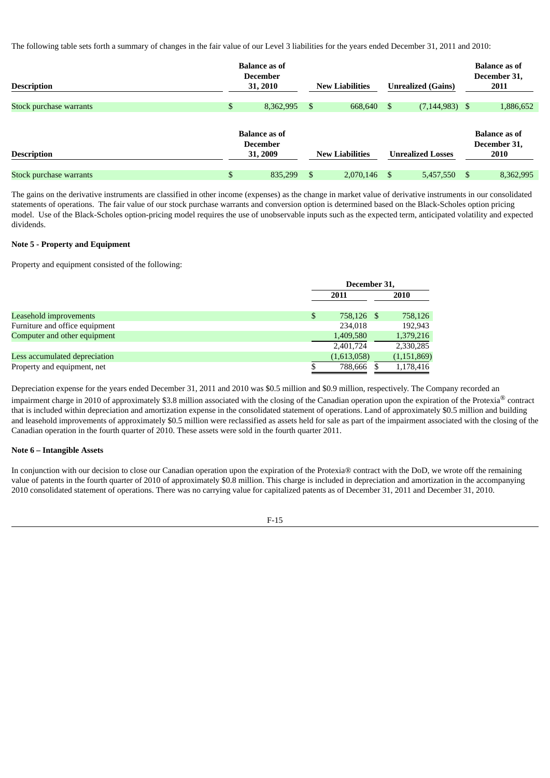The following table sets forth a summary of changes in the fair value of our Level 3 liabilities for the years ended December 31, 2011 and 2010:

| <b>Description</b>      | <b>Balance as of</b><br><b>December</b><br>31, 2010 |                                                     |                        | <b>New Liabilities</b><br><b>Unrealized (Gains)</b> |      |                    |  |                          | <b>Balance as of</b><br>December 31,<br>2011 |                                              |
|-------------------------|-----------------------------------------------------|-----------------------------------------------------|------------------------|-----------------------------------------------------|------|--------------------|--|--------------------------|----------------------------------------------|----------------------------------------------|
| Stock purchase warrants | \$                                                  | 8,362,995                                           | - \$                   | 668,640                                             | - \$ | $(7, 144, 983)$ \$ |  | 1,886,652                |                                              |                                              |
| <b>Description</b>      |                                                     | <b>Balance as of</b><br><b>December</b><br>31, 2009 | <b>New Liabilities</b> |                                                     |      |                    |  | <b>Unrealized Losses</b> |                                              | <b>Balance as of</b><br>December 31,<br>2010 |
| Stock purchase warrants | \$                                                  | 835,299                                             | - \$                   | 2,070,146                                           | -S   | 5,457,550          |  | 8,362,995                |                                              |                                              |

The gains on the derivative instruments are classified in other income (expenses) as the change in market value of derivative instruments in our consolidated statements of operations. The fair value of our stock purchase warrants and conversion option is determined based on the Black-Scholes option pricing model. Use of the Black-Scholes option-pricing model requires the use of unobservable inputs such as the expected term, anticipated volatility and expected dividends.

# **Note 5 - Property and Equipment**

Property and equipment consisted of the following:

|                                | December 31,     |      |             |  |
|--------------------------------|------------------|------|-------------|--|
|                                | 2011             | 2010 |             |  |
|                                |                  |      |             |  |
| Leasehold improvements         | \$<br>758,126 \$ |      | 758,126     |  |
| Furniture and office equipment | 234,018          |      | 192,943     |  |
| Computer and other equipment   | 1,409,580        |      | 1,379,216   |  |
|                                | 2,401,724        |      | 2,330,285   |  |
| Less accumulated depreciation  | (1,613,058)      |      | (1,151,869) |  |
| Property and equipment, net    | 788.666          |      | 1,178,416   |  |

Depreciation expense for the years ended December 31, 2011 and 2010 was \$0.5 million and \$0.9 million, respectively. The Company recorded an impairment charge in 2010 of approximately \$3.8 million associated with the closing of the Canadian operation upon the expiration of the Protexia<sup>®</sup> contract that is included within depreciation and amortization expense in the consolidated statement of operations. Land of approximately \$0.5 million and building and leasehold improvements of approximately \$0.5 million were reclassified as assets held for sale as part of the impairment associated with the closing of the Canadian operation in the fourth quarter of 2010. These assets were sold in the fourth quarter 2011.

## **Note 6 – Intangible Assets**

In conjunction with our decision to close our Canadian operation upon the expiration of the Protexia® contract with the DoD, we wrote off the remaining value of patents in the fourth quarter of 2010 of approximately \$0.8 million. This charge is included in depreciation and amortization in the accompanying 2010 consolidated statement of operations. There was no carrying value for capitalized patents as of December 31, 2011 and December 31, 2010.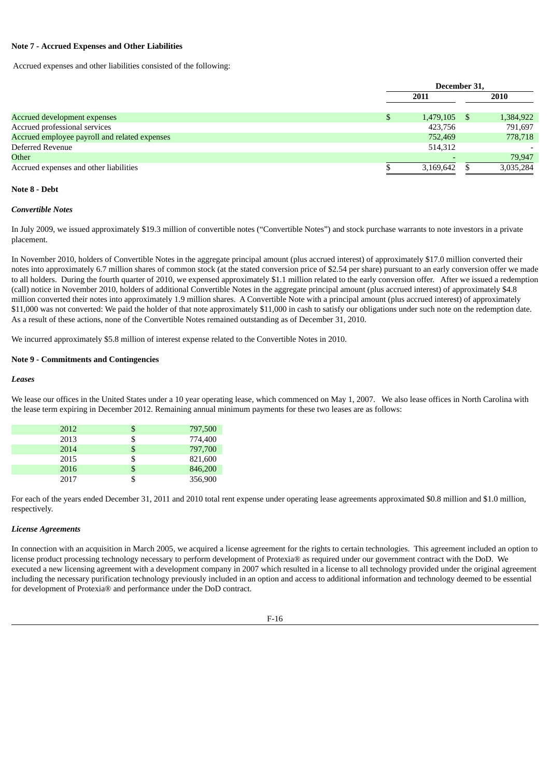## **Note 7 - Accrued Expenses and Other Liabilities**

Accrued expenses and other liabilities consisted of the following:

|      | December 31, |      |                |  |
|------|--------------|------|----------------|--|
| 2011 |              | 2010 |                |  |
|      |              |      | 1,384,922      |  |
|      | 423,756      |      | 791,697        |  |
|      | 752,469      |      | 778,718        |  |
|      | 514,312      |      |                |  |
|      |              |      | 79,947         |  |
|      | 3,169,642    |      | 3,035,284      |  |
|      | S            |      | $1,479,105$ \$ |  |

#### **Note 8 - Debt**

#### *Convertible Notes*

In July 2009, we issued approximately \$19.3 million of convertible notes ("Convertible Notes") and stock purchase warrants to note investors in a private placement.

In November 2010, holders of Convertible Notes in the aggregate principal amount (plus accrued interest) of approximately \$17.0 million converted their notes into approximately 6.7 million shares of common stock (at the stated conversion price of \$2.54 per share) pursuant to an early conversion offer we made to all holders. During the fourth quarter of 2010, we expensed approximately \$1.1 million related to the early conversion offer. After we issued a redemption (call) notice in November 2010, holders of additional Convertible Notes in the aggregate principal amount (plus accrued interest) of approximately \$4.8 million converted their notes into approximately 1.9 million shares. A Convertible Note with a principal amount (plus accrued interest) of approximately \$11,000 was not converted: We paid the holder of that note approximately \$11,000 in cash to satisfy our obligations under such note on the redemption date. As a result of these actions, none of the Convertible Notes remained outstanding as of December 31, 2010.

We incurred approximately \$5.8 million of interest expense related to the Convertible Notes in 2010.

## **Note 9 - Commitments and Contingencies**

## *Leases*

We lease our offices in the United States under a 10 year operating lease, which commenced on May 1, 2007. We also lease offices in North Carolina with the lease term expiring in December 2012. Remaining annual minimum payments for these two leases are as follows:

| 2012 | \$<br>797,500 |
|------|---------------|
| 2013 | \$<br>774,400 |
| 2014 | \$<br>797,700 |
| 2015 | \$<br>821,600 |
| 2016 | \$<br>846,200 |
| 2017 | \$<br>356,900 |

For each of the years ended December 31, 2011 and 2010 total rent expense under operating lease agreements approximated \$0.8 million and \$1.0 million, respectively.

## *License Agreements*

In connection with an acquisition in March 2005, we acquired a license agreement for the rights to certain technologies. This agreement included an option to license product processing technology necessary to perform development of Protexia® as required under our government contract with the DoD. We executed a new licensing agreement with a development company in 2007 which resulted in a license to all technology provided under the original agreement including the necessary purification technology previously included in an option and access to additional information and technology deemed to be essential for development of Protexia® and performance under the DoD contract.

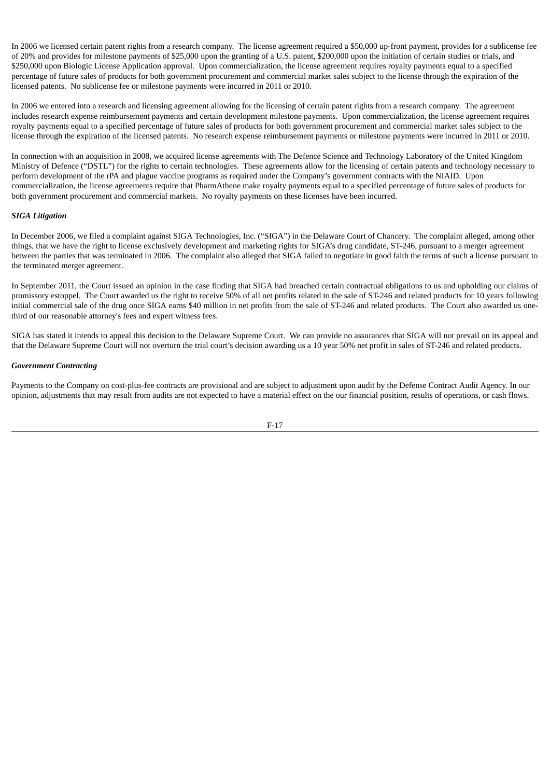In 2006 we licensed certain patent rights from a research company. The license agreement required a \$50,000 up-front payment, provides for a sublicense fee of 20% and provides for milestone payments of \$25,000 upon the granting of a U.S. patent, \$200,000 upon the initiation of certain studies or trials, and \$250,000 upon Biologic License Application approval. Upon commercialization, the license agreement requires royalty payments equal to a specified percentage of future sales of products for both government procurement and commercial market sales subject to the license through the expiration of the licensed patents. No sublicense fee or milestone payments were incurred in 2011 or 2010.

In 2006 we entered into a research and licensing agreement allowing for the licensing of certain patent rights from a research company. The agreement includes research expense reimbursement payments and certain development milestone payments. Upon commercialization, the license agreement requires royalty payments equal to a specified percentage of future sales of products for both government procurement and commercial market sales subject to the license through the expiration of the licensed patents. No research expense reimbursement payments or milestone payments were incurred in 2011 or 2010.

In connection with an acquisition in 2008, we acquired license agreements with The Defence Science and Technology Laboratory of the United Kingdom Ministry of Defence ("DSTL") for the rights to certain technologies. These agreements allow for the licensing of certain patents and technology necessary to perform development of the rPA and plague vaccine programs as required under the Company's government contracts with the NIAID. Upon commercialization, the license agreements require that PharmAthene make royalty payments equal to a specified percentage of future sales of products for both government procurement and commercial markets. No royalty payments on these licenses have been incurred.

#### *SIGA Litigation*

In December 2006, we filed a complaint against SIGA Technologies, Inc. ("SIGA") in the Delaware Court of Chancery. The complaint alleged, among other things, that we have the right to license exclusively development and marketing rights for SIGA's drug candidate, ST-246, pursuant to a merger agreement between the parties that was terminated in 2006. The complaint also alleged that SIGA failed to negotiate in good faith the terms of such a license pursuant to the terminated merger agreement.

In September 2011, the Court issued an opinion in the case finding that SIGA had breached certain contractual obligations to us and upholding our claims of promissory estoppel. The Court awarded us the right to receive 50% of all net profits related to the sale of ST-246 and related products for 10 years following initial commercial sale of the drug once SIGA earns \$40 million in net profits from the sale of ST-246 and related products. The Court also awarded us onethird of our reasonable attorney's fees and expert witness fees.

SIGA has stated it intends to appeal this decision to the Delaware Supreme Court. We can provide no assurances that SIGA will not prevail on its appeal and that the Delaware Supreme Court will not overturn the trial court's decision awarding us a 10 year 50% net profit in sales of ST-246 and related products.

#### *Government Contracting*

Payments to the Company on cost-plus-fee contracts are provisional and are subject to adjustment upon audit by the Defense Contract Audit Agency. In our opinion, adjustments that may result from audits are not expected to have a material effect on the our financial position, results of operations, or cash flows.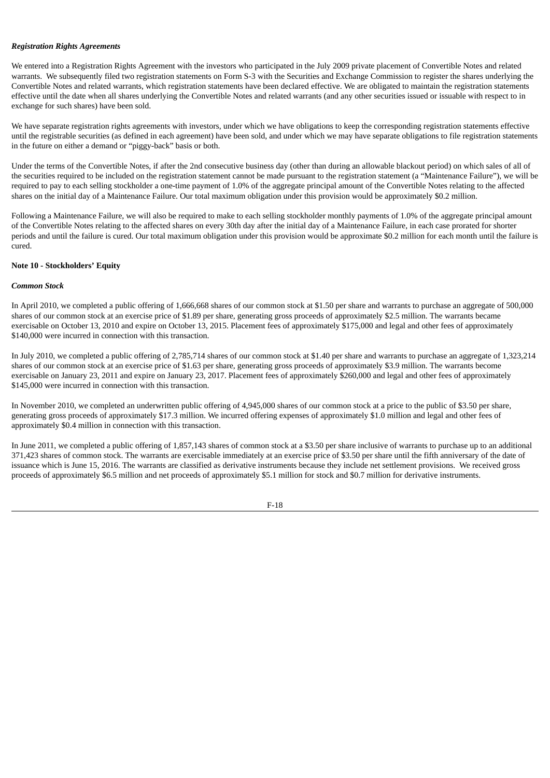#### *Registration Rights Agreements*

We entered into a Registration Rights Agreement with the investors who participated in the July 2009 private placement of Convertible Notes and related warrants. We subsequently filed two registration statements on Form S-3 with the Securities and Exchange Commission to register the shares underlying the Convertible Notes and related warrants, which registration statements have been declared effective. We are obligated to maintain the registration statements effective until the date when all shares underlying the Convertible Notes and related warrants (and any other securities issued or issuable with respect to in exchange for such shares) have been sold.

We have separate registration rights agreements with investors, under which we have obligations to keep the corresponding registration statements effective until the registrable securities (as defined in each agreement) have been sold, and under which we may have separate obligations to file registration statements in the future on either a demand or "piggy-back" basis or both.

Under the terms of the Convertible Notes, if after the 2nd consecutive business day (other than during an allowable blackout period) on which sales of all of the securities required to be included on the registration statement cannot be made pursuant to the registration statement (a "Maintenance Failure"), we will be required to pay to each selling stockholder a one-time payment of 1.0% of the aggregate principal amount of the Convertible Notes relating to the affected shares on the initial day of a Maintenance Failure. Our total maximum obligation under this provision would be approximately \$0.2 million.

Following a Maintenance Failure, we will also be required to make to each selling stockholder monthly payments of 1.0% of the aggregate principal amount of the Convertible Notes relating to the affected shares on every 30th day after the initial day of a Maintenance Failure, in each case prorated for shorter periods and until the failure is cured. Our total maximum obligation under this provision would be approximate \$0.2 million for each month until the failure is cured.

#### **Note 10 - Stockholders' Equity**

#### *Common Stock*

In April 2010, we completed a public offering of 1,666,668 shares of our common stock at \$1.50 per share and warrants to purchase an aggregate of 500,000 shares of our common stock at an exercise price of \$1.89 per share, generating gross proceeds of approximately \$2.5 million. The warrants became exercisable on October 13, 2010 and expire on October 13, 2015. Placement fees of approximately \$175,000 and legal and other fees of approximately \$140,000 were incurred in connection with this transaction.

In July 2010, we completed a public offering of 2,785,714 shares of our common stock at \$1.40 per share and warrants to purchase an aggregate of 1,323,214 shares of our common stock at an exercise price of \$1.63 per share, generating gross proceeds of approximately \$3.9 million. The warrants become exercisable on January 23, 2011 and expire on January 23, 2017. Placement fees of approximately \$260,000 and legal and other fees of approximately \$145,000 were incurred in connection with this transaction.

In November 2010, we completed an underwritten public offering of 4,945,000 shares of our common stock at a price to the public of \$3.50 per share, generating gross proceeds of approximately \$17.3 million. We incurred offering expenses of approximately \$1.0 million and legal and other fees of approximately \$0.4 million in connection with this transaction.

In June 2011, we completed a public offering of 1,857,143 shares of common stock at a \$3.50 per share inclusive of warrants to purchase up to an additional 371,423 shares of common stock. The warrants are exercisable immediately at an exercise price of \$3.50 per share until the fifth anniversary of the date of issuance which is June 15, 2016. The warrants are classified as derivative instruments because they include net settlement provisions. We received gross proceeds of approximately \$6.5 million and net proceeds of approximately \$5.1 million for stock and \$0.7 million for derivative instruments.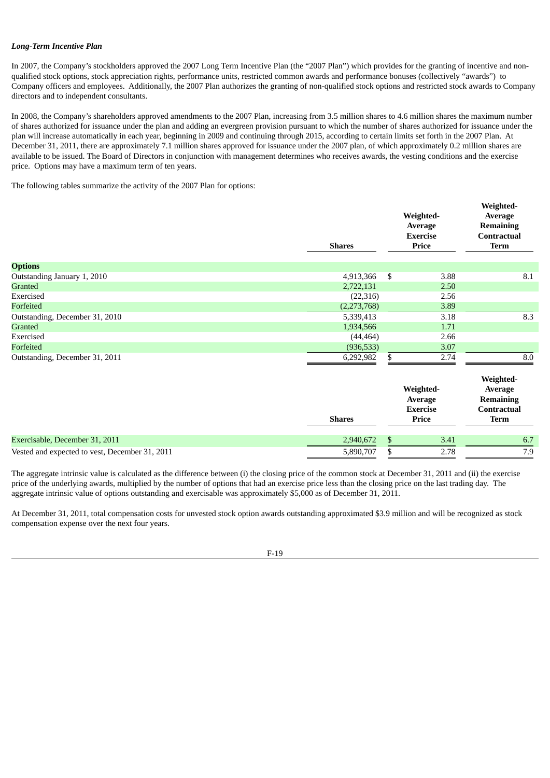## *Long-Term Incentive Plan*

In 2007, the Company's stockholders approved the 2007 Long Term Incentive Plan (the "2007 Plan") which provides for the granting of incentive and nonqualified stock options, stock appreciation rights, performance units, restricted common awards and performance bonuses (collectively "awards") to Company officers and employees. Additionally, the 2007 Plan authorizes the granting of non-qualified stock options and restricted stock awards to Company directors and to independent consultants.

In 2008, the Company's shareholders approved amendments to the 2007 Plan, increasing from 3.5 million shares to 4.6 million shares the maximum number of shares authorized for issuance under the plan and adding an evergreen provision pursuant to which the number of shares authorized for issuance under the plan will increase automatically in each year, beginning in 2009 and continuing through 2015, according to certain limits set forth in the 2007 Plan. At December 31, 2011, there are approximately 7.1 million shares approved for issuance under the 2007 plan, of which approximately 0.2 million shares are available to be issued. The Board of Directors in conjunction with management determines who receives awards, the vesting conditions and the exercise price. Options may have a maximum term of ten years.

**Weighted-**

The following tables summarize the activity of the 2007 Plan for options:

|                                | <b>Shares</b> | Weighted-<br>Average<br><b>Exercise</b><br>Price | weighted-<br>Average<br><b>Remaining</b><br><b>Contractual</b><br><b>Term</b> |
|--------------------------------|---------------|--------------------------------------------------|-------------------------------------------------------------------------------|
| <b>Options</b>                 |               |                                                  |                                                                               |
| Outstanding January 1, 2010    | 4,913,366     | - \$<br>3.88                                     | 8.1                                                                           |
| <b>Granted</b>                 | 2,722,131     | 2.50                                             |                                                                               |
| Exercised                      | (22, 316)     | 2.56                                             |                                                                               |
| Forfeited                      | (2,273,768)   | 3.89                                             |                                                                               |
| Outstanding, December 31, 2010 | 5,339,413     | 3.18                                             | 8.3                                                                           |
| <b>Granted</b>                 | 1,934,566     | 1.71                                             |                                                                               |
| Exercised                      | (44, 464)     | 2.66                                             |                                                                               |
| Forfeited                      | (936, 533)    | 3.07                                             |                                                                               |
| Outstanding, December 31, 2011 | 6,292,982     | \$<br>2.74                                       | 8.0                                                                           |
|                                |               |                                                  | Weighted-                                                                     |

|                                                | <b>Shares</b> | Weighted-<br>Average<br><b>Exercise</b><br>Price | weighteu-<br>Average<br><b>Remaining</b><br><b>Contractual</b><br>Term |
|------------------------------------------------|---------------|--------------------------------------------------|------------------------------------------------------------------------|
| Exercisable, December 31, 2011                 | 2,940,672     | 3.41                                             | 6.7                                                                    |
| Vested and expected to vest, December 31, 2011 | 5,890,707     | 2.78                                             | 7.9                                                                    |

The aggregate intrinsic value is calculated as the difference between (i) the closing price of the common stock at December 31, 2011 and (ii) the exercise price of the underlying awards, multiplied by the number of options that had an exercise price less than the closing price on the last trading day. The aggregate intrinsic value of options outstanding and exercisable was approximately \$5,000 as of December 31, 2011.

At December 31, 2011, total compensation costs for unvested stock option awards outstanding approximated \$3.9 million and will be recognized as stock compensation expense over the next four years.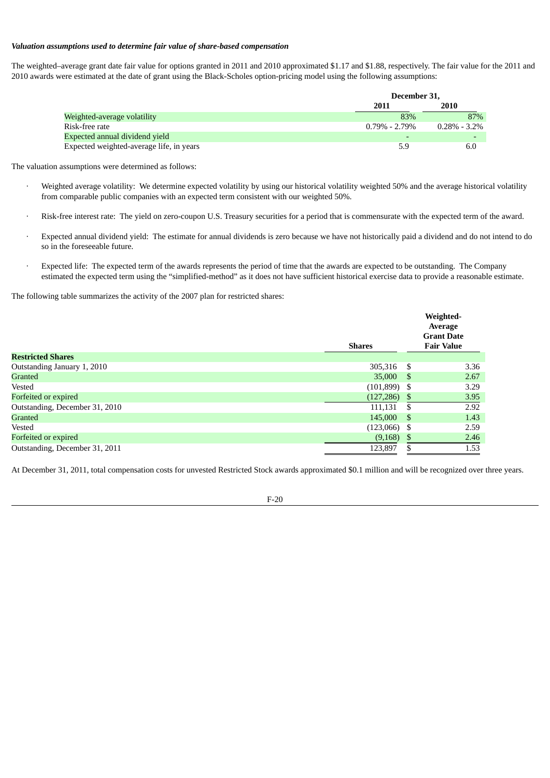#### *Valuation assumptions used to determine fair value of share-based compensation*

The weighted–average grant date fair value for options granted in 2011 and 2010 approximated \$1.17 and \$1.88, respectively. The fair value for the 2011 and 2010 awards were estimated at the date of grant using the Black-Scholes option-pricing model using the following assumptions:

|                                          |                  | December 31,     |  |  |
|------------------------------------------|------------------|------------------|--|--|
|                                          | 2011             | 2010             |  |  |
| Weighted-average volatility              | 83%              | 87%              |  |  |
| Risk-free rate                           | $0.79\%$ - 2.79% | $0.28\% - 3.2\%$ |  |  |
| Expected annual dividend vield           |                  |                  |  |  |
| Expected weighted-average life, in years | 5.9              | 6.0              |  |  |

The valuation assumptions were determined as follows:

- · Weighted average volatility: We determine expected volatility by using our historical volatility weighted 50% and the average historical volatility from comparable public companies with an expected term consistent with our weighted 50%.
- · Risk-free interest rate: The yield on zero-coupon U.S. Treasury securities for a period that is commensurate with the expected term of the award.
- · Expected annual dividend yield: The estimate for annual dividends is zero because we have not historically paid a dividend and do not intend to do so in the foreseeable future.
- · Expected life: The expected term of the awards represents the period of time that the awards are expected to be outstanding. The Company estimated the expected term using the "simplified-method" as it does not have sufficient historical exercise data to provide a reasonable estimate.

The following table summarizes the activity of the 2007 plan for restricted shares:

|                                |                |      | Weighted-<br>Average<br><b>Grant Date</b> |  |  |
|--------------------------------|----------------|------|-------------------------------------------|--|--|
|                                | <b>Shares</b>  |      | <b>Fair Value</b>                         |  |  |
| <b>Restricted Shares</b>       |                |      |                                           |  |  |
| Outstanding January 1, 2010    | 305,316        | S    | 3.36                                      |  |  |
| Granted                        | 35,000         | - S  | 2.67                                      |  |  |
| Vested                         | (101, 899)     | - \$ | 3.29                                      |  |  |
| Forfeited or expired           | (127, 286)     | - S  | 3.95                                      |  |  |
| Outstanding, December 31, 2010 | 111.131        | S    | 2.92                                      |  |  |
| Granted                        | 145,000        | -S   | 1.43                                      |  |  |
| Vested                         | $(123,066)$ \$ |      | 2.59                                      |  |  |
| Forfeited or expired           | (9, 168)       | - \$ | 2.46                                      |  |  |
| Outstanding, December 31, 2011 | 123,897        |      | 1.53                                      |  |  |

At December 31, 2011, total compensation costs for unvested Restricted Stock awards approximated \$0.1 million and will be recognized over three years.

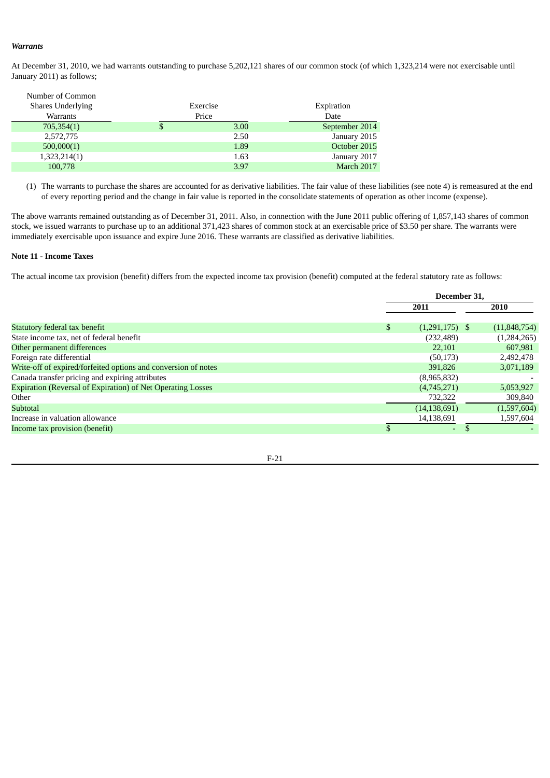### *Warrants*

At December 31, 2010, we had warrants outstanding to purchase 5,202,121 shares of our common stock (of which 1,323,214 were not exercisable until January 2011) as follows;

| Number of Common<br><b>Shares Underlying</b><br>Warrants | Exercise<br>Price | Expiration<br>Date |
|----------------------------------------------------------|-------------------|--------------------|
| 705,354(1)                                               | \$<br>3.00        | September 2014     |
| 2,572,775                                                | 2.50              | January 2015       |
| 500,000(1)                                               | 1.89              | October 2015       |
| 1,323,214(1)                                             | 1.63              | January 2017       |
| 100,778                                                  | 3.97              | March 2017         |

(1) The warrants to purchase the shares are accounted for as derivative liabilities. The fair value of these liabilities (see note 4) is remeasured at the end of every reporting period and the change in fair value is reported in the consolidate statements of operation as other income (expense).

The above warrants remained outstanding as of December 31, 2011. Also, in connection with the June 2011 public offering of 1,857,143 shares of common stock, we issued warrants to purchase up to an additional 371,423 shares of common stock at an exercisable price of \$3.50 per share. The warrants were immediately exercisable upon issuance and expire June 2016. These warrants are classified as derivative liabilities.

### **Note 11 - Income Taxes**

The actual income tax provision (benefit) differs from the expected income tax provision (benefit) computed at the federal statutory rate as follows:

|                                                                    | December 31.           |  |              |  |
|--------------------------------------------------------------------|------------------------|--|--------------|--|
|                                                                    | 2011                   |  | 2010         |  |
|                                                                    |                        |  |              |  |
| Statutory federal tax benefit                                      | \$<br>$(1,291,175)$ \$ |  | (11,848,754) |  |
| State income tax, net of federal benefit                           | (232, 489)             |  | (1,284,265)  |  |
| Other permanent differences                                        | 22,101                 |  | 607,981      |  |
| Foreign rate differential                                          | (50, 173)              |  | 2,492,478    |  |
| Write-off of expired/forfeited options and conversion of notes     | 391,826                |  | 3,071,189    |  |
| Canada transfer pricing and expiring attributes                    | (8,965,832)            |  |              |  |
| <b>Expiration (Reversal of Expiration) of Net Operating Losses</b> | (4,745,271)            |  | 5,053,927    |  |
| Other                                                              | 732,322                |  | 309,840      |  |
| <b>Subtotal</b>                                                    | (14, 138, 691)         |  | (1,597,604)  |  |
| Increase in valuation allowance                                    | 14,138,691             |  | 1,597,604    |  |
| Income tax provision (benefit)                                     | ۰.                     |  |              |  |
|                                                                    |                        |  |              |  |

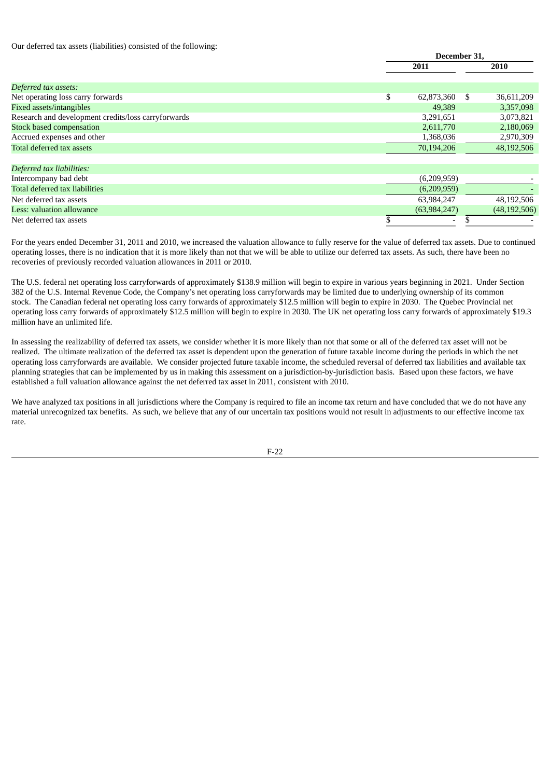Our deferred tax assets (liabilities) consisted of the following:

|                                                     | December 31.             |    |                |  |
|-----------------------------------------------------|--------------------------|----|----------------|--|
|                                                     | 2011                     |    | 2010           |  |
|                                                     |                          |    |                |  |
| Deferred tax assets:                                |                          |    |                |  |
| Net operating loss carry forwards                   | \$<br>62,873,360         | S. | 36,611,209     |  |
| Fixed assets/intangibles                            | 49,389                   |    | 3,357,098      |  |
| Research and development credits/loss carryforwards | 3,291,651                |    | 3,073,821      |  |
| <b>Stock based compensation</b>                     | 2,611,770                |    | 2,180,069      |  |
| Accrued expenses and other                          | 1,368,036                |    | 2,970,309      |  |
| Total deferred tax assets                           | 70,194,206               |    | 48,192,506     |  |
|                                                     |                          |    |                |  |
| Deferred tax liabilities:                           |                          |    |                |  |
| Intercompany bad debt                               | (6,209,959)              |    |                |  |
| <b>Total deferred tax liabilities</b>               | (6,209,959)              |    |                |  |
| Net deferred tax assets                             | 63,984,247               |    | 48,192,506     |  |
| Less: valuation allowance                           | (63,984,247)             |    | (48, 192, 506) |  |
| Net deferred tax assets                             | $\overline{\phantom{0}}$ |    |                |  |

For the years ended December 31, 2011 and 2010, we increased the valuation allowance to fully reserve for the value of deferred tax assets. Due to continued operating losses, there is no indication that it is more likely than not that we will be able to utilize our deferred tax assets. As such, there have been no recoveries of previously recorded valuation allowances in 2011 or 2010.

The U.S. federal net operating loss carryforwards of approximately \$138.9 million will begin to expire in various years beginning in 2021. Under Section 382 of the U.S. Internal Revenue Code, the Company's net operating loss carryforwards may be limited due to underlying ownership of its common stock. The Canadian federal net operating loss carry forwards of approximately \$12.5 million will begin to expire in 2030. The Quebec Provincial net operating loss carry forwards of approximately \$12.5 million will begin to expire in 2030. The UK net operating loss carry forwards of approximately \$19.3 million have an unlimited life.

In assessing the realizability of deferred tax assets, we consider whether it is more likely than not that some or all of the deferred tax asset will not be realized. The ultimate realization of the deferred tax asset is dependent upon the generation of future taxable income during the periods in which the net operating loss carryforwards are available. We consider projected future taxable income, the scheduled reversal of deferred tax liabilities and available tax planning strategies that can be implemented by us in making this assessment on a jurisdiction-by-jurisdiction basis. Based upon these factors, we have established a full valuation allowance against the net deferred tax asset in 2011, consistent with 2010.

We have analyzed tax positions in all jurisdictions where the Company is required to file an income tax return and have concluded that we do not have any material unrecognized tax benefits. As such, we believe that any of our uncertain tax positions would not result in adjustments to our effective income tax rate.

F-22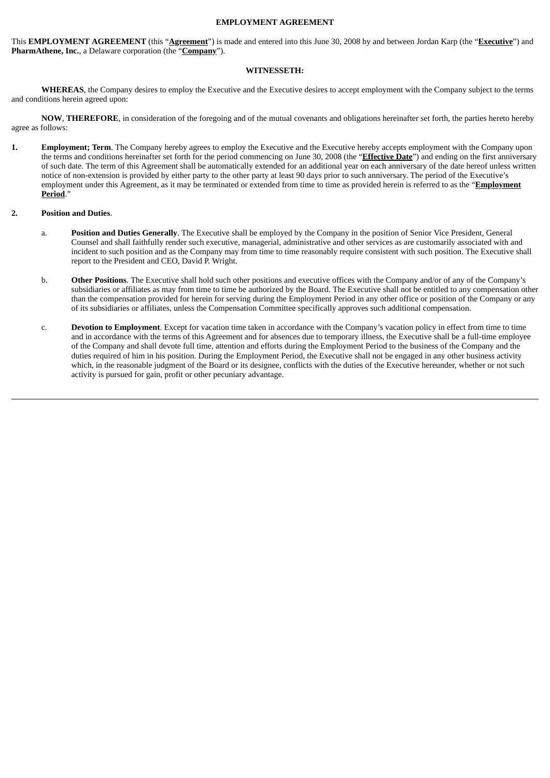#### **EMPLOYMENT AGREEMENT**

This **EMPLOYMENT AGREEMENT** (this "**Agreement**") is made and entered into this June 30, 2008 by and between Jordan Karp (the "**Executive**") and **PharmAthene, Inc.**, a Delaware corporation (the "**Company**").

### **WITNESSETH:**

**WHEREAS**, the Company desires to employ the Executive and the Executive desires to accept employment with the Company subject to the terms and conditions herein agreed upon:

**NOW**, **THEREFORE**, in consideration of the foregoing and of the mutual covenants and obligations hereinafter set forth, the parties hereto hereby agree as follows:

**1. Employment; Term**. The Company hereby agrees to employ the Executive and the Executive hereby accepts employment with the Company upon the terms and conditions hereinafter set forth for the period commencing on June 30, 2008 (the "**Effective Date**") and ending on the first anniversary of such date. The term of this Agreement shall be automatically extended for an additional year on each anniversary of the date hereof unless written notice of non-extension is provided by either party to the other party at least 90 days prior to such anniversary. The period of the Executive's employment under this Agreement, as it may be terminated or extended from time to time as provided herein is referred to as the "**Employment Period**."

#### **2. Position and Duties**.

- a. **Position and Duties Generally**. The Executive shall be employed by the Company in the position of Senior Vice President, General Counsel and shall faithfully render such executive, managerial, administrative and other services as are customarily associated with and incident to such position and as the Company may from time to time reasonably require consistent with such position. The Executive shall report to the President and CEO, David P. Wright.
- b. **Other Positions**. The Executive shall hold such other positions and executive offices with the Company and/or of any of the Company's subsidiaries or affiliates as may from time to time be authorized by the Board. The Executive shall not be entitled to any compensation other than the compensation provided for herein for serving during the Employment Period in any other office or position of the Company or any of its subsidiaries or affiliates, unless the Compensation Committee specifically approves such additional compensation.
- c. **Devotion to Employment**. Except for vacation time taken in accordance with the Company's vacation policy in effect from time to time and in accordance with the terms of this Agreement and for absences due to temporary illness, the Executive shall be a full-time employee of the Company and shall devote full time, attention and efforts during the Employment Period to the business of the Company and the duties required of him in his position. During the Employment Period, the Executive shall not be engaged in any other business activity which, in the reasonable judgment of the Board or its designee, conflicts with the duties of the Executive hereunder, whether or not such activity is pursued for gain, profit or other pecuniary advantage.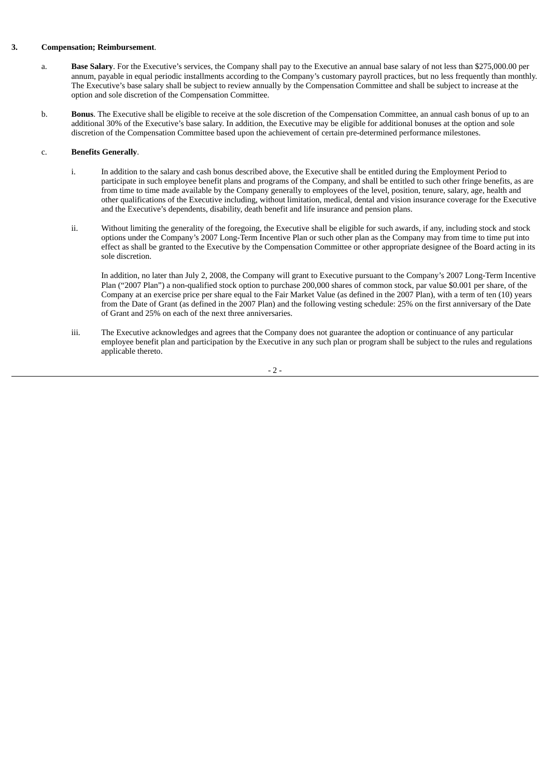#### **3. Compensation; Reimbursement**.

- a. **Base Salary**. For the Executive's services, the Company shall pay to the Executive an annual base salary of not less than \$275,000.00 per annum, payable in equal periodic installments according to the Company's customary payroll practices, but no less frequently than monthly. The Executive's base salary shall be subject to review annually by the Compensation Committee and shall be subject to increase at the option and sole discretion of the Compensation Committee.
- b. **Bonus**. The Executive shall be eligible to receive at the sole discretion of the Compensation Committee, an annual cash bonus of up to an additional 30% of the Executive's base salary. In addition, the Executive may be eligible for additional bonuses at the option and sole discretion of the Compensation Committee based upon the achievement of certain pre-determined performance milestones.

### c. **Benefits Generally**.

- i. In addition to the salary and cash bonus described above, the Executive shall be entitled during the Employment Period to participate in such employee benefit plans and programs of the Company, and shall be entitled to such other fringe benefits, as are from time to time made available by the Company generally to employees of the level, position, tenure, salary, age, health and other qualifications of the Executive including, without limitation, medical, dental and vision insurance coverage for the Executive and the Executive's dependents, disability, death benefit and life insurance and pension plans.
- ii. Without limiting the generality of the foregoing, the Executive shall be eligible for such awards, if any, including stock and stock options under the Company's 2007 Long-Term Incentive Plan or such other plan as the Company may from time to time put into effect as shall be granted to the Executive by the Compensation Committee or other appropriate designee of the Board acting in its sole discretion.

In addition, no later than July 2, 2008, the Company will grant to Executive pursuant to the Company's 2007 Long-Term Incentive Plan ("2007 Plan") a non-qualified stock option to purchase 200,000 shares of common stock, par value \$0.001 per share, of the Company at an exercise price per share equal to the Fair Market Value (as defined in the 2007 Plan), with a term of ten (10) years from the Date of Grant (as defined in the 2007 Plan) and the following vesting schedule: 25% on the first anniversary of the Date of Grant and 25% on each of the next three anniversaries.

iii. The Executive acknowledges and agrees that the Company does not guarantee the adoption or continuance of any particular employee benefit plan and participation by the Executive in any such plan or program shall be subject to the rules and regulations applicable thereto.

 $-2-$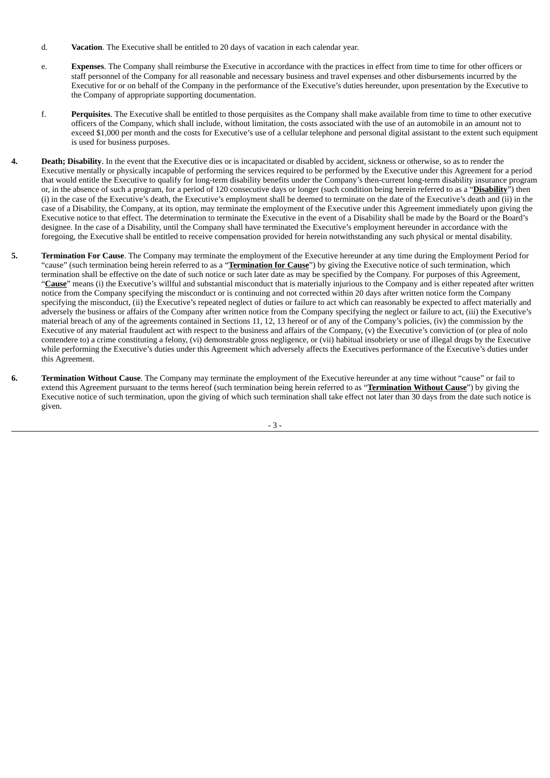- d. **Vacation**. The Executive shall be entitled to 20 days of vacation in each calendar year.
- e. **Expenses**. The Company shall reimburse the Executive in accordance with the practices in effect from time to time for other officers or staff personnel of the Company for all reasonable and necessary business and travel expenses and other disbursements incurred by the Executive for or on behalf of the Company in the performance of the Executive's duties hereunder, upon presentation by the Executive to the Company of appropriate supporting documentation.
- f. **Perquisites**. The Executive shall be entitled to those perquisites as the Company shall make available from time to time to other executive officers of the Company, which shall include, without limitation, the costs associated with the use of an automobile in an amount not to exceed \$1,000 per month and the costs for Executive's use of a cellular telephone and personal digital assistant to the extent such equipment is used for business purposes.
- **4. Death; Disability**. In the event that the Executive dies or is incapacitated or disabled by accident, sickness or otherwise, so as to render the Executive mentally or physically incapable of performing the services required to be performed by the Executive under this Agreement for a period that would entitle the Executive to qualify for long-term disability benefits under the Company's then-current long-term disability insurance program or, in the absence of such a program, for a period of 120 consecutive days or longer (such condition being herein referred to as a "**Disability**") then (i) in the case of the Executive's death, the Executive's employment shall be deemed to terminate on the date of the Executive's death and (ii) in the case of a Disability, the Company, at its option, may terminate the employment of the Executive under this Agreement immediately upon giving the Executive notice to that effect. The determination to terminate the Executive in the event of a Disability shall be made by the Board or the Board's designee. In the case of a Disability, until the Company shall have terminated the Executive's employment hereunder in accordance with the foregoing, the Executive shall be entitled to receive compensation provided for herein notwithstanding any such physical or mental disability.
- **5. Termination For Cause**. The Company may terminate the employment of the Executive hereunder at any time during the Employment Period for "cause" (such termination being herein referred to as a "**Termination for Cause**") by giving the Executive notice of such termination, which termination shall be effective on the date of such notice or such later date as may be specified by the Company. For purposes of this Agreement, "**Cause**" means (i) the Executive's willful and substantial misconduct that is materially injurious to the Company and is either repeated after written notice from the Company specifying the misconduct or is continuing and not corrected within 20 days after written notice form the Company specifying the misconduct, (ii) the Executive's repeated neglect of duties or failure to act which can reasonably be expected to affect materially and adversely the business or affairs of the Company after written notice from the Company specifying the neglect or failure to act, (iii) the Executive's material breach of any of the agreements contained in Sections 11, 12, 13 hereof or of any of the Company's policies, (iv) the commission by the Executive of any material fraudulent act with respect to the business and affairs of the Company, (v) the Executive's conviction of (or plea of nolo contendere to) a crime constituting a felony, (vi) demonstrable gross negligence, or (vii) habitual insobriety or use of illegal drugs by the Executive while performing the Executive's duties under this Agreement which adversely affects the Executives performance of the Executive's duties under this Agreement.
- **6. Termination Without Cause**. The Company may terminate the employment of the Executive hereunder at any time without "cause" or fail to extend this Agreement pursuant to the terms hereof (such termination being herein referred to as "**Termination Without Cause**") by giving the Executive notice of such termination, upon the giving of which such termination shall take effect not later than 30 days from the date such notice is given.

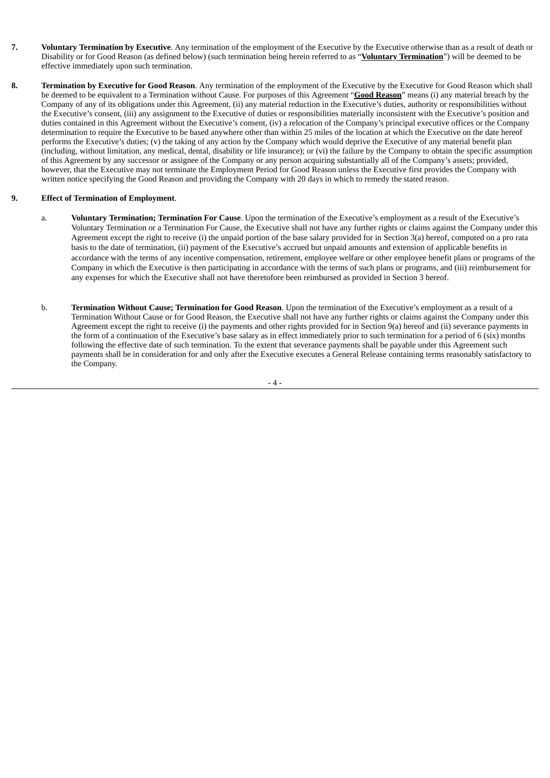- **7. Voluntary Termination by Executive**. Any termination of the employment of the Executive by the Executive otherwise than as a result of death or Disability or for Good Reason (as defined below) (such termination being herein referred to as "**Voluntary Termination**") will be deemed to be effective immediately upon such termination.
- **8. Termination by Executive for Good Reason**. Any termination of the employment of the Executive by the Executive for Good Reason which shall be deemed to be equivalent to a Termination without Cause. For purposes of this Agreement "**Good Reason**" means (i) any material breach by the Company of any of its obligations under this Agreement, (ii) any material reduction in the Executive's duties, authority or responsibilities without the Executive's consent, (iii) any assignment to the Executive of duties or responsibilities materially inconsistent with the Executive's position and duties contained in this Agreement without the Executive's consent, (iv) a relocation of the Company's principal executive offices or the Company determination to require the Executive to be based anywhere other than within 25 miles of the location at which the Executive on the date hereof performs the Executive's duties; (v) the taking of any action by the Company which would deprive the Executive of any material benefit plan (including, without limitation, any medical, dental, disability or life insurance); or (vi) the failure by the Company to obtain the specific assumption of this Agreement by any successor or assignee of the Company or any person acquiring substantially all of the Company's assets; provided, however, that the Executive may not terminate the Employment Period for Good Reason unless the Executive first provides the Company with written notice specifying the Good Reason and providing the Company with 20 days in which to remedy the stated reason.

### **9. Effect of Termination of Employment**.

- a. **Voluntary Termination; Termination For Cause**. Upon the termination of the Executive's employment as a result of the Executive's Voluntary Termination or a Termination For Cause, the Executive shall not have any further rights or claims against the Company under this Agreement except the right to receive (i) the unpaid portion of the base salary provided for in Section 3(a) hereof, computed on a pro rata basis to the date of termination, (ii) payment of the Executive's accrued but unpaid amounts and extension of applicable benefits in accordance with the terms of any incentive compensation, retirement, employee welfare or other employee benefit plans or programs of the Company in which the Executive is then participating in accordance with the terms of such plans or programs, and (iii) reimbursement for any expenses for which the Executive shall not have theretofore been reimbursed as provided in Section 3 hereof.
- b. **Termination Without Cause; Termination for Good Reason**. Upon the termination of the Executive's employment as a result of a Termination Without Cause or for Good Reason, the Executive shall not have any further rights or claims against the Company under this Agreement except the right to receive (i) the payments and other rights provided for in Section 9(a) hereof and (ii) severance payments in the form of a continuation of the Executive's base salary as in effect immediately prior to such termination for a period of 6 (six) months following the effective date of such termination. To the extent that severance payments shall be payable under this Agreement such payments shall be in consideration for and only after the Executive executes a General Release containing terms reasonably satisfactory to the Company.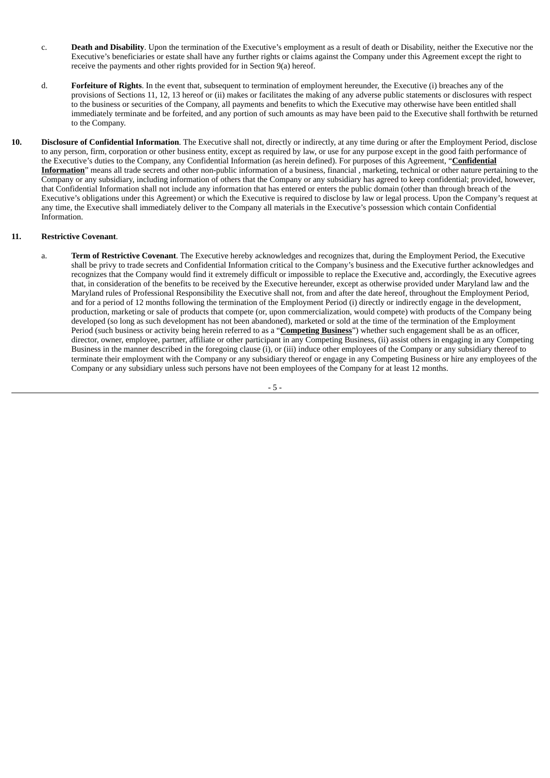- c. **Death and Disability**. Upon the termination of the Executive's employment as a result of death or Disability, neither the Executive nor the Executive's beneficiaries or estate shall have any further rights or claims against the Company under this Agreement except the right to receive the payments and other rights provided for in Section 9(a) hereof.
- d. **Forfeiture of Rights**. In the event that, subsequent to termination of employment hereunder, the Executive (i) breaches any of the provisions of Sections 11, 12, 13 hereof or (ii) makes or facilitates the making of any adverse public statements or disclosures with respect to the business or securities of the Company, all payments and benefits to which the Executive may otherwise have been entitled shall immediately terminate and be forfeited, and any portion of such amounts as may have been paid to the Executive shall forthwith be returned to the Company.
- **10. Disclosure of Confidential Information**. The Executive shall not, directly or indirectly, at any time during or after the Employment Period, disclose to any person, firm, corporation or other business entity, except as required by law, or use for any purpose except in the good faith performance of the Executive's duties to the Company, any Confidential Information (as herein defined). For purposes of this Agreement, "**Confidential Information**" means all trade secrets and other non-public information of a business, financial , marketing, technical or other nature pertaining to the Company or any subsidiary, including information of others that the Company or any subsidiary has agreed to keep confidential; provided, however, that Confidential Information shall not include any information that has entered or enters the public domain (other than through breach of the Executive's obligations under this Agreement) or which the Executive is required to disclose by law or legal process. Upon the Company's request at any time, the Executive shall immediately deliver to the Company all materials in the Executive's possession which contain Confidential Information.

### **11. Restrictive Covenant**.

a. **Term of Restrictive Covenant**. The Executive hereby acknowledges and recognizes that, during the Employment Period, the Executive shall be privy to trade secrets and Confidential Information critical to the Company's business and the Executive further acknowledges and recognizes that the Company would find it extremely difficult or impossible to replace the Executive and, accordingly, the Executive agrees that, in consideration of the benefits to be received by the Executive hereunder, except as otherwise provided under Maryland law and the Maryland rules of Professional Responsibility the Executive shall not, from and after the date hereof, throughout the Employment Period, and for a period of 12 months following the termination of the Employment Period (i) directly or indirectly engage in the development, production, marketing or sale of products that compete (or, upon commercialization, would compete) with products of the Company being developed (so long as such development has not been abandoned), marketed or sold at the time of the termination of the Employment Period (such business or activity being herein referred to as a "**Competing Business**") whether such engagement shall be as an officer, director, owner, employee, partner, affiliate or other participant in any Competing Business, (ii) assist others in engaging in any Competing Business in the manner described in the foregoing clause (i), or (iii) induce other employees of the Company or any subsidiary thereof to terminate their employment with the Company or any subsidiary thereof or engage in any Competing Business or hire any employees of the Company or any subsidiary unless such persons have not been employees of the Company for at least 12 months.

- 5 -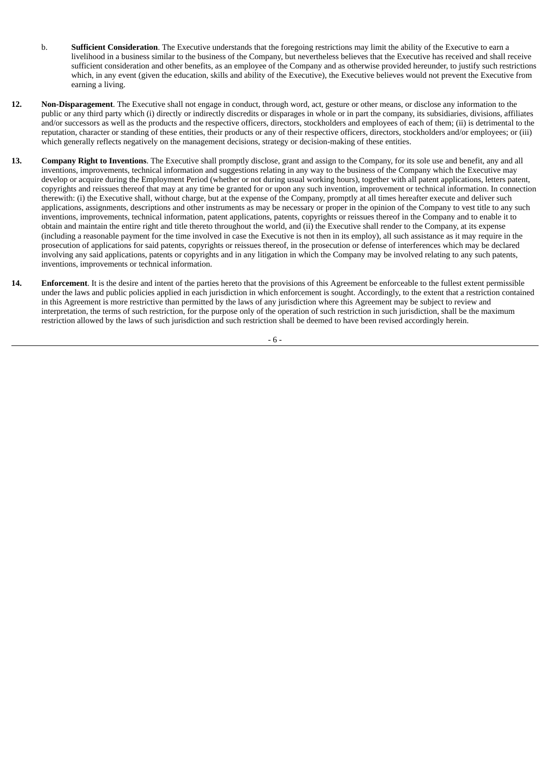- b. **Sufficient Consideration**. The Executive understands that the foregoing restrictions may limit the ability of the Executive to earn a livelihood in a business similar to the business of the Company, but nevertheless believes that the Executive has received and shall receive sufficient consideration and other benefits, as an employee of the Company and as otherwise provided hereunder, to justify such restrictions which, in any event (given the education, skills and ability of the Executive), the Executive believes would not prevent the Executive from earning a living.
- **12. Non-Disparagement**. The Executive shall not engage in conduct, through word, act, gesture or other means, or disclose any information to the public or any third party which (i) directly or indirectly discredits or disparages in whole or in part the company, its subsidiaries, divisions, affiliates and/or successors as well as the products and the respective officers, directors, stockholders and employees of each of them; (ii) is detrimental to the reputation, character or standing of these entities, their products or any of their respective officers, directors, stockholders and/or employees; or (iii) which generally reflects negatively on the management decisions, strategy or decision-making of these entities.
- **13. Company Right to Inventions**. The Executive shall promptly disclose, grant and assign to the Company, for its sole use and benefit, any and all inventions, improvements, technical information and suggestions relating in any way to the business of the Company which the Executive may develop or acquire during the Employment Period (whether or not during usual working hours), together with all patent applications, letters patent, copyrights and reissues thereof that may at any time be granted for or upon any such invention, improvement or technical information. In connection therewith: (i) the Executive shall, without charge, but at the expense of the Company, promptly at all times hereafter execute and deliver such applications, assignments, descriptions and other instruments as may be necessary or proper in the opinion of the Company to vest title to any such inventions, improvements, technical information, patent applications, patents, copyrights or reissues thereof in the Company and to enable it to obtain and maintain the entire right and title thereto throughout the world, and (ii) the Executive shall render to the Company, at its expense (including a reasonable payment for the time involved in case the Executive is not then in its employ), all such assistance as it may require in the prosecution of applications for said patents, copyrights or reissues thereof, in the prosecution or defense of interferences which may be declared involving any said applications, patents or copyrights and in any litigation in which the Company may be involved relating to any such patents, inventions, improvements or technical information.
- **14. Enforcement**. It is the desire and intent of the parties hereto that the provisions of this Agreement be enforceable to the fullest extent permissible under the laws and public policies applied in each jurisdiction in which enforcement is sought. Accordingly, to the extent that a restriction contained in this Agreement is more restrictive than permitted by the laws of any jurisdiction where this Agreement may be subject to review and interpretation, the terms of such restriction, for the purpose only of the operation of such restriction in such jurisdiction, shall be the maximum restriction allowed by the laws of such jurisdiction and such restriction shall be deemed to have been revised accordingly herein.

- 6 -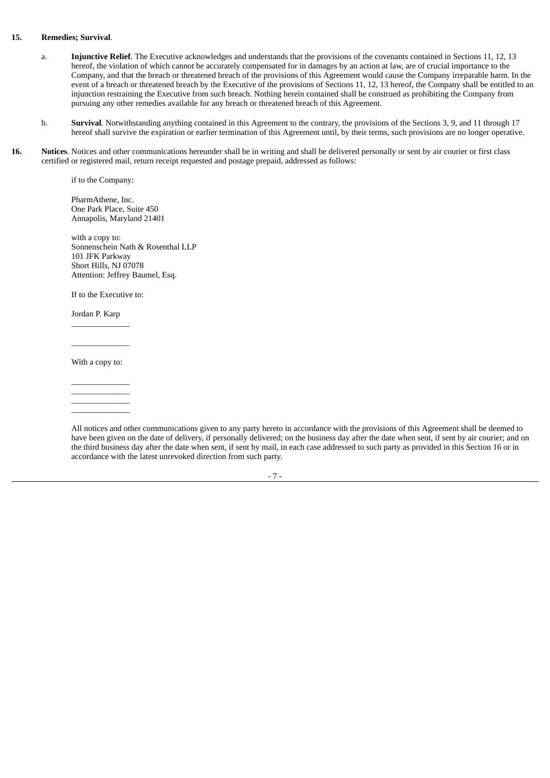### **15. Remedies; Survival**.

- a. **Injunctive Relief**. The Executive acknowledges and understands that the provisions of the covenants contained in Sections 11, 12, 13 hereof, the violation of which cannot be accurately compensated for in damages by an action at law, are of crucial importance to the Company, and that the breach or threatened breach of the provisions of this Agreement would cause the Company irreparable harm. In the event of a breach or threatened breach by the Executive of the provisions of Sections 11, 12, 13 hereof, the Company shall be entitled to an injunction restraining the Executive from such breach. Nothing herein contained shall be construed as prohibiting the Company from pursuing any other remedies available for any breach or threatened breach of this Agreement.
- b. **Survival**. Notwithstanding anything contained in this Agreement to the contrary, the provisions of the Sections 3, 9, and 11 through 17 hereof shall survive the expiration or earlier termination of this Agreement until, by their terms, such provisions are no longer operative.
- **16. Notices**. Notices and other communications hereunder shall be in writing and shall be delivered personally or sent by air courier or first class certified or registered mail, return receipt requested and postage prepaid, addressed as follows:

if to the Company:

PharmAthene, Inc. One Park Place, Suite 450 Annapolis, Maryland 21401

with a copy to: Sonnenschein Nath & Rosenthal LLP 101 JFK Parkway Short Hills, NJ 07078 Attention: Jeffrey Baumel, Esq.

If to the Executive to:

Jordan P. Karp  $\overline{\phantom{a}}$   $\overline{\phantom{a}}$   $\overline{\phantom{a}}$   $\overline{\phantom{a}}$   $\overline{\phantom{a}}$   $\overline{\phantom{a}}$   $\overline{\phantom{a}}$   $\overline{\phantom{a}}$   $\overline{\phantom{a}}$   $\overline{\phantom{a}}$   $\overline{\phantom{a}}$   $\overline{\phantom{a}}$   $\overline{\phantom{a}}$   $\overline{\phantom{a}}$   $\overline{\phantom{a}}$   $\overline{\phantom{a}}$   $\overline{\phantom{a}}$   $\overline{\phantom{a}}$   $\overline{\$ 

With a copy to:

 $\overline{\phantom{a}}$   $\overline{\phantom{a}}$   $\overline{\phantom{a}}$   $\overline{\phantom{a}}$   $\overline{\phantom{a}}$   $\overline{\phantom{a}}$   $\overline{\phantom{a}}$   $\overline{\phantom{a}}$   $\overline{\phantom{a}}$   $\overline{\phantom{a}}$   $\overline{\phantom{a}}$   $\overline{\phantom{a}}$   $\overline{\phantom{a}}$   $\overline{\phantom{a}}$   $\overline{\phantom{a}}$   $\overline{\phantom{a}}$   $\overline{\phantom{a}}$   $\overline{\phantom{a}}$   $\overline{\$ 

 $\overline{\phantom{a}}$   $\overline{\phantom{a}}$   $\overline{\phantom{a}}$   $\overline{\phantom{a}}$   $\overline{\phantom{a}}$   $\overline{\phantom{a}}$   $\overline{\phantom{a}}$   $\overline{\phantom{a}}$   $\overline{\phantom{a}}$   $\overline{\phantom{a}}$   $\overline{\phantom{a}}$   $\overline{\phantom{a}}$   $\overline{\phantom{a}}$   $\overline{\phantom{a}}$   $\overline{\phantom{a}}$   $\overline{\phantom{a}}$   $\overline{\phantom{a}}$   $\overline{\phantom{a}}$   $\overline{\$  $\overline{\phantom{a}}$   $\overline{\phantom{a}}$   $\overline{\phantom{a}}$   $\overline{\phantom{a}}$   $\overline{\phantom{a}}$   $\overline{\phantom{a}}$   $\overline{\phantom{a}}$   $\overline{\phantom{a}}$   $\overline{\phantom{a}}$   $\overline{\phantom{a}}$   $\overline{\phantom{a}}$   $\overline{\phantom{a}}$   $\overline{\phantom{a}}$   $\overline{\phantom{a}}$   $\overline{\phantom{a}}$   $\overline{\phantom{a}}$   $\overline{\phantom{a}}$   $\overline{\phantom{a}}$   $\overline{\$  $\overline{\phantom{a}}$   $\overline{\phantom{a}}$   $\overline{\phantom{a}}$   $\overline{\phantom{a}}$   $\overline{\phantom{a}}$   $\overline{\phantom{a}}$   $\overline{\phantom{a}}$   $\overline{\phantom{a}}$   $\overline{\phantom{a}}$   $\overline{\phantom{a}}$   $\overline{\phantom{a}}$   $\overline{\phantom{a}}$   $\overline{\phantom{a}}$   $\overline{\phantom{a}}$   $\overline{\phantom{a}}$   $\overline{\phantom{a}}$   $\overline{\phantom{a}}$   $\overline{\phantom{a}}$   $\overline{\$  $\overline{\phantom{a}}$   $\overline{\phantom{a}}$   $\overline{\phantom{a}}$   $\overline{\phantom{a}}$   $\overline{\phantom{a}}$   $\overline{\phantom{a}}$   $\overline{\phantom{a}}$   $\overline{\phantom{a}}$   $\overline{\phantom{a}}$   $\overline{\phantom{a}}$   $\overline{\phantom{a}}$   $\overline{\phantom{a}}$   $\overline{\phantom{a}}$   $\overline{\phantom{a}}$   $\overline{\phantom{a}}$   $\overline{\phantom{a}}$   $\overline{\phantom{a}}$   $\overline{\phantom{a}}$   $\overline{\$ 

All notices and other communications given to any party hereto in accordance with the provisions of this Agreement shall be deemed to have been given on the date of delivery, if personally delivered; on the business day after the date when sent, if sent by air courier; and on the third business day after the date when sent, if sent by mail, in each case addressed to such party as provided in this Section 16 or in accordance with the latest unrevoked direction from such party.

- 7 -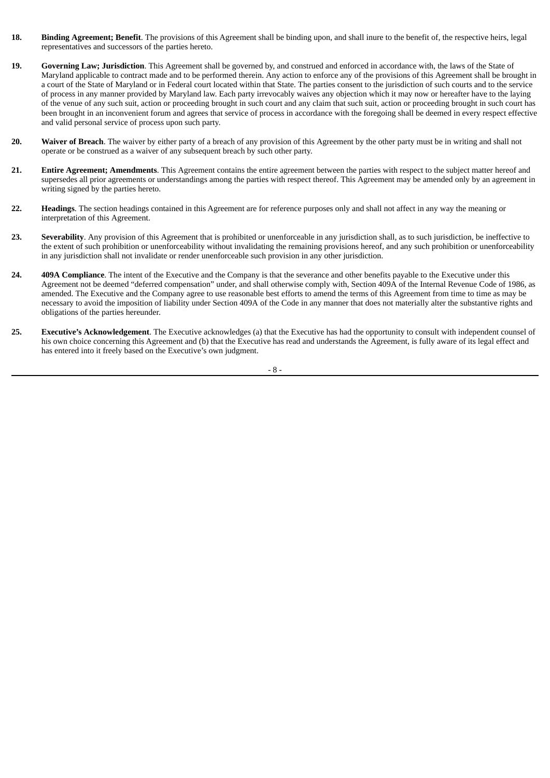- **18. Binding Agreement; Benefit**. The provisions of this Agreement shall be binding upon, and shall inure to the benefit of, the respective heirs, legal representatives and successors of the parties hereto.
- **19. Governing Law; Jurisdiction**. This Agreement shall be governed by, and construed and enforced in accordance with, the laws of the State of Maryland applicable to contract made and to be performed therein. Any action to enforce any of the provisions of this Agreement shall be brought in a court of the State of Maryland or in Federal court located within that State. The parties consent to the jurisdiction of such courts and to the service of process in any manner provided by Maryland law. Each party irrevocably waives any objection which it may now or hereafter have to the laying of the venue of any such suit, action or proceeding brought in such court and any claim that such suit, action or proceeding brought in such court has been brought in an inconvenient forum and agrees that service of process in accordance with the foregoing shall be deemed in every respect effective and valid personal service of process upon such party.
- **20. Waiver of Breach**. The waiver by either party of a breach of any provision of this Agreement by the other party must be in writing and shall not operate or be construed as a waiver of any subsequent breach by such other party.
- **21. Entire Agreement; Amendments**. This Agreement contains the entire agreement between the parties with respect to the subject matter hereof and supersedes all prior agreements or understandings among the parties with respect thereof. This Agreement may be amended only by an agreement in writing signed by the parties hereto.
- **22. Headings**. The section headings contained in this Agreement are for reference purposes only and shall not affect in any way the meaning or interpretation of this Agreement.
- **23. Severability**. Any provision of this Agreement that is prohibited or unenforceable in any jurisdiction shall, as to such jurisdiction, be ineffective to the extent of such prohibition or unenforceability without invalidating the remaining provisions hereof, and any such prohibition or unenforceability in any jurisdiction shall not invalidate or render unenforceable such provision in any other jurisdiction.
- **24. 409A Compliance**. The intent of the Executive and the Company is that the severance and other benefits payable to the Executive under this Agreement not be deemed "deferred compensation" under, and shall otherwise comply with, Section 409A of the Internal Revenue Code of 1986, as amended. The Executive and the Company agree to use reasonable best efforts to amend the terms of this Agreement from time to time as may be necessary to avoid the imposition of liability under Section 409A of the Code in any manner that does not materially alter the substantive rights and obligations of the parties hereunder.
- **25. Executive's Acknowledgement**. The Executive acknowledges (a) that the Executive has had the opportunity to consult with independent counsel of his own choice concerning this Agreement and (b) that the Executive has read and understands the Agreement, is fully aware of its legal effect and has entered into it freely based on the Executive's own judgment.

- 8 -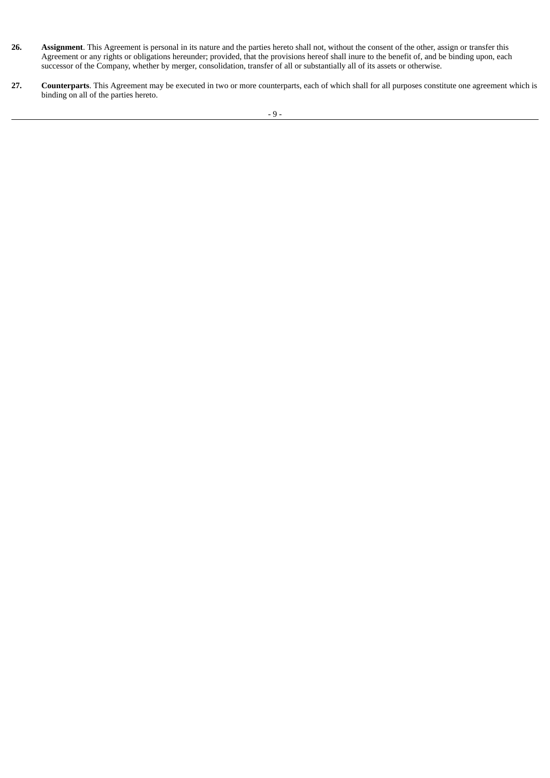- **26. Assignment**. This Agreement is personal in its nature and the parties hereto shall not, without the consent of the other, assign or transfer this Agreement or any rights or obligations hereunder; provided, that the provisions hereof shall inure to the benefit of, and be binding upon, each successor of the Company, whether by merger, consolidation, transfer of all or substantially all of its assets or otherwise.
- **27. Counterparts**. This Agreement may be executed in two or more counterparts, each of which shall for all purposes constitute one agreement which is binding on all of the parties hereto.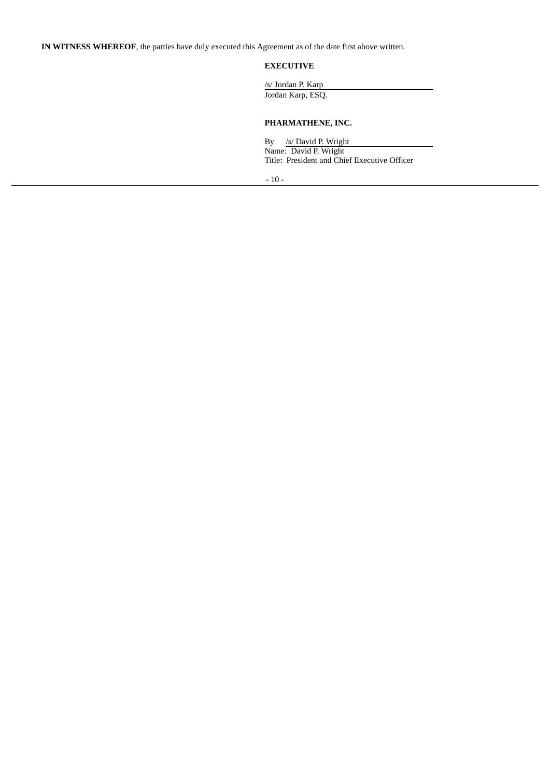**IN WITNESS WHEREOF**, the parties have duly executed this Agreement as of the date first above written.

# **EXECUTIVE**

/s/ Jordan P. Karp Jordan Karp, ESQ.

# **PHARMATHENE, INC.**

By /s/ David P. Wright Name: David P. Wright Title: President and Chief Executive Officer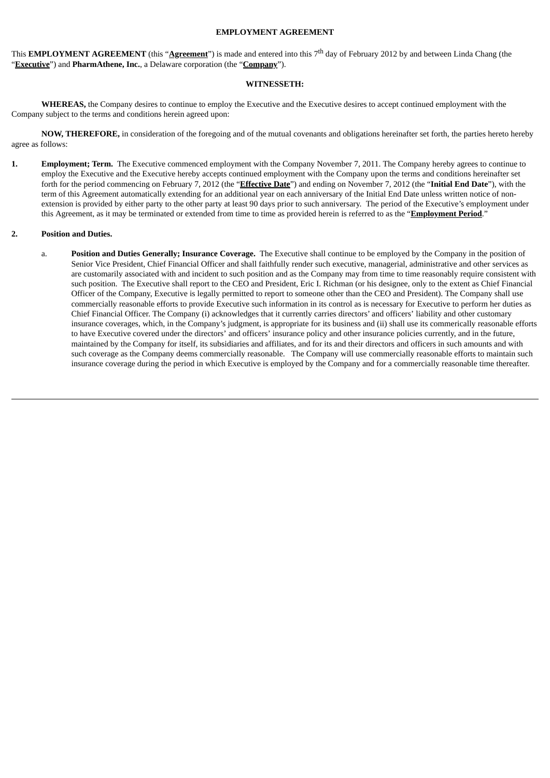#### **EMPLOYMENT AGREEMENT**

This **EMPLOYMENT AGREEMENT** (this "**Agreement**") is made and entered into this 7 th day of February 2012 by and between Linda Chang (the "**Executive**") and **PharmAthene, Inc.**, a Delaware corporation (the "**Company**").

#### **WITNESSETH:**

**WHEREAS,** the Company desires to continue to employ the Executive and the Executive desires to accept continued employment with the Company subject to the terms and conditions herein agreed upon:

**NOW, THEREFORE,** in consideration of the foregoing and of the mutual covenants and obligations hereinafter set forth, the parties hereto hereby agree as follows:

**1. Employment; Term.** The Executive commenced employment with the Company November 7, 2011. The Company hereby agrees to continue to employ the Executive and the Executive hereby accepts continued employment with the Company upon the terms and conditions hereinafter set forth for the period commencing on February 7, 2012 (the "**Effective Date**") and ending on November 7, 2012 (the "**Initial End Date**"), with the term of this Agreement automatically extending for an additional year on each anniversary of the Initial End Date unless written notice of nonextension is provided by either party to the other party at least 90 days prior to such anniversary. The period of the Executive's employment under this Agreement, as it may be terminated or extended from time to time as provided herein is referred to as the "**Employment Period**."

#### **2. Position and Duties.**

a. **Position and Duties Generally; Insurance Coverage.** The Executive shall continue to be employed by the Company in the position of Senior Vice President, Chief Financial Officer and shall faithfully render such executive, managerial, administrative and other services as are customarily associated with and incident to such position and as the Company may from time to time reasonably require consistent with such position. The Executive shall report to the CEO and President, Eric I. Richman (or his designee, only to the extent as Chief Financial Officer of the Company, Executive is legally permitted to report to someone other than the CEO and President). The Company shall use commercially reasonable efforts to provide Executive such information in its control as is necessary for Executive to perform her duties as Chief Financial Officer. The Company (i) acknowledges that it currently carries directors' and officers' liability and other customary insurance coverages, which, in the Company's judgment, is appropriate for its business and (ii) shall use its commerically reasonable efforts to have Executive covered under the directors' and officers' insurance policy and other insurance policies currently, and in the future, maintained by the Company for itself, its subsidiaries and affiliates, and for its and their directors and officers in such amounts and with such coverage as the Company deems commercially reasonable. The Company will use commercially reasonable efforts to maintain such insurance coverage during the period in which Executive is employed by the Company and for a commercially reasonable time thereafter.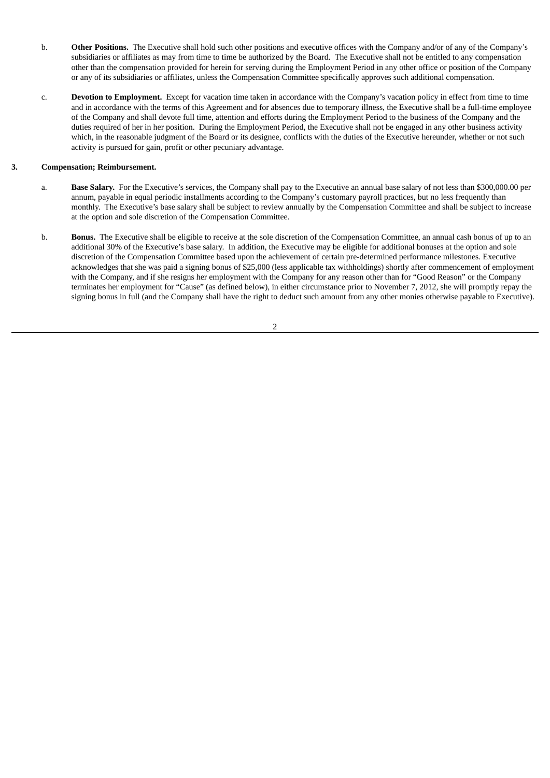- b. **Other Positions.** The Executive shall hold such other positions and executive offices with the Company and/or of any of the Company's subsidiaries or affiliates as may from time to time be authorized by the Board. The Executive shall not be entitled to any compensation other than the compensation provided for herein for serving during the Employment Period in any other office or position of the Company or any of its subsidiaries or affiliates, unless the Compensation Committee specifically approves such additional compensation.
- c. **Devotion to Employment.** Except for vacation time taken in accordance with the Company's vacation policy in effect from time to time and in accordance with the terms of this Agreement and for absences due to temporary illness, the Executive shall be a full-time employee of the Company and shall devote full time, attention and efforts during the Employment Period to the business of the Company and the duties required of her in her position. During the Employment Period, the Executive shall not be engaged in any other business activity which, in the reasonable judgment of the Board or its designee, conflicts with the duties of the Executive hereunder, whether or not such activity is pursued for gain, profit or other pecuniary advantage.

### **3. Compensation; Reimbursement.**

- a. **Base Salary.** For the Executive's services, the Company shall pay to the Executive an annual base salary of not less than \$300,000.00 per annum, payable in equal periodic installments according to the Company's customary payroll practices, but no less frequently than monthly. The Executive's base salary shall be subject to review annually by the Compensation Committee and shall be subject to increase at the option and sole discretion of the Compensation Committee.
- b. **Bonus.** The Executive shall be eligible to receive at the sole discretion of the Compensation Committee, an annual cash bonus of up to an additional 30% of the Executive's base salary. In addition, the Executive may be eligible for additional bonuses at the option and sole discretion of the Compensation Committee based upon the achievement of certain pre-determined performance milestones. Executive acknowledges that she was paid a signing bonus of \$25,000 (less applicable tax withholdings) shortly after commencement of employment with the Company, and if she resigns her employment with the Company for any reason other than for "Good Reason" or the Company terminates her employment for "Cause" (as defined below), in either circumstance prior to November 7, 2012, she will promptly repay the signing bonus in full (and the Company shall have the right to deduct such amount from any other monies otherwise payable to Executive).

 $\overline{2}$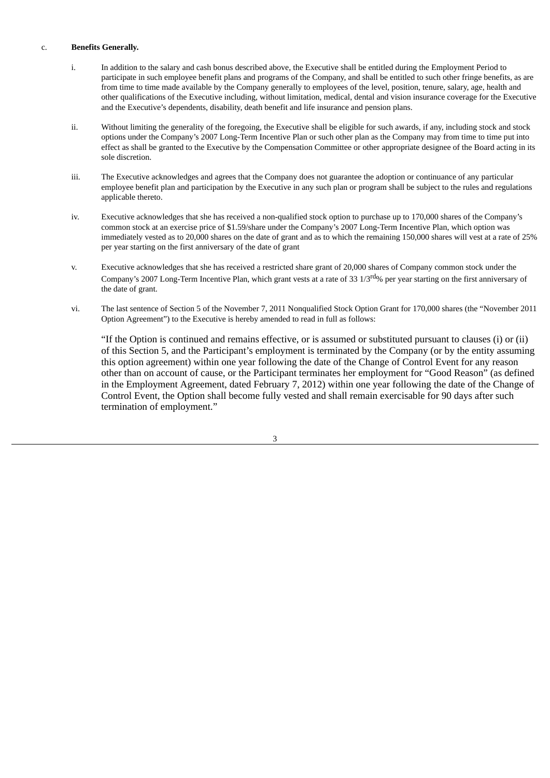### c. **Benefits Generally.**

- i. In addition to the salary and cash bonus described above, the Executive shall be entitled during the Employment Period to participate in such employee benefit plans and programs of the Company, and shall be entitled to such other fringe benefits, as are from time to time made available by the Company generally to employees of the level, position, tenure, salary, age, health and other qualifications of the Executive including, without limitation, medical, dental and vision insurance coverage for the Executive and the Executive's dependents, disability, death benefit and life insurance and pension plans.
- ii. Without limiting the generality of the foregoing, the Executive shall be eligible for such awards, if any, including stock and stock options under the Company's 2007 Long-Term Incentive Plan or such other plan as the Company may from time to time put into effect as shall be granted to the Executive by the Compensation Committee or other appropriate designee of the Board acting in its sole discretion.
- iii. The Executive acknowledges and agrees that the Company does not guarantee the adoption or continuance of any particular employee benefit plan and participation by the Executive in any such plan or program shall be subject to the rules and regulations applicable thereto.
- iv. Executive acknowledges that she has received a non-qualified stock option to purchase up to 170,000 shares of the Company's common stock at an exercise price of \$1.59/share under the Company's 2007 Long-Term Incentive Plan, which option was immediately vested as to 20,000 shares on the date of grant and as to which the remaining 150,000 shares will vest at a rate of 25% per year starting on the first anniversary of the date of grant
- v. Executive acknowledges that she has received a restricted share grant of 20,000 shares of Company common stock under the Company's 2007 Long-Term Incentive Plan, which grant vests at a rate of 33 1/3<sup>rd</sup>% per year starting on the first anniversary of the date of grant.
- vi. The last sentence of Section 5 of the November 7, 2011 Nonqualified Stock Option Grant for 170,000 shares (the "November 2011 Option Agreement") to the Executive is hereby amended to read in full as follows:

"If the Option is continued and remains effective, or is assumed or substituted pursuant to clauses (i) or (ii) of this Section 5, and the Participant's employment is terminated by the Company (or by the entity assuming this option agreement) within one year following the date of the Change of Control Event for any reason other than on account of cause, or the Participant terminates her employment for "Good Reason" (as defined in the Employment Agreement, dated February 7, 2012) within one year following the date of the Change of Control Event, the Option shall become fully vested and shall remain exercisable for 90 days after such termination of employment."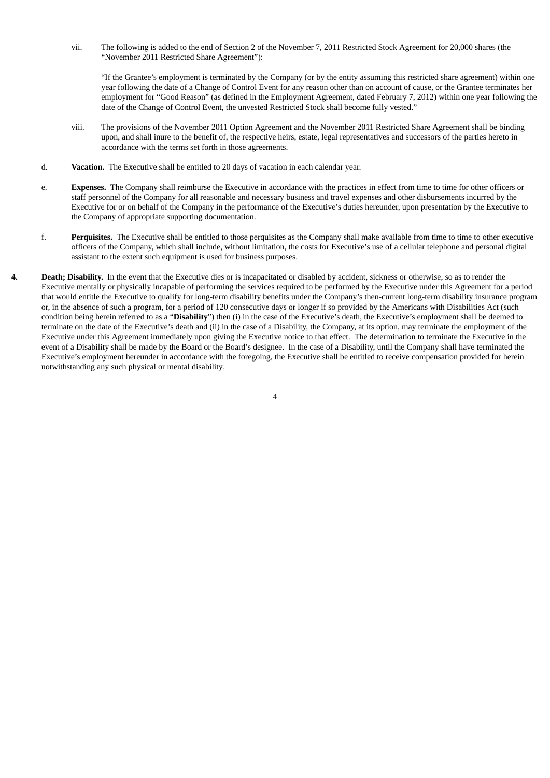vii. The following is added to the end of Section 2 of the November 7, 2011 Restricted Stock Agreement for 20,000 shares (the "November 2011 Restricted Share Agreement"):

"If the Grantee's employment is terminated by the Company (or by the entity assuming this restricted share agreement) within one year following the date of a Change of Control Event for any reason other than on account of cause, or the Grantee terminates her employment for "Good Reason" (as defined in the Employment Agreement, dated February 7, 2012) within one year following the date of the Change of Control Event, the unvested Restricted Stock shall become fully vested."

- viii. The provisions of the November 2011 Option Agreement and the November 2011 Restricted Share Agreement shall be binding upon, and shall inure to the benefit of, the respective heirs, estate, legal representatives and successors of the parties hereto in accordance with the terms set forth in those agreements.
- d. **Vacation.** The Executive shall be entitled to 20 days of vacation in each calendar year.
- e. **Expenses.** The Company shall reimburse the Executive in accordance with the practices in effect from time to time for other officers or staff personnel of the Company for all reasonable and necessary business and travel expenses and other disbursements incurred by the Executive for or on behalf of the Company in the performance of the Executive's duties hereunder, upon presentation by the Executive to the Company of appropriate supporting documentation.
- f. **Perquisites.** The Executive shall be entitled to those perquisites as the Company shall make available from time to time to other executive officers of the Company, which shall include, without limitation, the costs for Executive's use of a cellular telephone and personal digital assistant to the extent such equipment is used for business purposes.
- **4. Death; Disability.** In the event that the Executive dies or is incapacitated or disabled by accident, sickness or otherwise, so as to render the Executive mentally or physically incapable of performing the services required to be performed by the Executive under this Agreement for a period that would entitle the Executive to qualify for long-term disability benefits under the Company's then-current long-term disability insurance program or, in the absence of such a program, for a period of 120 consecutive days or longer if so provided by the Americans with Disabilities Act (such condition being herein referred to as a "**Disability**") then (i) in the case of the Executive's death, the Executive's employment shall be deemed to terminate on the date of the Executive's death and (ii) in the case of a Disability, the Company, at its option, may terminate the employment of the Executive under this Agreement immediately upon giving the Executive notice to that effect. The determination to terminate the Executive in the event of a Disability shall be made by the Board or the Board's designee. In the case of a Disability, until the Company shall have terminated the Executive's employment hereunder in accordance with the foregoing, the Executive shall be entitled to receive compensation provided for herein notwithstanding any such physical or mental disability.

4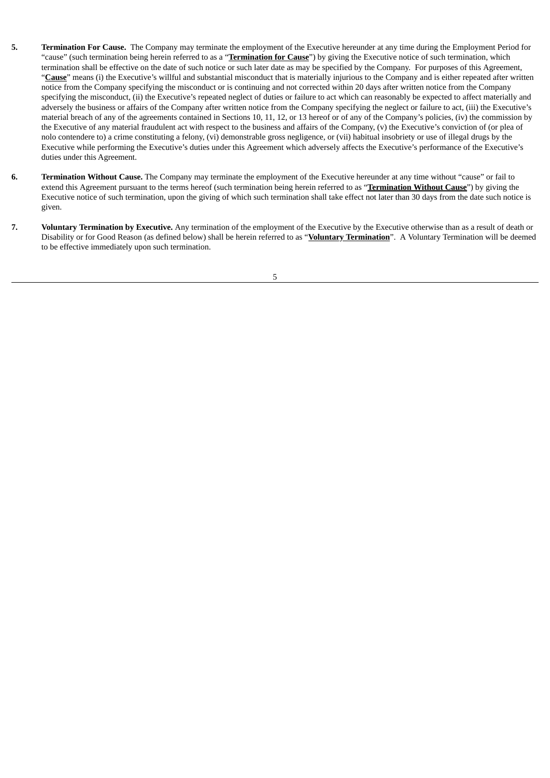- **5. Termination For Cause.** The Company may terminate the employment of the Executive hereunder at any time during the Employment Period for "cause" (such termination being herein referred to as a "**Termination for Cause**") by giving the Executive notice of such termination, which termination shall be effective on the date of such notice or such later date as may be specified by the Company. For purposes of this Agreement, "**Cause**" means (i) the Executive's willful and substantial misconduct that is materially injurious to the Company and is either repeated after written notice from the Company specifying the misconduct or is continuing and not corrected within 20 days after written notice from the Company specifying the misconduct, (ii) the Executive's repeated neglect of duties or failure to act which can reasonably be expected to affect materially and adversely the business or affairs of the Company after written notice from the Company specifying the neglect or failure to act, (iii) the Executive's material breach of any of the agreements contained in Sections 10, 11, 12, or 13 hereof or of any of the Company's policies, (iv) the commission by the Executive of any material fraudulent act with respect to the business and affairs of the Company, (v) the Executive's conviction of (or plea of nolo contendere to) a crime constituting a felony, (vi) demonstrable gross negligence, or (vii) habitual insobriety or use of illegal drugs by the Executive while performing the Executive's duties under this Agreement which adversely affects the Executive's performance of the Executive's duties under this Agreement.
- **6. Termination Without Cause.** The Company may terminate the employment of the Executive hereunder at any time without "cause" or fail to extend this Agreement pursuant to the terms hereof (such termination being herein referred to as "**Termination Without Cause**") by giving the Executive notice of such termination, upon the giving of which such termination shall take effect not later than 30 days from the date such notice is given.
- **7. Voluntary Termination by Executive.** Any termination of the employment of the Executive by the Executive otherwise than as a result of death or Disability or for Good Reason (as defined below) shall be herein referred to as "**Voluntary Termination**". A Voluntary Termination will be deemed to be effective immediately upon such termination.

5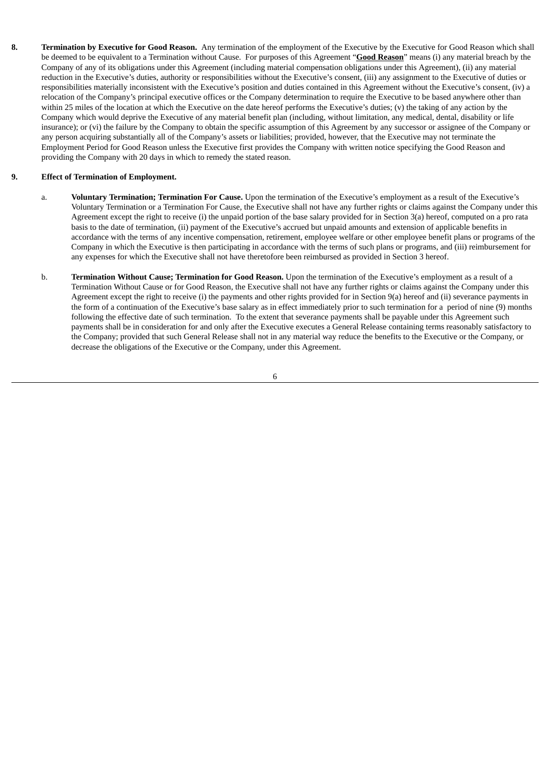**8. Termination by Executive for Good Reason.** Any termination of the employment of the Executive by the Executive for Good Reason which shall be deemed to be equivalent to a Termination without Cause. For purposes of this Agreement "**Good Reason**" means (i) any material breach by the Company of any of its obligations under this Agreement (including material compensation obligations under this Agreement), (ii) any material reduction in the Executive's duties, authority or responsibilities without the Executive's consent, (iii) any assignment to the Executive of duties or responsibilities materially inconsistent with the Executive's position and duties contained in this Agreement without the Executive's consent, (iv) a relocation of the Company's principal executive offices or the Company determination to require the Executive to be based anywhere other than within 25 miles of the location at which the Executive on the date hereof performs the Executive's duties; (v) the taking of any action by the Company which would deprive the Executive of any material benefit plan (including, without limitation, any medical, dental, disability or life insurance); or (vi) the failure by the Company to obtain the specific assumption of this Agreement by any successor or assignee of the Company or any person acquiring substantially all of the Company's assets or liabilities; provided, however, that the Executive may not terminate the Employment Period for Good Reason unless the Executive first provides the Company with written notice specifying the Good Reason and providing the Company with 20 days in which to remedy the stated reason.

### **9. Effect of Termination of Employment.**

- a. **Voluntary Termination; Termination For Cause.** Upon the termination of the Executive's employment as a result of the Executive's Voluntary Termination or a Termination For Cause, the Executive shall not have any further rights or claims against the Company under this Agreement except the right to receive (i) the unpaid portion of the base salary provided for in Section 3(a) hereof, computed on a pro rata basis to the date of termination, (ii) payment of the Executive's accrued but unpaid amounts and extension of applicable benefits in accordance with the terms of any incentive compensation, retirement, employee welfare or other employee benefit plans or programs of the Company in which the Executive is then participating in accordance with the terms of such plans or programs, and (iii) reimbursement for any expenses for which the Executive shall not have theretofore been reimbursed as provided in Section 3 hereof.
- b. **Termination Without Cause; Termination for Good Reason.** Upon the termination of the Executive's employment as a result of a Termination Without Cause or for Good Reason, the Executive shall not have any further rights or claims against the Company under this Agreement except the right to receive (i) the payments and other rights provided for in Section 9(a) hereof and (ii) severance payments in the form of a continuation of the Executive's base salary as in effect immediately prior to such termination for a period of nine (9) months following the effective date of such termination. To the extent that severance payments shall be payable under this Agreement such payments shall be in consideration for and only after the Executive executes a General Release containing terms reasonably satisfactory to the Company; provided that such General Release shall not in any material way reduce the benefits to the Executive or the Company, or decrease the obligations of the Executive or the Company, under this Agreement.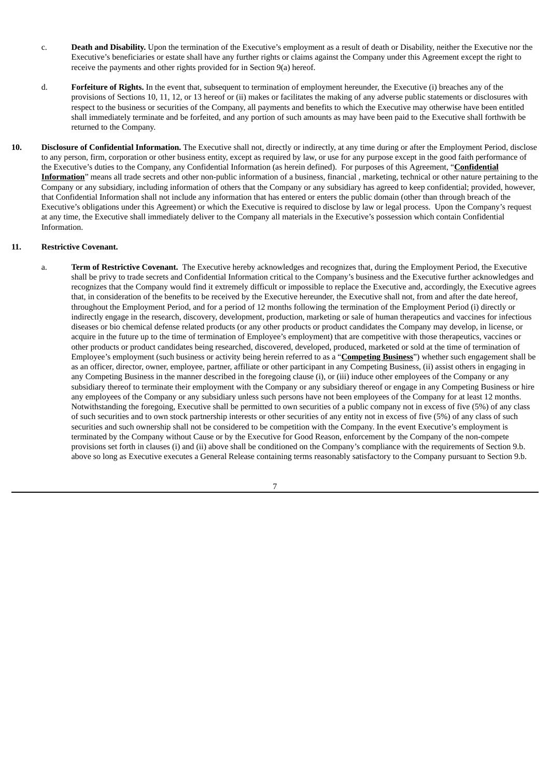- c. **Death and Disability.** Upon the termination of the Executive's employment as a result of death or Disability, neither the Executive nor the Executive's beneficiaries or estate shall have any further rights or claims against the Company under this Agreement except the right to receive the payments and other rights provided for in Section 9(a) hereof.
- d. **Forfeiture of Rights.** In the event that, subsequent to termination of employment hereunder, the Executive (i) breaches any of the provisions of Sections 10, 11, 12, or 13 hereof or (ii) makes or facilitates the making of any adverse public statements or disclosures with respect to the business or securities of the Company, all payments and benefits to which the Executive may otherwise have been entitled shall immediately terminate and be forfeited, and any portion of such amounts as may have been paid to the Executive shall forthwith be returned to the Company.
- **10. Disclosure of Confidential Information.** The Executive shall not, directly or indirectly, at any time during or after the Employment Period, disclose to any person, firm, corporation or other business entity, except as required by law, or use for any purpose except in the good faith performance of the Executive's duties to the Company, any Confidential Information (as herein defined). For purposes of this Agreement, "**Confidential Information**" means all trade secrets and other non-public information of a business, financial , marketing, technical or other nature pertaining to the Company or any subsidiary, including information of others that the Company or any subsidiary has agreed to keep confidential; provided, however, that Confidential Information shall not include any information that has entered or enters the public domain (other than through breach of the Executive's obligations under this Agreement) or which the Executive is required to disclose by law or legal process. Upon the Company's request at any time, the Executive shall immediately deliver to the Company all materials in the Executive's possession which contain Confidential Information.

# **11. Restrictive Covenant.**

a. **Term of Restrictive Covenant.** The Executive hereby acknowledges and recognizes that, during the Employment Period, the Executive shall be privy to trade secrets and Confidential Information critical to the Company's business and the Executive further acknowledges and recognizes that the Company would find it extremely difficult or impossible to replace the Executive and, accordingly, the Executive agrees that, in consideration of the benefits to be received by the Executive hereunder, the Executive shall not, from and after the date hereof, throughout the Employment Period, and for a period of 12 months following the termination of the Employment Period (i) directly or indirectly engage in the research, discovery, development, production, marketing or sale of human therapeutics and vaccines for infectious diseases or bio chemical defense related products (or any other products or product candidates the Company may develop, in license, or acquire in the future up to the time of termination of Employee's employment) that are competitive with those therapeutics, vaccines or other products or product candidates being researched, discovered, developed, produced, marketed or sold at the time of termination of Employee's employment (such business or activity being herein referred to as a "**Competing Business**") whether such engagement shall be as an officer, director, owner, employee, partner, affiliate or other participant in any Competing Business, (ii) assist others in engaging in any Competing Business in the manner described in the foregoing clause (i), or (iii) induce other employees of the Company or any subsidiary thereof to terminate their employment with the Company or any subsidiary thereof or engage in any Competing Business or hire any employees of the Company or any subsidiary unless such persons have not been employees of the Company for at least 12 months. Notwithstanding the foregoing, Executive shall be permitted to own securities of a public company not in excess of five (5%) of any class of such securities and to own stock partnership interests or other securities of any entity not in excess of five (5%) of any class of such securities and such ownership shall not be considered to be competition with the Company. In the event Executive's employment is terminated by the Company without Cause or by the Executive for Good Reason, enforcement by the Company of the non-compete provisions set forth in clauses (i) and (ii) above shall be conditioned on the Company's compliance with the requirements of Section 9.b. above so long as Executive executes a General Release containing terms reasonably satisfactory to the Company pursuant to Section 9.b.

7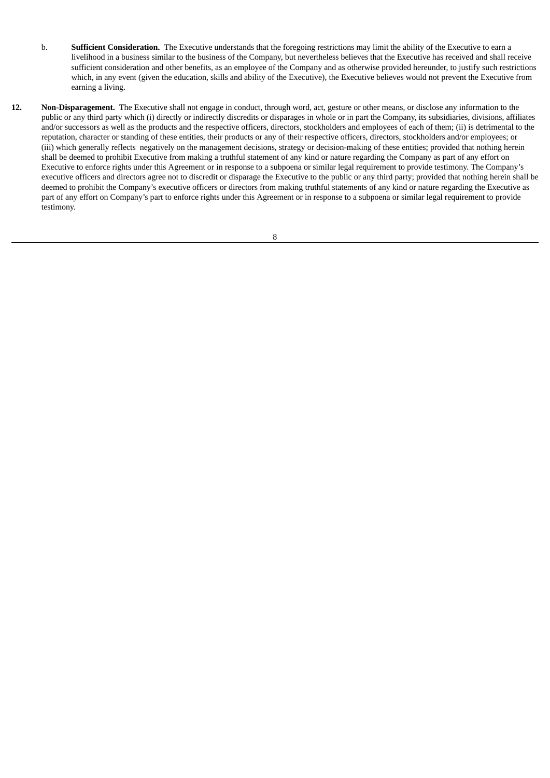- b. **Sufficient Consideration.** The Executive understands that the foregoing restrictions may limit the ability of the Executive to earn a livelihood in a business similar to the business of the Company, but nevertheless believes that the Executive has received and shall receive sufficient consideration and other benefits, as an employee of the Company and as otherwise provided hereunder, to justify such restrictions which, in any event (given the education, skills and ability of the Executive), the Executive believes would not prevent the Executive from earning a living.
- **12. Non-Disparagement.** The Executive shall not engage in conduct, through word, act, gesture or other means, or disclose any information to the public or any third party which (i) directly or indirectly discredits or disparages in whole or in part the Company, its subsidiaries, divisions, affiliates and/or successors as well as the products and the respective officers, directors, stockholders and employees of each of them; (ii) is detrimental to the reputation, character or standing of these entities, their products or any of their respective officers, directors, stockholders and/or employees; or (iii) which generally reflects negatively on the management decisions, strategy or decision-making of these entities; provided that nothing herein shall be deemed to prohibit Executive from making a truthful statement of any kind or nature regarding the Company as part of any effort on Executive to enforce rights under this Agreement or in response to a subpoena or similar legal requirement to provide testimony. The Company's executive officers and directors agree not to discredit or disparage the Executive to the public or any third party; provided that nothing herein shall be deemed to prohibit the Company's executive officers or directors from making truthful statements of any kind or nature regarding the Executive as part of any effort on Company's part to enforce rights under this Agreement or in response to a subpoena or similar legal requirement to provide testimony.

8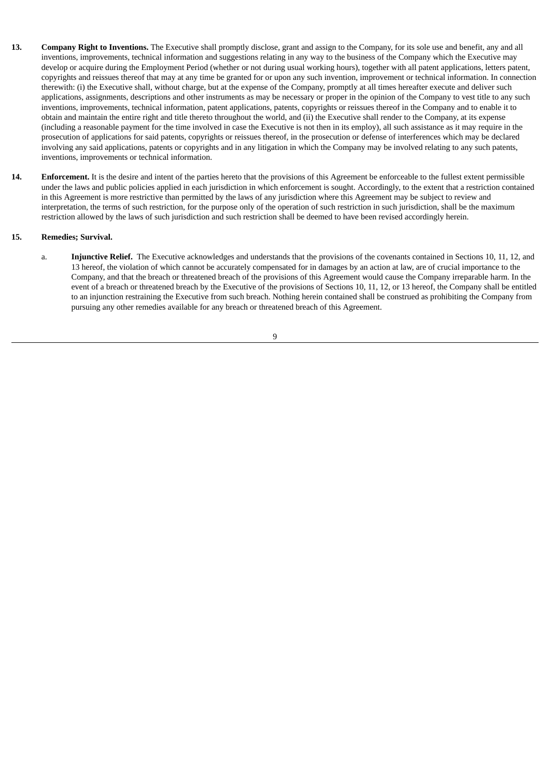- **13. Company Right to Inventions.** The Executive shall promptly disclose, grant and assign to the Company, for its sole use and benefit, any and all inventions, improvements, technical information and suggestions relating in any way to the business of the Company which the Executive may develop or acquire during the Employment Period (whether or not during usual working hours), together with all patent applications, letters patent, copyrights and reissues thereof that may at any time be granted for or upon any such invention, improvement or technical information. In connection therewith: (i) the Executive shall, without charge, but at the expense of the Company, promptly at all times hereafter execute and deliver such applications, assignments, descriptions and other instruments as may be necessary or proper in the opinion of the Company to vest title to any such inventions, improvements, technical information, patent applications, patents, copyrights or reissues thereof in the Company and to enable it to obtain and maintain the entire right and title thereto throughout the world, and (ii) the Executive shall render to the Company, at its expense (including a reasonable payment for the time involved in case the Executive is not then in its employ), all such assistance as it may require in the prosecution of applications for said patents, copyrights or reissues thereof, in the prosecution or defense of interferences which may be declared involving any said applications, patents or copyrights and in any litigation in which the Company may be involved relating to any such patents, inventions, improvements or technical information.
- **14. Enforcement.** It is the desire and intent of the parties hereto that the provisions of this Agreement be enforceable to the fullest extent permissible under the laws and public policies applied in each jurisdiction in which enforcement is sought. Accordingly, to the extent that a restriction contained in this Agreement is more restrictive than permitted by the laws of any jurisdiction where this Agreement may be subject to review and interpretation, the terms of such restriction, for the purpose only of the operation of such restriction in such jurisdiction, shall be the maximum restriction allowed by the laws of such jurisdiction and such restriction shall be deemed to have been revised accordingly herein.

# **15. Remedies; Survival.**

a. **Injunctive Relief.** The Executive acknowledges and understands that the provisions of the covenants contained in Sections 10, 11, 12, and 13 hereof, the violation of which cannot be accurately compensated for in damages by an action at law, are of crucial importance to the Company, and that the breach or threatened breach of the provisions of this Agreement would cause the Company irreparable harm. In the event of a breach or threatened breach by the Executive of the provisions of Sections 10, 11, 12, or 13 hereof, the Company shall be entitled to an injunction restraining the Executive from such breach. Nothing herein contained shall be construed as prohibiting the Company from pursuing any other remedies available for any breach or threatened breach of this Agreement.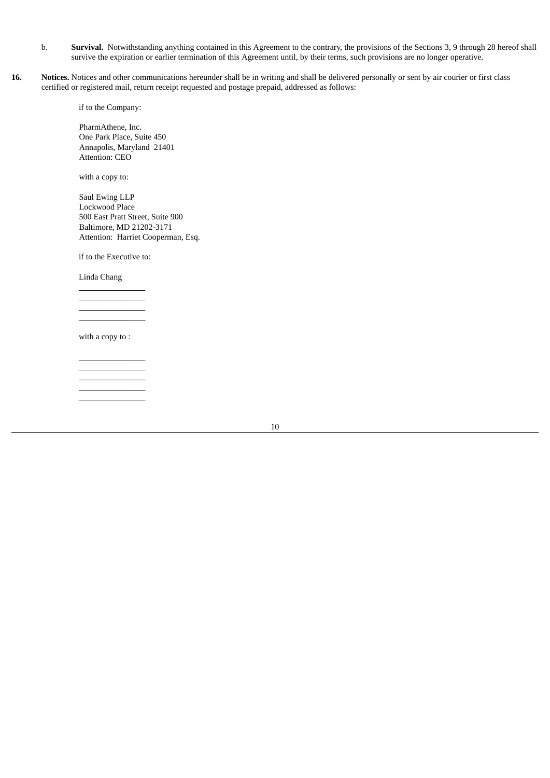- b. **Survival.** Notwithstanding anything contained in this Agreement to the contrary, the provisions of the Sections 3, 9 through 28 hereof shall survive the expiration or earlier termination of this Agreement until, by their terms, such provisions are no longer operative.
- **16. Notices.** Notices and other communications hereunder shall be in writing and shall be delivered personally or sent by air courier or first class certified or registered mail, return receipt requested and postage prepaid, addressed as follows:

if to the Company:

PharmAthene, Inc. One Park Place, Suite 450 Annapolis, Maryland 21401 Attention: CEO

with a copy to:

Saul Ewing LLP Lockwood Place 500 East Pratt Street, Suite 900 Baltimore, MD 21202-3171 Attention: Harriet Cooperman, Esq.

if to the Executive to:

Linda Chang

\_\_\_\_\_\_\_\_\_\_\_\_\_\_\_\_ \_\_\_\_\_\_\_\_\_\_\_\_\_\_\_\_  $\overline{\phantom{a}}$  , where  $\overline{\phantom{a}}$ 

 $\overline{\phantom{a}}$  , where  $\overline{\phantom{a}}$ 

with a copy to :

\_\_\_\_\_\_\_\_\_\_\_\_\_\_\_\_  $\overline{\phantom{a}}$  , where  $\overline{\phantom{a}}$  $\overline{\phantom{a}}$  , where  $\overline{\phantom{a}}$ 

 $\overline{\phantom{a}}$  , where  $\overline{\phantom{a}}$  $\overline{\phantom{a}}$  , where  $\overline{\phantom{a}}$ 

10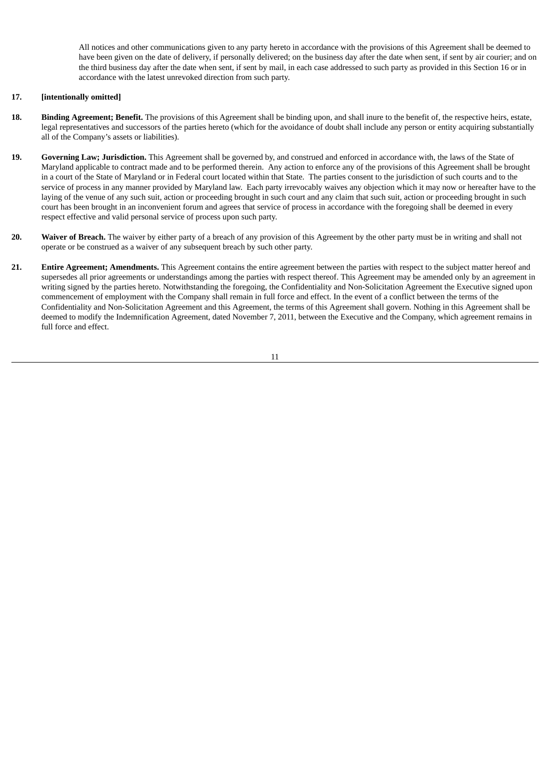All notices and other communications given to any party hereto in accordance with the provisions of this Agreement shall be deemed to have been given on the date of delivery, if personally delivered; on the business day after the date when sent, if sent by air courier; and on the third business day after the date when sent, if sent by mail, in each case addressed to such party as provided in this Section 16 or in accordance with the latest unrevoked direction from such party.

# **17. [intentionally omitted]**

- **18. Binding Agreement; Benefit.** The provisions of this Agreement shall be binding upon, and shall inure to the benefit of, the respective heirs, estate, legal representatives and successors of the parties hereto (which for the avoidance of doubt shall include any person or entity acquiring substantially all of the Company's assets or liabilities).
- **19. Governing Law; Jurisdiction.** This Agreement shall be governed by, and construed and enforced in accordance with, the laws of the State of Maryland applicable to contract made and to be performed therein. Any action to enforce any of the provisions of this Agreement shall be brought in a court of the State of Maryland or in Federal court located within that State. The parties consent to the jurisdiction of such courts and to the service of process in any manner provided by Maryland law. Each party irrevocably waives any objection which it may now or hereafter have to the laying of the venue of any such suit, action or proceeding brought in such court and any claim that such suit, action or proceeding brought in such court has been brought in an inconvenient forum and agrees that service of process in accordance with the foregoing shall be deemed in every respect effective and valid personal service of process upon such party.
- **20. Waiver of Breach.** The waiver by either party of a breach of any provision of this Agreement by the other party must be in writing and shall not operate or be construed as a waiver of any subsequent breach by such other party.
- **21. Entire Agreement; Amendments.** This Agreement contains the entire agreement between the parties with respect to the subject matter hereof and supersedes all prior agreements or understandings among the parties with respect thereof. This Agreement may be amended only by an agreement in writing signed by the parties hereto. Notwithstanding the foregoing, the Confidentiality and Non-Solicitation Agreement the Executive signed upon commencement of employment with the Company shall remain in full force and effect. In the event of a conflict between the terms of the Confidentiality and Non-Solicitation Agreement and this Agreement, the terms of this Agreement shall govern. Nothing in this Agreement shall be deemed to modify the Indemnification Agreement, dated November 7, 2011, between the Executive and the Company, which agreement remains in full force and effect.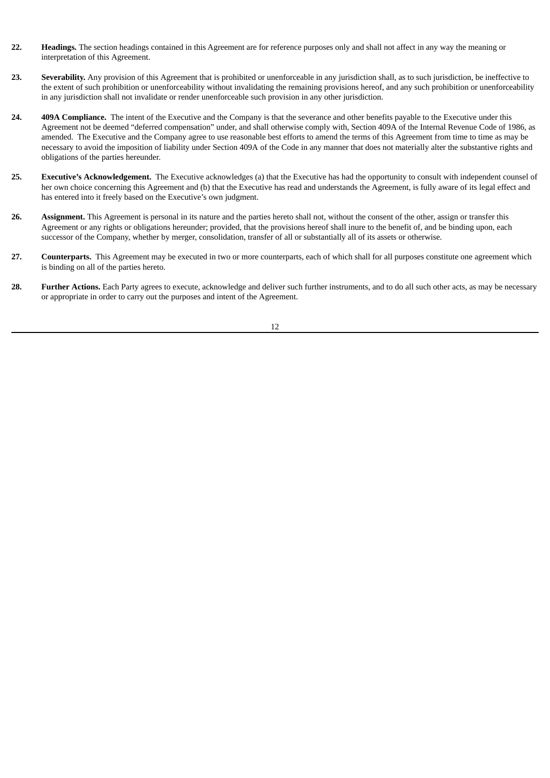- **22. Headings.** The section headings contained in this Agreement are for reference purposes only and shall not affect in any way the meaning or interpretation of this Agreement.
- **23. Severability.** Any provision of this Agreement that is prohibited or unenforceable in any jurisdiction shall, as to such jurisdiction, be ineffective to the extent of such prohibition or unenforceability without invalidating the remaining provisions hereof, and any such prohibition or unenforceability in any jurisdiction shall not invalidate or render unenforceable such provision in any other jurisdiction.
- **24. 409A Compliance.** The intent of the Executive and the Company is that the severance and other benefits payable to the Executive under this Agreement not be deemed "deferred compensation" under, and shall otherwise comply with, Section 409A of the Internal Revenue Code of 1986, as amended. The Executive and the Company agree to use reasonable best efforts to amend the terms of this Agreement from time to time as may be necessary to avoid the imposition of liability under Section 409A of the Code in any manner that does not materially alter the substantive rights and obligations of the parties hereunder.
- **25. Executive's Acknowledgement.** The Executive acknowledges (a) that the Executive has had the opportunity to consult with independent counsel of her own choice concerning this Agreement and (b) that the Executive has read and understands the Agreement, is fully aware of its legal effect and has entered into it freely based on the Executive's own judgment.
- **26. Assignment.** This Agreement is personal in its nature and the parties hereto shall not, without the consent of the other, assign or transfer this Agreement or any rights or obligations hereunder; provided, that the provisions hereof shall inure to the benefit of, and be binding upon, each successor of the Company, whether by merger, consolidation, transfer of all or substantially all of its assets or otherwise.
- **27. Counterparts.** This Agreement may be executed in two or more counterparts, each of which shall for all purposes constitute one agreement which is binding on all of the parties hereto.
- **28. Further Actions.** Each Party agrees to execute, acknowledge and deliver such further instruments, and to do all such other acts, as may be necessary or appropriate in order to carry out the purposes and intent of the Agreement.

12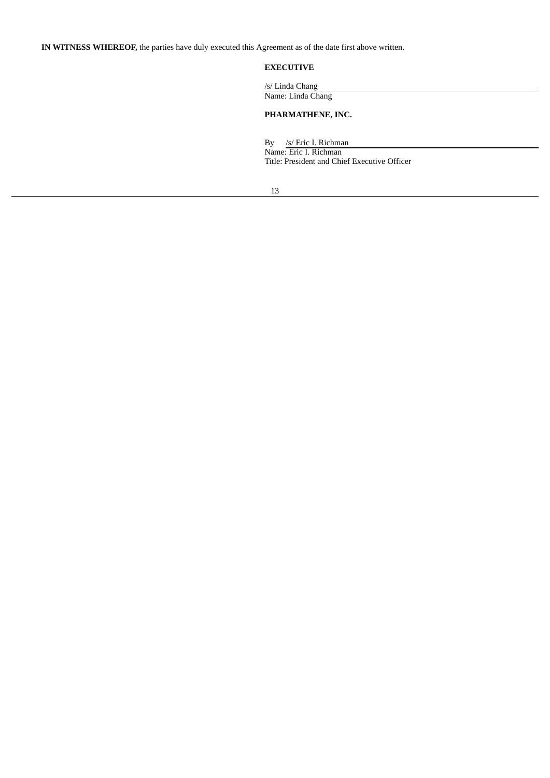**IN WITNESS WHEREOF,** the parties have duly executed this Agreement as of the date first above written.

# **EXECUTIVE**

/s/ Linda Chang Name: Linda Chang

# **PHARMATHENE, INC.**

By /s/ Eric I. Richman Name: Eric I. Richman Title: President and Chief Executive Officer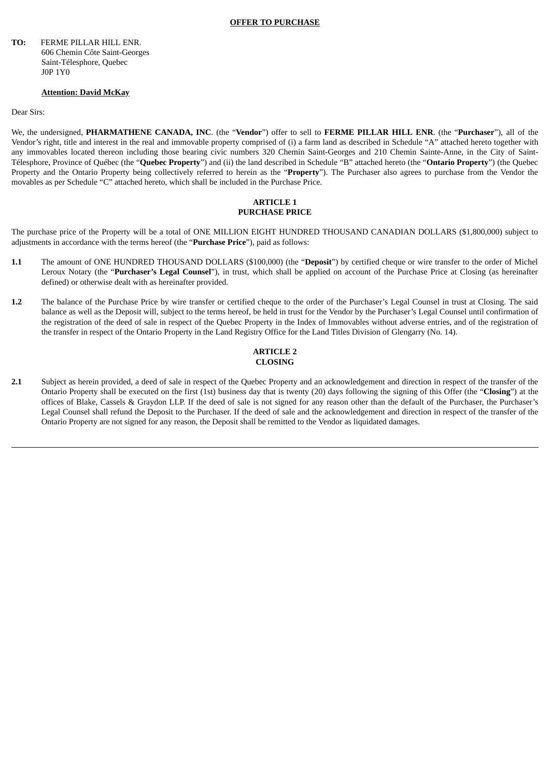# **TO:** FERME PILLAR HILL ENR. 606 Chemin Côte Saint-Georges Saint-Télesphore, Quebec J0P 1Y0

#### **Attention: David McKay**

Dear Sirs:

We, the undersigned, **PHARMATHENE CANADA, INC**. (the "**Vendor**") offer to sell to **FERME PILLAR HILL ENR**. (the "**Purchaser**"), all of the Vendor's right, title and interest in the real and immovable property comprised of (i) a farm land as described in Schedule "A" attached hereto together with any immovables located thereon including those bearing civic numbers 320 Chemin Saint-Georges and 210 Chemin Sainte-Anne, in the City of Saint-Télesphore, Province of Québec (the "**Quebec Property**") and (ii) the land described in Schedule "B" attached hereto (the "**Ontario Property**") (the Quebec Property and the Ontario Property being collectively referred to herein as the "**Property**"). The Purchaser also agrees to purchase from the Vendor the movables as per Schedule "C" attached hereto, which shall be included in the Purchase Price.

### **ARTICLE 1 PURCHASE PRICE**

The purchase price of the Property will be a total of ONE MILLION EIGHT HUNDRED THOUSAND CANADIAN DOLLARS (\$1,800,000) subject to adjustments in accordance with the terms hereof (the "**Purchase Price**"), paid as follows:

- **1.1** The amount of ONE HUNDRED THOUSAND DOLLARS (\$100,000) (the "**Deposit**") by certified cheque or wire transfer to the order of Michel Leroux Notary (the "**Purchaser's Legal Counsel**"), in trust, which shall be applied on account of the Purchase Price at Closing (as hereinafter defined) or otherwise dealt with as hereinafter provided.
- **1.2** The balance of the Purchase Price by wire transfer or certified cheque to the order of the Purchaser's Legal Counsel in trust at Closing. The said balance as well as the Deposit will, subject to the terms hereof, be held in trust for the Vendor by the Purchaser's Legal Counsel until confirmation of the registration of the deed of sale in respect of the Quebec Property in the Index of Immovables without adverse entries, and of the registration of the transfer in respect of the Ontario Property in the Land Registry Office for the Land Titles Division of Glengarry (No. 14).

# **ARTICLE 2 CLOSING**

**2.1** Subject as herein provided, a deed of sale in respect of the Quebec Property and an acknowledgement and direction in respect of the transfer of the Ontario Property shall be executed on the first (1st) business day that is twenty (20) days following the signing of this Offer (the "**Closing**") at the offices of Blake, Cassels & Graydon LLP. If the deed of sale is not signed for any reason other than the default of the Purchaser, the Purchaser's Legal Counsel shall refund the Deposit to the Purchaser. If the deed of sale and the acknowledgement and direction in respect of the transfer of the Ontario Property are not signed for any reason, the Deposit shall be remitted to the Vendor as liquidated damages.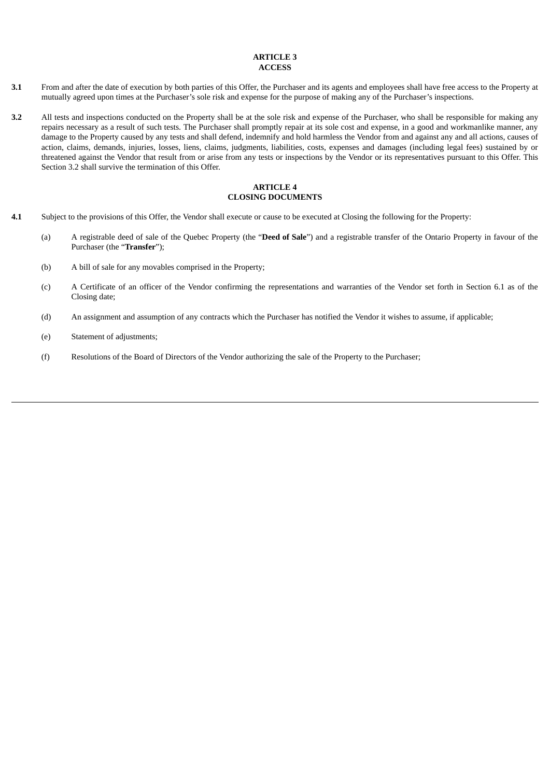#### **ARTICLE 3 ACCESS**

- **3.1** From and after the date of execution by both parties of this Offer, the Purchaser and its agents and employees shall have free access to the Property at mutually agreed upon times at the Purchaser's sole risk and expense for the purpose of making any of the Purchaser's inspections.
- **3.2** All tests and inspections conducted on the Property shall be at the sole risk and expense of the Purchaser, who shall be responsible for making any repairs necessary as a result of such tests. The Purchaser shall promptly repair at its sole cost and expense, in a good and workmanlike manner, any damage to the Property caused by any tests and shall defend, indemnify and hold harmless the Vendor from and against any and all actions, causes of action, claims, demands, injuries, losses, liens, claims, judgments, liabilities, costs, expenses and damages (including legal fees) sustained by or threatened against the Vendor that result from or arise from any tests or inspections by the Vendor or its representatives pursuant to this Offer. This Section 3.2 shall survive the termination of this Offer.

# **ARTICLE 4 CLOSING DOCUMENTS**

- **4.1** Subject to the provisions of this Offer, the Vendor shall execute or cause to be executed at Closing the following for the Property:
	- (a) A registrable deed of sale of the Quebec Property (the "**Deed of Sale**") and a registrable transfer of the Ontario Property in favour of the Purchaser (the "**Transfer**");
	- (b) A bill of sale for any movables comprised in the Property;
	- (c) A Certificate of an officer of the Vendor confirming the representations and warranties of the Vendor set forth in Section 6.1 as of the Closing date;
	- (d) An assignment and assumption of any contracts which the Purchaser has notified the Vendor it wishes to assume, if applicable;
	- (e) Statement of adjustments;
	- (f) Resolutions of the Board of Directors of the Vendor authorizing the sale of the Property to the Purchaser;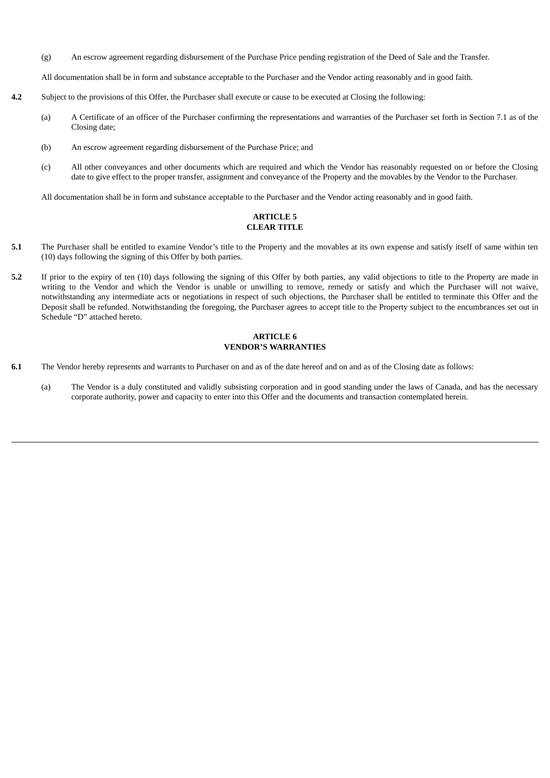(g) An escrow agreement regarding disbursement of the Purchase Price pending registration of the Deed of Sale and the Transfer.

All documentation shall be in form and substance acceptable to the Purchaser and the Vendor acting reasonably and in good faith.

- **4.2** Subject to the provisions of this Offer, the Purchaser shall execute or cause to be executed at Closing the following:
	- (a) A Certificate of an officer of the Purchaser confirming the representations and warranties of the Purchaser set forth in Section 7.1 as of the Closing date;
	- (b) An escrow agreement regarding disbursement of the Purchase Price; and
	- (c) All other conveyances and other documents which are required and which the Vendor has reasonably requested on or before the Closing date to give effect to the proper transfer, assignment and conveyance of the Property and the movables by the Vendor to the Purchaser.

All documentation shall be in form and substance acceptable to the Purchaser and the Vendor acting reasonably and in good faith.

# **ARTICLE 5 CLEAR TITLE**

- **5.1** The Purchaser shall be entitled to examine Vendor's title to the Property and the movables at its own expense and satisfy itself of same within ten (10) days following the signing of this Offer by both parties.
- **5.2** If prior to the expiry of ten (10) days following the signing of this Offer by both parties, any valid objections to title to the Property are made in writing to the Vendor and which the Vendor is unable or unwilling to remove, remedy or satisfy and which the Purchaser will not waive, notwithstanding any intermediate acts or negotiations in respect of such objections, the Purchaser shall be entitled to terminate this Offer and the Deposit shall be refunded. Notwithstanding the foregoing, the Purchaser agrees to accept title to the Property subject to the encumbrances set out in Schedule "D" attached hereto.

### **ARTICLE 6 VENDOR'S WARRANTIES**

- **6.1** The Vendor hereby represents and warrants to Purchaser on and as of the date hereof and on and as of the Closing date as follows:
	- (a) The Vendor is a duly constituted and validly subsisting corporation and in good standing under the laws of Canada, and has the necessary corporate authority, power and capacity to enter into this Offer and the documents and transaction contemplated herein.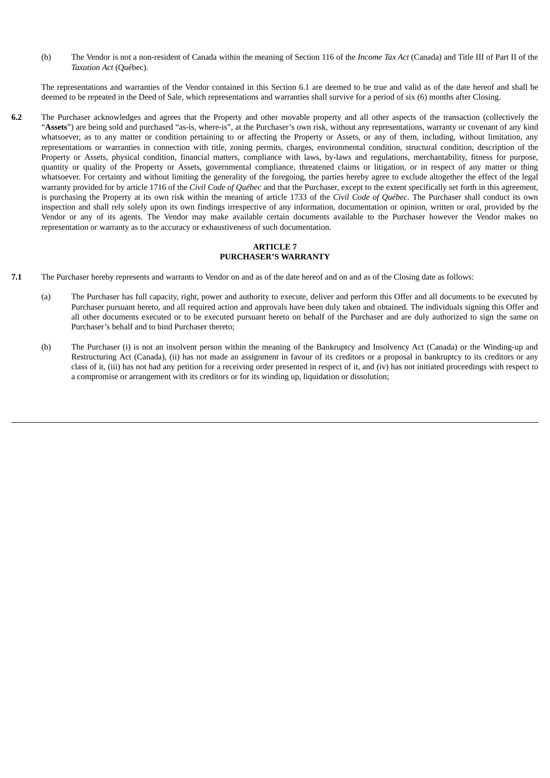(b) The Vendor is not a non-resident of Canada within the meaning of Section 116 of the *Income Tax Act* (Canada) and Title III of Part II of the *Taxation Act* (Québec).

The representations and warranties of the Vendor contained in this Section 6.1 are deemed to be true and valid as of the date hereof and shall be deemed to be repeated in the Deed of Sale, which representations and warranties shall survive for a period of six (6) months after Closing.

**6.2** The Purchaser acknowledges and agrees that the Property and other movable property and all other aspects of the transaction (collectively the "**Assets**") are being sold and purchased "as-is, where-is", at the Purchaser's own risk, without any representations, warranty or covenant of any kind whatsoever, as to any matter or condition pertaining to or affecting the Property or Assets, or any of them, including, without limitation, any representations or warranties in connection with title, zoning permits, charges, environmental condition, structural condition, description of the Property or Assets, physical condition, financial matters, compliance with laws, by-laws and regulations, merchantability, fitness for purpose, quantity or quality of the Property or Assets, governmental compliance, threatened claims or litigation, or in respect of any matter or thing whatsoever. For certainty and without limiting the generality of the foregoing, the parties hereby agree to exclude altogether the effect of the legal warranty provided for by article 1716 of the *Civil Code of Québec* and that the Purchaser, except to the extent specifically set forth in this agreement, is purchasing the Property at its own risk within the meaning of article 1733 of the *Civil Code of Québec*. The Purchaser shall conduct its own inspection and shall rely solely upon its own findings irrespective of any information, documentation or opinion, written or oral, provided by the Vendor or any of its agents. The Vendor may make available certain documents available to the Purchaser however the Vendor makes no representation or warranty as to the accuracy or exhaustiveness of such documentation.

### **ARTICLE 7 PURCHASER'S WARRANTY**

- **7.1** The Purchaser hereby represents and warrants to Vendor on and as of the date hereof and on and as of the Closing date as follows:
	- (a) The Purchaser has full capacity, right, power and authority to execute, deliver and perform this Offer and all documents to be executed by Purchaser pursuant hereto, and all required action and approvals have been duly taken and obtained. The individuals signing this Offer and all other documents executed or to be executed pursuant hereto on behalf of the Purchaser and are duly authorized to sign the same on Purchaser's behalf and to bind Purchaser thereto;
	- (b) The Purchaser (i) is not an insolvent person within the meaning of the Bankruptcy and Insolvency Act (Canada) or the Winding-up and Restructuring Act (Canada), (ii) has not made an assignment in favour of its creditors or a proposal in bankruptcy to its creditors or any class of it, (iii) has not had any petition for a receiving order presented in respect of it, and (iv) has not initiated proceedings with respect to a compromise or arrangement with its creditors or for its winding up, liquidation or dissolution;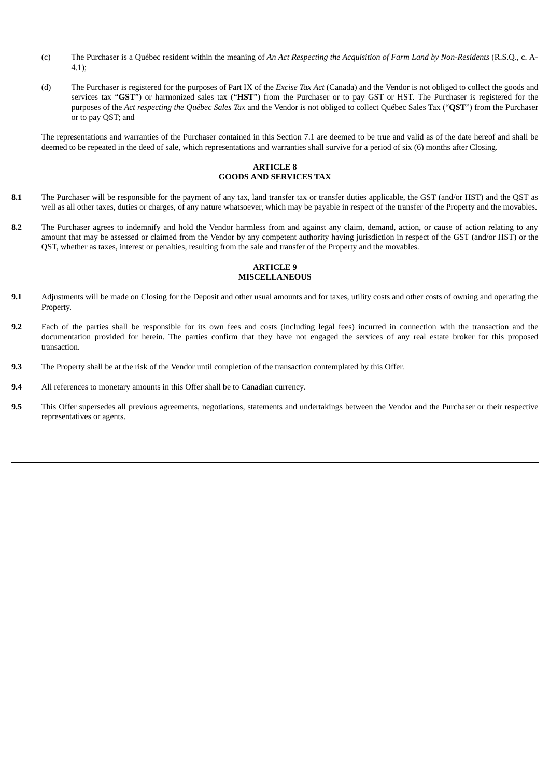- (c) The Purchaser is a Québec resident within the meaning of *An Act Respecting the Acquisition of Farm Land by Non-Residents* (R.S.Q., c. A- $4.1$ :
- (d) The Purchaser is registered for the purposes of Part IX of the *Excise Tax Act* (Canada) and the Vendor is not obliged to collect the goods and services tax "**GST**") or harmonized sales tax ("**HST**") from the Purchaser or to pay GST or HST. The Purchaser is registered for the purposes of the *Act respecting the Québec Sales Tax* and the Vendor is not obliged to collect Québec Sales Tax ("**QST**") from the Purchaser or to pay QST; and

The representations and warranties of the Purchaser contained in this Section 7.1 are deemed to be true and valid as of the date hereof and shall be deemed to be repeated in the deed of sale, which representations and warranties shall survive for a period of six (6) months after Closing.

# **ARTICLE 8 GOODS AND SERVICES TAX**

- **8.1** The Purchaser will be responsible for the payment of any tax, land transfer tax or transfer duties applicable, the GST (and/or HST) and the QST as well as all other taxes, duties or charges, of any nature whatsoever, which may be payable in respect of the transfer of the Property and the movables.
- **8.2** The Purchaser agrees to indemnify and hold the Vendor harmless from and against any claim, demand, action, or cause of action relating to any amount that may be assessed or claimed from the Vendor by any competent authority having jurisdiction in respect of the GST (and/or HST) or the QST, whether as taxes, interest or penalties, resulting from the sale and transfer of the Property and the movables.

### **ARTICLE 9 MISCELLANEOUS**

- **9.1** Adjustments will be made on Closing for the Deposit and other usual amounts and for taxes, utility costs and other costs of owning and operating the Property.
- **9.2** Each of the parties shall be responsible for its own fees and costs (including legal fees) incurred in connection with the transaction and the documentation provided for herein. The parties confirm that they have not engaged the services of any real estate broker for this proposed transaction.
- **9.3** The Property shall be at the risk of the Vendor until completion of the transaction contemplated by this Offer.
- **9.4** All references to monetary amounts in this Offer shall be to Canadian currency.
- **9.5** This Offer supersedes all previous agreements, negotiations, statements and undertakings between the Vendor and the Purchaser or their respective representatives or agents.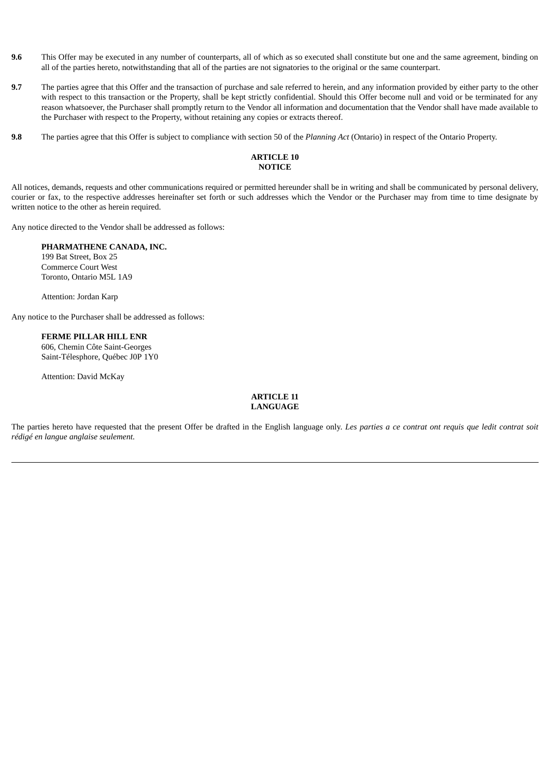- **9.6** This Offer may be executed in any number of counterparts, all of which as so executed shall constitute but one and the same agreement, binding on all of the parties hereto, notwithstanding that all of the parties are not signatories to the original or the same counterpart.
- **9.7** The parties agree that this Offer and the transaction of purchase and sale referred to herein, and any information provided by either party to the other with respect to this transaction or the Property, shall be kept strictly confidential. Should this Offer become null and void or be terminated for any reason whatsoever, the Purchaser shall promptly return to the Vendor all information and documentation that the Vendor shall have made available to the Purchaser with respect to the Property, without retaining any copies or extracts thereof.
- **9.8** The parties agree that this Offer is subject to compliance with section 50 of the *Planning Act* (Ontario) in respect of the Ontario Property.

### **ARTICLE 10 NOTICE**

All notices, demands, requests and other communications required or permitted hereunder shall be in writing and shall be communicated by personal delivery, courier or fax, to the respective addresses hereinafter set forth or such addresses which the Vendor or the Purchaser may from time to time designate by written notice to the other as herein required.

Any notice directed to the Vendor shall be addressed as follows:

**PHARMATHENE CANADA, INC.** 199 Bat Street, Box 25 Commerce Court West Toronto, Ontario M5L 1A9

Attention: Jordan Karp

Any notice to the Purchaser shall be addressed as follows:

#### **FERME PILLAR HILL ENR**

606, Chemin Côte Saint-Georges Saint-Télesphore, Québec J0P 1Y0

Attention: David McKay

#### **ARTICLE 11 LANGUAGE**

The parties hereto have requested that the present Offer be drafted in the English language only. Les parties a ce contrat ont requis que ledit contrat soit *rédigé en langue anglaise seulement.*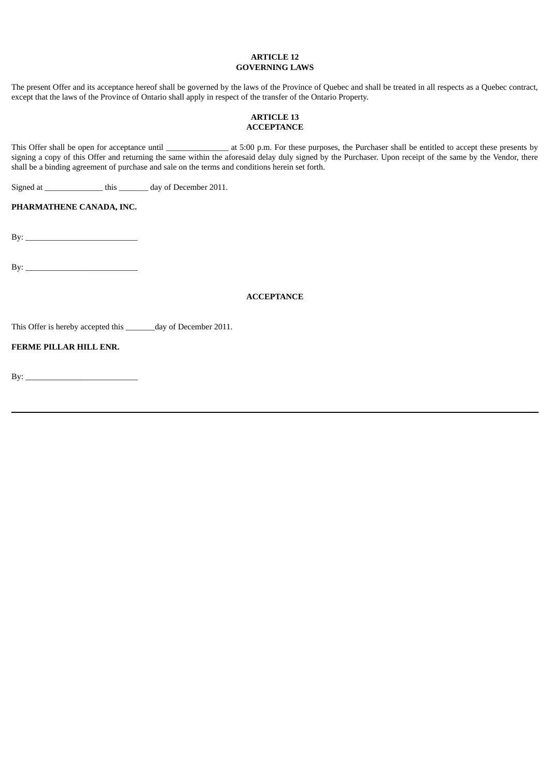### **ARTICLE 12 GOVERNING LAWS**

The present Offer and its acceptance hereof shall be governed by the laws of the Province of Quebec and shall be treated in all respects as a Quebec contract, except that the laws of the Province of Ontario shall apply in respect of the transfer of the Ontario Property.

# **ARTICLE 13 ACCEPTANCE**

This Offer shall be open for acceptance until \_\_\_\_\_\_\_\_\_\_\_\_\_\_\_ at 5:00 p.m. For these purposes, the Purchaser shall be entitled to accept these presents by signing a copy of this Offer and returning the same within the aforesaid delay duly signed by the Purchaser. Upon receipt of the same by the Vendor, there shall be a binding agreement of purchase and sale on the terms and conditions herein set forth.

Signed at \_\_\_\_\_\_\_\_\_\_\_\_\_\_\_\_\_\_ this \_\_\_\_\_\_\_\_\_ day of December 2011.

**PHARMATHENE CANADA, INC.**

By: \_\_\_\_\_\_\_\_\_\_\_\_\_\_\_\_\_\_\_\_\_\_\_\_\_\_\_

 $\mathbf{B} \mathbf{y}$ :

### **ACCEPTANCE**

This Offer is hereby accepted this \_\_\_\_\_\_\_day of December 2011.

# **FERME PILLAR HILL ENR.**

By: \_\_\_\_\_\_\_\_\_\_\_\_\_\_\_\_\_\_\_\_\_\_\_\_\_\_\_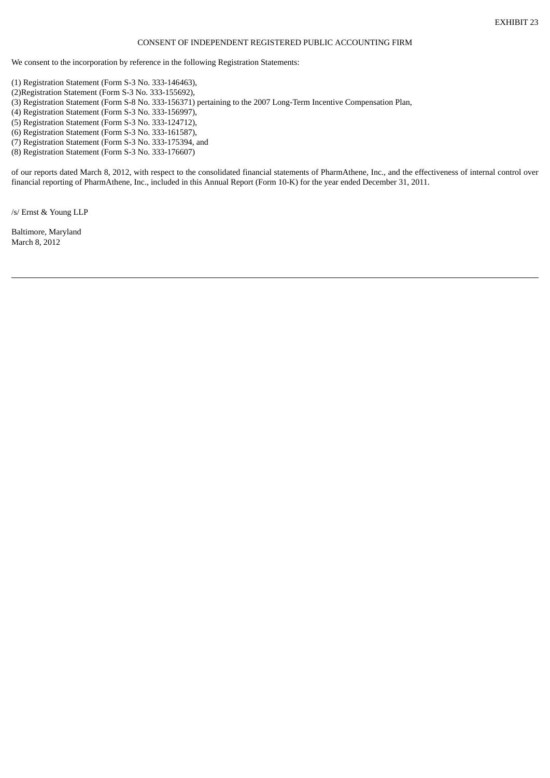### CONSENT OF INDEPENDENT REGISTERED PUBLIC ACCOUNTING FIRM

We consent to the incorporation by reference in the following Registration Statements:

- (1) Registration Statement (Form S-3 No. 333-146463),
- (2)Registration Statement (Form S-3 No. 333-155692),
- (3) Registration Statement (Form S-8 No. 333-156371) pertaining to the 2007 Long-Term Incentive Compensation Plan,
- (4) Registration Statement (Form S-3 No. 333-156997),
- (5) Registration Statement (Form S-3 No. 333-124712),
- (6) Registration Statement (Form S-3 No. 333-161587),
- (7) Registration Statement (Form S-3 No. 333-175394, and
- (8) Registration Statement (Form S-3 No. 333-176607)

of our reports dated March 8, 2012, with respect to the consolidated financial statements of PharmAthene, Inc., and the effectiveness of internal control over financial reporting of PharmAthene, Inc., included in this Annual Report (Form 10-K) for the year ended December 31, 2011.

/s/ Ernst & Young LLP

Baltimore, Maryland March 8, 2012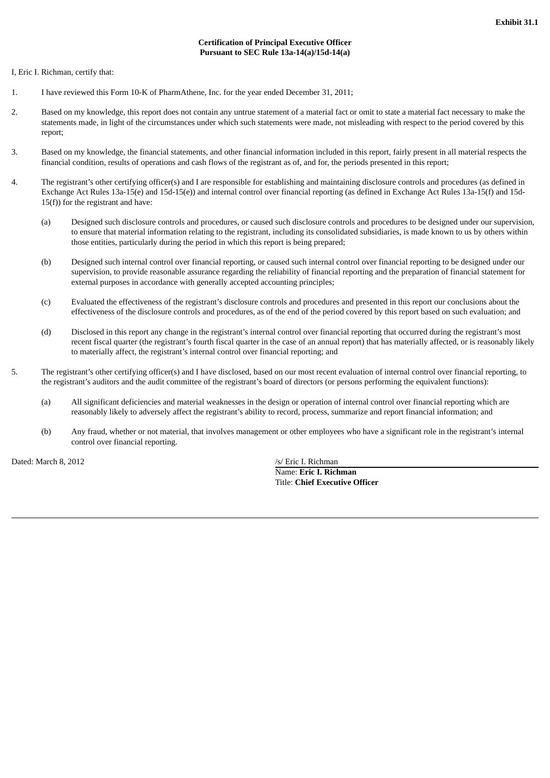# **Certification of Principal Executive Officer Pursuant to SEC Rule 13a-14(a)/15d-14(a)**

I, Eric I. Richman, certify that:

- 1. I have reviewed this Form 10-K of PharmAthene, Inc. for the year ended December 31, 2011;
- 2. Based on my knowledge, this report does not contain any untrue statement of a material fact or omit to state a material fact necessary to make the statements made, in light of the circumstances under which such statements were made, not misleading with respect to the period covered by this report;
- 3. Based on my knowledge, the financial statements, and other financial information included in this report, fairly present in all material respects the financial condition, results of operations and cash flows of the registrant as of, and for, the periods presented in this report;
- 4. The registrant's other certifying officer(s) and I are responsible for establishing and maintaining disclosure controls and procedures (as defined in Exchange Act Rules 13a-15(e) and 15d-15(e)) and internal control over financial reporting (as defined in Exchange Act Rules 13a-15(f) and 15d-15(f)) for the registrant and have:
	- (a) Designed such disclosure controls and procedures, or caused such disclosure controls and procedures to be designed under our supervision, to ensure that material information relating to the registrant, including its consolidated subsidiaries, is made known to us by others within those entities, particularly during the period in which this report is being prepared;
	- (b) Designed such internal control over financial reporting, or caused such internal control over financial reporting to be designed under our supervision, to provide reasonable assurance regarding the reliability of financial reporting and the preparation of financial statement for external purposes in accordance with generally accepted accounting principles;
	- (c) Evaluated the effectiveness of the registrant's disclosure controls and procedures and presented in this report our conclusions about the effectiveness of the disclosure controls and procedures, as of the end of the period covered by this report based on such evaluation; and
	- (d) Disclosed in this report any change in the registrant's internal control over financial reporting that occurred during the registrant's most recent fiscal quarter (the registrant's fourth fiscal quarter in the case of an annual report) that has materially affected, or is reasonably likely to materially affect, the registrant's internal control over financial reporting; and
- 5. The registrant's other certifying officer(s) and I have disclosed, based on our most recent evaluation of internal control over financial reporting, to the registrant's auditors and the audit committee of the registrant's board of directors (or persons performing the equivalent functions):
	- (a) All significant deficiencies and material weaknesses in the design or operation of internal control over financial reporting which are reasonably likely to adversely affect the registrant's ability to record, process, summarize and report financial information; and
	- (b) Any fraud, whether or not material, that involves management or other employees who have a significant role in the registrant's internal control over financial reporting.

Dated: March 8, 2012 *Dated: March 8, 2012 I. Richman* 

Name: **Eric I. Richman** Title: **Chief Executive Officer**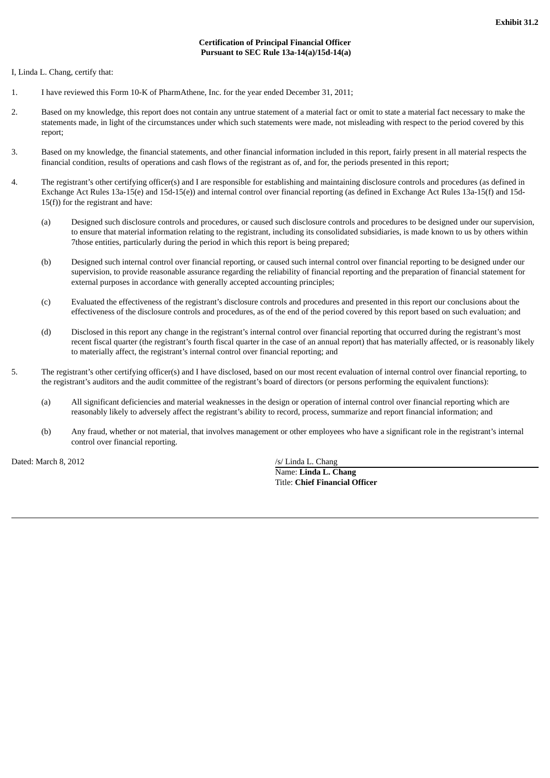# **Certification of Principal Financial Officer Pursuant to SEC Rule 13a-14(a)/15d-14(a)**

I, Linda L. Chang, certify that:

- 1. I have reviewed this Form 10-K of PharmAthene, Inc. for the year ended December 31, 2011;
- 2. Based on my knowledge, this report does not contain any untrue statement of a material fact or omit to state a material fact necessary to make the statements made, in light of the circumstances under which such statements were made, not misleading with respect to the period covered by this report;
- 3. Based on my knowledge, the financial statements, and other financial information included in this report, fairly present in all material respects the financial condition, results of operations and cash flows of the registrant as of, and for, the periods presented in this report;
- 4. The registrant's other certifying officer(s) and I are responsible for establishing and maintaining disclosure controls and procedures (as defined in Exchange Act Rules 13a-15(e) and 15d-15(e)) and internal control over financial reporting (as defined in Exchange Act Rules 13a-15(f) and 15d-15(f)) for the registrant and have:
	- (a) Designed such disclosure controls and procedures, or caused such disclosure controls and procedures to be designed under our supervision, to ensure that material information relating to the registrant, including its consolidated subsidiaries, is made known to us by others within 7those entities, particularly during the period in which this report is being prepared;
	- (b) Designed such internal control over financial reporting, or caused such internal control over financial reporting to be designed under our supervision, to provide reasonable assurance regarding the reliability of financial reporting and the preparation of financial statement for external purposes in accordance with generally accepted accounting principles;
	- (c) Evaluated the effectiveness of the registrant's disclosure controls and procedures and presented in this report our conclusions about the effectiveness of the disclosure controls and procedures, as of the end of the period covered by this report based on such evaluation; and
	- (d) Disclosed in this report any change in the registrant's internal control over financial reporting that occurred during the registrant's most recent fiscal quarter (the registrant's fourth fiscal quarter in the case of an annual report) that has materially affected, or is reasonably likely to materially affect, the registrant's internal control over financial reporting; and
- 5. The registrant's other certifying officer(s) and I have disclosed, based on our most recent evaluation of internal control over financial reporting, to the registrant's auditors and the audit committee of the registrant's board of directors (or persons performing the equivalent functions):
	- (a) All significant deficiencies and material weaknesses in the design or operation of internal control over financial reporting which are reasonably likely to adversely affect the registrant's ability to record, process, summarize and report financial information; and
	- (b) Any fraud, whether or not material, that involves management or other employees who have a significant role in the registrant's internal control over financial reporting.

Dated: March 8, 2012 */s/ Linda L. Chang* 

Name: **Linda L. Chang** Title: **Chief Financial Officer**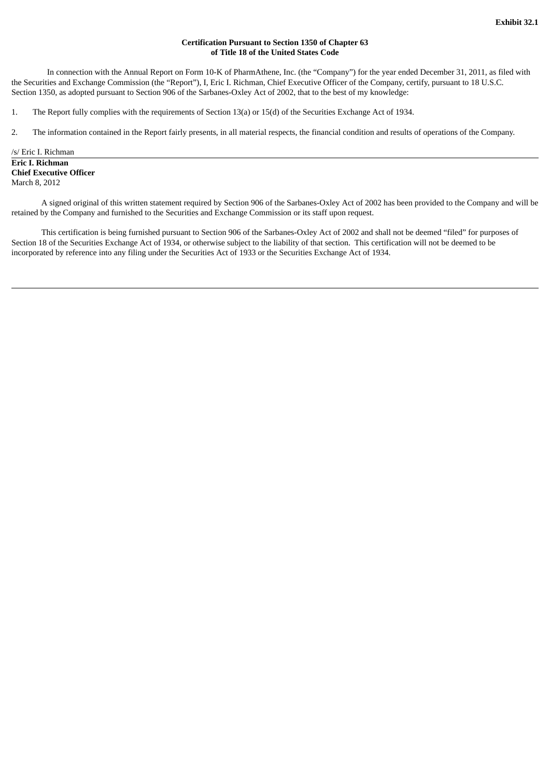## **Certification Pursuant to Section 1350 of Chapter 63 of Title 18 of the United States Code**

In connection with the Annual Report on Form 10-K of PharmAthene, Inc. (the "Company") for the year ended December 31, 2011, as filed with the Securities and Exchange Commission (the "Report"), I, Eric I. Richman, Chief Executive Officer of the Company, certify, pursuant to 18 U.S.C. Section 1350, as adopted pursuant to Section 906 of the Sarbanes-Oxley Act of 2002, that to the best of my knowledge:

1. The Report fully complies with the requirements of Section 13(a) or 15(d) of the Securities Exchange Act of 1934.

2. The information contained in the Report fairly presents, in all material respects, the financial condition and results of operations of the Company.

/s/ Eric I. Richman **Eric I. Richman Chief Executive Officer** March 8, 2012

A signed original of this written statement required by Section 906 of the Sarbanes-Oxley Act of 2002 has been provided to the Company and will be retained by the Company and furnished to the Securities and Exchange Commission or its staff upon request.

This certification is being furnished pursuant to Section 906 of the Sarbanes-Oxley Act of 2002 and shall not be deemed "filed" for purposes of Section 18 of the Securities Exchange Act of 1934, or otherwise subject to the liability of that section. This certification will not be deemed to be incorporated by reference into any filing under the Securities Act of 1933 or the Securities Exchange Act of 1934.